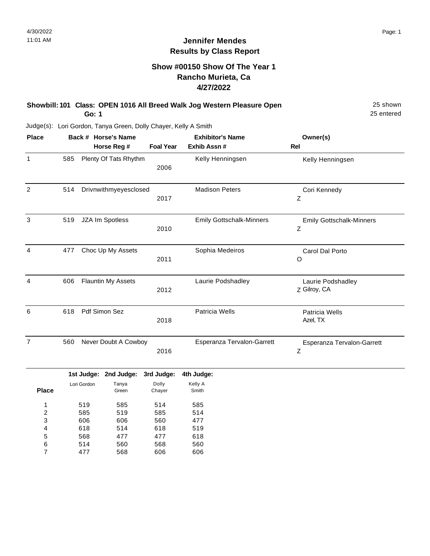### **Show #00150 Show Of The Year 1 Rancho Murieta, Ca 4/27/2022**

| Showbill: 101 Class: OPEN 1016 All Breed Walk Jog Western Pleasure Open | 25 shown   |
|-------------------------------------------------------------------------|------------|
| Go: 1                                                                   | 25 entered |

Judge(s): Lori Gordon, Tanya Green, Dolly Chayer, Kelly A Smith

477

7

568

606

606

| <b>Place</b>     |     |                          | Back # Horse's Name      |                          | <b>Exhibitor's Name</b>         | Owner(s)                                       |
|------------------|-----|--------------------------|--------------------------|--------------------------|---------------------------------|------------------------------------------------|
|                  |     |                          | Horse Reg #              | <b>Foal Year</b>         | Exhib Assn #                    | Rel                                            |
| $\mathbf{1}$     | 585 |                          | Plenty Of Tats Rhythm    | 2006                     | Kelly Henningsen                | Kelly Henningsen                               |
| $\overline{2}$   | 514 |                          | Drivnwithmyeyesclosed    | 2017                     | <b>Madison Peters</b>           | Cori Kennedy<br>Z                              |
| $\mathbf{3}$     | 519 |                          | JZA Im Spotless          | 2010                     | <b>Emily Gottschalk-Minners</b> | <b>Emily Gottschalk-Minners</b><br>$\mathsf Z$ |
| $\overline{4}$   | 477 |                          | Choc Up My Assets        | 2011                     | Sophia Medeiros                 | Carol Dal Porto<br>O                           |
| $\overline{4}$   | 606 |                          | Flauntin My Assets       | 2012                     | Laurie Podshadley               | Laurie Podshadley<br>Z Gilroy, CA              |
| $\,6$            | 618 |                          | Pdf Simon Sez            | 2018                     | Patricia Wells                  | Patricia Wells<br>Azel, TX                     |
| $\overline{7}$   | 560 |                          | Never Doubt A Cowboy     | 2016                     | Esperanza Tervalon-Garrett      | Esperanza Tervalon-Garrett<br>$\mathsf Z$      |
|                  |     |                          | 1st Judge: 2nd Judge:    | 3rd Judge:               | 4th Judge:                      |                                                |
| <b>Place</b>     |     | Lori Gordon              | Tanya<br>Green           | Dolly<br>Chayer          | Kelly A<br>Smith                |                                                |
| 1<br>2<br>3<br>4 |     | 519<br>585<br>606<br>618 | 585<br>519<br>606<br>514 | 514<br>585<br>560<br>618 | 585<br>514<br>477<br>519        |                                                |
| 5<br>6           |     | 568<br>514               | 477<br>560               | 477<br>568               | 618<br>560                      |                                                |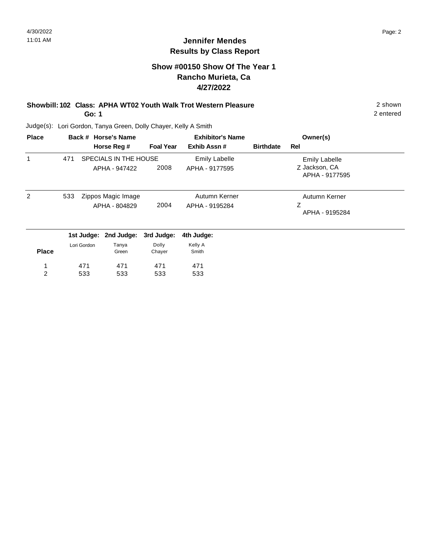### **Show #00150 Show Of The Year 1 Rancho Murieta, Ca 4/27/2022**

#### **Showbill: 102 Class: APHA WT02 Youth Walk Trot Western Pleasure** 2 shown **Go: 1**

Judge(s): Lori Gordon, Tanya Green, Dolly Chayer, Kelly A Smith

533

533

533

2

| <b>Place</b> |     |             | Back # Horse's Name                    |                  | <b>Exhibitor's Name</b>                |                  | Owner(s)                                                |  |
|--------------|-----|-------------|----------------------------------------|------------------|----------------------------------------|------------------|---------------------------------------------------------|--|
|              |     |             | Horse Reg #                            | <b>Foal Year</b> | Exhib Assn#                            | <b>Birthdate</b> | Rel                                                     |  |
|              | 471 |             | SPECIALS IN THE HOUSE<br>APHA - 947422 | 2008             | <b>Emily Labelle</b><br>APHA - 9177595 |                  | <b>Emily Labelle</b><br>Z Jackson, CA<br>APHA - 9177595 |  |
| 2            | 533 |             | Zippos Magic Image<br>APHA - 804829    | 2004             | Autumn Kerner<br>APHA - 9195284        |                  | Autumn Kerner<br>Ζ<br>APHA - 9195284                    |  |
|              |     |             | 1st Judge: 2nd Judge:                  | 3rd Judge:       | 4th Judge:                             |                  |                                                         |  |
| <b>Place</b> |     | Lori Gordon | Tanya<br>Green                         | Dolly<br>Chayer  | Kelly A<br>Smith                       |                  |                                                         |  |
|              |     | 471         | 471                                    | 471              | 471                                    |                  |                                                         |  |

533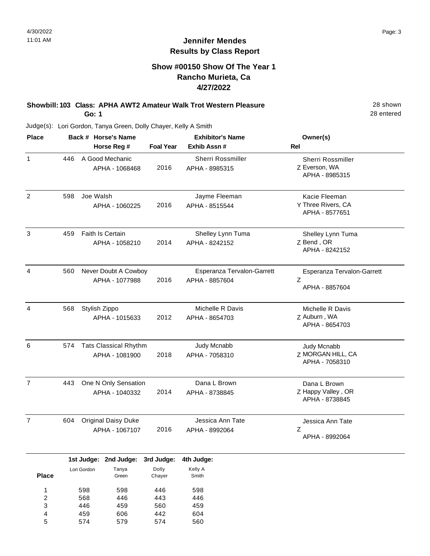### **Show #00150 Show Of The Year 1 Rancho Murieta, Ca 4/27/2022**

#### **Showbill: 103 Class: APHA AWT2 Amateur Walk Trot Western Pleasure** 28 Shown **Go: 1**

Judge(s): Lori Gordon, Tanya Green, Dolly Chayer, Kelly A Smith

| <b>Place</b>   |     | Back # Horse's Name                            | <b>Exhibitor's Name</b> |                                              | Owner(s)                                              |  |
|----------------|-----|------------------------------------------------|-------------------------|----------------------------------------------|-------------------------------------------------------|--|
|                |     | Horse Reg #                                    | <b>Foal Year</b>        | Exhib Assn#                                  | Rel                                                   |  |
| $\mathbf{1}$   | 446 | A Good Mechanic<br>APHA - 1068468              | 2016                    | Sherri Rossmiller<br>APHA - 8985315          | Sherri Rossmiller<br>Z Everson, WA<br>APHA - 8985315  |  |
| $\overline{2}$ | 598 | Joe Walsh<br>APHA - 1060225                    | 2016                    | Jayme Fleeman<br>APHA - 8515544              | Kacie Fleeman<br>Y Three Rivers, CA<br>APHA - 8577651 |  |
| 3              | 459 | Faith Is Certain<br>APHA - 1058210             | 2014                    | Shelley Lynn Tuma<br>APHA - 8242152          | Shelley Lynn Tuma<br>Z Bend, OR<br>APHA - 8242152     |  |
| 4              | 560 | Never Doubt A Cowboy<br>APHA - 1077988         | 2016                    | Esperanza Tervalon-Garrett<br>APHA - 8857604 | Esperanza Tervalon-Garrett<br>Ζ<br>APHA - 8857604     |  |
| $\overline{4}$ | 568 | Stylish Zippo<br>APHA - 1015633                | 2012                    | Michelle R Davis<br>APHA - 8654703           | Michelle R Davis<br>Z Auburn, WA<br>APHA - 8654703    |  |
| 6              | 574 | <b>Tats Classical Rhythm</b><br>APHA - 1081900 | 2018                    | Judy Mcnabb<br>APHA - 7058310                | Judy Mcnabb<br>Z MORGAN HILL, CA<br>APHA - 7058310    |  |
| $\overline{7}$ | 443 | One N Only Sensation<br>APHA - 1040332         | 2014                    | Dana L Brown<br>APHA - 8738845               | Dana L Brown<br>Z Happy Valley, OR<br>APHA - 8738845  |  |
| $\overline{7}$ | 604 | Original Daisy Duke<br>APHA - 1067107          | 2016                    | Jessica Ann Tate<br>APHA - 8992064           | Jessica Ann Tate<br>Z<br>APHA - 8992064               |  |

|              |             | 131 00090. End 00090. Ord 00090. Furtouago. |        |         |  |
|--------------|-------------|---------------------------------------------|--------|---------|--|
|              | Lori Gordon | Tanya                                       | Dolly  | Kelly A |  |
| <b>Place</b> |             | Green                                       | Chayer | Smith   |  |
|              |             |                                             |        |         |  |
| 1            | 598         | 598                                         | 446    | 598     |  |
| 2            | 568         | 446                                         | 443    | 446     |  |
| 3            | 446         | 459                                         | 560    | 459     |  |
| 4            | 459         | 606                                         | 442    | 604     |  |
| 5            | 574         | 579                                         | 574    | 560     |  |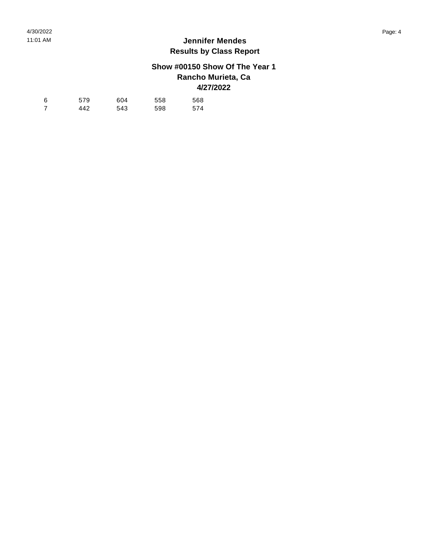## **Show #00150 Show Of The Year 1 Rancho Murieta, Ca 4/27/2022**

| 6 | 579 | 604 | 558 | 568 |
|---|-----|-----|-----|-----|
|   | 442 | 543 | 598 | 574 |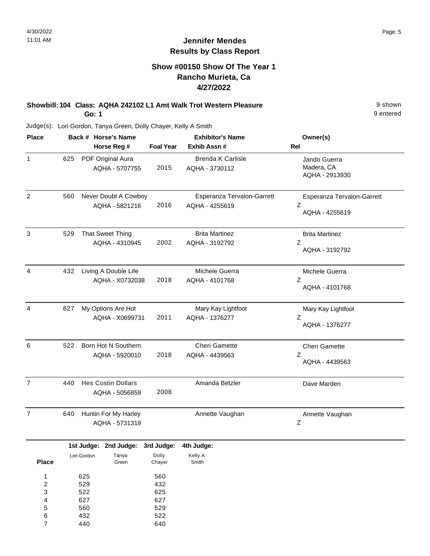### **Show #00150 Show Of The Year 1 Rancho Murieta, Ca 4/27/2022**

**Showbill: 104 Class: AQHA 242102 L1 Amt Walk Trot Western Pleasure** 19 Shown **Go: 1**

Judge(s): Lori Gordon, Tanya Green, Dolly Chayer, Kelly A Smith

560 432 440

5 6 7

529 522 640

| <b>Place</b>                                      |     |                          | Back # Horse's Name                                |                          | <b>Exhibitor's Name</b>                      | Owner(s)                                          |
|---------------------------------------------------|-----|--------------------------|----------------------------------------------------|--------------------------|----------------------------------------------|---------------------------------------------------|
|                                                   |     |                          | Horse Reg #                                        | <b>Foal Year</b>         | Exhib Assn #                                 | Rel                                               |
| 1                                                 | 625 |                          | PDF Original Aura<br>AQHA - 5707755                | 2015                     | <b>Brenda K Carlisle</b><br>AQHA - 3730112   | Jando Guerra<br>Madera, CA<br>AQHA - 2913930      |
| $\sqrt{2}$                                        | 560 |                          | Never Doubt A Cowboy<br>AQHA - 5821216             | 2016                     | Esperanza Tervalon-Garrett<br>AQHA - 4255619 | Esperanza Tervalon-Garrett<br>Ζ<br>AQHA - 4255619 |
| $\mathbf{3}$                                      | 529 |                          | <b>That Sweet Thing</b><br>AQHA - 4310945          | 2002                     | <b>Brita Martinez</b><br>AQHA - 3192792      | <b>Brita Martinez</b><br>Z<br>AQHA - 3192792      |
| $\overline{4}$                                    | 432 |                          | Living A Double Life<br>AQHA - X0732038            | 2018                     | Michele Guerra<br>AQHA - 4101768             | Michele Guerra<br>Ζ<br>AQHA - 4101768             |
| $\overline{4}$                                    | 627 |                          | My Options Are Hot<br>AQHA - X0699731              | 2011                     | Mary Kay Lightfoot<br>AQHA - 1376277         | Mary Kay Lightfoot<br>Z<br>AQHA - 1376277         |
| 6                                                 | 522 |                          | Born Hot N Southern<br>AQHA - 5920010              | 2018                     | Cheri Gamette<br>AQHA - 4439563              | Cheri Gamette<br>Z<br>AQHA - 4439563              |
| $\overline{7}$                                    | 440 |                          | <b>Hes Costin Dollars</b><br>AQHA - 5056859        | 2008                     | Amanda Betzler                               | Dave Marden                                       |
| $\overline{7}$                                    | 640 |                          | Huntin For My Harley<br>AQHA - 5731319             |                          | Annette Vaughan                              | Annette Vaughan<br>Ζ                              |
| <b>Place</b>                                      |     | Lori Gordon              | 1st Judge: 2nd Judge: 3rd Judge:<br>Tanya<br>Green | Dolly<br>Chayer          | 4th Judge:<br>Kelly A<br>Smith               |                                                   |
| $\mathbf{1}$<br>$\overline{\mathbf{c}}$<br>3<br>4 |     | 625<br>529<br>522<br>627 |                                                    | 560<br>432<br>625<br>627 |                                              |                                                   |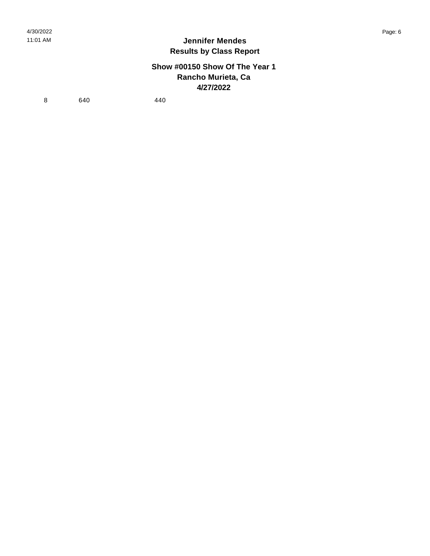### **Show #00150 Show Of The Year 1 Rancho Murieta, Ca 4/27/2022**

8 640 440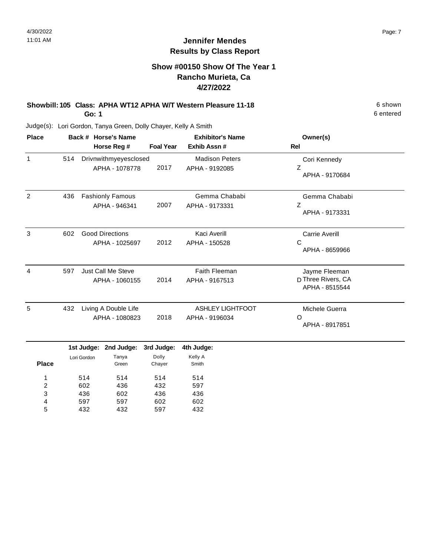### **Show #00150 Show Of The Year 1 Rancho Murieta, Ca 4/27/2022**

# **Showbill: 105 Class: APHA WT12 APHA W/T Western Pleasure 11-18** 6 Shown

**Go: 1**

Judge(s): Lori Gordon, Tanya Green, Dolly Chayer, Kelly A Smith

| <b>Place</b> |     | Back # Horse's Name                      |                  | <b>Exhibitor's Name</b>                   | Owner(s)                                              |
|--------------|-----|------------------------------------------|------------------|-------------------------------------------|-------------------------------------------------------|
|              |     | Horse Reg #                              | <b>Foal Year</b> | Exhib Assn#                               | <b>Rel</b>                                            |
| 1            | 514 | Drivnwithmyeyesclosed<br>APHA - 1078778  | 2017             | <b>Madison Peters</b><br>APHA - 9192085   | Cori Kennedy<br>Z<br>APHA - 9170684                   |
| 2            | 436 | <b>Fashionly Famous</b><br>APHA - 946341 | 2007             | Gemma Chababi<br>APHA - 9173331           | Gemma Chababi<br>Z<br>APHA - 9173331                  |
| 3            | 602 | <b>Good Directions</b><br>APHA - 1025697 | 2012             | Kaci Averill<br>APHA - 150528             | <b>Carrie Averill</b><br>C<br>APHA - 8659966          |
| 4            | 597 | Just Call Me Steve<br>APHA - 1060155     | 2014             | <b>Faith Fleeman</b><br>APHA - 9167513    | Jayme Fleeman<br>D Three Rivers, CA<br>APHA - 8515544 |
| 5            | 432 | Living A Double Life<br>APHA - 1080823   | 2018             | <b>ASHLEY LIGHTFOOT</b><br>APHA - 9196034 | Michele Guerra<br>$\Omega$<br>APHA - 8917851          |
|              |     | 1st Judge: 2nd Judge:                    | 3rd Judge:       | 4th Judge:                                |                                                       |

|       |             | <b>IST JUDGE:</b> ZNG JUDGE: | əra Judge: | 4th Judge |
|-------|-------------|------------------------------|------------|-----------|
|       | Lori Gordon | Tanya                        | Dolly      | Kelly A   |
| Place |             | Green                        | Chayer     | Smith     |
|       |             |                              |            |           |
| 1     | 514         | 514                          | 514        | 514       |
| 2     | 602         | 436                          | 432        | 597       |
| 3     | 436         | 602                          | 436        | 436       |
| 4     | 597         | 597                          | 602        | 602       |
| 5     | 432         | 432                          | 597        | 432       |
|       |             |                              |            |           |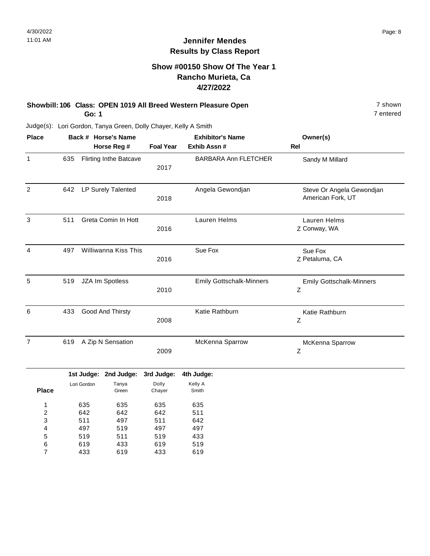### **Show #00150 Show Of The Year 1 Rancho Murieta, Ca 4/27/2022**

#### **Showbill: 106 Class: OPEN 1019 All Breed Western Pleasure Open** 7 shown 7 shown **Go: 1**

7 entered

| <b>Place</b>   |     |             | Back # Horse's Name           |                  | <b>Exhibitor's Name</b>         | Owner(s)                                                     |
|----------------|-----|-------------|-------------------------------|------------------|---------------------------------|--------------------------------------------------------------|
|                |     |             | Horse Reg #                   | <b>Foal Year</b> | Exhib Assn #                    | <b>Rel</b>                                                   |
| $\mathbf{1}$   | 635 |             | <b>Flirting Inthe Batcave</b> | 2017             | <b>BARBARA Ann FLETCHER</b>     | Sandy M Millard                                              |
| $\overline{2}$ | 642 |             | LP Surely Talented            | 2018             | Angela Gewondjan                | Steve Or Angela Gewondjan<br>American Fork, UT               |
| $\mathbf{3}$   | 511 |             | Greta Comin In Hott           | 2016             | Lauren Helms                    | Lauren Helms<br>Z Conway, WA                                 |
| $\overline{4}$ | 497 |             | Williwanna Kiss This          | 2016             | Sue Fox                         | Sue Fox<br>Z Petaluma, CA                                    |
| $\sqrt{5}$     | 519 |             | JZA Im Spotless               | 2010             | <b>Emily Gottschalk-Minners</b> | <b>Emily Gottschalk-Minners</b><br>$\ensuremath{\mathsf{Z}}$ |
| $\,6$          | 433 |             | Good And Thirsty              | 2008             | Katie Rathburn                  | Katie Rathburn<br>Ζ                                          |
| $\overline{7}$ | 619 |             | A Zip N Sensation             | 2009             | McKenna Sparrow                 | McKenna Sparrow<br>$\mathsf Z$                               |
|                |     |             | 1st Judge: 2nd Judge:         | 3rd Judge:       | 4th Judge:                      |                                                              |
| <b>Place</b>   |     | Lori Gordon | Tanya<br>Green                | Dolly<br>Chayer  | Kelly A<br>Smith                |                                                              |
| 1              |     | 635         | 635                           | 635              | 635                             |                                                              |
| 2              |     | 642         | 642                           | 642              | 511                             |                                                              |
| 3              |     | 511         | 497                           | 511              | 642                             |                                                              |
| 4              |     | 497         | 519                           | 497              | 497                             |                                                              |
| 5              |     | 519         | 511                           | 519              | 433                             |                                                              |
| 6              |     | 619         | 433                           | 619              | 519                             |                                                              |
| 7              |     | 433         | 619                           | 433              | 619                             |                                                              |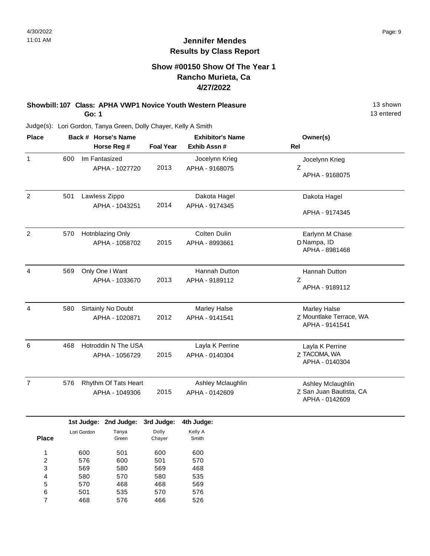### **Show #00150 Show Of The Year 1 Rancho Murieta, Ca 4/27/2022**

#### **Showbill: 107 Class: APHA VWP1 Novice Youth Western Pleasure** 13 Shown **Go: 1**

Judge(s): Lori Gordon, Tanya Green, Dolly Chayer, Kelly A Smith

| <b>Place</b>   |     | Back # Horse's Name<br>Horse Reg #     | <b>Exhibitor's Name</b><br><b>Foal Year</b><br>Exhib Assn# |                                       | Owner(s)<br><b>Rel</b>                                         |
|----------------|-----|----------------------------------------|------------------------------------------------------------|---------------------------------------|----------------------------------------------------------------|
| $\mathbf{1}$   | 600 | Im Fantasized<br>APHA - 1027720        | 2013                                                       | Jocelynn Krieg<br>APHA - 9168075      | Jocelynn Krieg<br>Z<br>APHA - 9168075                          |
| $\overline{2}$ | 501 | Lawless Zippo<br>APHA - 1043251        | 2014                                                       | Dakota Hagel<br>APHA - 9174345        | Dakota Hagel<br>APHA - 9174345                                 |
| $\overline{2}$ | 570 | Hotnblazing Only<br>APHA - 1058702     | 2015                                                       | <b>Colten Dulin</b><br>APHA - 8993661 | Earlynn M Chase<br>D Nampa, ID<br>APHA - 8981468               |
| $\overline{4}$ | 569 | Only One I Want<br>APHA - 1033670      | 2013                                                       | Hannah Dutton<br>APHA - 9189112       | Hannah Dutton<br>Z<br>APHA - 9189112                           |
| 4              | 580 | Sirtainly No Doubt<br>APHA - 1020871   | 2012                                                       | Marley Halse<br>APHA - 9141541        | Marley Halse<br>Z Mountlake Terrace, WA<br>APHA - 9141541      |
| 6              | 468 | Hotroddin N The USA<br>APHA - 1056729  | 2015                                                       | Layla K Perrine<br>APHA - 0140304     | Layla K Perrine<br>Z TACOMA, WA<br>APHA - 0140304              |
| $\overline{7}$ | 576 | Rhythm Of Tats Heart<br>APHA - 1049306 | 2015                                                       | Ashley Mclaughlin<br>APHA - 0142609   | Ashley Mclaughlin<br>Z San Juan Bautista, CA<br>APHA - 0142609 |
|                |     | 1st Judge: 2nd Judge:                  | 3rd Judge:                                                 | 4th Judge:                            |                                                                |

|              |             | 1st Judge: 2nd Judge: | 3rd Judge: | 4th Judge: |
|--------------|-------------|-----------------------|------------|------------|
|              | Lori Gordon | Tanya                 | Dolly      | Kelly A    |
| <b>Place</b> |             | Green                 | Chayer     | Smith      |
|              |             |                       |            |            |
| 1            | 600         | 501                   | 600        | 600        |
| 2            | 576         | 600                   | 501        | 570        |
| 3            | 569         | 580                   | 569        | 468        |
| 4            | 580         | 570                   | 580        | 535        |
| 5            | 570         | 468                   | 468        | 569        |
| 6            | 501         | 535                   | 570        | 576        |
| 7            | 468         | 576                   | 466        | 526        |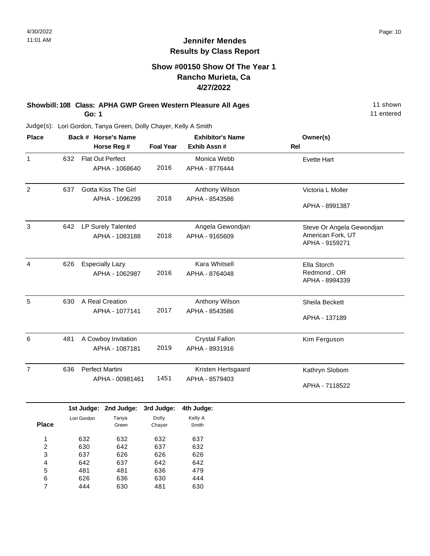### **Show #00150 Show Of The Year 1 Rancho Murieta, Ca 4/27/2022**

#### **Showbill: 108 Class: APHA GWP Green Western Pleasure All Ages** 11 Shown 11 shown **Go: 1**

11 entered

Judge(s): Lori Gordon, Tanya Green, Dolly Chayer, Kelly A Smith

| <b>Place</b>   |     | Back # Horse's Name<br>Horse Reg #                     | <b>Foal Year</b>              | <b>Exhibitor's Name</b><br>Exhib Assn # | Owner(s)<br>Rel                                                  |
|----------------|-----|--------------------------------------------------------|-------------------------------|-----------------------------------------|------------------------------------------------------------------|
| $\mathbf{1}$   | 632 | Flat Out Perfect<br>APHA - 1068640                     | 2016                          | Monica Webb<br>APHA - 8776444           | <b>Evette Hart</b>                                               |
| $\overline{c}$ | 637 | <b>Gotta Kiss The Girl</b><br>APHA - 1096299           | 2018                          | Anthony Wilson<br>APHA - 8543586        | Victoria L Moller<br>APHA - 8991387                              |
| 3              | 642 | LP Surely Talented<br>APHA - 1083188                   | 2018                          | Angela Gewondjan<br>APHA - 9165609      | Steve Or Angela Gewondjan<br>American Fork, UT<br>APHA - 9159271 |
| $\overline{4}$ | 626 | <b>Especially Lazy</b><br>APHA - 1062987               | 2016                          | <b>Kara Whitsell</b><br>APHA - 8764048  | Ella Storch<br>Redmond, OR<br>APHA - 8994339                     |
| 5              | 630 | A Real Creation<br>APHA - 1077141                      | 2017                          | Anthony Wilson<br>APHA - 8543586        | Sheila Beckett<br>APHA - 137189                                  |
| 6              | 481 | A Cowboy Invitation<br>APHA - 1087181                  | 2019                          | <b>Crystal Fallon</b><br>APHA - 8931916 | Kim Ferguson                                                     |
| $\overline{7}$ | 636 | Perfect Martini<br>APHA - 00981461                     | 1451                          | Kristen Hertsgaard<br>APHA - 8579403    | Kathryn Slobom<br>APHA - 7118522                                 |
| <b>Place</b>   |     | 1st Judge: 2nd Judge:<br>Tanya<br>Lori Gordon<br>Green | 3rd Judge:<br>Dolly<br>Chayer | 4th Judge:<br>Kelly A<br>Smith          |                                                                  |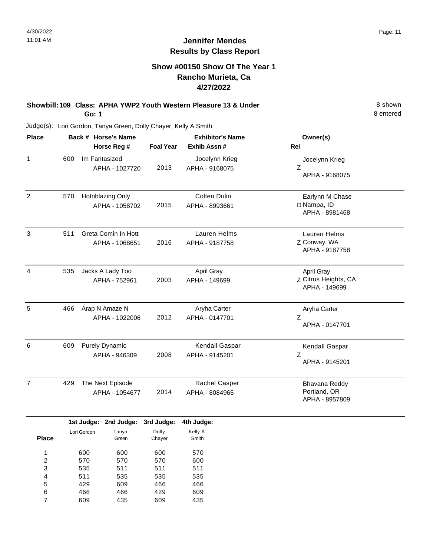### **Show #00150 Show Of The Year 1 Rancho Murieta, Ca 4/27/2022**

**Showbill: 109 Class: APHA YWP2 Youth Western Pleasure 13 & Under Example 20 Shown** 8 shown **Go: 1**

Judge(s): Lori Gordon, Tanya Green, Dolly Chayer, Kelly A Smith

| <b>Place</b>   |     | Back # Horse's Name<br>Horse Reg #     | <b>Foal Year</b> | <b>Exhibitor's Name</b><br>Exhib Assn# | Owner(s)<br><b>Rel</b>                                     |
|----------------|-----|----------------------------------------|------------------|----------------------------------------|------------------------------------------------------------|
| $\mathbf{1}$   | 600 | Im Fantasized<br>APHA - 1027720        | 2013             | Jocelynn Krieg<br>APHA - 9168075       | Jocelynn Krieg<br>Z<br>APHA - 9168075                      |
| 2              | 570 | Hotnblazing Only<br>APHA - 1058702     | 2015             | <b>Colten Dulin</b><br>APHA - 8993661  | Earlynn M Chase<br>D Nampa, ID<br>APHA - 8981468           |
| 3              | 511 | Greta Comin In Hott<br>APHA - 1068651  | 2016             | Lauren Helms<br>APHA - 9187758         | Lauren Helms<br>Z Conway, WA<br>APHA - 9187758             |
| 4              | 535 | Jacks A Lady Too<br>APHA - 752961      | 2003             | April Gray<br>APHA - 149699            | <b>April Gray</b><br>Z Citrus Heights, CA<br>APHA - 149699 |
| 5              | 466 | Arap N Amaze N<br>APHA - 1022006       | 2012             | Aryha Carter<br>APHA - 0147701         | Aryha Carter<br>Z<br>APHA - 0147701                        |
| 6              | 609 | <b>Purely Dynamic</b><br>APHA - 946309 | 2008             | Kendall Gaspar<br>APHA - 9145201       | Kendall Gaspar<br>Z<br>APHA - 9145201                      |
| $\overline{7}$ | 429 | The Next Episode<br>APHA - 1054677     | 2014             | Rachel Casper<br>APHA - 8084965        | Bhavana Reddy<br>Portland, OR<br>APHA - 8957809            |

|       |             | 1st Judge: 2nd Judge: | 3rd Judge: | 4th Judge: |
|-------|-------------|-----------------------|------------|------------|
|       | Lori Gordon | Tanya                 | Dolly      | Kelly A    |
| Place |             | Green                 | Chayer     | Smith      |
|       |             |                       |            |            |
| 1     | 600         | 600                   | 600        | 570        |
| 2     | 570         | 570                   | 570        | 600        |
| 3     | 535         | 511                   | 511        | 511        |
| 4     | 511         | 535                   | 535        | 535        |
| 5     | 429         | 609                   | 466        | 466        |
| 6     | 466         | 466                   | 429        | 609        |
| 7     | 609         | 435                   | 609        | 435        |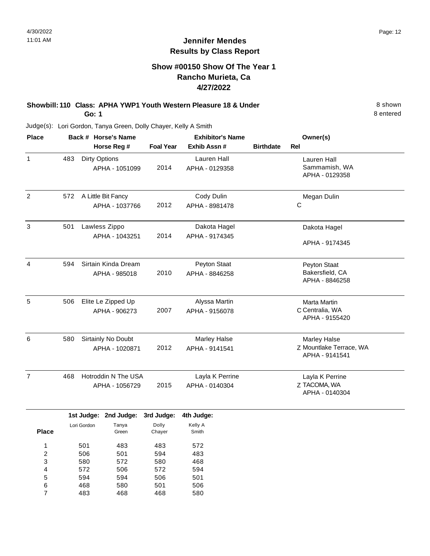### **Show #00150 Show Of The Year 1 Rancho Murieta, Ca 4/27/2022**

#### **Showbill: 110 Class: APHA YWP1 Youth Western Pleasure 18 & Under** 8 **Shown** 8 shown **Go: 1**

8 entered

Judge(s): Lori Gordon, Tanya Green, Dolly Chayer, Kelly A Smith

| <b>Place</b>   | Back # Horse's Name |             |                                 |                  | <b>Exhibitor's Name</b>       | Owner(s)         |                                           |
|----------------|---------------------|-------------|---------------------------------|------------------|-------------------------------|------------------|-------------------------------------------|
|                |                     |             | Horse Reg #                     | <b>Foal Year</b> | Exhib Assn #                  | <b>Birthdate</b> | <b>Rel</b>                                |
| $\mathbf{1}$   | 483                 |             | Dirty Options<br>APHA - 1051099 | 2014             | Lauren Hall<br>APHA - 0129358 |                  | <b>Lauren Hall</b><br>Sammamish, WA       |
|                |                     |             |                                 |                  |                               |                  | APHA - 0129358                            |
| $\overline{2}$ | 572                 |             | A Little Bit Fancy              |                  | Cody Dulin                    |                  | Megan Dulin                               |
|                |                     |             | APHA - 1037766                  | 2012             | APHA - 8981478                |                  | $\mathsf C$                               |
| 3              | 501                 |             | Lawless Zippo                   |                  | Dakota Hagel                  |                  | Dakota Hagel                              |
|                |                     |             | APHA - 1043251                  | 2014             | APHA - 9174345                |                  | APHA - 9174345                            |
| 4              | 594                 |             | Sirtain Kinda Dream             |                  | Peyton Staat                  |                  | Peyton Staat                              |
|                |                     |             | APHA - 985018                   | 2010             | APHA - 8846258                |                  | Bakersfield, CA<br>APHA - 8846258         |
| 5              | 506                 |             | Elite Le Zipped Up              |                  | Alyssa Martin                 |                  | Marta Martin                              |
|                |                     |             | APHA - 906273                   | 2007             | APHA - 9156078                |                  | C Centralia, WA<br>APHA - 9155420         |
| 6              | 580                 |             | Sirtainly No Doubt              |                  | <b>Marley Halse</b>           |                  | <b>Marley Halse</b>                       |
|                |                     |             | APHA - 1020871                  | 2012             | APHA - 9141541                |                  | Z Mountlake Terrace, WA<br>APHA - 9141541 |
| $\overline{7}$ | 468                 |             | Hotroddin N The USA             |                  | Layla K Perrine               |                  | Layla K Perrine                           |
|                |                     |             | APHA - 1056729                  | 2015             | APHA - 0140304                |                  | Z TACOMA, WA<br>APHA - 0140304            |
|                |                     | 1st Judge:  | 2nd Judge:                      | 3rd Judge:       | 4th Judge:                    |                  |                                           |
| <b>Place</b>   |                     | Lori Gordon | Tanya<br>Green                  | Dolly<br>Chayer  | Kelly A<br>Smith              |                  |                                           |
| 1              |                     | 501         | 483                             | 483              | 572                           |                  |                                           |
| $\overline{c}$ |                     | 506         | 501                             | 594              | 483                           |                  |                                           |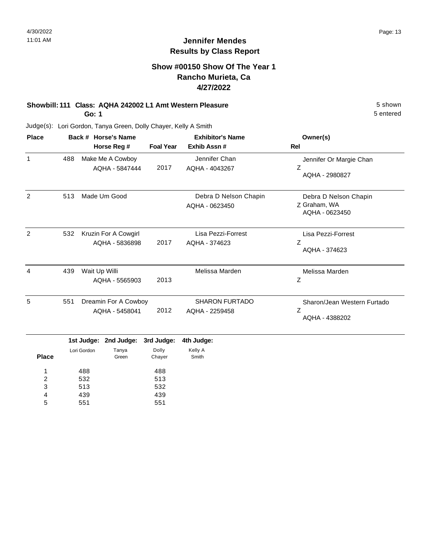### **Show #00150 Show Of The Year 1 Rancho Murieta, Ca 4/27/2022**

# **Showbill: 111 Class: AQHA 242002 L1 Amt Western Pleasure** 5 shown

**Go: 1**

Judge(s): Lori Gordon, Tanya Green, Dolly Chayer, Kelly A Smith

| <b>Place</b> |     | Back # Horse's Name<br>Horse Reg #     | <b>Foal Year</b> | <b>Exhibitor's Name</b><br>Exhib Assn#  | Owner(s)<br><b>Rel</b>                                  |
|--------------|-----|----------------------------------------|------------------|-----------------------------------------|---------------------------------------------------------|
| 1            | 488 | Make Me A Cowboy<br>AQHA - 5847444     | 2017             | Jennifer Chan<br>AQHA - 4043267         | Jennifer Or Margie Chan<br>Ζ<br>AQHA - 2980827          |
| 2            | 513 | Made Um Good                           |                  | Debra D Nelson Chapin<br>AQHA - 0623450 | Debra D Nelson Chapin<br>Z Graham, WA<br>AQHA - 0623450 |
| 2            | 532 | Kruzin For A Cowgirl<br>AQHA - 5836898 | 2017             | Lisa Pezzi-Forrest<br>AQHA - 374623     | Lisa Pezzi-Forrest<br>Z<br>AQHA - 374623                |
| 4            | 439 | Wait Up Willi<br>AQHA - 5565903        | 2013             | Melissa Marden                          | Melissa Marden<br>Ζ                                     |
| 5            | 551 | Dreamin For A Cowboy<br>AQHA - 5458041 | 2012             | <b>SHARON FURTADO</b><br>AQHA - 2259458 | Sharon/Jean Western Furtado<br>Z<br>AQHA - 4388202      |

|              |             | 1st Judge: 2nd Judge: 3rd Judge: 4th Judge: |        |         |
|--------------|-------------|---------------------------------------------|--------|---------|
|              | Lori Gordon | Tanya                                       | Dolly  | Kelly A |
| <b>Place</b> |             | Green                                       | Chayer | Smith   |
| 4            | 488         |                                             | 488    |         |
| 2            | 532         |                                             | 513    |         |
| 3            | 513         |                                             | 532    |         |
| 4            | 439         |                                             | 439    |         |
| 5            | 551         |                                             | 551    |         |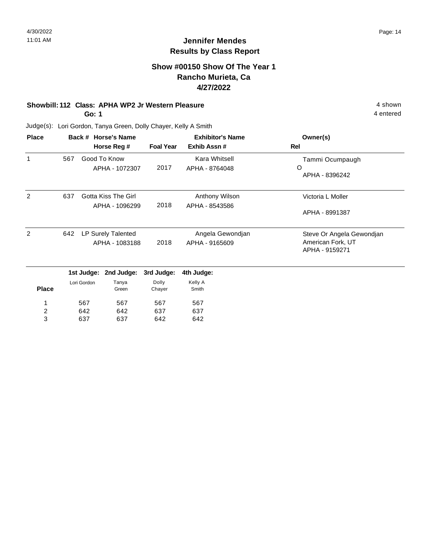4 entered

### **Jennifer Mendes Results by Class Report**

### **Show #00150 Show Of The Year 1 Rancho Murieta, Ca 4/27/2022**

### **Showbill: 112 Class: APHA WP2 Jr Western Pleasure** 4 shown

**Go: 1**

642 637

3

637

642

Judge(s): Lori Gordon, Tanya Green, Dolly Chayer, Kelly A Smith

| <b>Place</b>   |     |             | Back # Horse's Name<br>Horse Reg # | <b>Foal Year</b> | <b>Exhibitor's Name</b><br>Exhib Assn# | Owner(s)<br>Rel                     |
|----------------|-----|-------------|------------------------------------|------------------|----------------------------------------|-------------------------------------|
| 1              | 567 |             | Good To Know                       |                  | Kara Whitsell                          | Tammi Ocumpaugh                     |
|                |     |             | APHA - 1072307                     | 2017             | APHA - 8764048                         | O<br>APHA - 8396242                 |
| 2              | 637 |             | Gotta Kiss The Girl                |                  | Anthony Wilson                         | Victoria L Moller                   |
|                |     |             | APHA - 1096299                     | 2018             | APHA - 8543586                         | APHA - 8991387                      |
| 2              | 642 |             | LP Surely Talented                 |                  | Angela Gewondjan                       | Steve Or Angela Gewondjan           |
|                |     |             | APHA - 1083188                     | 2018             | APHA - 9165609                         | American Fork, UT<br>APHA - 9159271 |
|                |     |             | 1st Judge: 2nd Judge:              | 3rd Judge:       | 4th Judge:                             |                                     |
| <b>Place</b>   |     | Lori Gordon | Tanya<br>Green                     | Dolly<br>Chayer  | Kelly A<br>Smith                       |                                     |
| 1              |     | 567         | 567                                | 567              | 567                                    |                                     |
| $\overline{c}$ |     | 642         | 642                                | 637              | 637                                    |                                     |

642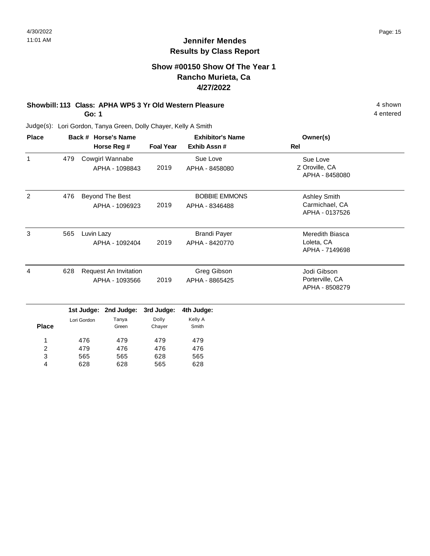4 entered

### **Jennifer Mendes Results by Class Report**

### **Show #00150 Show Of The Year 1 Rancho Murieta, Ca 4/27/2022**

# **Showbill: 113 Class: APHA WP5 3 Yr Old Western Pleasure** 4 shown

**Go: 1**

628

4

628

565

628

| <b>Place</b>        |     |             | Back # Horse's Name                     |                  | <b>Exhibitor's Name</b>                | Owner(s)                                                |
|---------------------|-----|-------------|-----------------------------------------|------------------|----------------------------------------|---------------------------------------------------------|
|                     |     |             | Horse Reg #                             | <b>Foal Year</b> | Exhib Assn #                           | <b>Rel</b>                                              |
| $\mathbf{1}$        | 479 |             | Cowgirl Wannabe<br>APHA - 1098843       | 2019             | Sue Love<br>APHA - 8458080             | Sue Love<br>Z Oroville, CA<br>APHA - 8458080            |
| $\overline{2}$      | 476 |             | Beyond The Best<br>APHA - 1096923       | 2019             | <b>BOBBIE EMMONS</b><br>APHA - 8346488 | <b>Ashley Smith</b><br>Carmichael, CA<br>APHA - 0137526 |
| 3                   | 565 | Luvin Lazy  | APHA - 1092404                          | 2019             | <b>Brandi Payer</b><br>APHA - 8420770  | Meredith Biasca<br>Loleta, CA<br>APHA - 7149698         |
| 4                   | 628 |             | Request An Invitation<br>APHA - 1093566 | 2019             | Greg Gibson<br>APHA - 8865425          | Jodi Gibson<br>Porterville, CA<br>APHA - 8508279        |
|                     |     | 1st Judge:  | 2nd Judge:                              | 3rd Judge:       | 4th Judge:                             |                                                         |
| <b>Place</b>        |     | Lori Gordon | Tanya<br>Green                          | Dolly<br>Chayer  | Kelly A<br>Smith                       |                                                         |
| 1                   |     | 476         | 479                                     | 479              | 479                                    |                                                         |
| $\overline{c}$<br>3 |     | 479<br>565  | 476<br>565                              | 476<br>628       | 476<br>565                             |                                                         |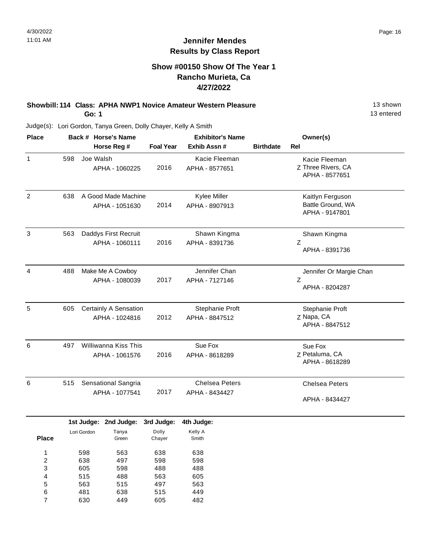### **Show #00150 Show Of The Year 1 Rancho Murieta, Ca 4/27/2022**

#### **Showbill: 114 Class: APHA NWP1 Novice Amateur Western Pleasure** 13 Shown **Go: 1**

13 entered

| <b>Place</b>   |     | Back # Horse's Name              |                  | <b>Exhibitor's Name</b> | Owner(s)         |                         |  |
|----------------|-----|----------------------------------|------------------|-------------------------|------------------|-------------------------|--|
|                |     | Horse Reg #                      | <b>Foal Year</b> | Exhib Assn#             | <b>Birthdate</b> | Rel                     |  |
| 1              | 598 | Joe Walsh                        |                  | Kacie Fleeman           |                  | Kacie Fleeman           |  |
|                |     | APHA - 1060225                   | 2016             | APHA - 8577651          |                  | Z Three Rivers, CA      |  |
|                |     |                                  |                  |                         |                  | APHA - 8577651          |  |
| $\overline{2}$ | 638 | A Good Made Machine              |                  | Kylee Miller            |                  | Kaitlyn Ferguson        |  |
|                |     | APHA - 1051630                   | 2014             | APHA - 8907913          |                  | Battle Ground, WA       |  |
|                |     |                                  |                  |                         |                  | APHA - 9147801          |  |
| 3              | 563 | Daddys First Recruit             |                  | Shawn Kingma            |                  | Shawn Kingma            |  |
|                |     | APHA - 1060111                   | 2016             | APHA - 8391736          |                  | Z                       |  |
|                |     |                                  |                  |                         |                  | APHA - 8391736          |  |
| 4              | 488 | Make Me A Cowboy                 |                  | Jennifer Chan           |                  | Jennifer Or Margie Chan |  |
|                |     | APHA - 1080039                   | 2017             | APHA - 7127146          |                  | Z                       |  |
|                |     |                                  |                  |                         |                  | APHA - 8204287          |  |
| 5              | 605 | <b>Certainly A Sensation</b>     |                  | Stephanie Proft         |                  | Stephanie Proft         |  |
|                |     | APHA - 1024816                   | 2012             | APHA - 8847512          |                  | Z Napa, CA              |  |
|                |     |                                  |                  |                         |                  | APHA - 8847512          |  |
| 6              | 497 | Williwanna Kiss This             |                  | Sue Fox                 |                  | Sue Fox                 |  |
|                |     | APHA - 1061576                   | 2016             | APHA - 8618289          |                  | Z Petaluma, CA          |  |
|                |     |                                  |                  |                         |                  | APHA - 8618289          |  |
| 6              | 515 | Sensational Sangria              |                  | <b>Chelsea Peters</b>   |                  | <b>Chelsea Peters</b>   |  |
|                |     | APHA - 1077541                   | 2017             | APHA - 8434427          |                  |                         |  |
|                |     |                                  |                  |                         |                  | APHA - 8434427          |  |
|                |     | 1st Judge: 2nd Judge: 3rd Judge: |                  | 4th Judge:              |                  |                         |  |
|                |     | Lori Gordon<br>Tanva             | Dolly            | Kellv A                 |                  |                         |  |

|              | .           | <b>EUM ANAMA</b> | viu vuunvi | THI VUUYVI |
|--------------|-------------|------------------|------------|------------|
|              | Lori Gordon | Tanya            | Dolly      | Kelly A    |
| <b>Place</b> |             | Green            | Chayer     | Smith      |
| 1            | 598         | 563              | 638        | 638        |
| 2            | 638         | 497              | 598        | 598        |
| 3            | 605         | 598              | 488        | 488        |
| 4            | 515         | 488              | 563        | 605        |
| 5            | 563         | 515              | 497        | 563        |
| 6            | 481         | 638              | 515        | 449        |
| 7            | 630         | 449              | 605        | 482        |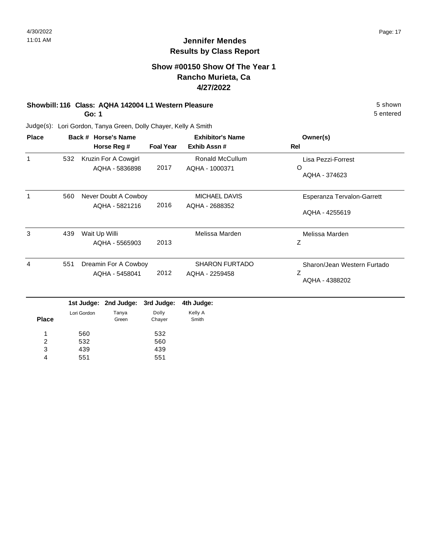5 entered

### **Jennifer Mendes Results by Class Report**

### **Show #00150 Show Of The Year 1 Rancho Murieta, Ca 4/27/2022**

# **Showbill: 116 Class: AQHA 142004 L1 Western Pleasure** 5 shown

**Go: 1**

| <b>Place</b> | Back # Horse's Name |                           |                                        |                     | <b>Exhibitor's Name</b>                  | Owner(s)                                           |
|--------------|---------------------|---------------------------|----------------------------------------|---------------------|------------------------------------------|----------------------------------------------------|
|              |                     |                           | Horse Reg #                            | <b>Foal Year</b>    | Exhib Assn#                              | Rel                                                |
| 1            | 532                 |                           | Kruzin For A Cowgirl<br>AQHA - 5836898 | 2017                | <b>Ronald McCullum</b><br>AQHA - 1000371 | Lisa Pezzi-Forrest<br>O<br>AQHA - 374623           |
| 1            | 560                 |                           | Never Doubt A Cowboy<br>AQHA - 5821216 | 2016                | <b>MICHAEL DAVIS</b><br>AQHA - 2688352   | Esperanza Tervalon-Garrett<br>AQHA - 4255619       |
| 3            | 439                 | Wait Up Willi             | AQHA - 5565903                         | 2013                | Melissa Marden                           | Melissa Marden<br>Ζ                                |
| 4            | 551                 |                           | Dreamin For A Cowboy<br>AQHA - 5458041 | 2012                | <b>SHARON FURTADO</b><br>AQHA - 2259458  | Sharon/Jean Western Furtado<br>Ζ<br>AQHA - 4388202 |
|              |                     | 1st Judge:<br>Lori Gordon | 2nd Judge:<br>Tanya                    | 3rd Judge:<br>Dolly | 4th Judge:<br>Kelly A                    |                                                    |
| <b>Place</b> |                     |                           | Green                                  | Chayer              | Smith                                    |                                                    |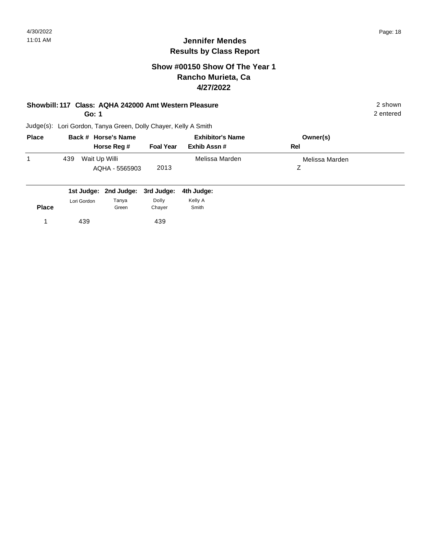### **Show #00150 Show Of The Year 1 Rancho Murieta, Ca 4/27/2022**

### **Showbill: 117 Class: AQHA 242000 Amt Western Pleasure** 2 shown

**Go: 1**

2 entered

| <b>Place</b> | Back # Horse's Name                    |                  | <b>Exhibitor's Name</b> | Owner(s)       |  |
|--------------|----------------------------------------|------------------|-------------------------|----------------|--|
|              | Horse Reg #                            | <b>Foal Year</b> | Exhib Assn #            | Rel            |  |
|              | Wait Up Willi<br>439<br>AQHA - 5565903 | 2013             | Melissa Marden          | Melissa Marden |  |

|              |             |                | 1st Judge: 2nd Judge: 3rd Judge: 4th Judge: |                  |
|--------------|-------------|----------------|---------------------------------------------|------------------|
| <b>Place</b> | Lori Gordon | Tanya<br>Green | Dolly<br>Chaver                             | Kelly A<br>Smith |
|              | 439         |                | 439                                         |                  |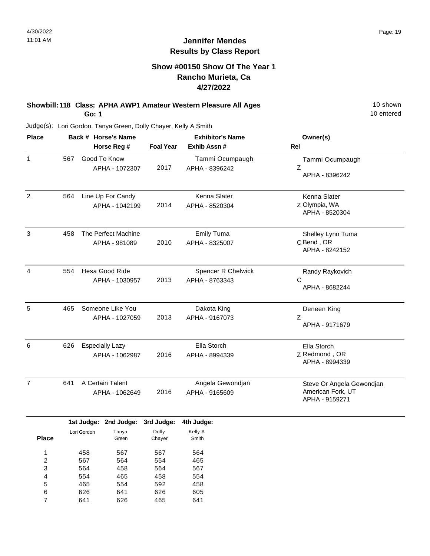### **Show #00150 Show Of The Year 1 Rancho Murieta, Ca 4/27/2022**

### **Showbill: 118 Class: APHA AWP1 Amateur Western Pleasure All Ages** 10 Shown **Go: 1**

10 entered

Judge(s): Lori Gordon, Tanya Green, Dolly Chayer, Kelly A Smith

626 641

6 7 641 626 626 465 605 641

| <b>Place</b>                  |     |                          | Back # Horse's Name                      |                          | <b>Exhibitor's Name</b>              | Owner(s)                                                         |  |  |
|-------------------------------|-----|--------------------------|------------------------------------------|--------------------------|--------------------------------------|------------------------------------------------------------------|--|--|
|                               |     |                          | Horse Reg #                              | <b>Foal Year</b>         | Exhib Assn #                         | Rel                                                              |  |  |
| 1                             | 567 |                          | Good To Know<br>APHA - 1072307           | 2017                     | Tammi Ocumpaugh<br>APHA - 8396242    | Tammi Ocumpaugh<br>Ζ<br>APHA - 8396242                           |  |  |
| $\overline{2}$                | 564 |                          | Line Up For Candy<br>APHA - 1042199      | 2014                     | Kenna Slater<br>APHA - 8520304       | Kenna Slater<br>Z Olympia, WA<br>APHA - 8520304                  |  |  |
| $\mathfrak{S}$                | 458 |                          | The Perfect Machine<br>APHA - 981089     | 2010                     | <b>Emily Tuma</b><br>APHA - 8325007  | Shelley Lynn Tuma<br>C Bend, OR<br>APHA - 8242152                |  |  |
| 4                             | 554 |                          | Hesa Good Ride<br>APHA - 1030957         | 2013                     | Spencer R Chelwick<br>APHA - 8763343 | Randy Raykovich<br>C<br>APHA - 8682244                           |  |  |
| 5                             | 465 |                          | Someone Like You<br>APHA - 1027059       | 2013                     | Dakota King<br>APHA - 9167073        | Deneen King<br>Z<br>APHA - 9171679                               |  |  |
| 6                             | 626 |                          | <b>Especially Lazy</b><br>APHA - 1062987 | 2016                     | Ella Storch<br>APHA - 8994339        | Ella Storch<br>Z Redmond, OR<br>APHA - 8994339                   |  |  |
| $\overline{7}$                | 641 |                          | A Certain Talent<br>APHA - 1062649       | 2016                     | Angela Gewondjan<br>APHA - 9165609   | Steve Or Angela Gewondjan<br>American Fork, UT<br>APHA - 9159271 |  |  |
|                               |     |                          | 1st Judge: 2nd Judge: 3rd Judge:         |                          | 4th Judge:                           |                                                                  |  |  |
| <b>Place</b>                  |     | Lori Gordon              | Tanya<br>Green                           | Dolly<br>Chayer          | Kelly A<br>Smith                     |                                                                  |  |  |
| 1<br>$\overline{c}$<br>3<br>4 |     | 458<br>567<br>564<br>554 | 567<br>564<br>458<br>465                 | 567<br>554<br>564<br>458 | 564<br>465<br>567<br>554             |                                                                  |  |  |
| 5                             |     | 465                      | 554                                      | 592                      | 458                                  |                                                                  |  |  |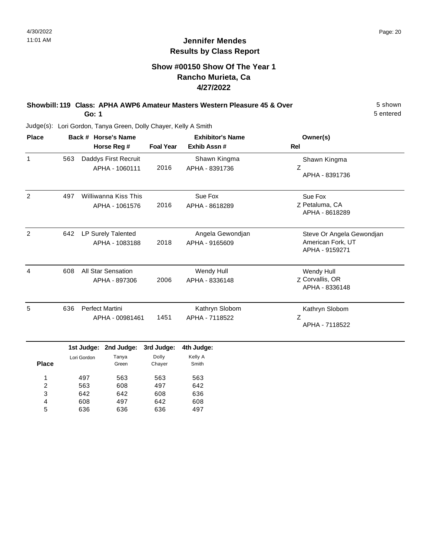### **Show #00150 Show Of The Year 1 Rancho Murieta, Ca 4/27/2022**

#### **Showbill: 119 Class: APHA AWP6 Amateur Masters Western Pleasure 45 & Over** 5 Shown **Go: 1**

5 entered

Judge(s): Lori Gordon, Tanya Green, Dolly Chayer, Kelly A Smith

| <b>Place</b>   | Back # Horse's Name |                           |                                            |                               | <b>Exhibitor's Name</b>            | Owner(s)                                                         |
|----------------|---------------------|---------------------------|--------------------------------------------|-------------------------------|------------------------------------|------------------------------------------------------------------|
|                |                     |                           | Horse Reg #                                | <b>Foal Year</b>              | Exhib Assn#                        | Rel                                                              |
| 1              | 563                 |                           | Daddys First Recruit<br>APHA - 1060111     | 2016                          | Shawn Kingma<br>APHA - 8391736     | Shawn Kingma<br>Z<br>APHA - 8391736                              |
| $\overline{2}$ | 497                 |                           | Williwanna Kiss This<br>APHA - 1061576     | 2016                          | Sue Fox<br>APHA - 8618289          | Sue Fox<br>Z Petaluma, CA<br>APHA - 8618289                      |
| $\overline{2}$ | 642                 |                           | LP Surely Talented<br>APHA - 1083188       | 2018                          | Angela Gewondjan<br>APHA - 9165609 | Steve Or Angela Gewondjan<br>American Fork, UT<br>APHA - 9159271 |
| 4              | 608                 |                           | <b>All Star Sensation</b><br>APHA - 897306 | 2006                          | Wendy Hull<br>APHA - 8336148       | Wendy Hull<br>Z Corvallis, OR<br>APHA - 8336148                  |
| 5              | 636                 |                           | <b>Perfect Martini</b><br>APHA - 00981461  | 1451                          | Kathryn Slobom<br>APHA - 7118522   | Kathryn Slobom<br>$\overline{z}$<br>APHA - 7118522               |
| <b>Place</b>   |                     | 1st Judge:<br>Lori Gordon | 2nd Judge:<br>Tanya<br>Green               | 3rd Judge:<br>Dolly<br>Chayer | 4th Judge:<br>Kelly A<br>Smith     |                                                                  |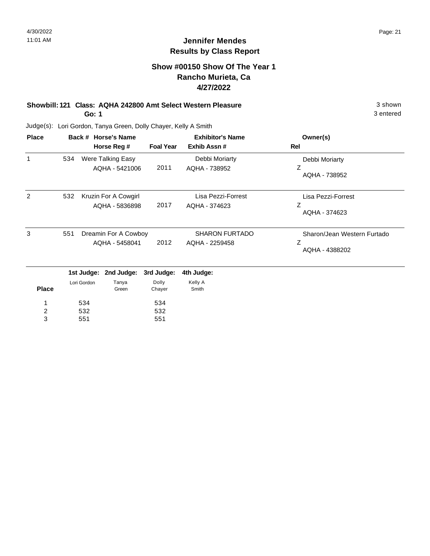### **Show #00150 Show Of The Year 1 Rancho Murieta, Ca 4/27/2022**

#### **Showbill: 121 Class: AQHA 242800 Amt Select Western Pleasure** 3 shown **Go: 1**

532 551

Judge(s): Lori Gordon, Tanya Green, Dolly Chayer, Kelly A Smith

532 551

3

| <b>Place</b> |     |             | Back # Horse's Name   | <b>Exhibitor's Name</b> |                       | Owner(s)                    |
|--------------|-----|-------------|-----------------------|-------------------------|-----------------------|-----------------------------|
|              |     |             | Horse Reg #           | <b>Foal Year</b>        | Exhib Assn#           | Rel                         |
| 1            | 534 |             | Were Talking Easy     |                         | Debbi Moriarty        | Debbi Moriarty              |
|              |     |             | AQHA - 5421006        | 2011                    | AQHA - 738952         | Ζ<br>AQHA - 738952          |
| 2            | 532 |             | Kruzin For A Cowgirl  |                         | Lisa Pezzi-Forrest    | Lisa Pezzi-Forrest          |
|              |     |             | AQHA - 5836898        | 2017                    | AQHA - 374623         | Z<br>AQHA - 374623          |
| 3            | 551 |             | Dreamin For A Cowboy  |                         | <b>SHARON FURTADO</b> | Sharon/Jean Western Furtado |
|              |     |             | AQHA - 5458041        | 2012                    | AQHA - 2259458        | Ζ<br>AQHA - 4388202         |
|              |     |             | 1st Judge: 2nd Judge: | 3rd Judge:              | 4th Judge:            |                             |
| <b>Place</b> |     | Lori Gordon | Tanya<br>Green        | Dolly<br>Chayer         | Kelly A<br>Smith      |                             |
| 1            |     | 534         |                       | 534                     |                       |                             |
| 2            |     | 532         |                       | 532                     |                       |                             |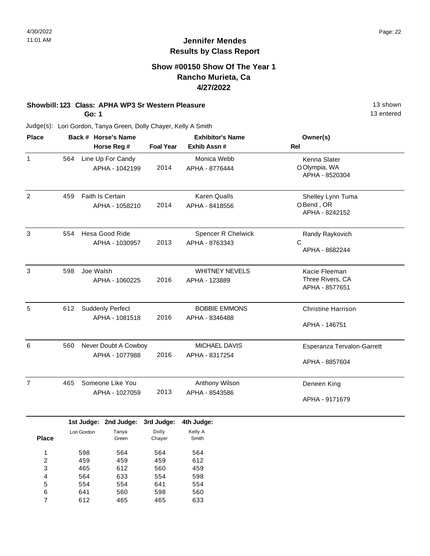### **Show #00150 Show Of The Year 1 Rancho Murieta, Ca 4/27/2022**

## **Showbill: 123 Class: APHA WP3 Sr Western Pleasure** 13 Shown

**Go: 1**

13 entered

| <b>Place</b>   |     | Back # Horse's Name                       |                  | <b>Exhibitor's Name</b>                     | Owner(s)                                            |  |
|----------------|-----|-------------------------------------------|------------------|---------------------------------------------|-----------------------------------------------------|--|
|                |     | Horse Reg #                               | <b>Foal Year</b> | Exhib Assn #                                | <b>Rel</b>                                          |  |
| $\mathbf{1}$   | 564 | Line Up For Candy<br>APHA - 1042199       | 2014             | Monica Webb<br>APHA - 8776444               | Kenna Slater<br>O Olympia, WA<br>APHA - 8520304     |  |
| 2              | 459 | Faith Is Certain<br>APHA - 1058210        | 2014             | <b>Karen Qualls</b><br>APHA - 8418556       | Shelley Lynn Tuma<br>OBend, OR<br>APHA - 8242152    |  |
| 3              | 554 | Hesa Good Ride<br>APHA - 1030957          | 2013             | <b>Spencer R Chelwick</b><br>APHA - 8763343 | Randy Raykovich<br>C<br>APHA - 8682244              |  |
| 3              | 598 | Joe Walsh<br>APHA - 1060225               | 2016             | <b>WHITNEY NEVELS</b><br>APHA - 123889      | Kacie Fleeman<br>Three Rivers, CA<br>APHA - 8577651 |  |
| 5              | 612 | <b>Suddenly Perfect</b><br>APHA - 1081518 | 2016             | <b>BOBBIE EMMONS</b><br>APHA - 8346488      | <b>Christine Harrison</b><br>APHA - 146751          |  |
| 6              | 560 | Never Doubt A Cowboy<br>APHA - 1077988    | 2016             | MICHAEL DAVIS<br>APHA - 8317254             | Esperanza Tervalon-Garrett<br>APHA - 8857604        |  |
| $\overline{7}$ | 465 | Someone Like You<br>APHA - 1027059        | 2013             | Anthony Wilson<br>APHA - 8543586            | Deneen King<br>APHA - 9171679                       |  |

|              |             | <b>IST JUDGE:</b> ZNG JUDGE: | ora Judge: | 4th Judge: |
|--------------|-------------|------------------------------|------------|------------|
|              | Lori Gordon | Tanya                        | Dolly      | Kelly A    |
| <b>Place</b> |             | Green                        | Chayer     | Smith      |
|              |             |                              |            |            |
| 1            | 598         | 564                          | 564        | 564        |
| 2            | 459         | 459                          | 459        | 612        |
| 3            | 465         | 612                          | 560        | 459        |
| 4            | 564         | 633                          | 554        | 598        |
| 5            | 554         | 554                          | 641        | 554        |
| 6            | 641         | 560                          | 598        | 560        |
| 7            | 612         | 465                          | 465        | 633        |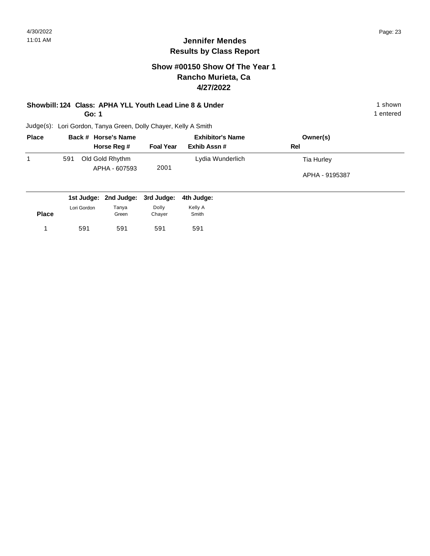### **Show #00150 Show Of The Year 1 Rancho Murieta, Ca 4/27/2022**

# **Showbill: 124 Class: APHA YLL Youth Lead Line 8 & Under** 1 shown 1 shown

**Go: 1**

591 591

1 591 591 591 591

591

1 entered

| <b>Place</b> |             | Back # Horse's Name              |                  | <b>Exhibitor's Name</b> | Owner(s)       |
|--------------|-------------|----------------------------------|------------------|-------------------------|----------------|
|              |             | Horse Reg #                      | <b>Foal Year</b> | Exhib Assn#             | Rel            |
| 1            | 591         | Old Gold Rhythm                  |                  | Lydia Wunderlich        | Tia Hurley     |
|              |             | APHA - 607593                    | 2001             |                         | APHA - 9195387 |
|              |             | 1st Judge: 2nd Judge: 3rd Judge: |                  | 4th Judge:              |                |
| <b>Place</b> | Lori Gordon | Tanya<br>Green                   | Dolly<br>Chayer  | Kelly A<br>Smith        |                |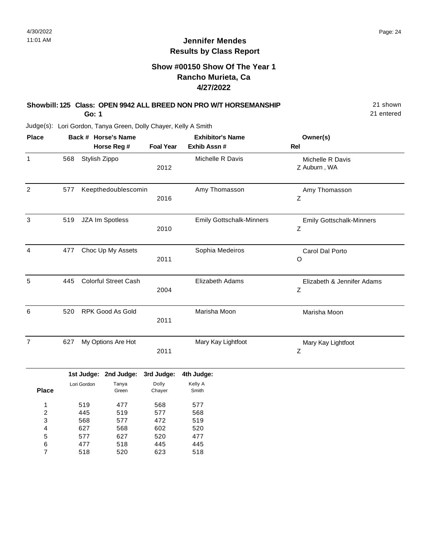### **Show #00150 Show Of The Year 1 Rancho Murieta, Ca 4/27/2022**

#### **Showbill: 125 Class: OPEN 9942 ALL BREED NON PRO W/T HORSEMANSHIP** 21 Shown **Go: 1**

21 entered

| <b>Place</b>              |     |               | Back # Horse's Name         |                  | <b>Exhibitor's Name</b>         | Owner(s)                             |
|---------------------------|-----|---------------|-----------------------------|------------------|---------------------------------|--------------------------------------|
|                           |     |               | Horse Reg #                 | <b>Foal Year</b> | Exhib Assn #                    | Rel                                  |
| $\mathbf{1}$              | 568 | Stylish Zippo |                             | 2012             | Michelle R Davis                | Michelle R Davis<br>Z Auburn, WA     |
| $\overline{2}$            | 577 |               | Keepthedoublescomin         | 2016             | Amy Thomasson                   | Amy Thomasson<br>Ζ                   |
| $\ensuremath{\mathsf{3}}$ | 519 |               | JZA Im Spotless             | 2010             | <b>Emily Gottschalk-Minners</b> | <b>Emily Gottschalk-Minners</b><br>Ζ |
| $\overline{4}$            | 477 |               | Choc Up My Assets           | 2011             | Sophia Medeiros                 | Carol Dal Porto<br>O                 |
| 5                         | 445 |               | <b>Colorful Street Cash</b> | 2004             | Elizabeth Adams                 | Elizabeth & Jennifer Adams<br>Z      |
| 6                         | 520 |               | RPK Good As Gold            | 2011             | Marisha Moon                    | Marisha Moon                         |
| $\overline{7}$            | 627 |               | My Options Are Hot          | 2011             | Mary Kay Lightfoot              | Mary Kay Lightfoot<br>Ζ              |
|                           |     |               | 1st Judge: 2nd Judge:       | 3rd Judge:       | 4th Judge:                      |                                      |
| <b>Place</b>              |     | Lori Gordon   | Tanya<br>Green              | Dolly<br>Chayer  | Kelly A<br>Smith                |                                      |
| 1                         |     | 519           | 477                         | 568              | 577                             |                                      |
| $\overline{\mathbf{c}}$   |     | 445           | 519                         | 577              | 568                             |                                      |
| 3                         |     | 568           | 577                         | 472              | 519                             |                                      |
| 4                         |     | 627           | 568                         | 602              | 520                             |                                      |
| 5                         |     | 577           | 627                         | 520              | 477                             |                                      |
| 6                         |     | 477           | 518                         | 445              | 445                             |                                      |
| $\overline{7}$            |     | 518           | 520                         | 623              | 518                             |                                      |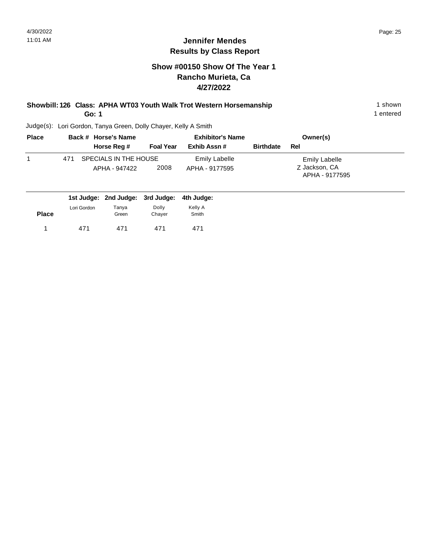### **Show #00150 Show Of The Year 1 Rancho Murieta, Ca 4/27/2022**

### **Showbill: 126 Class: APHA WT03 Youth Walk Trot Western Horsemanship** 1 Shown 1 shown **Go: 1**

1 entered

| <b>Place</b> | Back # Horse's Name                           |                  | <b>Exhibitor's Name</b>                |                  | Owner(s)                                                |  |
|--------------|-----------------------------------------------|------------------|----------------------------------------|------------------|---------------------------------------------------------|--|
|              | Horse Reg #                                   | <b>Foal Year</b> | Exhib Assn #                           | <b>Birthdate</b> | Rel                                                     |  |
|              | SPECIALS IN THE HOUSE<br>471<br>APHA - 947422 | 2008             | <b>Emily Labelle</b><br>APHA - 9177595 |                  | <b>Emily Labelle</b><br>Z Jackson, CA<br>APHA - 9177595 |  |
|              | 1st Judge: 2nd Judge: 3rd Judge: 4th Judge:   |                  |                                        |                  |                                                         |  |

| <b>Place</b> | Lori Gordon | Tanya<br>Green | Dolly<br>Chayer | Kelly A<br>Smith |
|--------------|-------------|----------------|-----------------|------------------|
|              | 471         | 471            | 471             | 471              |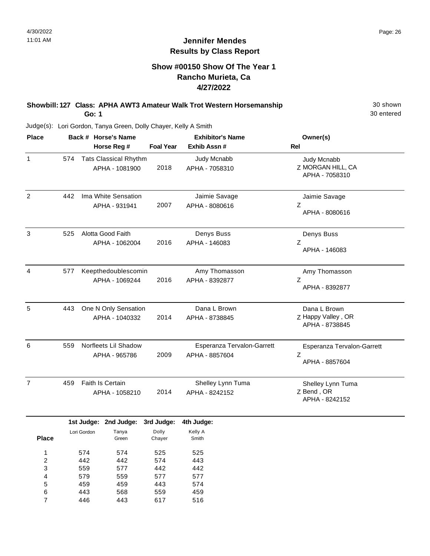### **Show #00150 Show Of The Year 1 Rancho Murieta, Ca 4/27/2022**

#### **Showbill: 127 Class: APHA AWT3 Amateur Walk Trot Western Horsemanship** 30 Shown **Go: 1**

30 entered

Judge(s): Lori Gordon, Tanya Green, Dolly Chayer, Kelly A Smith

| <b>Place</b>      |     |             | Back # Horse's Name<br>Horse Reg #             | <b>Foal Year</b>    | <b>Exhibitor's Name</b><br>Exhib Assn#       | Owner(s)<br><b>Rel</b>                               |
|-------------------|-----|-------------|------------------------------------------------|---------------------|----------------------------------------------|------------------------------------------------------|
| 1                 | 574 |             | <b>Tats Classical Rhythm</b><br>APHA - 1081900 | 2018                | Judy Mcnabb<br>APHA - 7058310                | Judy Mcnabb<br>Z MORGAN HILL, CA<br>APHA - 7058310   |
| $\overline{2}$    | 442 |             | Ima White Sensation<br>APHA - 931941           | 2007                | Jaimie Savage<br>APHA - 8080616              | Jaimie Savage<br>Z<br>APHA - 8080616                 |
| $\sqrt{3}$        | 525 |             | Alotta Good Faith<br>APHA - 1062004            | 2016                | Denys Buss<br>APHA - 146083                  | Denys Buss<br>Ζ<br>APHA - 146083                     |
| 4                 | 577 |             | Keepthedoublescomin<br>APHA - 1069244          | 2016                | Amy Thomasson<br>APHA - 8392877              | Amy Thomasson<br>Z<br>APHA - 8392877                 |
| 5                 | 443 |             | One N Only Sensation<br>APHA - 1040332         | 2014                | Dana L Brown<br>APHA - 8738845               | Dana L Brown<br>Z Happy Valley, OR<br>APHA - 8738845 |
| 6                 | 559 |             | Norfleets Lil Shadow<br>APHA - 965786          | 2009                | Esperanza Tervalon-Garrett<br>APHA - 8857604 | Esperanza Tervalon-Garrett<br>Ζ<br>APHA - 8857604    |
| $\overline{7}$    | 459 |             | Faith Is Certain<br>APHA - 1058210             | 2014                | Shelley Lynn Tuma<br>APHA - 8242152          | Shelley Lynn Tuma<br>Z Bend, OR<br>APHA - 8242152    |
|                   |     | Lori Gordon | 1st Judge: 2nd Judge:<br>Tanya                 | 3rd Judge:<br>Dolly | 4th Judge:<br>Kelly A                        |                                                      |
| <b>Place</b><br>1 |     | 574         | Green<br>574                                   | Chayer<br>525       | Smith<br>525                                 |                                                      |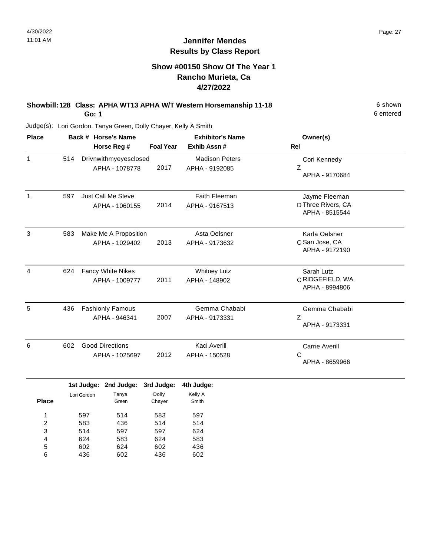### **Show #00150 Show Of The Year 1 Rancho Murieta, Ca 4/27/2022**

### **Showbill: 128 Class: APHA WT13 APHA W/T Western Horsemanship 11-18** 6 Shown **Go: 1**

Judge(s): Lori Gordon, Tanya Green, Dolly Chayer, Kelly A Smith

| <b>Place</b> |     | Back # Horse's Name<br>Horse Reg #       | <b>Foal Year</b> | <b>Exhibitor's Name</b><br>Exhib Assn # | Owner(s)<br>Rel                                       |
|--------------|-----|------------------------------------------|------------------|-----------------------------------------|-------------------------------------------------------|
| $\mathbf{1}$ | 514 | Drivnwithmyeyesclosed<br>APHA - 1078778  | 2017             | <b>Madison Peters</b><br>APHA - 9192085 | Cori Kennedy<br>Z<br>APHA - 9170684                   |
| 1            | 597 | Just Call Me Steve<br>APHA - 1060155     | 2014             | <b>Faith Fleeman</b><br>APHA - 9167513  | Jayme Fleeman<br>D Three Rivers, CA<br>APHA - 8515544 |
| 3            | 583 | Make Me A Proposition<br>APHA - 1029402  | 2013             | Asta Oelsner<br>APHA - 9173632          | Karla Oelsner<br>C San Jose, CA<br>APHA - 9172190     |
| 4            | 624 | Fancy White Nikes<br>APHA - 1009777      | 2011             | <b>Whitney Lutz</b><br>APHA - 148902    | Sarah Lutz<br>C RIDGEFIELD, WA<br>APHA - 8994806      |
| 5            | 436 | <b>Fashionly Famous</b><br>APHA - 946341 | 2007             | Gemma Chababi<br>APHA - 9173331         | Gemma Chababi<br>Ζ<br>APHA - 9173331                  |
| 6            | 602 | <b>Good Directions</b><br>APHA - 1025697 | 2012             | Kaci Averill<br>APHA - 150528           | <b>Carrie Averill</b><br>C<br>APHA - 8659966          |
|              |     | 1st Judge: 2nd Judge:                    | 3rd Judge:       | 4th Judge:                              |                                                       |

| <b>Place</b> | Lori Gordon | Tanya<br>Green | Dolly<br>Chayer | Kelly A<br>Smith |
|--------------|-------------|----------------|-----------------|------------------|
| 1            | 597         | 514            | 583             | 597              |
| 2            | 583         | 436            | 514             | 514              |
| 3            | 514         | 597            | 597             | 624              |
| 4            | 624         | 583            | 624             | 583              |
| 5            | 602         | 624            | 602             | 436              |
| 6            | 436         | 602            | 436             | 602              |
|              |             |                |                 |                  |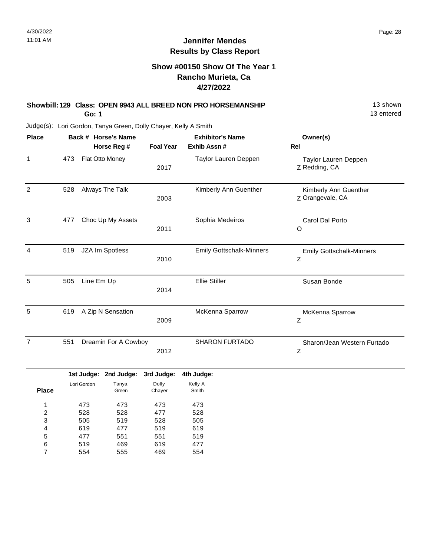13 entered

### **Jennifer Mendes Results by Class Report**

### **Show #00150 Show Of The Year 1 Rancho Murieta, Ca 4/27/2022**

# **Showbill: 129 Class: OPEN 9943 ALL BREED NON PRO HORSEMANSHIP** 13 Shown

**Go: 1**

477 519 554

5 6 7 551 469 555 551 619 469 519 477 554

| <b>Place</b>   |     |             | Back # Horse's Name   |                  | <b>Exhibitor's Name</b>         | Owner(s)                                  |
|----------------|-----|-------------|-----------------------|------------------|---------------------------------|-------------------------------------------|
|                |     |             | Horse Reg #           | <b>Foal Year</b> | Exhib Assn#                     | <b>Rel</b>                                |
| $\mathbf{1}$   | 473 |             | Flat Otto Money       | 2017             | Taylor Lauren Deppen            | Taylor Lauren Deppen<br>Z Redding, CA     |
| 2              | 528 |             | Always The Talk       | 2003             | Kimberly Ann Guenther           | Kimberly Ann Guenther<br>Z Orangevale, CA |
| $\mathfrak{S}$ | 477 |             | Choc Up My Assets     | 2011             | Sophia Medeiros                 | Carol Dal Porto<br>O                      |
| 4              | 519 |             | JZA Im Spotless       | 2010             | <b>Emily Gottschalk-Minners</b> | <b>Emily Gottschalk-Minners</b><br>Z      |
| 5              | 505 | Line Em Up  |                       | 2014             | <b>Ellie Stiller</b>            | Susan Bonde                               |
| 5              | 619 |             | A Zip N Sensation     | 2009             | McKenna Sparrow                 | McKenna Sparrow<br>Z                      |
| $\overline{7}$ | 551 |             | Dreamin For A Cowboy  | 2012             | <b>SHARON FURTADO</b>           | Sharon/Jean Western Furtado<br>Ζ          |
|                |     |             | 1st Judge: 2nd Judge: | 3rd Judge:       | 4th Judge:                      |                                           |
| <b>Place</b>   |     | Lori Gordon | Tanya<br>Green        | Dolly<br>Chayer  | Kelly A<br>Smith                |                                           |
| 1              |     | 473         | 473                   | 473              | 473                             |                                           |
| $\overline{c}$ |     | 528         | 528                   | 477              | 528                             |                                           |
| 3              |     | 505         | 519                   | 528              | 505                             |                                           |
| 4              |     | 619         | 477                   | 519              | 619                             |                                           |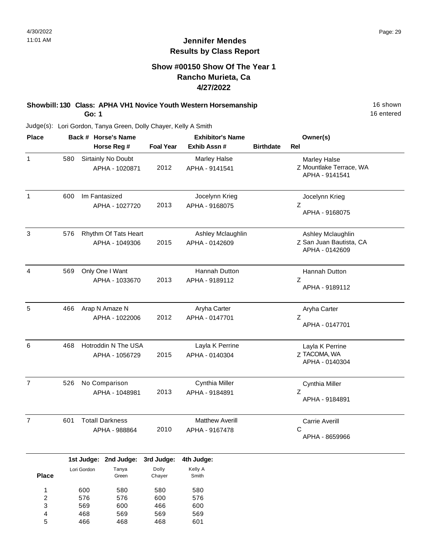### **Show #00150 Show Of The Year 1 Rancho Murieta, Ca 4/27/2022**

**Showbill: 130 Class: APHA VH1 Novice Youth Western Horsemanship** 16 Shown 16 shown **Go: 1**

16 entered

Judge(s): Lori Gordon, Tanya Green, Dolly Chayer, Kelly A Smith

466

5

468

468

601

| <b>Place</b>                           |     |                          | Back # Horse's Name                     |                          | <b>Exhibitor's Name</b>                  |                  | Owner(s)                                                       |
|----------------------------------------|-----|--------------------------|-----------------------------------------|--------------------------|------------------------------------------|------------------|----------------------------------------------------------------|
|                                        |     |                          | Horse Reg #                             | <b>Foal Year</b>         | Exhib Assn #                             | <b>Birthdate</b> | Rel                                                            |
| $\mathbf{1}$                           | 580 |                          | Sirtainly No Doubt<br>APHA - 1020871    | 2012                     | Marley Halse<br>APHA - 9141541           |                  | Marley Halse<br>Z Mountlake Terrace, WA<br>APHA - 9141541      |
| $\mathbf{1}$                           | 600 |                          | Im Fantasized<br>APHA - 1027720         | 2013                     | Jocelynn Krieg<br>APHA - 9168075         |                  | Jocelynn Krieg<br>Z<br>APHA - 9168075                          |
| 3                                      | 576 |                          | Rhythm Of Tats Heart<br>APHA - 1049306  | 2015                     | Ashley Mclaughlin<br>APHA - 0142609      |                  | Ashley Mclaughlin<br>Z San Juan Bautista, CA<br>APHA - 0142609 |
| 4                                      | 569 |                          | Only One I Want<br>APHA - 1033670       | 2013                     | Hannah Dutton<br>APHA - 9189112          |                  | Hannah Dutton<br>Ζ<br>APHA - 9189112                           |
| 5                                      | 466 |                          | Arap N Amaze N<br>APHA - 1022006        | 2012                     | Aryha Carter<br>APHA - 0147701           |                  | Aryha Carter<br>Z<br>APHA - 0147701                            |
| 6                                      | 468 |                          | Hotroddin N The USA<br>APHA - 1056729   | 2015                     | Layla K Perrine<br>APHA - 0140304        |                  | Layla K Perrine<br>Z TACOMA, WA<br>APHA - 0140304              |
| $\overline{7}$                         | 526 |                          | No Comparison<br>APHA - 1048981         | 2013                     | Cynthia Miller<br>APHA - 9184891         |                  | Cynthia Miller<br>Ζ<br>APHA - 9184891                          |
| $\overline{7}$                         | 601 |                          | <b>Totall Darkness</b><br>APHA - 988864 | 2010                     | <b>Matthew Averill</b><br>APHA - 9167478 |                  | Carrie Averill<br>С<br>APHA - 8659966                          |
|                                        |     | 1st Judge:               | 2nd Judge:                              | 3rd Judge:               | 4th Judge:                               |                  |                                                                |
| <b>Place</b>                           |     | Lori Gordon              | Tanya<br>Green                          | Dolly<br>Chayer          | Kelly A<br>Smith                         |                  |                                                                |
| 1<br>$\overline{\mathbf{c}}$<br>3<br>4 |     | 600<br>576<br>569<br>468 | 580<br>576<br>600<br>569                | 580<br>600<br>466<br>569 | 580<br>576<br>600<br>569                 |                  |                                                                |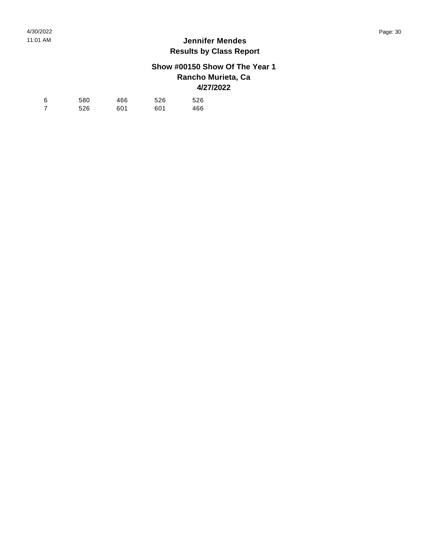## **Show #00150 Show Of The Year 1 Rancho Murieta, Ca 4/27/2022**

| 6 | 580 | 466 | 526 | 526 |
|---|-----|-----|-----|-----|
| 7 | 526 | 601 | 601 | 466 |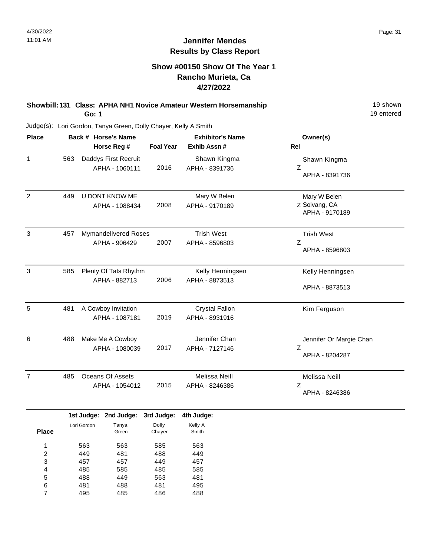### **Show #00150 Show Of The Year 1 Rancho Murieta, Ca 4/27/2022**

**Showbill: 131 Class: APHA NH1 Novice Amateur Western Horsemanship** 19 Shown 19 shown **Go: 1**

19 entered

| <b>Place</b>   |     | Back # Horse's Name                          | <b>Exhibitor's Name</b> |                                         | Owner(s)                                        |
|----------------|-----|----------------------------------------------|-------------------------|-----------------------------------------|-------------------------------------------------|
|                |     | Horse Reg #                                  | <b>Foal Year</b>        | Exhib Assn #                            | Rel                                             |
| $\mathbf{1}$   | 563 | Daddys First Recruit<br>APHA - 1060111       | 2016                    | Shawn Kingma<br>APHA - 8391736          | Shawn Kingma<br>Z<br>APHA - 8391736             |
| $\overline{2}$ | 449 | U DONT KNOW ME<br>APHA - 1088434             | 2008                    | Mary W Belen<br>APHA - 9170189          | Mary W Belen<br>Z Solvang, CA<br>APHA - 9170189 |
| 3              | 457 | <b>Mymandelivered Roses</b><br>APHA - 906429 | 2007                    | <b>Trish West</b><br>APHA - 8596803     | <b>Trish West</b><br>Ζ<br>APHA - 8596803        |
| 3              | 585 | Plenty Of Tats Rhythm<br>APHA - 882713       | 2006                    | Kelly Henningsen<br>APHA - 8873513      | Kelly Henningsen<br>APHA - 8873513              |
| 5              | 481 | A Cowboy Invitation<br>APHA - 1087181        | 2019                    | <b>Crystal Fallon</b><br>APHA - 8931916 | Kim Ferguson                                    |
| 6              | 488 | Make Me A Cowboy<br>APHA - 1080039           | 2017                    | Jennifer Chan<br>APHA - 7127146         | Jennifer Or Margie Chan<br>Z<br>APHA - 8204287  |
| $\overline{7}$ | 485 | <b>Oceans Of Assets</b><br>APHA - 1054012    | 2015                    | Melissa Neill<br>APHA - 8246386         | Melissa Neill<br>Z<br>APHA - 8246386            |

|              |             | 1st Judge: 2nd Judge: 3rd Judge: |        | 4th Judge: |
|--------------|-------------|----------------------------------|--------|------------|
|              | Lori Gordon | Tanya                            | Dolly  | Kelly A    |
| <b>Place</b> |             | Green                            | Chayer | Smith      |
| 1            | 563         | 563                              | 585    | 563        |
|              |             |                                  |        |            |
| 2            | 449         | 481                              | 488    | 449        |
| 3            | 457         | 457                              | 449    | 457        |
| 4            | 485         | 585                              | 485    | 585        |
| 5            | 488         | 449                              | 563    | 481        |
| 6            | 481         | 488                              | 481    | 495        |
| 7            | 495         | 485                              | 486    | 488        |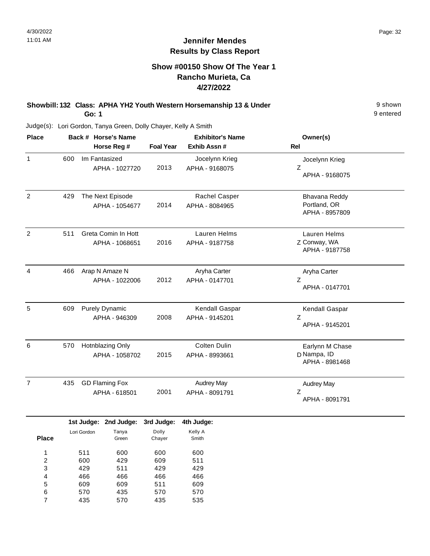### **Show #00150 Show Of The Year 1 Rancho Murieta, Ca 4/27/2022**

#### **Showbill: 132 Class: APHA YH2 Youth Western Horsemanship 13 & Under** 9 Shown **Go: 1**

9 entered

| <b>Place</b>   |                         | Back # Horse's Name |                       |                       | <b>Exhibitor's Name</b> |                     | Owner(s)          |  |  |
|----------------|-------------------------|---------------------|-----------------------|-----------------------|-------------------------|---------------------|-------------------|--|--|
|                |                         |                     |                       | Horse Reg #           | <b>Foal Year</b>        | Exhib Assn #        | Rel               |  |  |
| $\mathbf{1}$   |                         | 600                 |                       | Im Fantasized         |                         | Jocelynn Krieg      | Jocelynn Krieg    |  |  |
|                |                         |                     |                       | APHA - 1027720        | 2013                    | APHA - 9168075      | Ζ                 |  |  |
|                |                         |                     |                       |                       |                         |                     | APHA - 9168075    |  |  |
| $\overline{c}$ |                         | 429                 |                       | The Next Episode      |                         | Rachel Casper       | Bhavana Reddy     |  |  |
|                |                         |                     |                       | APHA - 1054677        | 2014                    | APHA - 8084965      | Portland, OR      |  |  |
|                |                         |                     |                       |                       |                         |                     | APHA - 8957809    |  |  |
| $\overline{2}$ |                         | 511                 |                       | Greta Comin In Hott   |                         | <b>Lauren Helms</b> | Lauren Helms      |  |  |
|                |                         |                     |                       | APHA - 1068651        | 2016                    | APHA - 9187758      | Z Conway, WA      |  |  |
|                |                         |                     |                       |                       |                         |                     | APHA - 9187758    |  |  |
| $\overline{4}$ |                         | 466                 |                       | Arap N Amaze N        |                         | Aryha Carter        | Aryha Carter      |  |  |
|                |                         |                     |                       | APHA - 1022006        | 2012                    | APHA - 0147701      | Ζ                 |  |  |
|                |                         |                     |                       |                       |                         |                     | APHA - 0147701    |  |  |
| 5              |                         | 609                 |                       | <b>Purely Dynamic</b> |                         | Kendall Gaspar      | Kendall Gaspar    |  |  |
|                |                         | APHA - 946309       |                       | 2008                  | APHA - 9145201          | Ζ                   |                   |  |  |
|                |                         |                     |                       |                       |                         |                     | APHA - 9145201    |  |  |
| 6              |                         | 570                 | Hotnblazing Only      |                       |                         | Colten Dulin        | Earlynn M Chase   |  |  |
|                |                         |                     |                       | APHA - 1058702        | 2015                    | APHA - 8993661      | D Nampa, ID       |  |  |
|                |                         |                     |                       |                       |                         |                     | APHA - 8981468    |  |  |
| $\overline{7}$ |                         | 435                 | <b>GD Flaming Fox</b> |                       |                         | Audrey May          | <b>Audrey May</b> |  |  |
|                |                         |                     |                       | APHA - 618501         | 2001                    | APHA - 8091791      | Ζ                 |  |  |
|                |                         |                     |                       |                       |                         |                     | APHA - 8091791    |  |  |
|                |                         |                     |                       | 1st Judge: 2nd Judge: | 3rd Judge:              | 4th Judge:          |                   |  |  |
|                |                         |                     | Lori Gordon           | Tanya                 | Dolly                   | Kelly A             |                   |  |  |
|                | <b>Place</b>            |                     |                       | Green                 | Chayer                  | Smith               |                   |  |  |
|                | $\mathbf{1}$            |                     | 511                   | 600                   | 600                     | 600                 |                   |  |  |
|                | $\overline{\mathbf{c}}$ |                     | 600                   | 429                   | 609                     | 511                 |                   |  |  |
|                | 3                       |                     | 429                   | 511                   | 429                     | 429                 |                   |  |  |
|                | 4                       |                     | 466                   | 466                   | 466                     | 466                 |                   |  |  |
|                | 5                       |                     | 609                   | 609                   | 511                     | 609                 |                   |  |  |
|                | 6<br>$\overline{7}$     |                     | 570<br>435            | 435<br>570            | 570<br>435              | 570<br>535          |                   |  |  |
|                |                         |                     |                       |                       |                         |                     |                   |  |  |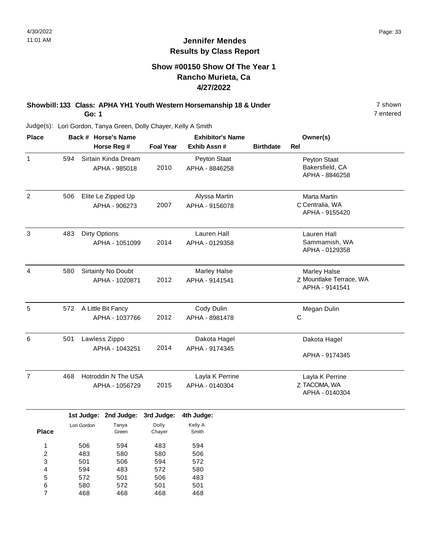### **Show #00150 Show Of The Year 1 Rancho Murieta, Ca 4/27/2022**

### **Showbill: 133 Class: APHA YH1 Youth Western Horsemanship 18 & Under** 7 shown **Go: 1**

7 entered

| <b>Place</b>   |     | Back # Horse's Name  | <b>Exhibitor's Name</b> |                 |                  | Owner(s)                                  |  |
|----------------|-----|----------------------|-------------------------|-----------------|------------------|-------------------------------------------|--|
|                |     | Horse Reg #          | <b>Foal Year</b>        | Exhib Assn #    | <b>Birthdate</b> | <b>Rel</b>                                |  |
| $\mathbf{1}$   | 594 | Sirtain Kinda Dream  |                         | Peyton Staat    |                  | Peyton Staat                              |  |
|                |     | APHA - 985018        | 2010                    | APHA - 8846258  |                  | Bakersfield, CA<br>APHA - 8846258         |  |
| $\overline{2}$ | 506 | Elite Le Zipped Up   |                         | Alyssa Martin   |                  | <b>Marta Martin</b>                       |  |
|                |     | APHA - 906273        | 2007                    | APHA - 9156078  |                  | C Centralia, WA<br>APHA - 9155420         |  |
| 3              | 483 | <b>Dirty Options</b> |                         | Lauren Hall     |                  | <b>Lauren Hall</b>                        |  |
|                |     | APHA - 1051099       | 2014                    | APHA - 0129358  |                  | Sammamish, WA<br>APHA - 0129358           |  |
| $\overline{4}$ | 580 | Sirtainly No Doubt   |                         | Marley Halse    |                  | Marley Halse                              |  |
|                |     | APHA - 1020871       | 2012                    | APHA - 9141541  |                  | Z Mountlake Terrace, WA<br>APHA - 9141541 |  |
| 5              | 572 | A Little Bit Fancy   |                         | Cody Dulin      |                  | Megan Dulin                               |  |
|                |     | APHA - 1037766       | 2012                    | APHA - 8981478  |                  | С                                         |  |
| 6              | 501 | Lawless Zippo        |                         | Dakota Hagel    |                  | Dakota Hagel                              |  |
|                |     | APHA - 1043251       | 2014                    | APHA - 9174345  |                  | APHA - 9174345                            |  |
| $\overline{7}$ | 468 | Hotroddin N The USA  |                         | Layla K Perrine |                  | Layla K Perrine                           |  |
|                |     | APHA - 1056729       | 2015                    | APHA - 0140304  |                  | Z TACOMA, WA<br>APHA - 0140304            |  |

|              |             | <b>IST JUDGE:</b> ZNG JUDGE: | əra Judge. | 4th Judge: |
|--------------|-------------|------------------------------|------------|------------|
|              | Lori Gordon | Tanya                        | Dolly      | Kelly A    |
| <b>Place</b> |             | Green                        | Chayer     | Smith      |
|              |             |                              |            |            |
| 1            | 506         | 594                          | 483        | 594        |
| 2            | 483         | 580                          | 580        | 506        |
| 3            | 501         | 506                          | 594        | 572        |
| 4            | 594         | 483                          | 572        | 580        |
| 5            | 572         | 501                          | 506        | 483        |
| 6            | 580         | 572                          | 501        | 501        |
| 7            | 468         | 468                          | 468        | 468        |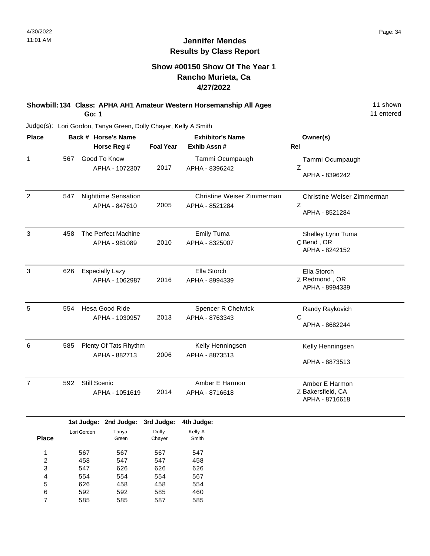### **Show #00150 Show Of The Year 1 Rancho Murieta, Ca 4/27/2022**

### **Showbill: 134 Class: APHA AH1 Amateur Western Horsemanship All Ages** 11 Shown **Go: 1**

11 entered

| <b>Place</b>   |     | Back # Horse's Name                         | <b>Exhibitor's Name</b> |                                              | Owner(s)                                              |
|----------------|-----|---------------------------------------------|-------------------------|----------------------------------------------|-------------------------------------------------------|
|                |     | Horse Reg #                                 | <b>Foal Year</b>        | Exhib Assn#                                  | <b>Rel</b>                                            |
| $\mathbf{1}$   | 567 | Good To Know<br>APHA - 1072307              | 2017                    | Tammi Ocumpaugh<br>APHA - 8396242            | Tammi Ocumpaugh<br>Z<br>APHA - 8396242                |
| 2              | 547 | <b>Nighttime Sensation</b><br>APHA - 847610 | 2005                    | Christine Weiser Zimmerman<br>APHA - 8521284 | Christine Weiser Zimmerman<br>Z<br>APHA - 8521284     |
| 3              | 458 | The Perfect Machine<br>APHA - 981089        | 2010                    | <b>Emily Tuma</b><br>APHA - 8325007          | Shelley Lynn Tuma<br>C Bend, OR<br>APHA - 8242152     |
| 3              | 626 | <b>Especially Lazy</b><br>APHA - 1062987    | 2016                    | Ella Storch<br>APHA - 8994339                | Ella Storch<br>Z Redmond, OR<br>APHA - 8994339        |
| 5              | 554 | Hesa Good Ride<br>APHA - 1030957            | 2013                    | <b>Spencer R Chelwick</b><br>APHA - 8763343  | Randy Raykovich<br>C<br>APHA - 8682244                |
| 6              | 585 | Plenty Of Tats Rhythm<br>APHA - 882713      | 2006                    | Kelly Henningsen<br>APHA - 8873513           | Kelly Henningsen<br>APHA - 8873513                    |
| $\overline{7}$ | 592 | Still Scenic<br>APHA - 1051619              | 2014                    | Amber E Harmon<br>APHA - 8716618             | Amber E Harmon<br>Z Bakersfield, CA<br>APHA - 8716618 |

|              |             | 1st Judge: 2nd Judge: | 3rd Judge: | 4th Judge: |
|--------------|-------------|-----------------------|------------|------------|
|              | Lori Gordon | Tanya                 | Dolly      | Kelly A    |
| <b>Place</b> |             | Green                 | Chayer     | Smith      |
|              |             |                       |            |            |
| 1            | 567         | 567                   | 567        | 547        |
| 2            | 458         | 547                   | 547        | 458        |
| 3            | 547         | 626                   | 626        | 626        |
| 4            | 554         | 554                   | 554        | 567        |
| 5            | 626         | 458                   | 458        | 554        |
| 6            | 592         | 592                   | 585        | 460        |
|              | 585         | 585                   | 587        | 585        |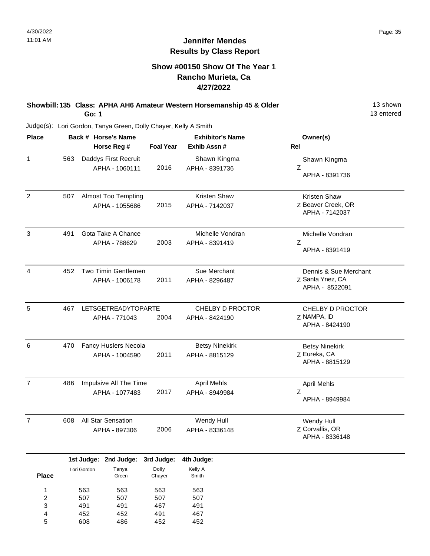### **Show #00150 Show Of The Year 1 Rancho Murieta, Ca 4/27/2022**

### **Showbill: 135 Class: APHA AH6 Amateur Western Horsemanship 45 & Older** 13 Shown **Go: 1**

13 entered

| <b>Place</b>                                |                                 | Back # Horse's Name |                                              | <b>Exhibitor's Name</b>         |                                         | Owner(s)                                                    |  |
|---------------------------------------------|---------------------------------|---------------------|----------------------------------------------|---------------------------------|-----------------------------------------|-------------------------------------------------------------|--|
|                                             |                                 |                     | Horse Reg #                                  | <b>Foal Year</b>                | Exhib Assn #                            | Rel                                                         |  |
| $\mathbf{1}$                                | 563                             |                     | Daddys First Recruit<br>APHA - 1060111       | 2016                            | Shawn Kingma<br>APHA - 8391736          | Shawn Kingma<br>Ζ<br>APHA - 8391736                         |  |
| $\overline{2}$                              | 507                             |                     | <b>Almost Too Tempting</b><br>APHA - 1055686 | 2015                            | Kristen Shaw<br>APHA - 7142037          | Kristen Shaw<br>Z Beaver Creek, OR<br>APHA - 7142037        |  |
| 3                                           | 491                             |                     | Gota Take A Chance<br>APHA - 788629          | 2003                            | Michelle Vondran<br>APHA - 8391419      | Michelle Vondran<br>Ζ<br>APHA - 8391419                     |  |
| 4                                           | 452                             |                     | Two Timin Gentlemen<br>APHA - 1006178        | 2011                            | Sue Merchant<br>APHA - 8296487          | Dennis & Sue Merchant<br>Z Santa Ynez, CA<br>APHA - 8522091 |  |
| 5                                           | 467                             |                     | <b>LETSGETREADYTOPARTE</b><br>APHA - 771043  | 2004                            | CHELBY D PROCTOR<br>APHA - 8424190      | CHELBY D PROCTOR<br>Z NAMPA, ID<br>APHA - 8424190           |  |
| 6                                           | 470                             |                     | Fancy Huslers Necoia<br>APHA - 1004590       | 2011                            | <b>Betsy Ninekirk</b><br>APHA - 8815129 | <b>Betsy Ninekirk</b><br>Z Eureka, CA<br>APHA - 8815129     |  |
| $\overline{7}$                              | 486                             |                     | Impulsive All The Time<br>APHA - 1077483     | 2017                            | <b>April Mehls</b><br>APHA - 8949984    | <b>April Mehls</b><br>Ζ<br>APHA - 8949984                   |  |
| $\overline{7}$                              | 608                             |                     | All Star Sensation<br>APHA - 897306          | 2006                            | Wendy Hull<br>APHA - 8336148            | Wendy Hull<br>Z Corvallis, OR<br>APHA - 8336148             |  |
|                                             | 1st Judge:                      |                     | 2nd Judge:                                   | 3rd Judge:                      | 4th Judge:                              |                                                             |  |
| <b>Place</b>                                | Lori Gordon                     |                     | Tanya<br>Green                               | Dolly<br>Chayer                 | Kelly A<br>Smith                        |                                                             |  |
| 1<br>$\overline{\mathbf{c}}$<br>3<br>4<br>5 | 563<br>507<br>491<br>452<br>608 |                     | 563<br>507<br>491<br>452<br>486              | 563<br>507<br>467<br>491<br>452 | 563<br>507<br>491<br>467<br>452         |                                                             |  |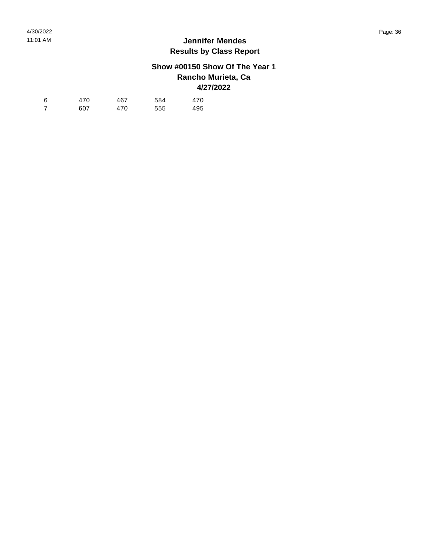## **Show #00150 Show Of The Year 1 Rancho Murieta, Ca 4/27/2022**

| -6 | 470 | 467 | 584 | 470 |
|----|-----|-----|-----|-----|
|    | 607 | 470 | 555 | 495 |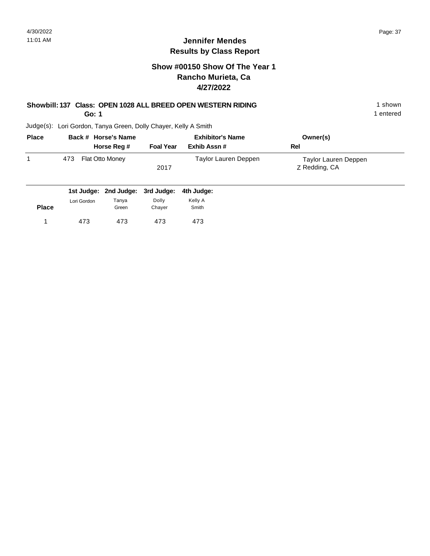## **Show #00150 Show Of The Year 1 Rancho Murieta, Ca 4/27/2022**

# **Showbill: 137 Class: OPEN 1028 ALL BREED OPEN WESTERN RIDING** 1 shown

**Go: 1**

1 entered

| <b>Place</b> |     | Back # Horse's Name    | <b>Exhibitor's Name</b> |                      | Owner(s)                              |  |
|--------------|-----|------------------------|-------------------------|----------------------|---------------------------------------|--|
|              |     | Horse Reg #            | <b>Foal Year</b>        | Exhib Assn#          | Rel                                   |  |
|              | 473 | <b>Flat Otto Money</b> | 2017                    | Taylor Lauren Deppen | Taylor Lauren Deppen<br>Z Redding, CA |  |

|              |             | 1st Judge: 2nd Judge: 3rd Judge: 4th Judge: |        |         |
|--------------|-------------|---------------------------------------------|--------|---------|
|              | Lori Gordon | Tanya                                       | Dolly  | Kelly A |
| <b>Place</b> |             | Green                                       | Chaver | Smith   |
|              | 473         | 473                                         | 473    | 473     |
|              |             |                                             |        |         |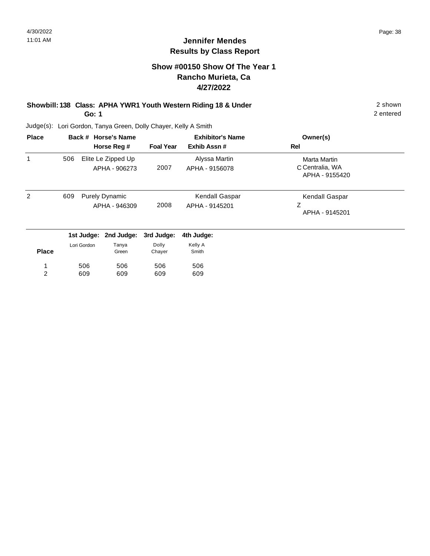## **Show #00150 Show Of The Year 1 Rancho Murieta, Ca 4/27/2022**

#### **Showbill: 138 Class: APHA YWR1 Youth Western Riding 18 & Under** 2 shown **Go: 1**

2 entered

| <b>Place</b> |     |             | Back # Horse's Name                    |                  | <b>Exhibitor's Name</b>          | Owner(s)                                          |  |
|--------------|-----|-------------|----------------------------------------|------------------|----------------------------------|---------------------------------------------------|--|
|              |     |             | Horse Reg #                            | <b>Foal Year</b> | Exhib Assn#                      | Rel                                               |  |
|              | 506 |             | Elite Le Zipped Up<br>APHA - 906273    | 2007             | Alyssa Martin<br>APHA - 9156078  | Marta Martin<br>C Centralia, WA<br>APHA - 9155420 |  |
| 2            | 609 |             | <b>Purely Dynamic</b><br>APHA - 946309 | 2008             | Kendall Gaspar<br>APHA - 9145201 | Kendall Gaspar<br>Ζ<br>APHA - 9145201             |  |
|              |     | 1st Judge:  | 2nd Judge:                             | 3rd Judge:       | 4th Judge:                       |                                                   |  |
| <b>Place</b> |     | Lori Gordon | Tanya<br>Green                         | Dolly<br>Chayer  | Kelly A<br>Smith                 |                                                   |  |
| 1            |     | 506         | 506                                    | 506              | 506                              |                                                   |  |
| 2            |     | 609         | 609                                    | 609              | 609                              |                                                   |  |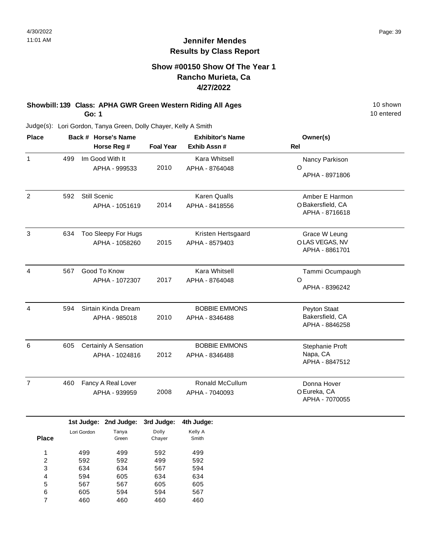#### **Show #00150 Show Of The Year 1 Rancho Murieta, Ca 4/27/2022**

#### **Showbill: 139 Class: APHA GWR Green Western Riding All Ages** 10 Shown 10 shown **Go: 1**

10 entered

Judge(s): Lori Gordon, Tanya Green, Dolly Chayer, Kelly A Smith

460

7

460

460

| <b>Place</b>            |     |              | Back # Horse's Name   |                  | <b>Exhibitor's Name</b> | Owner(s)          |
|-------------------------|-----|--------------|-----------------------|------------------|-------------------------|-------------------|
|                         |     |              | Horse Reg #           | <b>Foal Year</b> | Exhib Assn #            | Rel               |
| 1                       | 499 |              | Im Good With It       |                  | Kara Whitsell           | Nancy Parkison    |
|                         |     |              | APHA - 999533         | 2010             | APHA - 8764048          | $\circ$           |
|                         |     |              |                       |                  |                         | APHA - 8971806    |
| $\overline{c}$          | 592 | Still Scenic |                       |                  | <b>Karen Qualls</b>     | Amber E Harmon    |
|                         |     |              | APHA - 1051619        | 2014             | APHA - 8418556          | O Bakersfield, CA |
|                         |     |              |                       |                  |                         | APHA - 8716618    |
| 3                       | 634 |              | Too Sleepy For Hugs   |                  | Kristen Hertsgaard      | Grace W Leung     |
|                         |     |              | APHA - 1058260        | 2015             | APHA - 8579403          | O LAS VEGAS, NV   |
|                         |     |              |                       |                  |                         | APHA - 8861701    |
| $\overline{4}$          | 567 |              | Good To Know          |                  | Kara Whitsell           | Tammi Ocumpaugh   |
|                         |     |              | APHA - 1072307        | 2017             | APHA - 8764048          | $\circ$           |
|                         |     |              |                       |                  |                         | APHA - 8396242    |
| $\overline{4}$          | 594 |              | Sirtain Kinda Dream   |                  | <b>BOBBIE EMMONS</b>    | Peyton Staat      |
|                         |     |              | APHA - 985018         | 2010             | APHA - 8346488          | Bakersfield, CA   |
|                         |     |              |                       |                  |                         | APHA - 8846258    |
| 6                       | 605 |              | Certainly A Sensation |                  | <b>BOBBIE EMMONS</b>    | Stephanie Proft   |
|                         |     |              | APHA - 1024816        | 2012             | APHA - 8346488          | Napa, CA          |
|                         |     |              |                       |                  |                         | APHA - 8847512    |
| $\overline{7}$          | 460 |              | Fancy A Real Lover    |                  | Ronald McCullum         | Donna Hover       |
|                         |     |              | APHA - 939959         | 2008             | APHA - 7040093          | O Eureka, CA      |
|                         |     |              |                       |                  |                         | APHA - 7070055    |
|                         |     |              | 1st Judge: 2nd Judge: | 3rd Judge:       | 4th Judge:              |                   |
|                         |     | Lori Gordon  | Tanya                 | Dolly            | Kelly A                 |                   |
| <b>Place</b>            |     |              | Green                 | Chayer           | Smith                   |                   |
| 1                       |     | 499          | 499                   | 592              | 499                     |                   |
| $\overline{\mathbf{c}}$ |     | 592          | 592                   | 499              | 592                     |                   |
| 3<br>4                  |     | 634<br>594   | 634<br>605            | 567<br>634       | 594<br>634              |                   |
| 5                       |     | 567          | 567                   | 605              | 605                     |                   |
| 6                       |     | 605          | 594                   | 594              | 567                     |                   |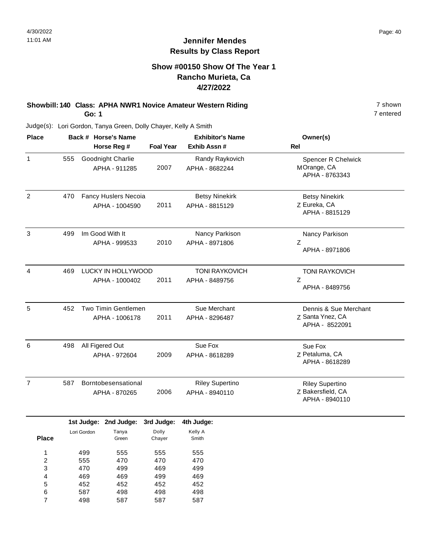7 entered

## **Jennifer Mendes Results by Class Report**

## **Show #00150 Show Of The Year 1 Rancho Murieta, Ca 4/27/2022**

#### **Showbill: 140 Class: APHA NWR1 Novice Amateur Western Riding 7 Shown 7 shown Go: 1**

|     | Horse Reg #                            | <b>Foal Year</b>    | <b>Exhibitor's Name</b><br>Exhib Assn #  | Owner(s)<br><b>Rel</b>                                        |
|-----|----------------------------------------|---------------------|------------------------------------------|---------------------------------------------------------------|
| 555 | Goodnight Charlie<br>APHA - 911285     | 2007                | Randy Raykovich<br>APHA - 8682244        | <b>Spencer R Chelwick</b><br>MOrange, CA<br>APHA - 8763343    |
| 470 | Fancy Huslers Necoia<br>APHA - 1004590 | 2011                | <b>Betsy Ninekirk</b><br>APHA - 8815129  | <b>Betsy Ninekirk</b><br>Z Eureka, CA<br>APHA - 8815129       |
| 499 | Im Good With It<br>APHA - 999533       | 2010                | Nancy Parkison<br>APHA - 8971806         | Nancy Parkison<br>Ζ<br>APHA - 8971806                         |
| 469 | APHA - 1000402                         | 2011                | <b>TONI RAYKOVICH</b><br>APHA - 8489756  | <b>TONI RAYKOVICH</b><br>Z<br>APHA - 8489756                  |
| 452 | Two Timin Gentlemen<br>APHA - 1006178  | 2011                | Sue Merchant<br>APHA - 8296487           | Dennis & Sue Merchant<br>Z Santa Ynez, CA<br>APHA - 8522091   |
| 498 | All Figered Out<br>APHA - 972604       | 2009                | Sue Fox<br>APHA - 8618289                | Sue Fox<br>Z Petaluma, CA<br>APHA - 8618289                   |
| 587 | Borntobesensational<br>APHA - 870265   | 2006                | <b>Riley Supertino</b><br>APHA - 8940110 | <b>Riley Supertino</b><br>Z Bakersfield, CA<br>APHA - 8940110 |
|     |                                        | Back # Horse's Name | LUCKY IN HOLLYWOOD                       |                                                               |

|              |             | 1st Judge: 2nd Judge: | 3rd Judge: | 4th Judge: |
|--------------|-------------|-----------------------|------------|------------|
|              | Lori Gordon | Tanya                 | Dolly      | Kelly A    |
| <b>Place</b> |             | Green                 | Chayer     | Smith      |
| 1            | 499         | 555                   | 555        | 555        |
|              |             |                       |            |            |
| 2            | 555         | 470                   | 470        | 470        |
| 3            | 470         | 499                   | 469        | 499        |
| 4            | 469         | 469                   | 499        | 469        |
| 5            | 452         | 452                   | 452        | 452        |
| 6            | 587         | 498                   | 498        | 498        |
| 7            | 498         | 587                   | 587        | 587        |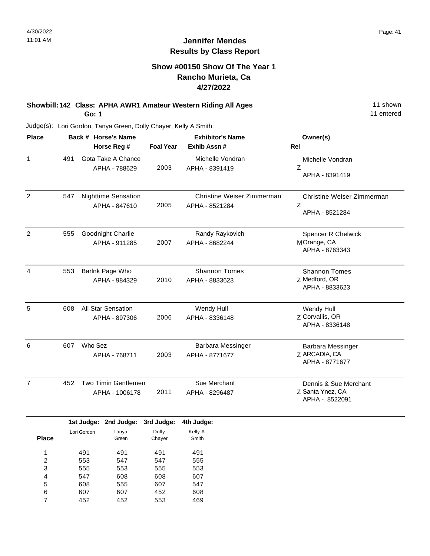#### **Show #00150 Show Of The Year 1 Rancho Murieta, Ca 4/27/2022**

#### **Showbill: 142 Class: APHA AWR1 Amateur Western Riding All Ages** 11 Shown **Go: 1**

11 entered

Judge(s): Lori Gordon, Tanya Green, Dolly Chayer, Kelly A Smith

608 607 452

5 6 7 555 607 452 607 452 553

| <b>Place</b>                  |                          |             | Back # Horse's Name                         |                          | <b>Exhibitor's Name</b>                      | Owner(s)                                                    |
|-------------------------------|--------------------------|-------------|---------------------------------------------|--------------------------|----------------------------------------------|-------------------------------------------------------------|
|                               |                          |             | Horse Reg #                                 | <b>Foal Year</b>         | Exhib Assn #                                 | <b>Rel</b>                                                  |
| 1                             | 491                      |             | Gota Take A Chance<br>APHA - 788629         | 2003                     | Michelle Vondran<br>APHA - 8391419           | Michelle Vondran<br>Z<br>APHA - 8391419                     |
| $\overline{c}$                | 547                      |             | <b>Nighttime Sensation</b><br>APHA - 847610 | 2005                     | Christine Weiser Zimmerman<br>APHA - 8521284 | Christine Weiser Zimmerman<br>Z<br>APHA - 8521284           |
| $\overline{2}$                | 555                      |             | Goodnight Charlie<br>APHA - 911285          | 2007                     | Randy Raykovich<br>APHA - 8682244            | Spencer R Chelwick<br>MOrange, CA<br>APHA - 8763343         |
| 4                             | 553                      |             | Barlnk Page Who<br>APHA - 984329            | 2010                     | <b>Shannon Tomes</b><br>APHA - 8833623       | <b>Shannon Tomes</b><br>Z Medford, OR<br>APHA - 8833623     |
| $\overline{5}$                | 608                      |             | All Star Sensation<br>APHA - 897306         | 2006                     | Wendy Hull<br>APHA - 8336148                 | Wendy Hull<br>Z Corvallis, OR<br>APHA - 8336148             |
| 6                             | 607                      | Who Sez     | APHA - 768711                               | 2003                     | Barbara Messinger<br>APHA - 8771677          | Barbara Messinger<br>Z ARCADIA, CA<br>APHA - 8771677        |
| $\overline{7}$                | 452                      |             | Two Timin Gentlemen<br>APHA - 1006178       | 2011                     | Sue Merchant<br>APHA - 8296487               | Dennis & Sue Merchant<br>Z Santa Ynez, CA<br>APHA - 8522091 |
|                               |                          | 1st Judge:  | 2nd Judge:                                  | 3rd Judge:               | 4th Judge:                                   |                                                             |
| <b>Place</b>                  |                          | Lori Gordon | Tanya<br>Green                              | Dolly<br>Chayer          | Kelly A<br>Smith                             |                                                             |
| 1<br>$\overline{c}$<br>3<br>4 | 491<br>553<br>555<br>547 |             | 491<br>547<br>553<br>608                    | 491<br>547<br>555<br>608 | 491<br>555<br>553<br>607                     |                                                             |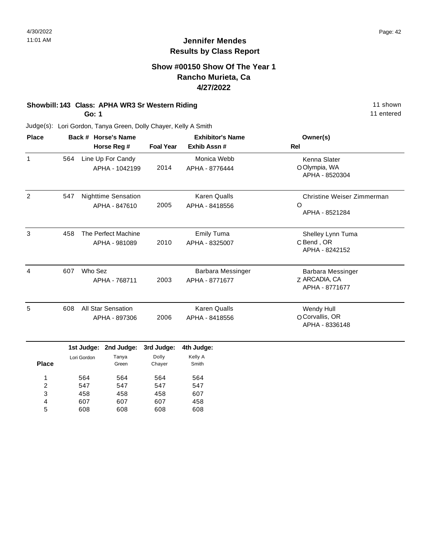#### **Show #00150 Show Of The Year 1 Rancho Murieta, Ca 4/27/2022**

#### **Showbill: 143 Class: APHA WR3 Sr Western Riding 11 shown 11 shown**

**Go: 1**

607 608

4 5 607 608 607 608 458 608 11 entered

| <b>Place</b>                      |     | Back # Horse's Name                  |                                             |                   | <b>Exhibitor's Name</b>                    | Owner(s)                                                |
|-----------------------------------|-----|--------------------------------------|---------------------------------------------|-------------------|--------------------------------------------|---------------------------------------------------------|
|                                   |     |                                      | Horse Reg #                                 | <b>Foal Year</b>  | Exhib Assn #                               | <b>Rel</b>                                              |
| 1                                 | 564 |                                      | Line Up For Candy<br>APHA - 1042199         | 2014              | Monica Webb<br>APHA - 8776444              | Kenna Slater<br>O Olympia, WA<br>APHA - 8520304         |
| $\overline{2}$                    | 547 |                                      | <b>Nighttime Sensation</b><br>APHA - 847610 | 2005              | <b>Karen Qualls</b><br>APHA - 8418556      | Christine Weiser Zimmerman<br>$\circ$<br>APHA - 8521284 |
| 3                                 | 458 | The Perfect Machine<br>APHA - 981089 |                                             | 2010              | <b>Emily Tuma</b><br>APHA - 8325007        | Shelley Lynn Tuma<br>C Bend, OR<br>APHA - 8242152       |
| 4                                 | 607 | Who Sez                              | APHA - 768711                               | 2003              | <b>Barbara Messinger</b><br>APHA - 8771677 | Barbara Messinger<br>Z ARCADIA, CA<br>APHA - 8771677    |
| 5                                 | 608 |                                      | <b>All Star Sensation</b><br>APHA - 897306  | 2006              | <b>Karen Qualls</b><br>APHA - 8418556      | Wendy Hull<br>O Corvallis, OR<br>APHA - 8336148         |
|                                   |     | 1st Judge:                           | 2nd Judge:                                  | 3rd Judge:        | 4th Judge:                                 |                                                         |
| <b>Place</b>                      |     | Lori Gordon                          | Tanya<br>Green                              | Dolly<br>Chayer   | Kelly A<br>Smith                           |                                                         |
| 1<br>$\overline{\mathbf{c}}$<br>3 |     | 564<br>547<br>458                    | 564<br>547<br>458                           | 564<br>547<br>458 | 564<br>547<br>607                          |                                                         |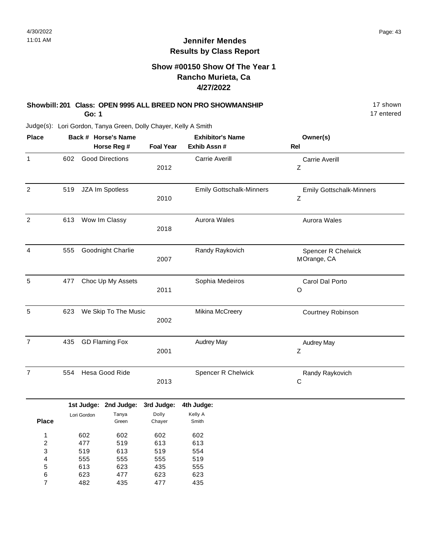## **Show #00150 Show Of The Year 1 Rancho Murieta, Ca 4/27/2022**

#### **Showbill: 201 Class: OPEN 9995 ALL BREED NON PRO SHOWMANSHIP** 17 shown **Go: 1**

17 entered

| <b>Place</b>                                |     |                                 | Back # Horse's Name             |                                 | <b>Exhibitor's Name</b>         | Owner(s)                                       |
|---------------------------------------------|-----|---------------------------------|---------------------------------|---------------------------------|---------------------------------|------------------------------------------------|
|                                             |     |                                 | Horse Reg #                     | <b>Foal Year</b>                | Exhib Assn #                    | Rel                                            |
| 1                                           | 602 |                                 | <b>Good Directions</b>          | 2012                            | <b>Carrie Averill</b>           | <b>Carrie Averill</b><br>Ζ                     |
| $\boldsymbol{2}$                            | 519 |                                 | JZA Im Spotless                 | 2010                            | <b>Emily Gottschalk-Minners</b> | <b>Emily Gottschalk-Minners</b><br>$\mathsf Z$ |
| $\overline{2}$                              | 613 |                                 | Wow Im Classy                   | 2018                            | Aurora Wales                    | Aurora Wales                                   |
| $\overline{4}$                              | 555 |                                 | Goodnight Charlie               | 2007                            | Randy Raykovich                 | Spencer R Chelwick<br>MOrange, CA              |
| 5                                           | 477 |                                 | Choc Up My Assets               | 2011                            | Sophia Medeiros                 | Carol Dal Porto<br>O                           |
| 5                                           | 623 |                                 | We Skip To The Music            | 2002                            | Mikina McCreery                 | Courtney Robinson                              |
| 7                                           | 435 |                                 | <b>GD Flaming Fox</b>           | 2001                            | <b>Audrey May</b>               | <b>Audrey May</b><br>$\mathsf Z$               |
| $\overline{7}$                              | 554 |                                 | Hesa Good Ride                  | 2013                            | Spencer R Chelwick              | Randy Raykovich<br>$\mathsf{C}$                |
|                                             |     |                                 | 1st Judge: 2nd Judge:           | 3rd Judge:                      | 4th Judge:                      |                                                |
| <b>Place</b>                                |     | Lori Gordon                     | Tanya<br>Green                  | Dolly<br>Chayer                 | Kelly A<br>Smith                |                                                |
| 1<br>$\overline{\mathbf{c}}$<br>3<br>4<br>5 |     | 602<br>477<br>519<br>555<br>613 | 602<br>519<br>613<br>555<br>623 | 602<br>613<br>519<br>555<br>435 | 602<br>613<br>554<br>519<br>555 |                                                |
| 6<br>7                                      |     | 623<br>482                      | 477<br>435                      | 623<br>477                      | 623<br>435                      |                                                |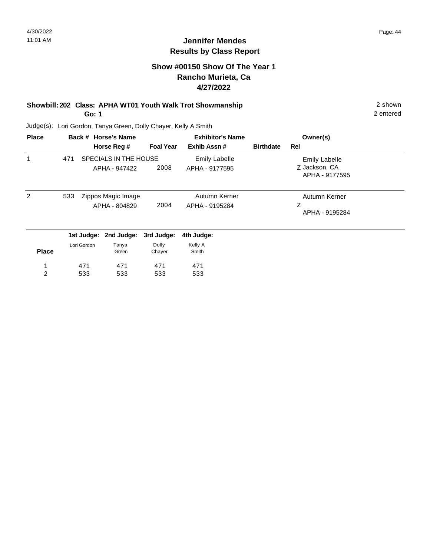2 entered

## **Jennifer Mendes Results by Class Report**

## **Show #00150 Show Of The Year 1 Rancho Murieta, Ca 4/27/2022**

#### **Showbill: 202 Class: APHA WT01 Youth Walk Trot Showmanship** 2 shown **Go: 1**

Judge(s): Lori Gordon, Tanya Green, Dolly Chayer, Kelly A Smith

533

533

533

2

| <b>Place</b> |     |             | Back # Horse's Name                    |                  | <b>Exhibitor's Name</b>                |                  | Owner(s)                                                |  |
|--------------|-----|-------------|----------------------------------------|------------------|----------------------------------------|------------------|---------------------------------------------------------|--|
|              |     |             | Horse Reg #                            | <b>Foal Year</b> | Exhib Assn#                            | <b>Birthdate</b> | Rel                                                     |  |
|              | 471 |             | SPECIALS IN THE HOUSE<br>APHA - 947422 | 2008             | <b>Emily Labelle</b><br>APHA - 9177595 |                  | <b>Emily Labelle</b><br>Z Jackson, CA<br>APHA - 9177595 |  |
| 2            | 533 |             | Zippos Magic Image<br>APHA - 804829    | 2004             | Autumn Kerner<br>APHA - 9195284        |                  | Autumn Kerner<br>Ζ<br>APHA - 9195284                    |  |
|              |     |             | 1st Judge: 2nd Judge:                  | 3rd Judge:       | 4th Judge:                             |                  |                                                         |  |
| <b>Place</b> |     | Lori Gordon | Tanya<br>Green                         | Dolly<br>Chayer  | Kelly A<br>Smith                       |                  |                                                         |  |
|              |     | 471         | 471                                    | 471              | 471                                    |                  |                                                         |  |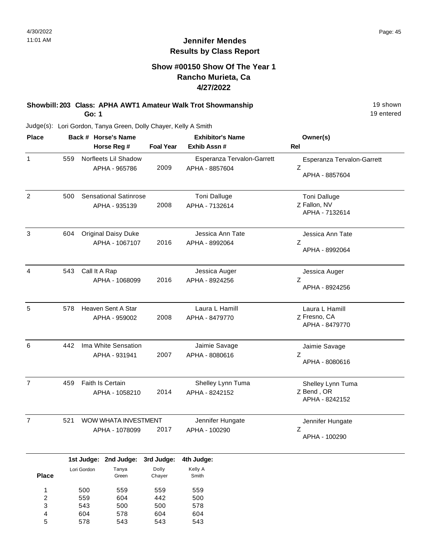#### **Show #00150 Show Of The Year 1 Rancho Murieta, Ca 4/27/2022**

#### **Showbill: 203 Class: APHA AWT1 Amateur Walk Trot Showmanship** 19 Shown 19 shown **Go: 1**

19 entered

Judge(s): Lori Gordon, Tanya Green, Dolly Chayer, Kelly A Smith

604 578

4 5 578 543 604 543

| <b>Place</b>                      |     |                   | Back # Horse's Name                           |                   | <b>Exhibitor's Name</b>                      | Owner(s)                                          |
|-----------------------------------|-----|-------------------|-----------------------------------------------|-------------------|----------------------------------------------|---------------------------------------------------|
|                                   |     |                   | Horse Reg #                                   | <b>Foal Year</b>  | Exhib Assn #                                 | Rel                                               |
| 1                                 | 559 |                   | Norfleets Lil Shadow<br>APHA - 965786         | 2009              | Esperanza Tervalon-Garrett<br>APHA - 8857604 | Esperanza Tervalon-Garrett<br>Z<br>APHA - 8857604 |
| $\overline{2}$                    | 500 |                   | <b>Sensational Satinrose</b><br>APHA - 935139 | 2008              | Toni Dalluge<br>APHA - 7132614               | Toni Dalluge<br>Z Fallon, NV<br>APHA - 7132614    |
| 3                                 | 604 |                   | <b>Original Daisy Duke</b><br>APHA - 1067107  | 2016              | Jessica Ann Tate<br>APHA - 8992064           | Jessica Ann Tate<br>Z<br>APHA - 8992064           |
| 4                                 | 543 | Call It A Rap     | APHA - 1068099                                | 2016              | Jessica Auger<br>APHA - 8924256              | Jessica Auger<br>Z<br>APHA - 8924256              |
| 5                                 | 578 |                   | Heaven Sent A Star<br>APHA - 959002           | 2008              | Laura L Hamill<br>APHA - 8479770             | Laura L Hamill<br>Z Fresno, CA<br>APHA - 8479770  |
| 6                                 | 442 |                   | Ima White Sensation<br>APHA - 931941          | 2007              | Jaimie Savage<br>APHA - 8080616              | Jaimie Savage<br>Ζ<br>APHA - 8080616              |
| $\overline{7}$                    | 459 |                   | Faith Is Certain<br>APHA - 1058210            | 2014              | Shelley Lynn Tuma<br>APHA - 8242152          | Shelley Lynn Tuma<br>Z Bend, OR<br>APHA - 8242152 |
| $\overline{7}$                    | 521 |                   | WOW WHATA INVESTMENT<br>APHA - 1078099        | 2017              | Jennifer Hungate<br>APHA - 100290            | Jennifer Hungate<br>Z<br>APHA - 100290            |
|                                   |     | 1st Judge:        | 2nd Judge:                                    | 3rd Judge:        | 4th Judge:                                   |                                                   |
| <b>Place</b>                      |     | Lori Gordon       | Tanya<br>Green                                | Dolly<br>Chayer   | Kelly A<br>Smith                             |                                                   |
| 1<br>$\overline{\mathbf{c}}$<br>3 |     | 500<br>559<br>543 | 559<br>604<br>500                             | 559<br>442<br>500 | 559<br>500<br>578                            |                                                   |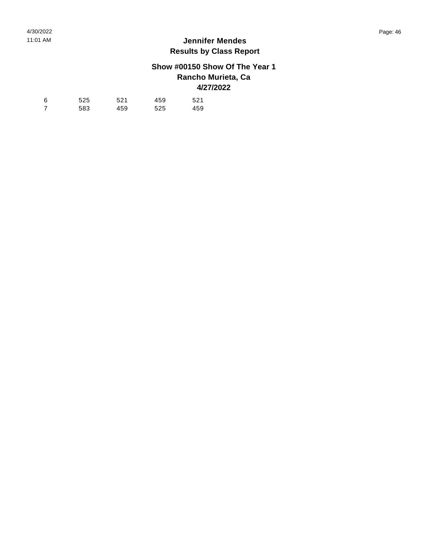## **Show #00150 Show Of The Year 1 Rancho Murieta, Ca 4/27/2022**

| 6 | 525 | 521 | 459 | 521 |
|---|-----|-----|-----|-----|
|   | 583 | 459 | 525 | 459 |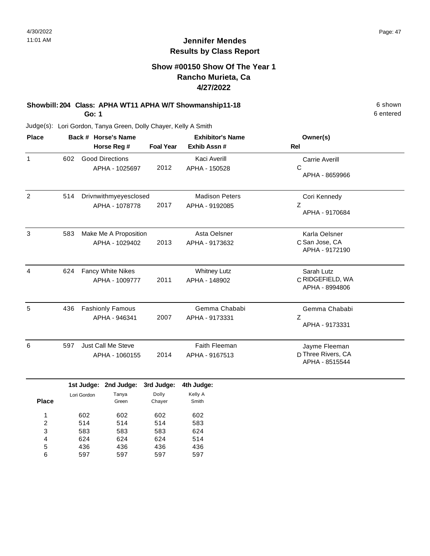#### **Show #00150 Show Of The Year 1 Rancho Murieta, Ca 4/27/2022**

# **Showbill: 204 Class: APHA WT11 APHA W/T Showmanship11-18** 6 shown

**Go: 1**

Judge(s): Lori Gordon, Tanya Green, Dolly Chayer, Kelly A Smith

| <b>Place</b>   |     | Back # Horse's Name                      | <b>Exhibitor's Name</b> |                                         | Owner(s)                                              |
|----------------|-----|------------------------------------------|-------------------------|-----------------------------------------|-------------------------------------------------------|
|                |     | Horse Reg #                              | <b>Foal Year</b>        | Exhib Assn#                             | <b>Rel</b>                                            |
| 1              | 602 | <b>Good Directions</b><br>APHA - 1025697 | 2012                    | Kaci Averill<br>APHA - 150528           | <b>Carrie Averill</b><br>C<br>APHA - 8659966          |
| $\overline{2}$ | 514 | Drivnwithmyeyesclosed<br>APHA - 1078778  | 2017                    | <b>Madison Peters</b><br>APHA - 9192085 | Cori Kennedy<br>Z<br>APHA - 9170684                   |
| 3              | 583 | Make Me A Proposition<br>APHA - 1029402  | 2013                    | Asta Oelsner<br>APHA - 9173632          | Karla Oelsner<br>C San Jose, CA<br>APHA - 9172190     |
| 4              | 624 | Fancy White Nikes<br>APHA - 1009777      | 2011                    | <b>Whitney Lutz</b><br>APHA - 148902    | Sarah Lutz<br>C RIDGEFIELD, WA<br>APHA - 8994806      |
| 5              | 436 | <b>Fashionly Famous</b><br>APHA - 946341 | 2007                    | Gemma Chababi<br>APHA - 9173331         | Gemma Chababi<br>Z<br>APHA - 9173331                  |
| 6              | 597 | Just Call Me Steve<br>APHA - 1060155     | 2014                    | Faith Fleeman<br>APHA - 9167513         | Jayme Fleeman<br>D Three Rivers, CA<br>APHA - 8515544 |

|              |             | 1st Judge: 2nd Judge: 3rd Judge: |        | 4th Judge: |
|--------------|-------------|----------------------------------|--------|------------|
|              | Lori Gordon | Tanya                            | Dolly  | Kelly A    |
| <b>Place</b> |             | Green                            | Chayer | Smith      |
|              | 602         | 602                              | 602    | 602        |
| 2            | 514         | 514                              | 514    | 583        |
| 3            | 583         | 583                              | 583    | 624        |
| 4            | 624         | 624                              | 624    | 514        |
| 5            | 436         | 436                              | 436    | 436        |
| 6            | 597         | 597                              | 597    | 597        |
|              |             |                                  |        |            |

6 entered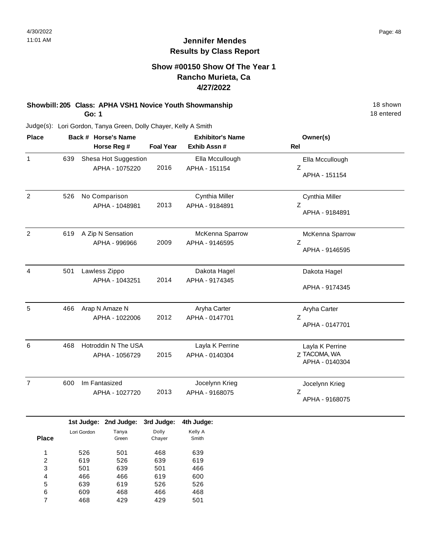### **Show #00150 Show Of The Year 1 Rancho Murieta, Ca 4/27/2022**

#### **Showbill: 205 Class: APHA VSH1 Novice Youth Showmanship** 18 Shown 18 shown **Go: 1**

18 entered

| <b>Place</b>   |     | Back # Horse's Name       |                                        |                               | <b>Exhibitor's Name</b>           | Owner(s)                                          |
|----------------|-----|---------------------------|----------------------------------------|-------------------------------|-----------------------------------|---------------------------------------------------|
|                |     |                           | Horse Reg #                            | <b>Foal Year</b>              | Exhib Assn #                      | <b>Rel</b>                                        |
| 1              | 639 |                           | Shesa Hot Suggestion<br>APHA - 1075220 | 2016                          | Ella Mccullough<br>APHA - 151154  | Ella Mccullough<br>Ζ<br>APHA - 151154             |
| $\overline{2}$ | 526 | No Comparison             | APHA - 1048981                         | 2013                          | Cynthia Miller<br>APHA - 9184891  | Cynthia Miller<br>Ζ<br>APHA - 9184891             |
| 2              | 619 | A Zip N Sensation         | APHA - 996966                          | 2009                          | McKenna Sparrow<br>APHA - 9146595 | McKenna Sparrow<br>Z<br>APHA - 9146595            |
| 4              | 501 | Lawless Zippo             | APHA - 1043251                         | 2014                          | Dakota Hagel<br>APHA - 9174345    | Dakota Hagel<br>APHA - 9174345                    |
| 5              | 466 | Arap N Amaze N            | APHA - 1022006                         | 2012                          | Aryha Carter<br>APHA - 0147701    | Aryha Carter<br>Z<br>APHA - 0147701               |
| 6              | 468 |                           | Hotroddin N The USA<br>APHA - 1056729  | 2015                          | Layla K Perrine<br>APHA - 0140304 | Layla K Perrine<br>Z TACOMA, WA<br>APHA - 0140304 |
| $\overline{7}$ | 600 | Im Fantasized             | APHA - 1027720                         | 2013                          | Jocelynn Krieg<br>APHA - 9168075  | Jocelynn Krieg<br>Ζ<br>APHA - 9168075             |
| <b>Place</b>   |     | 1st Judge:<br>Lori Gordon | 2nd Judge:<br>Tanya<br>Green           | 3rd Judge:<br>Dolly<br>Chayer | 4th Judge:<br>Kelly A<br>Smith    |                                                   |

| 1 | 526 | 501 | 468 | 639 |
|---|-----|-----|-----|-----|
| 2 | 619 | 526 | 639 | 619 |
| 3 | 501 | 639 | 501 | 466 |
| 4 | 466 | 466 | 619 | 600 |
| 5 | 639 | 619 | 526 | 526 |
| 6 | 609 | 468 | 466 | 468 |
| 7 | 468 | 429 | 429 | 501 |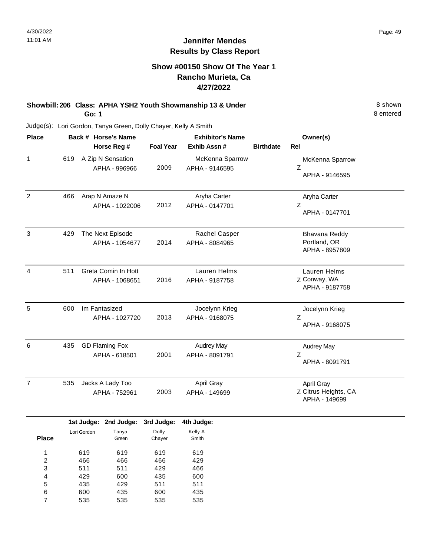## **Show #00150 Show Of The Year 1 Rancho Murieta, Ca 4/27/2022**

#### **Showbill: 206 Class: APHA YSH2 Youth Showmanship 13 & Under** 8 Shown 8 shown **Go: 1**

8 entered

| <b>Place</b>                                                      |     |                                 | Back # Horse's Name                    |                                 | <b>Exhibitor's Name</b>             |                  | Owner(s)                                            |
|-------------------------------------------------------------------|-----|---------------------------------|----------------------------------------|---------------------------------|-------------------------------------|------------------|-----------------------------------------------------|
|                                                                   |     |                                 | Horse Reg #                            | <b>Foal Year</b>                | Exhib Assn #                        | <b>Birthdate</b> | Rel                                                 |
| 1                                                                 | 619 |                                 | A Zip N Sensation<br>APHA - 996966     | 2009                            | McKenna Sparrow<br>APHA - 9146595   |                  | McKenna Sparrow<br>$\mathsf Z$<br>APHA - 9146595    |
| $\overline{2}$                                                    | 466 |                                 | Arap N Amaze N<br>APHA - 1022006       | 2012                            | Aryha Carter<br>APHA - 0147701      |                  | Aryha Carter<br>Z<br>APHA - 0147701                 |
| 3                                                                 | 429 |                                 | The Next Episode<br>APHA - 1054677     | 2014                            | Rachel Casper<br>APHA - 8084965     |                  | Bhavana Reddy<br>Portland, OR<br>APHA - 8957809     |
| 4                                                                 | 511 |                                 | Greta Comin In Hott<br>APHA - 1068651  | 2016                            | Lauren Helms<br>APHA - 9187758      |                  | Lauren Helms<br>Z Conway, WA<br>APHA - 9187758      |
| 5                                                                 | 600 |                                 | Im Fantasized<br>APHA - 1027720        | 2013                            | Jocelynn Krieg<br>APHA - 9168075    |                  | Jocelynn Krieg<br>Ζ<br>APHA - 9168075               |
| 6                                                                 | 435 |                                 | <b>GD Flaming Fox</b><br>APHA - 618501 | 2001                            | <b>Audrey May</b><br>APHA - 8091791 |                  | <b>Audrey May</b><br>Ζ<br>APHA - 8091791            |
| $\overline{7}$                                                    | 535 |                                 | Jacks A Lady Too<br>APHA - 752961      | 2003                            | April Gray<br>APHA - 149699         |                  | April Gray<br>Z Citrus Heights, CA<br>APHA - 149699 |
|                                                                   |     | 1st Judge:                      | 2nd Judge:                             | 3rd Judge:                      | 4th Judge:                          |                  |                                                     |
| <b>Place</b>                                                      |     | Lori Gordon                     | Tanya<br>Green                         | Dolly<br>Chayer                 | Kelly A<br>Smith                    |                  |                                                     |
| 1<br>$\overline{\mathbf{c}}$<br>3<br>$\overline{\mathbf{r}}$<br>5 |     | 619<br>466<br>511<br>429<br>435 | 619<br>466<br>511<br>600<br>429        | 619<br>466<br>429<br>435<br>511 | 619<br>429<br>466<br>600<br>511     |                  |                                                     |
| 6<br>$\overline{7}$                                               |     | 600<br>535                      | 435<br>535                             | 600<br>535                      | 435<br>535                          |                  |                                                     |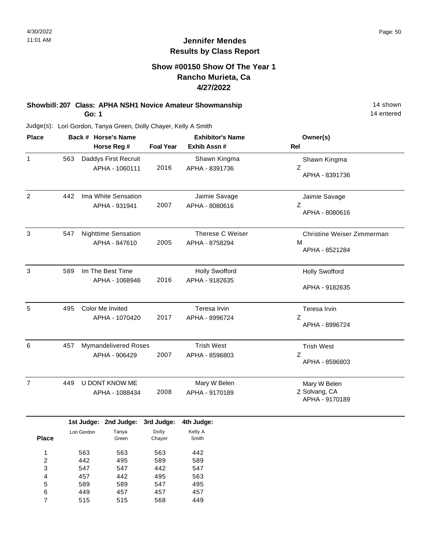#### **Show #00150 Show Of The Year 1 Rancho Murieta, Ca 4/27/2022**

#### **Showbill: 207 Class: APHA NSH1 Novice Amateur Showmanship** 14 shown 14 shown **Go: 1**

14 entered

Judge(s): Lori Gordon, Tanya Green, Dolly Chayer, Kelly A Smith

| <b>Place</b>   |     |             | Back # Horse's Name        |                  | <b>Exhibitor's Name</b> | Owner(s)                   |
|----------------|-----|-------------|----------------------------|------------------|-------------------------|----------------------------|
|                |     |             | Horse Reg #                | <b>Foal Year</b> | Exhib Assn #            | <b>Rel</b>                 |
| 1              | 563 |             | Daddys First Recruit       |                  | Shawn Kingma            | Shawn Kingma               |
|                |     |             | APHA - 1060111             | 2016             | APHA - 8391736          | Z                          |
|                |     |             |                            |                  |                         | APHA - 8391736             |
| $\overline{2}$ | 442 |             | Ima White Sensation        |                  | Jaimie Savage           | Jaimie Savage              |
|                |     |             | APHA - 931941              | 2007             | APHA - 8080616          | Z                          |
|                |     |             |                            |                  |                         | APHA - 8080616             |
| 3              | 547 |             | <b>Nighttime Sensation</b> |                  | Therese C Weiser        | Christine Weiser Zimmerman |
|                |     |             | APHA - 847610              | 2005             | APHA - 8758294          | м                          |
|                |     |             |                            |                  |                         | APHA - 8521284             |
| $\mathbf{3}$   | 589 |             | Im The Best Time           |                  | <b>Holly Swofford</b>   | <b>Holly Swofford</b>      |
|                |     |             | APHA - 1068946             | 2016             | APHA - 9182635          |                            |
|                |     |             |                            |                  |                         | APHA - 9182635             |
| 5              | 495 |             | Color Me Invited           |                  | Teresa Irvin            | Teresa Irvin               |
|                |     |             | APHA - 1070420             | 2017             | APHA - 8996724          | Z                          |
|                |     |             |                            |                  |                         | APHA - 8996724             |
| 6              | 457 |             | Mymandelivered Roses       |                  | <b>Trish West</b>       | <b>Trish West</b>          |
|                |     |             | APHA - 906429              | 2007             | APHA - 8596803          | Ζ                          |
|                |     |             |                            |                  |                         | APHA - 8596803             |
| $\overline{7}$ | 449 |             | U DONT KNOW ME             |                  | Mary W Belen            | Mary W Belen               |
|                |     |             | APHA - 1088434             | 2008             | APHA - 9170189          | Z Solvang, CA              |
|                |     |             |                            |                  |                         | APHA - 9170189             |
|                |     | 1st Judge:  | 2nd Judge:                 | 3rd Judge:       | 4th Judge:              |                            |
|                |     | Lori Gordon | Tanya                      | Dolly            | Kelly A                 |                            |
| <b>Place</b>   |     |             | Green                      | Chayer           | Smith                   |                            |
| 1              |     | 563         | 563                        | 563              | 442                     |                            |
| $\overline{2}$ |     | 442         | 495                        | 589              | 589                     |                            |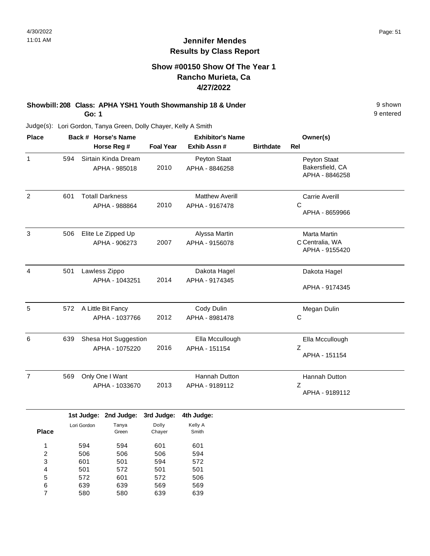## **Show #00150 Show Of The Year 1 Rancho Murieta, Ca 4/27/2022**

#### **Showbill: 208 Class: APHA YSH1 Youth Showmanship 18 & Under** 9 shown **Go: 1**

9 entered

| <b>Place</b>   |     | Back # Horse's Name                     |                  | <b>Exhibitor's Name</b>                  |                  | Owner(s)                                          |
|----------------|-----|-----------------------------------------|------------------|------------------------------------------|------------------|---------------------------------------------------|
|                |     | Horse Reg #                             | <b>Foal Year</b> | Exhib Assn #                             | <b>Birthdate</b> | <b>Rel</b>                                        |
| $\mathbf{1}$   | 594 | Sirtain Kinda Dream<br>APHA - 985018    | 2010             | Peyton Staat<br>APHA - 8846258           |                  | Peyton Staat<br>Bakersfield, CA<br>APHA - 8846258 |
| $\overline{2}$ | 601 | <b>Totall Darkness</b><br>APHA - 988864 | 2010             | <b>Matthew Averill</b><br>APHA - 9167478 |                  | <b>Carrie Averill</b><br>С<br>APHA - 8659966      |
| 3              | 506 | Elite Le Zipped Up<br>APHA - 906273     | 2007             | Alyssa Martin<br>APHA - 9156078          |                  | Marta Martin<br>C Centralia, WA<br>APHA - 9155420 |
| $\overline{4}$ | 501 | Lawless Zippo<br>APHA - 1043251         | 2014             | Dakota Hagel<br>APHA - 9174345           |                  | Dakota Hagel<br>APHA - 9174345                    |
| 5              | 572 | A Little Bit Fancy<br>APHA - 1037766    | 2012             | Cody Dulin<br>APHA - 8981478             |                  | Megan Dulin<br>С                                  |
| 6              | 639 | Shesa Hot Suggestion<br>APHA - 1075220  | 2016             | Ella Mccullough<br>APHA - 151154         |                  | Ella Mccullough<br>Z<br>APHA - 151154             |
| $\overline{7}$ | 569 | Only One I Want<br>APHA - 1033670       | 2013             | <b>Hannah Dutton</b><br>APHA - 9189112   |                  | Hannah Dutton<br>Z<br>APHA - 9189112              |
|                |     |                                         |                  |                                          |                  |                                                   |

|              |             | 1st Judge: 2nd Judge: | 3rd Judge: | 4th Judge: |
|--------------|-------------|-----------------------|------------|------------|
|              | Lori Gordon | Tanya                 | Dolly      | Kelly A    |
| <b>Place</b> |             | Green                 | Chayer     | Smith      |
| 1            | 594         | 594                   |            |            |
|              |             |                       | 601        | 601        |
| 2            | 506         | 506                   | 506        | 594        |
| 3            | 601         | 501                   | 594        | 572        |
| 4            | 501         | 572                   | 501        | 501        |
| 5            | 572         | 601                   | 572        | 506        |
| 6            | 639         | 639                   | 569        | 569        |
|              | 580         | 580                   | 639        | 639        |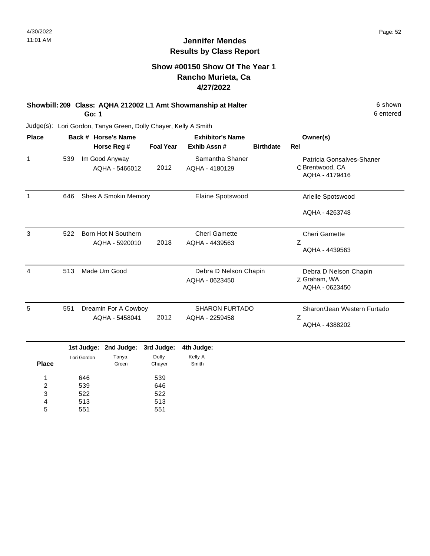#### **Show #00150 Show Of The Year 1 Rancho Murieta, Ca 4/27/2022**

**Showbill: 209 Class: AQHA 212002 L1 Amt Showmanship at Halter** 6 shown **Go: 1**

6 entered

Judge(s): Lori Gordon, Tanya Green, Dolly Chayer, Kelly A Smith

| <b>Place</b> | Back # Horse's Name |             |                                  |                  | <b>Exhibitor's Name</b>           | Owner(s)         |                                                                |
|--------------|---------------------|-------------|----------------------------------|------------------|-----------------------------------|------------------|----------------------------------------------------------------|
|              |                     |             | Horse Reg #                      | <b>Foal Year</b> | Exhib Assn#                       | <b>Birthdate</b> | <b>Rel</b>                                                     |
| $\mathbf{1}$ | 539                 |             | Im Good Anyway<br>AQHA - 5466012 | 2012             | Samantha Shaner<br>AQHA - 4180129 |                  | Patricia Gonsalves-Shaner<br>C Brentwood, CA<br>AQHA - 4179416 |
| $\mathbf{1}$ | 646                 |             | <b>Shes A Smokin Memory</b>      |                  | Elaine Spotswood                  |                  | Arielle Spotswood                                              |
|              |                     |             |                                  |                  |                                   |                  | AQHA - 4263748                                                 |
| 3            | 522                 |             | Born Hot N Southern              |                  | <b>Cheri Gamette</b>              |                  | <b>Cheri Gamette</b>                                           |
|              |                     |             | AQHA - 5920010                   | 2018             | AQHA - 4439563                    |                  | Z<br>AQHA - 4439563                                            |
| 4            | 513                 |             | Made Um Good                     |                  | Debra D Nelson Chapin             |                  | Debra D Nelson Chapin                                          |
|              |                     |             |                                  |                  | AQHA - 0623450                    |                  | Z Graham, WA<br>AQHA - 0623450                                 |
| 5            | 551                 |             | Dreamin For A Cowboy             |                  | <b>SHARON FURTADO</b>             |                  | Sharon/Jean Western Furtado                                    |
|              |                     |             | AQHA - 5458041                   | 2012             | AQHA - 2259458                    |                  | Z<br>AQHA - 4388202                                            |
|              |                     | 1st Judge:  | 2nd Judge:                       | 3rd Judge:       | 4th Judge:                        |                  |                                                                |
| <b>Place</b> |                     | Lori Gordon | Tanya<br>Green                   | Dolly<br>Chayer  | Kelly A<br>Smith                  |                  |                                                                |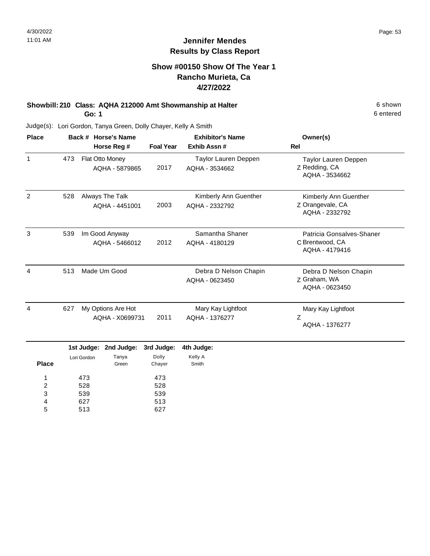## **Show #00150 Show Of The Year 1 Rancho Murieta, Ca 4/27/2022**

# **Showbill: 210 Class: AQHA 212000 Amt Showmanship at Halter** 6 shown

**Go: 1**

Judge(s): Lori Gordon, Tanya Green, Dolly Chayer, Kelly A Smith

| <b>Place</b> |     | Back # Horse's Name                   | <b>Exhibitor's Name</b> |                                         | Owner(s)                                                       |
|--------------|-----|---------------------------------------|-------------------------|-----------------------------------------|----------------------------------------------------------------|
|              |     | Horse Reg #                           | <b>Foal Year</b>        | Exhib Assn#                             | Rel                                                            |
| 1            | 473 | Flat Otto Money<br>AQHA - 5879865     | 2017                    | Taylor Lauren Deppen<br>AQHA - 3534662  | Taylor Lauren Deppen<br>Z Redding, CA<br>AQHA - 3534662        |
| 2            | 528 | Always The Talk<br>AQHA - 4451001     | 2003                    | Kimberly Ann Guenther<br>AQHA - 2332792 | Kimberly Ann Guenther<br>Z Orangevale, CA<br>AQHA - 2332792    |
| 3            | 539 | Im Good Anyway<br>AQHA - 5466012      | 2012                    | Samantha Shaner<br>AQHA - 4180129       | Patricia Gonsalves-Shaner<br>C Brentwood, CA<br>AQHA - 4179416 |
| 4            | 513 | Made Um Good                          |                         | Debra D Nelson Chapin<br>AQHA - 0623450 | Debra D Nelson Chapin<br>Z Graham, WA<br>AQHA - 0623450        |
| 4            | 627 | My Options Are Hot<br>AQHA - X0699731 | 2011                    | Mary Kay Lightfoot<br>AQHA - 1376277    | Mary Kay Lightfoot<br>Z<br>AQHA - 1376277                      |

|             |       |       | 4th Judge:                                 |
|-------------|-------|-------|--------------------------------------------|
| Lori Gordon | Tanya | Dolly | Kelly A                                    |
|             |       |       | Smith                                      |
| 473         |       | 473   |                                            |
| 528         |       | 528   |                                            |
| 539         |       | 539   |                                            |
| 627         |       | 513   |                                            |
| 513         |       | 627   |                                            |
|             |       | Green | 1st Judge: 2nd Judge: 3rd Judge:<br>Chayer |

6 entered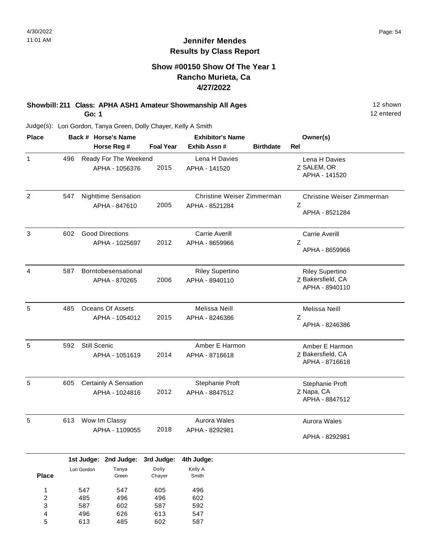#### **Show #00150 Show Of The Year 1 Rancho Murieta, Ca 4/27/2022**

#### **Showbill: 211 Class: APHA ASH1 Amateur Showmanship All Ages** 12 shown **Go: 1**

12 entered

| <b>Place</b>            |     |                     | Back # Horse's Name     |                  | <b>Exhibitor's Name</b>    |                  | Owner(s)                            |
|-------------------------|-----|---------------------|-------------------------|------------------|----------------------------|------------------|-------------------------------------|
|                         |     |                     | Horse Reg #             | <b>Foal Year</b> | Exhib Assn #               | <b>Birthdate</b> | Rel                                 |
| $\mathbf{1}$            | 496 |                     | Ready For The Weekend   |                  | Lena H Davies              |                  | Lena H Davies                       |
|                         |     |                     | APHA - 1056376          | 2015             | APHA - 141520              |                  | Z SALEM, OR                         |
|                         |     |                     |                         |                  |                            |                  | APHA - 141520                       |
| $\overline{2}$          | 547 |                     | Nighttime Sensation     |                  | Christine Weiser Zimmerman |                  | Christine Weiser Zimmerman          |
|                         |     |                     | APHA - 847610           | 2005             | APHA - 8521284             |                  | Z                                   |
|                         |     |                     |                         |                  |                            |                  | APHA - 8521284                      |
| $\sqrt{3}$              | 602 |                     | <b>Good Directions</b>  |                  | Carrie Averill             |                  | <b>Carrie Averill</b>               |
|                         |     |                     | APHA - 1025697          | 2012             | APHA - 8659966             |                  | Z                                   |
|                         |     |                     |                         |                  |                            |                  | APHA - 8659966                      |
| $\overline{4}$          | 587 |                     | Borntobesensational     |                  | <b>Riley Supertino</b>     |                  | <b>Riley Supertino</b>              |
|                         |     |                     | APHA - 870265           | 2006             | APHA - 8940110             |                  | Z Bakersfield, CA                   |
|                         |     |                     |                         |                  |                            |                  | APHA - 8940110                      |
| $\sqrt{5}$              | 485 |                     | <b>Oceans Of Assets</b> |                  | Melissa Neill              |                  | Melissa Neill                       |
|                         |     |                     | APHA - 1054012          | 2015             | APHA - 8246386             |                  | Ζ                                   |
|                         |     |                     |                         |                  |                            |                  | APHA - 8246386                      |
| $\sqrt{5}$              | 592 | <b>Still Scenic</b> |                         |                  | Amber E Harmon             |                  | Amber E Harmon                      |
|                         |     |                     | APHA - 1051619          | 2014             | APHA - 8716618             |                  | Z Bakersfield, CA<br>APHA - 8716618 |
|                         |     |                     |                         |                  |                            |                  |                                     |
| 5                       | 605 |                     | Certainly A Sensation   |                  | Stephanie Proft            |                  | Stephanie Proft                     |
|                         |     |                     | APHA - 1024816          | 2012             | APHA - 8847512             |                  | Z Napa, CA<br>APHA - 8847512        |
|                         |     |                     |                         |                  |                            |                  |                                     |
| 5                       | 613 |                     | Wow Im Classy           |                  | Aurora Wales               |                  | Aurora Wales                        |
|                         |     |                     | APHA - 1109055          | 2018             | APHA - 8292981             |                  | APHA - 8292981                      |
|                         |     |                     |                         |                  |                            |                  |                                     |
|                         |     | 1st Judge:          | 2nd Judge:              | 3rd Judge:       | 4th Judge:                 |                  |                                     |
| <b>Place</b>            |     | Lori Gordon         | Tanya<br>Green          | Dolly<br>Chayer  | Kelly A<br>Smith           |                  |                                     |
| $\mathbf{1}$            |     | 547                 | 547                     | 605              | 496                        |                  |                                     |
| $\overline{\mathbf{c}}$ |     | 485                 | 496                     | 496              | 602                        |                  |                                     |
| 3                       |     | 587                 | 602                     | 587              | 592                        |                  |                                     |
| 4<br>5                  |     | 496<br>613          | 626<br>485              | 613<br>602       | 547<br>587                 |                  |                                     |
|                         |     |                     |                         |                  |                            |                  |                                     |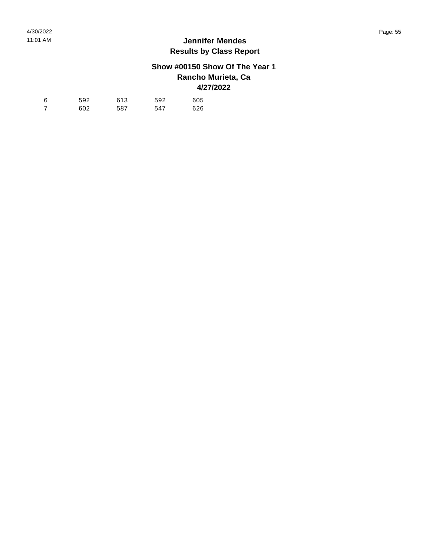## **Show #00150 Show Of The Year 1 Rancho Murieta, Ca 4/27/2022**

| -6 | 592 | 613 | 592 | 605 |
|----|-----|-----|-----|-----|
|    | 602 | 587 | 547 | 626 |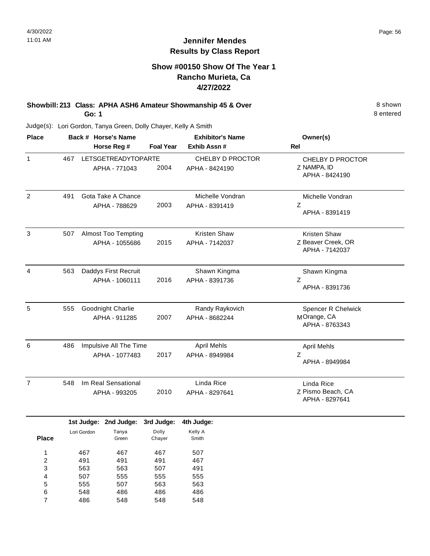## **Show #00150 Show Of The Year 1 Rancho Murieta, Ca 4/27/2022**

#### **Showbill: 213 Class: APHA ASH6 Amateur Showmanship 45 & Over** 8 Shown 8 shown **Go: 1**

8 entered

| <b>Place</b>            |     |             | Back # Horse's Name        |                  | <b>Exhibitor's Name</b> | Owner(s)                            |
|-------------------------|-----|-------------|----------------------------|------------------|-------------------------|-------------------------------------|
|                         |     |             | Horse Reg #                | <b>Foal Year</b> | Exhib Assn #            | Rel                                 |
| $\mathbf{1}$            | 467 |             | <b>LETSGETREADYTOPARTE</b> |                  | <b>CHELBY D PROCTOR</b> | CHELBY D PROCTOR                    |
|                         |     |             | APHA - 771043              | 2004             | APHA - 8424190          | Z NAMPA, ID                         |
|                         |     |             |                            |                  |                         | APHA - 8424190                      |
| 2                       | 491 |             | Gota Take A Chance         |                  | Michelle Vondran        | Michelle Vondran                    |
|                         |     |             | APHA - 788629              | 2003             | APHA - 8391419          | Ζ<br>APHA - 8391419                 |
| 3                       | 507 |             | <b>Almost Too Tempting</b> |                  | Kristen Shaw            | Kristen Shaw                        |
|                         |     |             | APHA - 1055686             | 2015             | APHA - 7142037          | Z Beaver Creek, OR                  |
|                         |     |             |                            |                  |                         | APHA - 7142037                      |
| 4                       | 563 |             | Daddys First Recruit       |                  | Shawn Kingma            | Shawn Kingma                        |
|                         |     |             | APHA - 1060111             | 2016             | APHA - 8391736          | Ζ                                   |
|                         |     |             |                            |                  |                         | APHA - 8391736                      |
| 5                       | 555 |             | Goodnight Charlie          |                  | Randy Raykovich         | <b>Spencer R Chelwick</b>           |
|                         |     |             | APHA - 911285              | 2007             | APHA - 8682244          | MOrange, CA                         |
|                         |     |             |                            |                  |                         | APHA - 8763343                      |
| 6                       | 486 |             | Impulsive All The Time     |                  | <b>April Mehls</b>      | <b>April Mehls</b>                  |
|                         |     |             | APHA - 1077483             | 2017             | APHA - 8949984          | Z                                   |
|                         |     |             |                            |                  |                         | APHA - 8949984                      |
| $\overline{7}$          | 548 |             | Im Real Sensational        |                  | Linda Rice              | Linda Rice                          |
|                         |     |             | APHA - 993205              | 2010             | APHA - 8297641          | Z Pismo Beach, CA<br>APHA - 8297641 |
|                         |     | 1st Judge:  | 2nd Judge:                 | 3rd Judge:       | 4th Judge:              |                                     |
|                         |     | Lori Gordon | Tanya                      | Dolly            | Kelly A                 |                                     |
| <b>Place</b>            |     |             | Green                      | Chayer           | Smith                   |                                     |
| $\mathbf{1}$            |     | 467         | 467                        | 467              | 507                     |                                     |
| $\overline{\mathbf{c}}$ |     | 491         | 491                        | 491              | 467                     |                                     |
| 3                       |     | 563         | 563                        | 507              | 491                     |                                     |
| 4                       |     | 507<br>555  | 555<br>507                 | 555<br>563       | 555<br>563              |                                     |
| 5<br>6                  |     | 548         | 486                        | 486              | 486                     |                                     |
| $\overline{7}$          |     | 486         | 548                        | 548              | 548                     |                                     |
|                         |     |             |                            |                  |                         |                                     |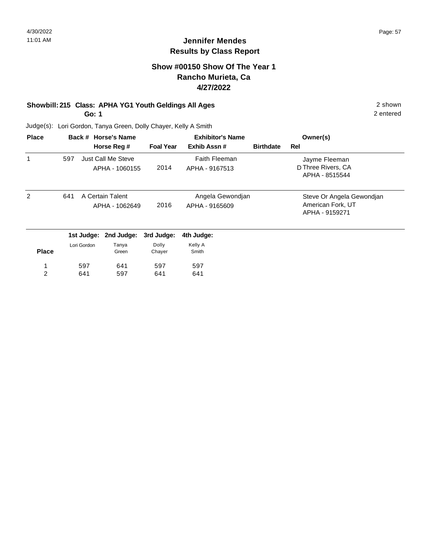2 entered

## **Jennifer Mendes Results by Class Report**

## **Show #00150 Show Of The Year 1 Rancho Murieta, Ca 4/27/2022**

# **Showbill: 215 Class: APHA YG1 Youth Geldings All Ages** 2 shown

**Go: 1**

641

2

Judge(s): Lori Gordon, Tanya Green, Dolly Chayer, Kelly A Smith

597

641

| <b>Place</b> |     |             | Back # Horse's Name                         | <b>Exhibitor's Name</b> |                                        |                  | Owner(s)                                                         |
|--------------|-----|-------------|---------------------------------------------|-------------------------|----------------------------------------|------------------|------------------------------------------------------------------|
|              |     |             | Horse Reg #                                 | <b>Foal Year</b>        | Exhib Assn#                            | <b>Birthdate</b> | Rel                                                              |
| 1            | 597 |             | <b>Just Call Me Steve</b><br>APHA - 1060155 | 2014                    | <b>Faith Fleeman</b><br>APHA - 9167513 |                  | Jayme Fleeman<br>D Three Rivers, CA<br>APHA - 8515544            |
| 2            | 641 |             | A Certain Talent<br>APHA - 1062649          | 2016                    | Angela Gewondjan<br>APHA - 9165609     |                  | Steve Or Angela Gewondjan<br>American Fork, UT<br>APHA - 9159271 |
|              |     | 1st Judge:  | 2nd Judge:                                  | 3rd Judge:              | 4th Judge:                             |                  |                                                                  |
| <b>Place</b> |     | Lori Gordon | Tanya<br>Green                              | Dolly<br>Chayer         | Kelly A<br>Smith                       |                  |                                                                  |
|              |     | 597         | 641                                         | 597                     | 597                                    |                  |                                                                  |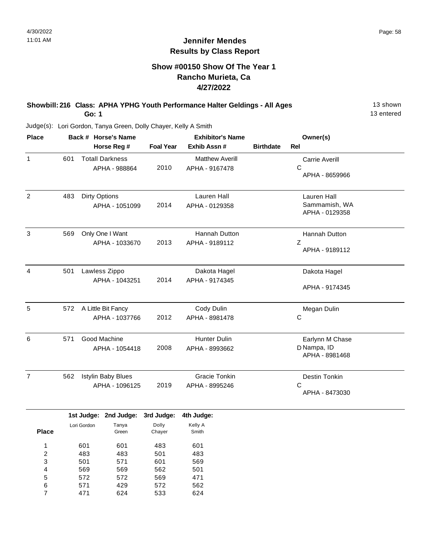## **Show #00150 Show Of The Year 1 Rancho Murieta, Ca 4/27/2022**

#### **Showbill: 216 Class: APHA YPHG Youth Performance Halter Geldings - All Ages** 13 shown **Go: 1**

13 entered

| <b>Place</b>   | Back # Horse's Name |                                                          |                  | <b>Exhibitor's Name</b>                  |                  | Owner(s)                                         |
|----------------|---------------------|----------------------------------------------------------|------------------|------------------------------------------|------------------|--------------------------------------------------|
|                |                     | Horse Reg #                                              | <b>Foal Year</b> | Exhib Assn #                             | <b>Birthdate</b> | <b>Rel</b>                                       |
| $\mathbf{1}$   | 601                 | <b>Totall Darkness</b><br>APHA - 988864                  | 2010             | <b>Matthew Averill</b><br>APHA - 9167478 |                  | Carrie Averill<br>С<br>APHA - 8659966            |
| 2              | 483                 | <b>Dirty Options</b><br>APHA - 1051099                   | 2014             | Lauren Hall<br>APHA - 0129358            |                  | Lauren Hall<br>Sammamish, WA<br>APHA - 0129358   |
| 3              | 569                 | Only One I Want<br>APHA - 1033670                        | 2013             | Hannah Dutton<br>APHA - 9189112          |                  | Hannah Dutton<br>Z<br>APHA - 9189112             |
| $\overline{4}$ | 501                 | Lawless Zippo<br>APHA - 1043251                          | 2014             | Dakota Hagel<br>APHA - 9174345           |                  | Dakota Hagel<br>APHA - 9174345                   |
| 5              | 572                 | A Little Bit Fancy<br>APHA - 1037766                     | 2012             | Cody Dulin<br>APHA - 8981478             |                  | Megan Dulin<br>С                                 |
| 6              | 571                 | Good Machine<br>APHA - 1054418                           | 2008             | <b>Hunter Dulin</b><br>APHA - 8993662    |                  | Earlynn M Chase<br>D Nampa, ID<br>APHA - 8981468 |
| $\overline{7}$ | 562                 | <b>Istylin Baby Blues</b><br>APHA - 1096125              | 2019             | <b>Gracie Tonkin</b><br>APHA - 8995246   |                  | Destin Tonkin<br>C<br>APHA - 8473030             |
|                |                     | ويعاودوا المسترقي والمساويدا المسترقي والمساويدا والمساه |                  | Arthur Bandelbar                         |                  |                                                  |

|              |             | 1st Judge: 2nd Judge: | 3rd Judge: | 4th Judge: |
|--------------|-------------|-----------------------|------------|------------|
|              | Lori Gordon | Tanya                 | Dolly      | Kelly A    |
| <b>Place</b> |             | Green                 | Chayer     | Smith      |
| 1            |             |                       |            |            |
|              | 601         | 601                   | 483        | 601        |
| 2            | 483         | 483                   | 501        | 483        |
| 3            | 501         | 571                   | 601        | 569        |
| 4            | 569         | 569                   | 562        | 501        |
| 5            | 572         | 572                   | 569        | 471        |
| 6            | 571         | 429                   | 572        | 562        |
|              | 471         | 624                   | 533        | 624        |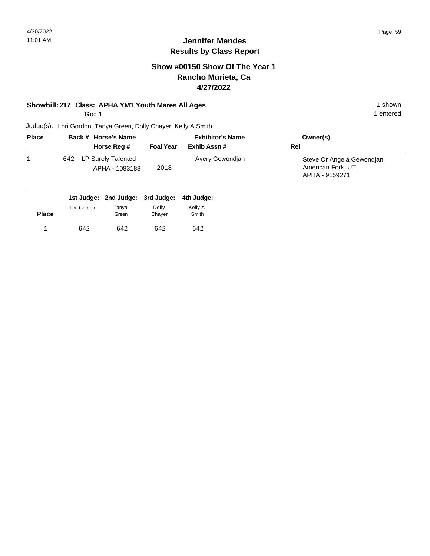### **Show #00150 Show Of The Year 1 Rancho Murieta, Ca 4/27/2022**

## **Showbill: 217 Class: APHA YM1 Youth Mares All Ages** 1 shown 1 shown

**Go: 1**

1 entered

| <b>Place</b> |     | Back # Horse's Name                  |                  | <b>Exhibitor's Name</b> | Owner(s)                                                         |
|--------------|-----|--------------------------------------|------------------|-------------------------|------------------------------------------------------------------|
|              |     | Horse Reg #                          | <b>Foal Year</b> | Exhib Assn#             | Rel                                                              |
|              | 642 | LP Surely Talented<br>APHA - 1083188 | 2018             | Avery Gewondjan         | Steve Or Angela Gewondjan<br>American Fork, UT<br>APHA - 9159271 |

|              |             |       | 1st Judge: 2nd Judge: 3rd Judge: 4th Judge: |         |
|--------------|-------------|-------|---------------------------------------------|---------|
|              | Lori Gordon | Tanya | Dolly                                       | Kelly A |
| <b>Place</b> |             | Green | Chaver                                      | Smith   |
|              | 642         | 642   | 642                                         | 642     |
|              |             |       |                                             |         |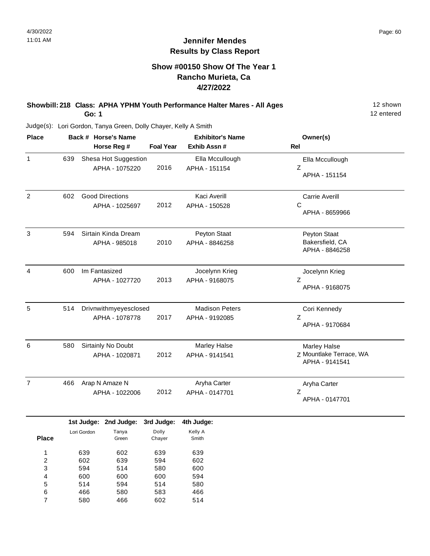#### **Show #00150 Show Of The Year 1 Rancho Murieta, Ca 4/27/2022**

#### **Showbill: 218 Class: APHA YPHM Youth Performance Halter Mares - All Ages** 12 shown **Go: 1**

12 entered

Judge(s): Lori Gordon, Tanya Green, Dolly Chayer, Kelly A Smith

| <b>Place</b>   |                         |     |             | Back # Horse's Name                      |                  | <b>Exhibitor's Name</b>                 | Owner(s)                                                         |
|----------------|-------------------------|-----|-------------|------------------------------------------|------------------|-----------------------------------------|------------------------------------------------------------------|
|                |                         |     |             | Horse Reg #                              | <b>Foal Year</b> | Exhib Assn#                             | Rel                                                              |
| 1              |                         | 639 |             | Shesa Hot Suggestion<br>APHA - 1075220   | 2016             | Ella Mccullough<br>APHA - 151154        | Ella Mccullough<br>Ζ<br>APHA - 151154                            |
| $\overline{c}$ |                         | 602 |             | <b>Good Directions</b><br>APHA - 1025697 | 2012             | Kaci Averill<br>APHA - 150528           | <b>Carrie Averill</b><br>C<br>APHA - 8659966                     |
| $\sqrt{3}$     |                         | 594 |             | Sirtain Kinda Dream<br>APHA - 985018     | 2010             | Peyton Staat<br>APHA - 8846258          | Peyton Staat<br>Bakersfield, CA<br>APHA - 8846258                |
| $\overline{4}$ |                         | 600 |             | Im Fantasized<br>APHA - 1027720          | 2013             | Jocelynn Krieg<br>APHA - 9168075        | Jocelynn Krieg<br>Z<br>APHA - 9168075                            |
| 5              |                         | 514 |             | Drivnwithmyeyesclosed<br>APHA - 1078778  | 2017             | <b>Madison Peters</b><br>APHA - 9192085 | Cori Kennedy<br>Z<br>APHA - 9170684                              |
| 6              |                         | 580 |             | Sirtainly No Doubt<br>APHA - 1020871     | 2012             | Marley Halse<br>APHA - 9141541          | <b>Marley Halse</b><br>Z Mountlake Terrace, WA<br>APHA - 9141541 |
| $\overline{7}$ |                         | 466 |             | Arap N Amaze N<br>APHA - 1022006         | 2012             | Aryha Carter<br>APHA - 0147701          | Aryha Carter<br>Z<br>APHA - 0147701                              |
|                |                         |     | 1st Judge:  | 2nd Judge:                               | 3rd Judge:       | 4th Judge:                              |                                                                  |
|                | <b>Place</b>            |     | Lori Gordon | Tanya<br>Green                           | Dolly<br>Chayer  | Kelly A<br>Smith                        |                                                                  |
|                | $\mathbf{1}$            |     | 639         | 602                                      | 639              | 639                                     |                                                                  |
|                | $\overline{\mathbf{c}}$ |     | 602         | 639                                      | 594              | 602                                     |                                                                  |
|                | 3                       |     | 594         | 514                                      | 580              | 600                                     |                                                                  |
|                | 4                       |     | 600         | 600                                      | 600              | 594                                     |                                                                  |
|                | 5                       |     | 514         | 594                                      | 514              | 580                                     |                                                                  |
|                | 6                       |     | 466         | 580                                      | 583              | 466                                     |                                                                  |
|                | $\overline{7}$          |     | 580         | 466                                      | 602              | 514                                     |                                                                  |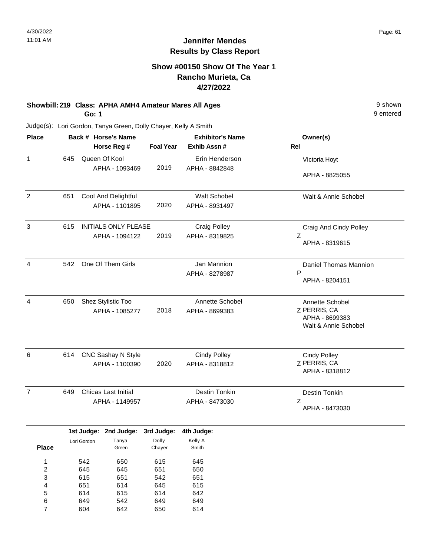## **Show #00150 Show Of The Year 1 Rancho Murieta, Ca 4/27/2022**

#### **Showbill: 219 Class: APHA AMH4 Amateur Mares All Ages** 9 shown **Go: 1**

9 entered

| <b>Place</b>            |     |             | Back # Horse's Name         |                  | <b>Exhibitor's Name</b> | Owner(s)                               |
|-------------------------|-----|-------------|-----------------------------|------------------|-------------------------|----------------------------------------|
|                         |     |             | Horse Reg #                 | <b>Foal Year</b> | Exhib Assn#             | Rel                                    |
| $\mathbf{1}$            | 645 |             | Queen Of Kool               |                  | Erin Henderson          | Vlctoria Hoyt                          |
|                         |     |             | APHA - 1093469              | 2019             | APHA - 8842848          |                                        |
|                         |     |             |                             |                  |                         | APHA - 8825055                         |
| 2                       | 651 |             | Cool And Delightful         |                  | Walt Schobel            | Walt & Annie Schobel                   |
|                         |     |             | APHA - 1101895              | 2020             | APHA - 8931497          |                                        |
| 3                       | 615 |             | <b>INITIALS ONLY PLEASE</b> |                  | <b>Craig Polley</b>     | Craig And Cindy Polley                 |
|                         |     |             | APHA - 1094122              | 2019             | APHA - 8319825          | Ζ                                      |
|                         |     |             |                             |                  |                         | APHA - 8319615                         |
| 4                       | 542 |             | One Of Them Girls           |                  | Jan Mannion             | Daniel Thomas Mannion                  |
|                         |     |             |                             |                  | APHA - 8278987          | P                                      |
|                         |     |             |                             |                  |                         | APHA - 8204151                         |
| 4                       | 650 |             | Shez Stylistic Too          |                  | Annette Schobel         | Annette Schobel                        |
|                         |     |             | APHA - 1085277              | 2018             | APHA - 8699383          | Z PERRIS, CA                           |
|                         |     |             |                             |                  |                         | APHA - 8699383<br>Walt & Annie Schobel |
|                         |     |             |                             |                  |                         |                                        |
| 6                       | 614 |             | CNC Sashay N Style          |                  | <b>Cindy Polley</b>     | <b>Cindy Polley</b>                    |
|                         |     |             | APHA - 1100390              | 2020             | APHA - 8318812          | Z PERRIS, CA                           |
|                         |     |             |                             |                  |                         | APHA - 8318812                         |
| $\overline{7}$          | 649 |             | <b>Chicas Last Initial</b>  |                  | Destin Tonkin           | Destin Tonkin                          |
|                         |     |             | APHA - 1149957              |                  | APHA - 8473030          | Ζ                                      |
|                         |     |             |                             |                  |                         | APHA - 8473030                         |
|                         |     |             | 1st Judge: 2nd Judge:       | 3rd Judge:       | 4th Judge:              |                                        |
|                         |     | Lori Gordon | Tanya                       | Dolly            | Kelly A                 |                                        |
| <b>Place</b>            |     |             | Green                       | Chayer           | Smith                   |                                        |
| $\mathbf{1}$            |     | 542         | 650                         | 615              | 645                     |                                        |
| $\overline{\mathbf{c}}$ |     | 645         | 645                         | 651              | 650                     |                                        |
| 3                       |     | 615         | 651                         | 542              | 651                     |                                        |
| 4                       |     | 651         | 614                         | 645              | 615                     |                                        |
| 5                       |     | 614         | 615                         | 614              | 642                     |                                        |
| 6                       |     | 649         | 542                         | 649              | 649                     |                                        |
| $\overline{7}$          |     | 604         | 642                         | 650              | 614                     |                                        |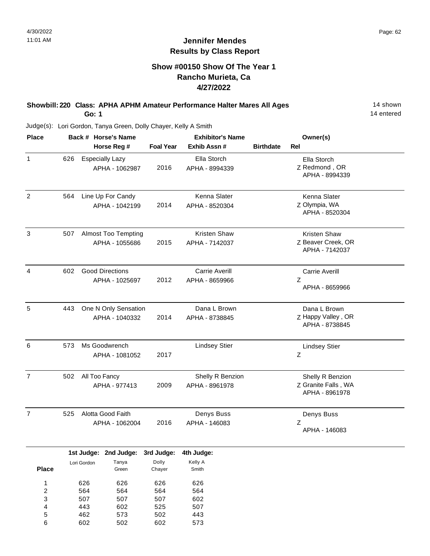#### **Show #00150 Show Of The Year 1 Rancho Murieta, Ca 4/27/2022**

#### **Showbill: 220 Class: APHA APHM Amateur Performance Halter Mares All Ages** 14 Shown **Go: 1**

14 entered

Judge(s): Lori Gordon, Tanya Green, Dolly Chayer, Kelly A Smith

602

6

502

602

| <b>Place</b>              |     |             | Back # Horse's Name        |                  | <b>Exhibitor's Name</b> |                  | Owner(s)              |  |
|---------------------------|-----|-------------|----------------------------|------------------|-------------------------|------------------|-----------------------|--|
|                           |     |             | Horse Reg #                | <b>Foal Year</b> | Exhib Assn #            | <b>Birthdate</b> | Rel                   |  |
| $\mathbf{1}$              | 626 |             | <b>Especially Lazy</b>     |                  | Ella Storch             |                  | Ella Storch           |  |
|                           |     |             | APHA - 1062987             | 2016             | APHA - 8994339          |                  | Z Redmond, OR         |  |
|                           |     |             |                            |                  |                         |                  | APHA - 8994339        |  |
|                           |     |             |                            |                  |                         |                  |                       |  |
| $\overline{2}$            | 564 |             | Line Up For Candy          |                  | Kenna Slater            |                  | Kenna Slater          |  |
|                           |     |             | APHA - 1042199             | 2014             | APHA - 8520304          |                  | Z Olympia, WA         |  |
|                           |     |             |                            |                  |                         |                  | APHA - 8520304        |  |
| $\ensuremath{\mathsf{3}}$ | 507 |             | <b>Almost Too Tempting</b> |                  | Kristen Shaw            |                  | Kristen Shaw          |  |
|                           |     |             | APHA - 1055686             | 2015             | APHA - 7142037          |                  | Z Beaver Creek, OR    |  |
|                           |     |             |                            |                  |                         |                  | APHA - 7142037        |  |
| $\overline{4}$            | 602 |             | <b>Good Directions</b>     |                  | <b>Carrie Averill</b>   |                  | <b>Carrie Averill</b> |  |
|                           |     |             | APHA - 1025697             | 2012             | APHA - 8659966          |                  | Ζ                     |  |
|                           |     |             |                            |                  |                         |                  | APHA - 8659966        |  |
|                           |     |             |                            |                  |                         |                  |                       |  |
| $\overline{5}$            | 443 |             | One N Only Sensation       |                  | Dana L Brown            |                  | Dana L Brown          |  |
|                           |     |             | APHA - 1040332             | 2014             | APHA - 8738845          |                  | Z Happy Valley, OR    |  |
|                           |     |             |                            |                  |                         |                  | APHA - 8738845        |  |
| 6                         | 573 |             | Ms Goodwrench              |                  | <b>Lindsey Stier</b>    |                  | <b>Lindsey Stier</b>  |  |
|                           |     |             | APHA - 1081052             | 2017             |                         |                  | Ζ                     |  |
|                           |     |             |                            |                  |                         |                  |                       |  |
| $\overline{7}$            | 502 |             | All Too Fancy              |                  | Shelly R Benzion        |                  | Shelly R Benzion      |  |
|                           |     |             | APHA - 977413              | 2009             | APHA - 8961978          |                  | Z Granite Falls, WA   |  |
|                           |     |             |                            |                  |                         |                  | APHA - 8961978        |  |
| $\overline{7}$            | 525 |             | Alotta Good Faith          |                  | Denys Buss              |                  | Denys Buss            |  |
|                           |     |             | APHA - 1062004             | 2016             | APHA - 146083           |                  | Ζ                     |  |
|                           |     |             |                            |                  |                         |                  | APHA - 146083         |  |
|                           |     |             | 1st Judge: 2nd Judge:      | 3rd Judge:       | 4th Judge:              |                  |                       |  |
|                           |     |             |                            | Dolly            | Kelly A                 |                  |                       |  |
| <b>Place</b>              |     | Lori Gordon | Tanya<br>Green             | Chayer           | Smith                   |                  |                       |  |
| $\mathbf{1}$              |     | 626         | 626                        | 626              | 626                     |                  |                       |  |
| $\overline{\mathbf{c}}$   |     | 564         | 564                        | 564              | 564                     |                  |                       |  |
| 3                         |     | 507         | 507                        | 507              | 602                     |                  |                       |  |
| 4                         |     | 443         | 602                        | 525              | 507                     |                  |                       |  |
| 5                         |     | 462         | 573                        | 502              | 443                     |                  |                       |  |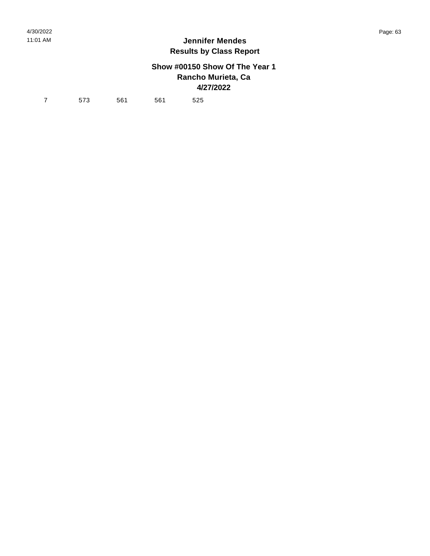## **Show #00150 Show Of The Year 1 Rancho Murieta, Ca 4/27/2022**

7 573 561 561 525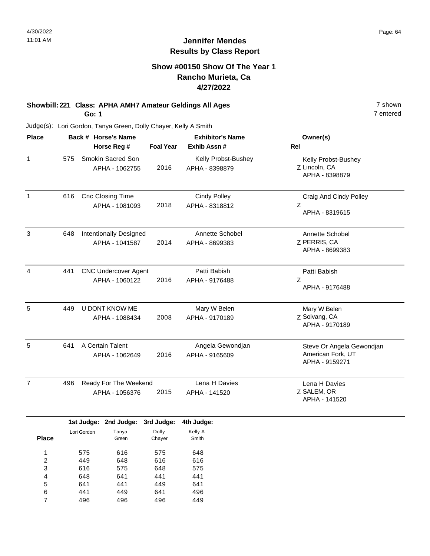## **Show #00150 Show Of The Year 1 Rancho Murieta, Ca 4/27/2022**

#### **Showbill: 221 Class: APHA AMH7 Amateur Geldings All Ages** 7 shown **Go: 1**

Judge(s): Lori Gordon, Tanya Green, Dolly Chayer, Kelly A Smith

| <b>Place</b>   |     | Back # Horse's Name<br>Horse Reg #            | <b>Foal Year</b> | <b>Exhibitor's Name</b><br>Exhib Assn # | Owner(s)<br><b>Rel</b>                                           |
|----------------|-----|-----------------------------------------------|------------------|-----------------------------------------|------------------------------------------------------------------|
| $\mathbf{1}$   | 575 | Smokin Sacred Son<br>APHA - 1062755           | 2016             | Kelly Probst-Bushey<br>APHA - 8398879   | Kelly Probst-Bushey<br>Z Lincoln, CA<br>APHA - 8398879           |
| 1              | 616 | <b>Cnc Closing Time</b><br>APHA - 1081093     | 2018             | <b>Cindy Polley</b><br>APHA - 8318812   | Craig And Cindy Polley<br>Z<br>APHA - 8319615                    |
| 3              | 648 | Intentionally Designed<br>APHA - 1041587      | 2014             | Annette Schobel<br>APHA - 8699383       | Annette Schobel<br>Z PERRIS, CA<br>APHA - 8699383                |
| $\overline{4}$ | 441 | <b>CNC Undercover Agent</b><br>APHA - 1060122 | 2016             | Patti Babish<br>APHA - 9176488          | Patti Babish<br>Z<br>APHA - 9176488                              |
| 5              | 449 | <b>U DONT KNOW ME</b><br>APHA - 1088434       | 2008             | Mary W Belen<br>APHA - 9170189          | Mary W Belen<br>Z Solvang, CA<br>APHA - 9170189                  |
| 5              | 641 | A Certain Talent<br>APHA - 1062649            | 2016             | Angela Gewondjan<br>APHA - 9165609      | Steve Or Angela Gewondjan<br>American Fork, UT<br>APHA - 9159271 |
| $\overline{7}$ | 496 | Ready For The Weekend<br>APHA - 1056376       | 2015             | Lena H Davies<br>APHA - 141520          | Lena H Davies<br>Z SALEM, OR<br>APHA - 141520                    |

|              |             | 1st Judge: 2nd Judge: | 3rd Judge: | 4th Judge: |
|--------------|-------------|-----------------------|------------|------------|
|              | Lori Gordon | Tanya                 | Dolly      | Kelly A    |
| <b>Place</b> |             | Green                 | Chayer     | Smith      |
|              |             |                       |            |            |
| 1            | 575         | 616                   | 575        | 648        |
| 2            | 449         | 648                   | 616        | 616        |
| 3            | 616         | 575                   | 648        | 575        |
| 4            | 648         | 641                   | 441        | 441        |
| 5            | 641         | 441                   | 449        | 641        |
| 6            | 441         | 449                   | 641        | 496        |
|              | 496         | 496                   | 496        | 449        |

7 entered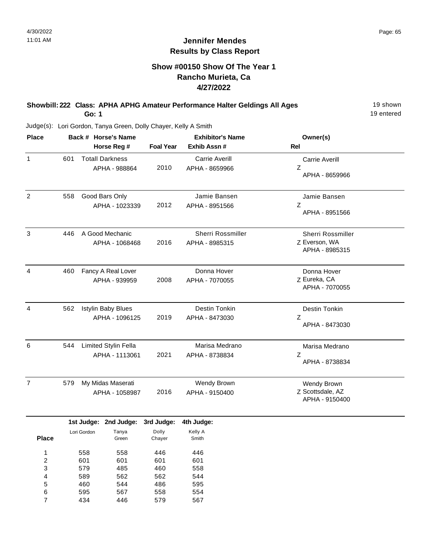## **Show #00150 Show Of The Year 1 Rancho Murieta, Ca 4/27/2022**

#### **Showbill: 222 Class: APHA APHG Amateur Performance Halter Geldings All Ages** 19 Shown **Go: 1**

19 entered

| <b>Place</b>   |     | Back # Horse's Name                              |                     | <b>Exhibitor's Name</b>                    | Owner(s)                                             |
|----------------|-----|--------------------------------------------------|---------------------|--------------------------------------------|------------------------------------------------------|
|                |     | Horse Reg #                                      | <b>Foal Year</b>    | Exhib Assn #                               | <b>Rel</b>                                           |
| $\mathbf{1}$   | 601 | <b>Totall Darkness</b><br>APHA - 988864          | 2010                | <b>Carrie Averill</b><br>APHA - 8659966    | <b>Carrie Averill</b><br>Z<br>APHA - 8659966         |
| $\overline{2}$ | 558 | Good Bars Only<br>APHA - 1023339                 | 2012                | Jamie Bansen<br>APHA - 8951566             | Jamie Bansen<br>Z<br>APHA - 8951566                  |
| 3              | 446 | A Good Mechanic<br>APHA - 1068468                | 2016                | <b>Sherri Rossmiller</b><br>APHA - 8985315 | Sherri Rossmiller<br>Z Everson, WA<br>APHA - 8985315 |
| 4              | 460 | Fancy A Real Lover<br>APHA - 939959              | 2008                | Donna Hover<br>APHA - 7070055              | Donna Hover<br>Z Eureka, CA<br>APHA - 7070055        |
| $\overline{4}$ | 562 | <b>Istylin Baby Blues</b><br>APHA - 1096125      | 2019                | Destin Tonkin<br>APHA - 8473030            | Destin Tonkin<br>Ζ<br>APHA - 8473030                 |
| 6              | 544 | Limited Stylin Fella<br>APHA - 1113061           | 2021                | Marisa Medrano<br>APHA - 8738834           | Marisa Medrano<br>Z<br>APHA - 8738834                |
| $\overline{7}$ | 579 | My Midas Maserati<br>APHA - 1058987              | 2016                | Wendy Brown<br>APHA - 9150400              | Wendy Brown<br>Z Scottsdale, AZ<br>APHA - 9150400    |
|                |     | 2nd Judge:<br>1st Judge:<br>Tanya<br>Lori Gordon | 3rd Judge:<br>Dolly | 4th Judge:<br>Kelly A                      |                                                      |

|       |             | $131 \text{ J}$ uuyt. Zilu Juuyt. | əru Juuye. | 400 Juuge. |
|-------|-------------|-----------------------------------|------------|------------|
|       | Lori Gordon | Tanya                             | Dolly      | Kelly A    |
| Place |             | Green                             | Chayer     | Smith      |
|       |             |                                   |            |            |
| 1     | 558         | 558                               | 446        | 446        |
| 2     | 601         | 601                               | 601        | 601        |
| 3     | 579         | 485                               | 460        | 558        |
| 4     | 589         | 562                               | 562        | 544        |
| 5     | 460         | 544                               | 486        | 595        |
| 6     | 595         | 567                               | 558        | 554        |
| 7     | 434         | 446                               | 579        | 567        |
|       |             |                                   |            |            |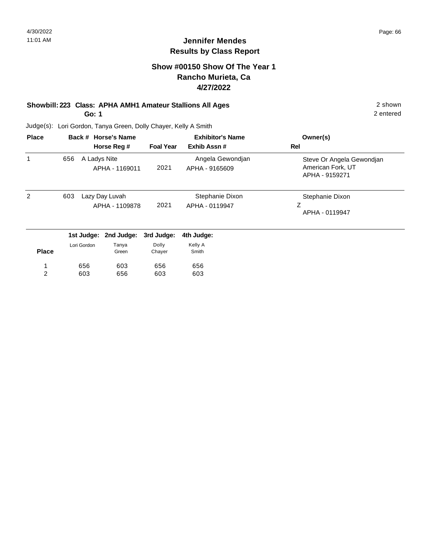## **Show #00150 Show Of The Year 1 Rancho Murieta, Ca 4/27/2022**

#### **Showbill: 223 Class: APHA AMH1 Amateur Stallions All Ages** 2 shown **Go: 1**

2 entered

| <b>Place</b>   |     |                                  | Back # Horse's Name |                  | <b>Exhibitor's Name</b>            | Owner(s)                                                         |
|----------------|-----|----------------------------------|---------------------|------------------|------------------------------------|------------------------------------------------------------------|
|                |     |                                  | Horse Reg #         | <b>Foal Year</b> | Exhib Assn#                        | Rel                                                              |
|                | 656 | A Ladys Nite                     | APHA - 1169011      | 2021             | Angela Gewondjan<br>APHA - 9165609 | Steve Or Angela Gewondjan<br>American Fork, UT<br>APHA - 9159271 |
| $\overline{2}$ | 603 | Lazy Day Luvah<br>APHA - 1109878 |                     | 2021             | Stephanie Dixon<br>APHA - 0119947  | Stephanie Dixon<br>Ζ<br>APHA - 0119947                           |
|                |     | 1st Judge:                       | 2nd Judge:          | 3rd Judge:       | 4th Judge:                         |                                                                  |
| <b>Place</b>   |     | Lori Gordon                      | Tanya<br>Green      | Dolly<br>Chayer  | Kelly A<br>Smith                   |                                                                  |
|                |     | 656                              | 603                 | 656              | 656                                |                                                                  |
| 2              |     | 603                              | 656                 | 603              | 603                                |                                                                  |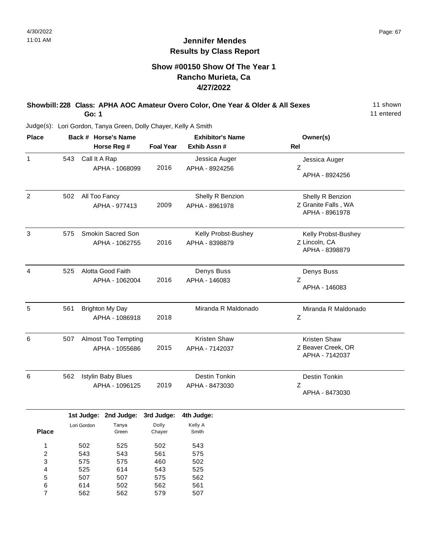#### **Show #00150 Show Of The Year 1 Rancho Murieta, Ca 4/27/2022**

#### **Showbill: 228 Class: APHA AOC Amateur Overo Color, One Year & Older & All Sexes** 11 shown **Go: 1**

11 entered

|     |                            | <b>Exhibitor's Name</b>                          |                     | Owner(s)            |
|-----|----------------------------|--------------------------------------------------|---------------------|---------------------|
|     | Horse Reg #                | <b>Foal Year</b>                                 | Exhib Assn #        | Rel                 |
| 543 | Call It A Rap              |                                                  | Jessica Auger       | Jessica Auger       |
|     | APHA - 1068099             | 2016                                             | APHA - 8924256      | Z                   |
|     |                            |                                                  |                     | APHA - 8924256      |
| 502 | All Too Fancy              |                                                  | Shelly R Benzion    | Shelly R Benzion    |
|     | APHA - 977413              | 2009                                             | APHA - 8961978      | Z Granite Falls, WA |
|     |                            |                                                  |                     | APHA - 8961978      |
| 575 | Smokin Sacred Son          |                                                  | Kelly Probst-Bushey | Kelly Probst-Bushey |
|     | APHA - 1062755             | 2016                                             | APHA - 8398879      | Z Lincoln, CA       |
|     |                            |                                                  |                     | APHA - 8398879      |
| 525 | Alotta Good Faith          |                                                  | Denys Buss          | Denys Buss          |
|     | APHA - 1062004             | 2016                                             | APHA - 146083       | Z                   |
|     |                            |                                                  |                     | APHA - 146083       |
| 561 | <b>Brighton My Day</b>     |                                                  | Miranda R Maldonado | Miranda R Maldonado |
|     | APHA - 1086918             | 2018                                             |                     | Ζ                   |
| 507 | <b>Almost Too Tempting</b> |                                                  | Kristen Shaw        | Kristen Shaw        |
|     | APHA - 1055686             | 2015                                             | APHA - 7142037      | Z Beaver Creek, OR  |
|     |                            |                                                  |                     | APHA - 7142037      |
| 562 | <b>Istylin Baby Blues</b>  |                                                  | Destin Tonkin       | Destin Tonkin       |
|     | APHA - 1096125             | 2019                                             | APHA - 8473030      | Ζ                   |
|     |                            |                                                  |                     | APHA - 8473030      |
|     | 2nd Judge:                 |                                                  | 4th Judge:          |                     |
|     | Tanya                      | Dolly                                            | Kelly A             |                     |
|     |                            | Back # Horse's Name<br>1st Judge:<br>Lori Gordon | 3rd Judge:          |                     |

|              | Lori Gordon | Tanya | Dolly  | Kelly A |
|--------------|-------------|-------|--------|---------|
| <b>Place</b> |             | Green | Chayer | Smith   |
|              |             |       |        |         |
| 1            | 502         | 525   | 502    | 543     |
| 2            | 543         | 543   | 561    | 575     |
| 3            | 575         | 575   | 460    | 502     |
| 4            | 525         | 614   | 543    | 525     |
| 5            | 507         | 507   | 575    | 562     |
| 6            | 614         | 502   | 562    | 561     |
| 7            | 562         | 562   | 579    | 507     |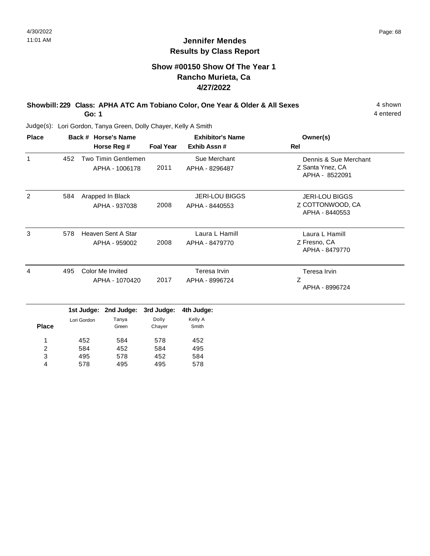## **Show #00150 Show Of The Year 1 Rancho Murieta, Ca 4/27/2022**

#### **Showbill: 229 Class: APHA ATC Am Tobiano Color, One Year & Older & All Sexes** 4 shown **Go: 1**

4 entered

| <b>Place</b> |             |                | Back # Horse's Name                   | <b>Exhibitor's Name</b> |                                         | Owner(s)                                                    |
|--------------|-------------|----------------|---------------------------------------|-------------------------|-----------------------------------------|-------------------------------------------------------------|
|              |             |                | Horse Reg #                           | <b>Foal Year</b>        | Exhib Assn #                            | Rel                                                         |
| 1            | 452         |                | Two Timin Gentlemen<br>APHA - 1006178 | 2011                    | Sue Merchant<br>APHA - 8296487          | Dennis & Sue Merchant<br>Z Santa Ynez, CA<br>APHA - 8522091 |
| 2            | 584         |                | Arapped In Black<br>APHA - 937038     | 2008                    | <b>JERI-LOU BIGGS</b><br>APHA - 8440553 | <b>JERI-LOU BIGGS</b><br>Z COTTONWOOD, CA<br>APHA - 8440553 |
| 3            | 578         |                | Heaven Sent A Star<br>APHA - 959002   | 2008                    | Laura L Hamill<br>APHA - 8479770        | Laura L Hamill<br>Z Fresno, CA<br>APHA - 8479770            |
| 4            | 495         |                | Color Me Invited                      | 2017                    | Teresa Irvin                            | Teresa Irvin<br>Z                                           |
|              |             | APHA - 1070420 |                                       |                         | APHA - 8996724                          | APHA - 8996724                                              |
|              |             | 1st Judge:     | 2nd Judge:                            | 3rd Judge:              | 4th Judge:                              |                                                             |
| <b>Place</b> | Lori Gordon |                | Tanya<br>Green                        | Dolly<br>Chayer         | Kelly A<br>Smith                        |                                                             |
| 1            |             | 452            | 584                                   | 578                     | 452                                     |                                                             |
| 2            |             | 584            | 452                                   | 584                     | 495                                     |                                                             |
| 3            |             | 495            | 578                                   | 452                     | 584                                     |                                                             |
| 4            |             | 578            | 495                                   | 495                     | 578                                     |                                                             |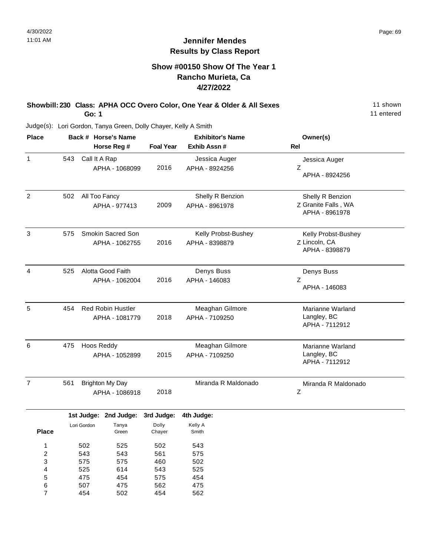## **Show #00150 Show Of The Year 1 Rancho Murieta, Ca 4/27/2022**

#### **Showbill: 230 Class: APHA OCC Overo Color, One Year & Older & All Sexes** 11 shown **Go: 1**

11 entered

| <b>Place</b>   |     |                | Back # Horse's Name      |                  | <b>Exhibitor's Name</b> | Owner(s)                              |
|----------------|-----|----------------|--------------------------|------------------|-------------------------|---------------------------------------|
|                |     |                | Horse Reg #              | <b>Foal Year</b> | Exhib Assn #            | <b>Rel</b>                            |
| $\mathbf{1}$   | 543 | Call It A Rap  |                          |                  | Jessica Auger           | Jessica Auger                         |
|                |     |                | APHA - 1068099           | 2016             | APHA - 8924256          | Z<br>APHA - 8924256                   |
| $\overline{2}$ | 502 | All Too Fancy  |                          |                  | Shelly R Benzion        | Shelly R Benzion                      |
|                |     |                | APHA - 977413            | 2009             | APHA - 8961978          | Z Granite Falls, WA<br>APHA - 8961978 |
| 3              | 575 |                | Smokin Sacred Son        |                  | Kelly Probst-Bushey     | Kelly Probst-Bushey                   |
|                |     |                | APHA - 1062755           | 2016             | APHA - 8398879          | Z Lincoln, CA<br>APHA - 8398879       |
| 4              | 525 |                | Alotta Good Faith        |                  | Denys Buss              | Denys Buss                            |
|                |     |                | APHA - 1062004           | 2016             | APHA - 146083           | Z<br>APHA - 146083                    |
| 5              | 454 |                | <b>Red Robin Hustler</b> |                  | Meaghan Gilmore         | Marianne Warland                      |
|                |     |                | APHA - 1081779           | 2018             | APHA - 7109250          | Langley, BC<br>APHA - 7112912         |
| 6              | 475 | Hoos Reddy     |                          |                  | Meaghan Gilmore         | Marianne Warland                      |
|                |     | APHA - 1052899 |                          | 2015             | APHA - 7109250          | Langley, BC<br>APHA - 7112912         |
| $\overline{7}$ | 561 |                | <b>Brighton My Day</b>   |                  | Miranda R Maldonado     | Miranda R Maldonado                   |
|                |     | APHA - 1086918 |                          | 2018             |                         | Ζ                                     |
|                |     |                | 1st Judge: 2nd Judge:    | 3rd Judge:       | 4th Judge:              |                                       |
|                |     | Lori Gordon    | Tanya                    | Dolly            | Kelly A                 |                                       |
| <b>Place</b>   |     |                | Green                    | Chayer           | Smith                   |                                       |
| 1              |     | 502            | 525                      | 502              | 543                     |                                       |
| 2              |     | 543            | 543                      | 561              | 575                     |                                       |
| 3              |     | 575            | 575                      | 460              | 502                     |                                       |
| 4              |     | 525            | 614                      | 543              | 525                     |                                       |
| 5              |     | 475            | 454                      | 575              | 454                     |                                       |
| 6              |     | 507            | 475                      | 562              | 475                     |                                       |
| $\overline{7}$ |     | 454            | 502                      | 454              | 562                     |                                       |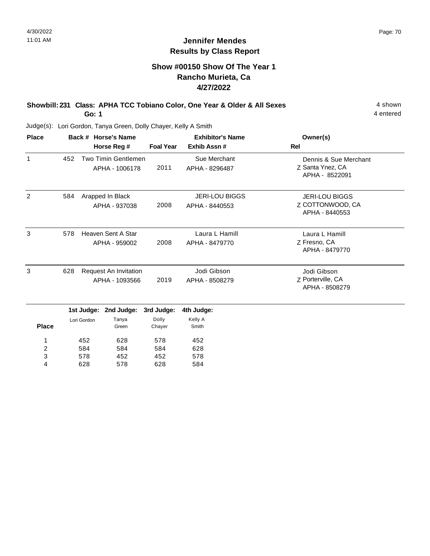4 entered

## **Jennifer Mendes Results by Class Report**

## **Show #00150 Show Of The Year 1 Rancho Murieta, Ca 4/27/2022**

#### **Showbill: 231 Class: APHA TCC Tobiano Color, One Year & Older & All Sexes** 4 shown **Go: 1**

Judge(s): Lori Gordon, Tanya Green, Dolly Chayer, Kelly A Smith

628

4

578

628

| <b>Place</b> |     |                                                | Back # Horse's Name                   |                  | <b>Exhibitor's Name</b>                 | Owner(s)                                                    |
|--------------|-----|------------------------------------------------|---------------------------------------|------------------|-----------------------------------------|-------------------------------------------------------------|
|              |     |                                                | Horse Reg #                           | <b>Foal Year</b> | Exhib Assn#                             | <b>Rel</b>                                                  |
| $\mathbf{1}$ | 452 |                                                | Two Timin Gentlemen<br>APHA - 1006178 | 2011             | Sue Merchant<br>APHA - 8296487          | Dennis & Sue Merchant<br>Z Santa Ynez, CA<br>APHA - 8522091 |
| 2            | 584 |                                                | Arapped In Black<br>APHA - 937038     | 2008             | <b>JERI-LOU BIGGS</b><br>APHA - 8440553 | <b>JERI-LOU BIGGS</b><br>Z COTTONWOOD, CA<br>APHA - 8440553 |
| 3            | 578 |                                                | Heaven Sent A Star<br>APHA - 959002   | 2008             | Laura L Hamill<br>APHA - 8479770        | Laura L Hamill<br>Z Fresno, CA<br>APHA - 8479770            |
| 3            | 628 | <b>Request An Invitation</b><br>APHA - 1093566 |                                       | 2019             | Jodi Gibson<br>APHA - 8508279           | Jodi Gibson<br>Z Porterville, CA<br>APHA - 8508279          |
|              |     | 1st Judge:                                     | 2nd Judge:                            | 3rd Judge:       | 4th Judge:                              |                                                             |
| <b>Place</b> |     | Lori Gordon                                    | Tanya<br>Green                        | Dolly<br>Chayer  | Kelly A<br>Smith                        |                                                             |
| 1            |     | 452                                            | 628                                   | 578              | 452<br>628                              |                                                             |
| 2<br>3       |     | 584<br>578                                     | 584<br>452                            | 584<br>452       | 578                                     |                                                             |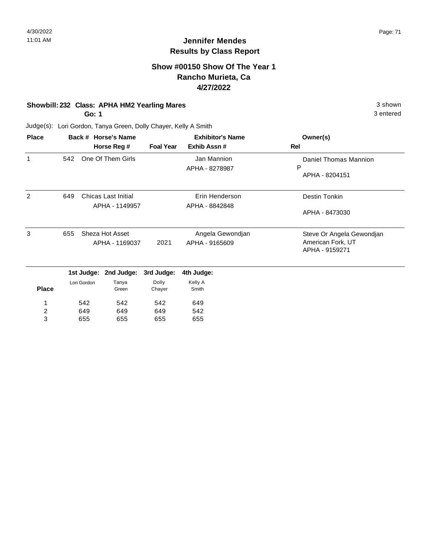3 entered

## **Jennifer Mendes Results by Class Report**

#### **Show #00150 Show Of The Year 1 Rancho Murieta, Ca 4/27/2022**

#### **Showbill: 232 Class: APHA HM2 Yearling Mares** 3 shown

**Go: 1**

649 655

2 3

649 655

649 655

Judge(s): Lori Gordon, Tanya Green, Dolly Chayer, Kelly A Smith

| <b>Place</b> |             |            | Back # Horse's Name<br>Horse Reg #           | <b>Foal Year</b> | <b>Exhibitor's Name</b><br>Exhib Assn# | Owner(s)<br>Rel                                                  |
|--------------|-------------|------------|----------------------------------------------|------------------|----------------------------------------|------------------------------------------------------------------|
| 1            | 542         |            | One Of Them Girls                            |                  | Jan Mannion<br>APHA - 8278987          | Daniel Thomas Mannion<br>P<br>APHA - 8204151                     |
| 2            | 649         |            | <b>Chicas Last Initial</b><br>APHA - 1149957 |                  | Erin Henderson<br>APHA - 8842848       | Destin Tonkin<br>APHA - 8473030                                  |
| 3            | 655         |            | Sheza Hot Asset<br>APHA - 1169037            | 2021             | Angela Gewondjan<br>APHA - 9165609     | Steve Or Angela Gewondjan<br>American Fork, UT<br>APHA - 9159271 |
|              |             | 1st Judge: | 2nd Judge:                                   | 3rd Judge:       | 4th Judge:                             |                                                                  |
| <b>Place</b> | Lori Gordon |            | Tanya<br>Green                               | Dolly<br>Chayer  | Kelly A<br>Smith                       |                                                                  |
|              |             | 542        | 542                                          | 542              | 649                                    |                                                                  |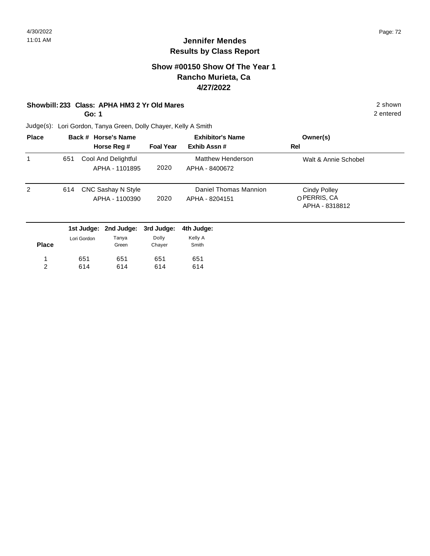#### **Show #00150 Show Of The Year 1 Rancho Murieta, Ca 4/27/2022**

#### **Showbill: 233 Class: APHA HM3 2 Yr Old Mares** 2 shown

**Go: 1**

2 entered

| <b>Place</b> |     | Back # Horse's Name |                  | <b>Exhibitor's Name</b> | Owner(s)                      |
|--------------|-----|---------------------|------------------|-------------------------|-------------------------------|
|              |     | Horse Reg #         | <b>Foal Year</b> | Exhib Assn#             | Rel                           |
| 1            | 651 | Cool And Delightful |                  | Matthew Henderson       | Walt & Annie Schobel          |
|              |     | APHA - 1101895      | 2020             | APHA - 8400672          |                               |
| 2            | 614 | CNC Sashay N Style  |                  | Daniel Thomas Mannion   | <b>Cindy Polley</b>           |
|              |     | APHA - 1100390      | 2020             | APHA - 8204151          | OPERRIS, CA<br>APHA - 8318812 |

|              |             | 1st Judge: 2nd Judge: 3rd Judge: |        | 4th Judge: |
|--------------|-------------|----------------------------------|--------|------------|
|              | Lori Gordon | Tanya                            | Dolly  | Kelly A    |
| <b>Place</b> |             | Green                            | Chayer | Smith      |
| 1            | 651         | 651                              | 651    | 651        |
| 2            | 614         | 614                              | 614    | 614        |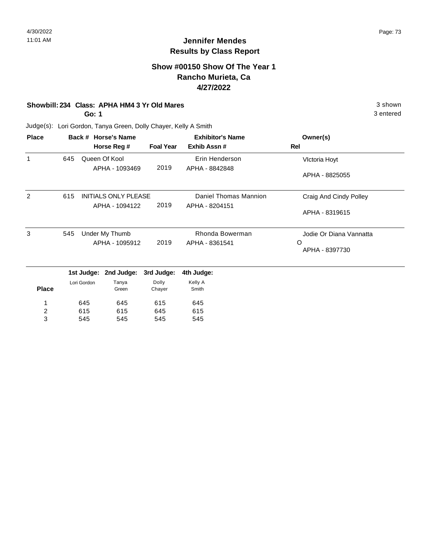3 entered

# **Jennifer Mendes Results by Class Report**

#### **Show #00150 Show Of The Year 1 Rancho Murieta, Ca 4/27/2022**

#### **Showbill: 234 Class: APHA HM4 3 Yr Old Mares** 3 shown

**Go: 1**

545

3

545

545

Judge(s): Lori Gordon, Tanya Green, Dolly Chayer, Kelly A Smith

| <b>Place</b> |     | Back # Horse's Name |                             |                  | <b>Exhibitor's Name</b> | Owner(s)                |
|--------------|-----|---------------------|-----------------------------|------------------|-------------------------|-------------------------|
|              |     |                     | Horse Reg #                 | <b>Foal Year</b> | Exhib Assn#             | Rel                     |
| 1            | 645 |                     | Queen Of Kool               |                  | Erin Henderson          | Victoria Hoyt           |
|              |     |                     | APHA - 1093469              | 2019             | APHA - 8842848          |                         |
|              |     |                     |                             |                  |                         | APHA - 8825055          |
| 2            | 615 |                     | <b>INITIALS ONLY PLEASE</b> |                  | Daniel Thomas Mannion   | Craig And Cindy Polley  |
|              |     |                     | APHA - 1094122              | 2019             | APHA - 8204151          |                         |
|              |     |                     |                             |                  |                         | APHA - 8319615          |
| 3            | 545 |                     | Under My Thumb              |                  | Rhonda Bowerman         | Jodie Or Diana Vannatta |
|              |     |                     | APHA - 1095912              | 2019             | APHA - 8361541          | O                       |
|              |     |                     |                             |                  |                         | APHA - 8397730          |
|              |     | 1st Judge:          | 2nd Judge:                  | 3rd Judge:       | 4th Judge:              |                         |
|              |     | Lori Gordon         | Tanya                       | Dolly            | Kelly A                 |                         |
| <b>Place</b> |     |                     | Green                       | Chayer           | Smith                   |                         |
| 1            |     | 645                 | 645                         | 615              | 645                     |                         |
| 2            |     | 615                 | 615                         | 645              | 615                     |                         |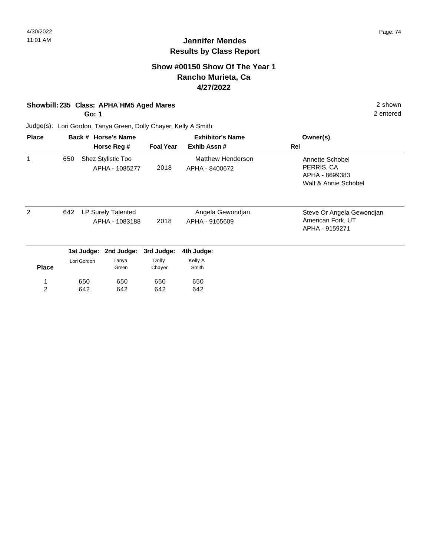#### **Show #00150 Show Of The Year 1 Rancho Murieta, Ca 4/27/2022**

#### **Showbill: 235 Class: APHA HM5 Aged Mares** 2 shown

**Go: 1**

2 entered

| <b>Place</b>   |     |             | Back # Horse's Name                  |                  | <b>Exhibitor's Name</b>             | Owner(s)                                                                |
|----------------|-----|-------------|--------------------------------------|------------------|-------------------------------------|-------------------------------------------------------------------------|
|                |     |             | Horse Reg #                          | <b>Foal Year</b> | Exhib Assn#                         | Rel                                                                     |
| 1              | 650 |             | Shez Stylistic Too<br>APHA - 1085277 | 2018             | Matthew Henderson<br>APHA - 8400672 | Annette Schobel<br>PERRIS, CA<br>APHA - 8699383<br>Walt & Annie Schobel |
| $\overline{2}$ | 642 |             | LP Surely Talented<br>APHA - 1083188 | 2018             | Angela Gewondjan<br>APHA - 9165609  | Steve Or Angela Gewondjan<br>American Fork, UT<br>APHA - 9159271        |
|                |     | 1st Judge:  | 2nd Judge:                           | 3rd Judge:       | 4th Judge:                          |                                                                         |
| <b>Place</b>   |     | Lori Gordon | Tanya<br>Green                       | Dolly<br>Chayer  | Kelly A<br>Smith                    |                                                                         |
| 1              |     | 650         | 650                                  | 650              | 650                                 |                                                                         |
| 2              |     | 642         | 642                                  | 642              | 642                                 |                                                                         |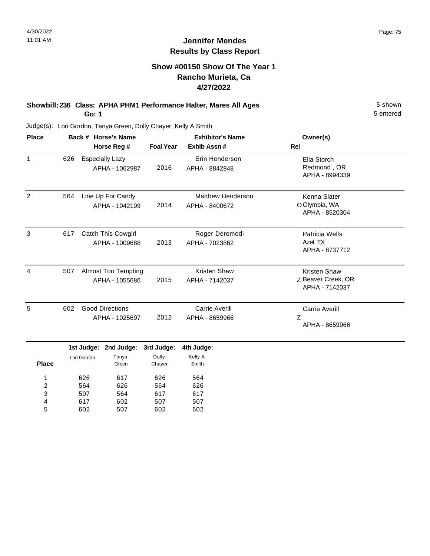#### **Show #00150 Show Of The Year 1 Rancho Murieta, Ca 4/27/2022**

#### **Showbill: 236 Class: APHA PHM1 Performance Halter, Mares All Ages** 5 Shown **Go: 1**

5 entered

Judge(s): Lori Gordon, Tanya Green, Dolly Chayer, Kelly A Smith

| <b>Place</b>      | Back # Horse's Name<br>Horse Reg # |                           |                                              |                     | <b>Exhibitor's Name</b>                    | Owner(s)                                                    |
|-------------------|------------------------------------|---------------------------|----------------------------------------------|---------------------|--------------------------------------------|-------------------------------------------------------------|
|                   |                                    |                           |                                              | <b>Foal Year</b>    | Exhib Assn#                                | <b>Rel</b>                                                  |
| $\mathbf{1}$      | 626                                |                           | <b>Especially Lazy</b><br>APHA - 1062987     | 2016                | Erin Henderson<br>APHA - 8842848           | Ella Storch<br>Redmond, OR<br>APHA - 8994339                |
| $\overline{2}$    | 564                                |                           | Line Up For Candy<br>APHA - 1042199          | 2014                | <b>Matthew Henderson</b><br>APHA - 8400672 | Kenna Slater<br>O Olympia, WA<br>APHA - 8520304             |
| 3                 | 617                                |                           | Catch This Cowgirl<br>APHA - 1009688         | 2013                | Roger Deromedi<br>APHA - 7023862           | Patricia Wells<br>Azel, TX<br>APHA - 8737712                |
| 4                 | 507                                |                           | <b>Almost Too Tempting</b><br>APHA - 1055686 | 2015                | <b>Kristen Shaw</b><br>APHA - 7142037      | <b>Kristen Shaw</b><br>Z Beaver Creek, OR<br>APHA - 7142037 |
| 5                 | 602                                |                           | <b>Good Directions</b><br>APHA - 1025697     | 2012                | Carrie Averill<br>APHA - 8659966           | <b>Carrie Averill</b><br>Z<br>APHA - 8659966                |
|                   |                                    | 1st Judge:<br>Lori Gordon | 2nd Judge:<br>Tanya                          | 3rd Judge:<br>Dolly | 4th Judge:<br>Kelly A                      |                                                             |
| <b>Place</b><br>1 |                                    | 626                       | Green<br>617                                 | Chayer<br>626       | Smith<br>564                               |                                                             |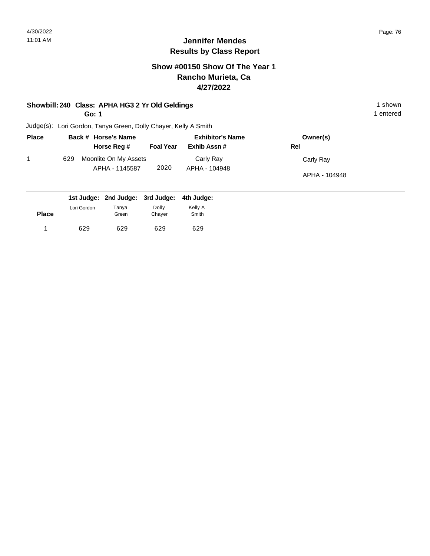**Place**

# **Jennifer Mendes Results by Class Report**

## **Show #00150 Show Of The Year 1 Rancho Murieta, Ca 4/27/2022**

#### **Showbill: 240 Class: APHA HG3 2 Yr Old Geldings** 1 shown

**Go: 1**

629 629

1 629 629 629 629

Green

629

Chayer

1 entered

Judge(s): Lori Gordon, Tanya Green, Dolly Chayer, Kelly A Smith

| <b>Place</b> |             | Back # Horse's Name              |                  | <b>Exhibitor's Name</b> | Owner(s)      |  |
|--------------|-------------|----------------------------------|------------------|-------------------------|---------------|--|
|              |             | Horse Reg #                      | <b>Foal Year</b> | Exhib Assn #            | Rel           |  |
| 1            | 629         | Moonlite On My Assets            |                  | Carly Ray               | Carly Ray     |  |
|              |             | APHA - 1145587                   | 2020             | APHA - 104948           |               |  |
|              |             |                                  |                  |                         | APHA - 104948 |  |
|              |             |                                  |                  |                         |               |  |
|              |             | 1st Judge: 2nd Judge: 3rd Judge: |                  | 4th Judge:              |               |  |
|              | Lori Gordon | Tanya                            | Dolly            | Kelly A                 |               |  |

Smith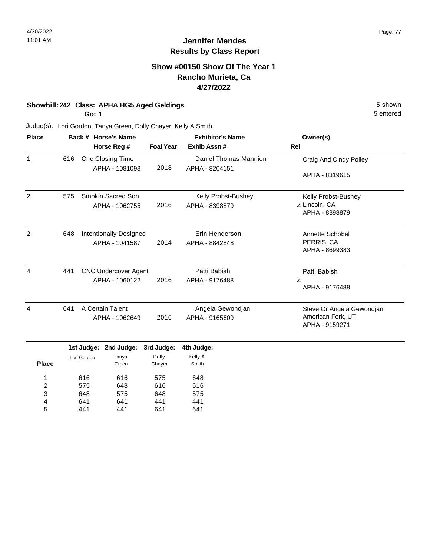5 entered

# **Jennifer Mendes Results by Class Report**

#### **Show #00150 Show Of The Year 1 Rancho Murieta, Ca 4/27/2022**

#### **Showbill: 242 Class: APHA HG5 Aged Geldings** 5 Shown

**Go: 1**

| <b>Place</b> |     | Back # Horse's Name                       |                  | <b>Exhibitor's Name</b>                 | Owner(s)<br>Rel                     |  |
|--------------|-----|-------------------------------------------|------------------|-----------------------------------------|-------------------------------------|--|
|              |     | Horse Reg #                               | <b>Foal Year</b> | Exhib Assn#                             |                                     |  |
| 1            | 616 | <b>Cnc Closing Time</b><br>APHA - 1081093 | 2018             | Daniel Thomas Mannion<br>APHA - 8204151 | Craig And Cindy Polley              |  |
|              |     |                                           |                  |                                         | APHA - 8319615                      |  |
| 2            | 575 | Smokin Sacred Son                         |                  | Kelly Probst-Bushey                     | Kelly Probst-Bushey                 |  |
|              |     | APHA - 1062755                            | 2016             | APHA - 8398879                          | Z Lincoln, CA<br>APHA - 8398879     |  |
| 2            | 648 | Intentionally Designed                    |                  | Erin Henderson                          | Annette Schobel                     |  |
|              |     | APHA - 1041587                            | 2014             | APHA - 8842848                          | PERRIS, CA<br>APHA - 8699383        |  |
| 4            | 441 | <b>CNC Undercover Agent</b>               |                  | Patti Babish                            | Patti Babish                        |  |
|              |     | APHA - 1060122                            | 2016             | APHA - 9176488                          | Z<br>APHA - 9176488                 |  |
| 4            | 641 | A Certain Talent                          |                  | Angela Gewondjan                        | Steve Or Angela Gewondjan           |  |
|              |     | APHA - 1062649                            | 2016             | APHA - 9165609                          | American Fork, UT<br>APHA - 9159271 |  |

|              |             | $151 \text{ J}$ uuye. Zilu Juuye. | əru Juuye. | 400 Judge |
|--------------|-------------|-----------------------------------|------------|-----------|
|              | Lori Gordon | Tanya                             | Dolly      | Kelly A   |
| <b>Place</b> |             | Green                             | Chayer     | Smith     |
|              |             |                                   |            |           |
| 1            | 616         | 616                               | 575        | 648       |
| 2            | 575         | 648                               | 616        | 616       |
| 3            | 648         | 575                               | 648        | 575       |
| 4            | 641         | 641                               | 441        | 441       |
| 5            | 441         | 441                               | 641        | 641       |
|              |             |                                   |            |           |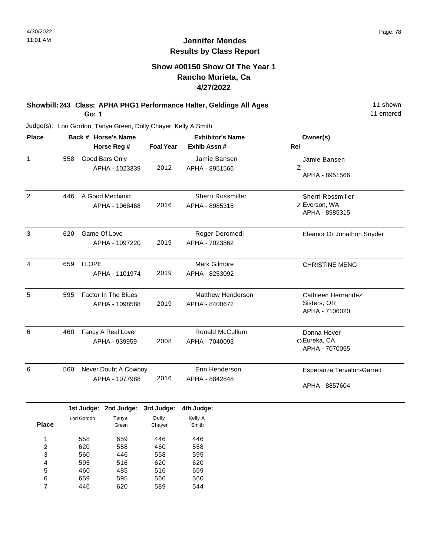#### **Show #00150 Show Of The Year 1 Rancho Murieta, Ca 4/27/2022**

**Showbill: 243 Class: APHA PHG1 Performance Halter, Geldings All Ages** 11 Shown **Go: 1**

11 entered

| <b>Place</b>     |     |                                | Back # Horse's Name                          |                                 | <b>Exhibitor's Name</b>                    | Owner(s)                                             |  |
|------------------|-----|--------------------------------|----------------------------------------------|---------------------------------|--------------------------------------------|------------------------------------------------------|--|
|                  |     |                                | Horse Reg #                                  | <b>Foal Year</b>                | Exhib Assn #                               | <b>Rel</b>                                           |  |
| 1                | 558 |                                | Good Bars Only<br>APHA - 1023339             | 2012                            | Jamie Bansen<br>APHA - 8951566             | Jamie Bansen<br>Z<br>APHA - 8951566                  |  |
| $\overline{2}$   | 446 |                                | A Good Mechanic<br>APHA - 1068468            | 2016                            | Sherri Rossmiller<br>APHA - 8985315        | Sherri Rossmiller<br>Z Everson, WA<br>APHA - 8985315 |  |
| 3                | 620 | Game Of Love<br>APHA - 1097220 |                                              | 2019                            | Roger Deromedi<br>APHA - 7023862           | Eleanor Or Jonathon Snyder                           |  |
| 4                | 659 | <b>I LOPE</b>                  | APHA - 1101974                               | 2019                            | Mark Gilmore<br>APHA - 8253092             | <b>CHRISTINE MENG</b>                                |  |
| 5                | 595 |                                | <b>Factor In The Blues</b><br>APHA - 1098588 | 2019                            | <b>Matthew Henderson</b><br>APHA - 8400672 | Cathleen Hernandez<br>Sisters, OR<br>APHA - 7106020  |  |
| 6                | 460 |                                | Fancy A Real Lover<br>APHA - 939959          | 2008                            | Ronald McCullum<br>APHA - 7040093          | Donna Hover<br>O Eureka, CA<br>APHA - 7070055        |  |
| 6                | 560 |                                | Never Doubt A Cowboy<br>APHA - 1077988       | 2016                            | Erin Henderson<br>APHA - 8842848           | Esperanza Tervalon-Garrett<br>APHA - 8857604         |  |
|                  |     |                                | 1st Judge: 2nd Judge:                        | 3rd Judge:                      | 4th Judge:                                 |                                                      |  |
| <b>Place</b>     |     | Lori Gordon                    | Tanya<br>Green                               | Dolly<br>Chayer                 | Kelly A<br>Smith                           |                                                      |  |
| 1<br>2<br>3<br>4 |     | 558<br>620<br>560<br>595       | 659<br>558<br>446<br>516                     | 446<br>460<br>558<br>620<br>516 | 446<br>558<br>595<br>620<br>659            |                                                      |  |
| 5<br>6<br>7      |     | 460<br>659<br>446              | 485<br>595<br>620                            | 560<br>589                      | 560<br>544                                 |                                                      |  |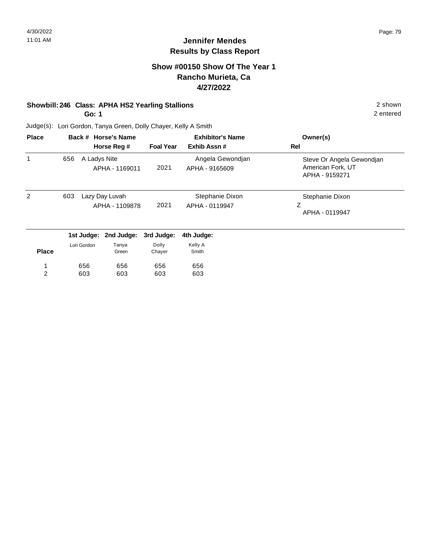#### **Show #00150 Show Of The Year 1 Rancho Murieta, Ca 4/27/2022**

#### **Showbill: 246 Class: APHA HS2 Yearling Stallions** 2 shown

**Go: 1**

2 entered

| <b>Place</b> | Back # Horse's Name |              |                                  |                  | <b>Exhibitor's Name</b>            | Owner(s)                                                         |
|--------------|---------------------|--------------|----------------------------------|------------------|------------------------------------|------------------------------------------------------------------|
|              |                     |              | Horse Reg #                      | <b>Foal Year</b> | Exhib Assn#                        | Rel                                                              |
| 1            | 656                 | A Ladys Nite | APHA - 1169011                   | 2021             | Angela Gewondjan<br>APHA - 9165609 | Steve Or Angela Gewondjan<br>American Fork, UT<br>APHA - 9159271 |
| 2            | 603                 |              | Lazy Day Luvah<br>APHA - 1109878 | 2021             | Stephanie Dixon<br>APHA - 0119947  | Stephanie Dixon<br>Ζ<br>APHA - 0119947                           |
|              |                     | 1st Judge:   | 2nd Judge:                       | 3rd Judge:       | 4th Judge:                         |                                                                  |
| <b>Place</b> |                     | Lori Gordon  | Tanya<br>Green                   | Dolly<br>Chayer  | Kelly A<br>Smith                   |                                                                  |
|              |                     | 656          | 656                              | 656              | 656                                |                                                                  |
| 2            |                     | 603          | 603                              | 603              | 603                                |                                                                  |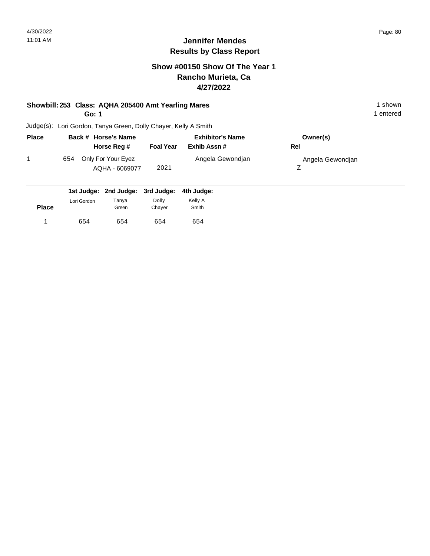## **Show #00150 Show Of The Year 1 Rancho Murieta, Ca 4/27/2022**

# **Showbill: 253 Class: AQHA 205400 Amt Yearling Mares** 1 Shown 1 shown

**Go: 1**

1 entered

| <b>Place</b> | Back # Horse's Name                         |                  | <b>Exhibitor's Name</b> | Owner(s)         |  |
|--------------|---------------------------------------------|------------------|-------------------------|------------------|--|
|              | Horse Reg #                                 | <b>Foal Year</b> | Exhib Assn #            | Rel              |  |
|              | Only For Your Eyez<br>654<br>AQHA - 6069077 | 2021             | Angela Gewondjan        | Angela Gewondjan |  |

|              |             |                | 1st Judge: 2nd Judge: 3rd Judge: 4th Judge: |                  |
|--------------|-------------|----------------|---------------------------------------------|------------------|
| <b>Place</b> | Lori Gordon | Tanya<br>Green | Dolly<br>Chayer                             | Kelly A<br>Smith |
|              | 654         | 654            | 654                                         | 654              |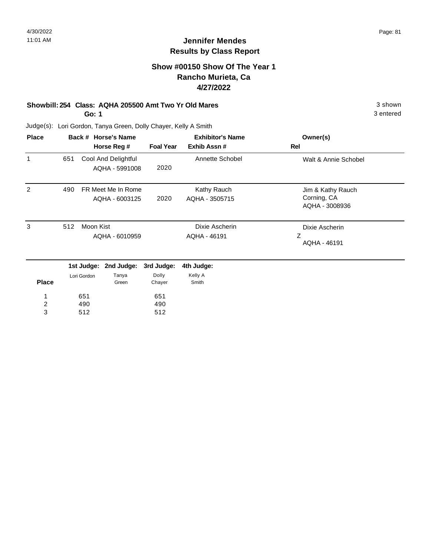## **Show #00150 Show Of The Year 1 Rancho Murieta, Ca 4/27/2022**

# **Showbill: 254 Class: AQHA 205500 Amt Two Yr Old Mares** 3 shown

**Go: 1**

3 entered

| <b>Place</b>   |     |             | Back # Horse's Name |                  | <b>Exhibitor's Name</b> | Owner(s)             |
|----------------|-----|-------------|---------------------|------------------|-------------------------|----------------------|
|                |     |             | Horse Reg #         | <b>Foal Year</b> | Exhib Assn#             | Rel                  |
| 1              | 651 |             | Cool And Delightful |                  | Annette Schobel         | Walt & Annie Schobel |
|                |     |             | AQHA - 5991008      | 2020             |                         |                      |
| $\overline{2}$ | 490 |             | FR Meet Me In Rome  |                  | Kathy Rauch             | Jim & Kathy Rauch    |
|                |     |             | AQHA - 6003125      | 2020             | AQHA - 3505715          | Corning, CA          |
|                |     |             |                     |                  |                         | AQHA - 3008936       |
| 3              | 512 | Moon Kist   |                     |                  | Dixie Ascherin          | Dixie Ascherin       |
|                |     |             | AQHA - 6010959      |                  | AQHA - 46191            | Z<br>AQHA - 46191    |
|                |     | 1st Judge:  | 2nd Judge:          | 3rd Judge:       | 4th Judge:              |                      |
|                |     | Lori Gordon | Tanya               | Dolly            | Kelly A                 |                      |
| <b>Place</b>   |     |             | Green               | Chayer           | Smith                   |                      |
| 1              |     | 651         |                     | 651              |                         |                      |
| $\overline{c}$ |     | 490         |                     | 490              |                         |                      |
| 3              |     | 512         |                     | 512              |                         |                      |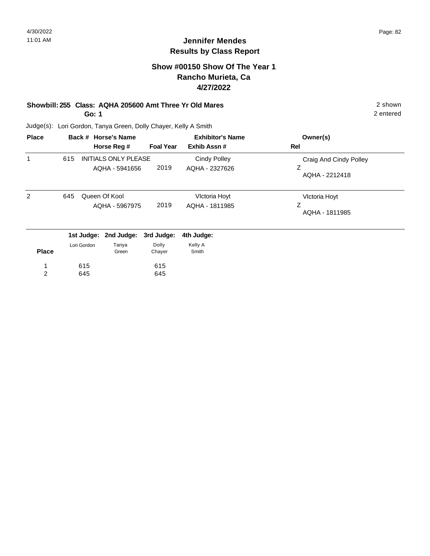# **Show #00150 Show Of The Year 1 Rancho Murieta, Ca 4/27/2022**

#### **Showbill: 255 Class: AQHA 205600 Amt Three Yr Old Mares** 2 shown **Go: 1**

2 entered

| <b>Place</b>   |     |             | Back # Horse's Name                           | <b>Exhibitor's Name</b> |                                       | Owner(s)                                      |
|----------------|-----|-------------|-----------------------------------------------|-------------------------|---------------------------------------|-----------------------------------------------|
|                |     |             | Horse Reg #                                   | <b>Foal Year</b>        | Exhib Assn#                           | Rel                                           |
| 1              | 615 |             | <b>INITIALS ONLY PLEASE</b><br>AQHA - 5941656 | 2019                    | <b>Cindy Polley</b><br>AQHA - 2327626 | Craig And Cindy Polley<br>Ζ<br>AQHA - 2212418 |
| 2              | 645 |             | Queen Of Kool<br>AQHA - 5967975               | 2019                    | Victoria Hoyt<br>AQHA - 1811985       | Victoria Hoyt<br>Ζ<br>AQHA - 1811985          |
|                |     |             | 1st Judge: 2nd Judge:                         | 3rd Judge:              | 4th Judge:                            |                                               |
| <b>Place</b>   |     | Lori Gordon | Tanya<br>Green                                | Dolly<br>Chayer         | Kelly A<br>Smith                      |                                               |
| 1              |     | 615         |                                               | 615                     |                                       |                                               |
| $\overline{2}$ |     | 645         |                                               | 645                     |                                       |                                               |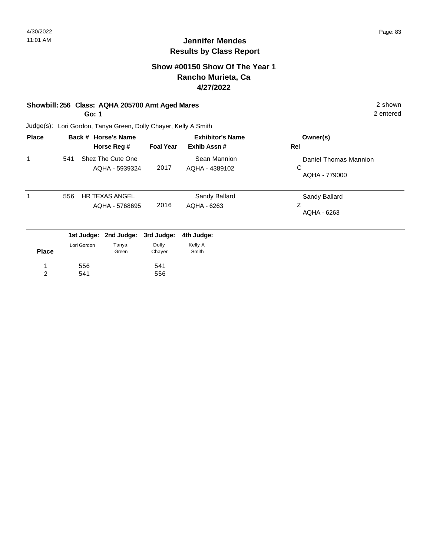## **Show #00150 Show Of The Year 1 Rancho Murieta, Ca 4/27/2022**

# **Showbill: 256 Class: AQHA 205700 Amt Aged Mares** 2 shown

**Go: 1**

2 entered

| <b>Place</b> |     |             | Back # Horse's Name                     |                  | <b>Exhibitor's Name</b>        | Owner(s)                                    |
|--------------|-----|-------------|-----------------------------------------|------------------|--------------------------------|---------------------------------------------|
|              |     |             | Horse Reg #                             | <b>Foal Year</b> | Exhib Assn#                    | Rel                                         |
| 1            | 541 |             | Shez The Cute One<br>AQHA - 5939324     | 2017             | Sean Mannion<br>AQHA - 4389102 | Daniel Thomas Mannion<br>С<br>AQHA - 779000 |
| 1            | 556 |             | <b>HR TEXAS ANGEL</b><br>AQHA - 5768695 | 2016             | Sandy Ballard<br>AQHA - 6263   | Sandy Ballard<br>Ζ<br>AQHA - 6263           |
|              |     | 1st Judge:  | 2nd Judge:                              | 3rd Judge:       | 4th Judge:                     |                                             |
| <b>Place</b> |     | Lori Gordon | Tanya<br>Green                          | Dolly<br>Chayer  | Kelly A<br>Smith               |                                             |
| 1            |     | 556         |                                         | 541              |                                |                                             |
| 2            |     | 541         |                                         | 556              |                                |                                             |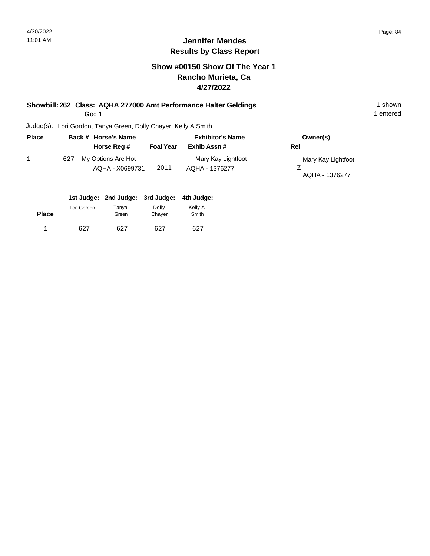## **Show #00150 Show Of The Year 1 Rancho Murieta, Ca 4/27/2022**

#### **Showbill: 262 Class: AQHA 277000 Amt Performance Halter Geldings** 1 Shown 1 shown **Go: 1**

1 entered

| <b>Place</b> |     | Back # Horse's Name                   | <b>Exhibitor's Name</b> |                                      | Owner(s)                             |
|--------------|-----|---------------------------------------|-------------------------|--------------------------------------|--------------------------------------|
|              |     | Horse Reg #                           | <b>Foal Year</b>        | Exhib Assn #                         | Rel                                  |
|              | 627 | My Options Are Hot<br>AQHA - X0699731 | 2011                    | Mary Kay Lightfoot<br>AQHA - 1376277 | Mary Kay Lightfoot<br>AQHA - 1376277 |

|              |             |                | 1st Judge: 2nd Judge: 3rd Judge: 4th Judge: |                  |
|--------------|-------------|----------------|---------------------------------------------|------------------|
| <b>Place</b> | Lori Gordon | Tanya<br>Green | Dolly<br>Chaver                             | Kelly A<br>Smith |
|              | 627         | 627            | 627                                         | 627              |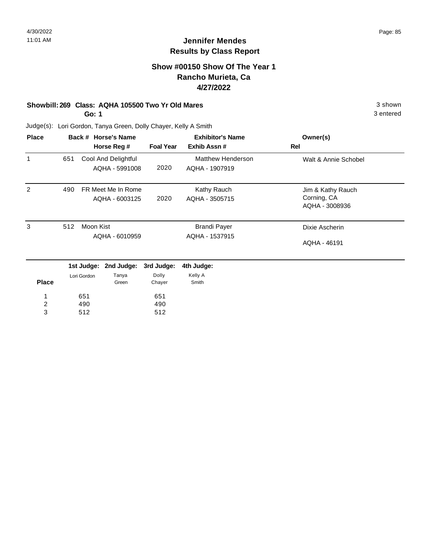#### **Show #00150 Show Of The Year 1 Rancho Murieta, Ca 4/27/2022**

#### **Showbill: 269 Class: AQHA 105500 Two Yr Old Mares** 3 Shown

**Go: 1**

3 entered

| <b>Place</b>     |                |             | Back # Horse's Name |                  | <b>Exhibitor's Name</b>  | Owner(s)             |
|------------------|----------------|-------------|---------------------|------------------|--------------------------|----------------------|
|                  |                |             | Horse Reg #         | <b>Foal Year</b> | Exhib Assn#              | Rel                  |
| 1                | 651            |             | Cool And Delightful |                  | <b>Matthew Henderson</b> | Walt & Annie Schobel |
|                  |                |             | AQHA - 5991008      | 2020             | AQHA - 1907919           |                      |
| 2                | 490            |             | FR Meet Me In Rome  |                  | Kathy Rauch              | Jim & Kathy Rauch    |
|                  |                |             | AQHA - 6003125      | 2020             | AQHA - 3505715           | Corning, CA          |
|                  |                |             |                     |                  | AQHA - 3008936           |                      |
| 3                | 512            | Moon Kist   |                     |                  | <b>Brandi Payer</b>      | Dixie Ascherin       |
|                  | AQHA - 6010959 |             |                     | AQHA - 1537915   |                          |                      |
|                  |                |             |                     |                  |                          | AQHA - 46191         |
|                  |                | 1st Judge:  | 2nd Judge:          | 3rd Judge:       | 4th Judge:               |                      |
|                  |                | Lori Gordon | Tanya               | Dolly            | Kelly A                  |                      |
| <b>Place</b>     |                |             | Green               | Chayer           | Smith                    |                      |
| 1                |                | 651         |                     | 651              |                          |                      |
| $\boldsymbol{2}$ |                | 490         |                     | 490              |                          |                      |
| 3                |                | 512         |                     | 512              |                          |                      |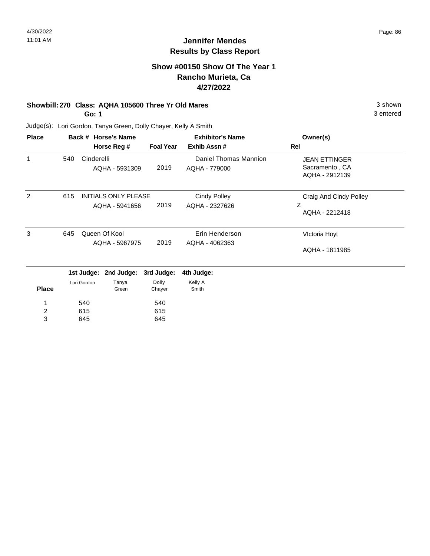# **Show #00150 Show Of The Year 1 Rancho Murieta, Ca 4/27/2022**

# **Showbill: 270 Class: AQHA 105600 Three Yr Old Mares** 3 Shown 3 shown

**Go: 1**

3 entered

| <b>Place</b>   |     |             | Back # Horse's Name                                   |                  | <b>Exhibitor's Name</b> | Owner(s)                         |
|----------------|-----|-------------|-------------------------------------------------------|------------------|-------------------------|----------------------------------|
|                |     |             | Horse Reg #                                           | <b>Foal Year</b> | Exhib Assn#             | Rel                              |
| 1              | 540 | Cinderelli  |                                                       |                  | Daniel Thomas Mannion   | <b>JEAN ETTINGER</b>             |
|                |     |             | AQHA - 5931309                                        | 2019             | AQHA - 779000           | Sacramento, CA<br>AQHA - 2912139 |
| 2              | 615 |             | <b>INITIALS ONLY PLEASE</b><br>2019<br>AQHA - 5941656 |                  | <b>Cindy Polley</b>     | Craig And Cindy Polley           |
|                |     |             |                                                       |                  | AQHA - 2327626          | Ζ<br>AQHA - 2212418              |
| 3              | 645 |             | Queen Of Kool                                         |                  | Erin Henderson          | Victoria Hoyt                    |
|                |     |             | AQHA - 5967975                                        | 2019             | AQHA - 4062363          | AQHA - 1811985                   |
|                |     |             | 1st Judge: 2nd Judge:                                 | 3rd Judge:       | 4th Judge:              |                                  |
| <b>Place</b>   |     | Lori Gordon | Tanya<br>Green                                        | Dolly<br>Chayer  | Kelly A<br>Smith        |                                  |
|                |     | 540         |                                                       | 540              |                         |                                  |
| $\overline{c}$ |     | 615         |                                                       | 615              |                         |                                  |
| 3              |     | 645         |                                                       | 645              |                         |                                  |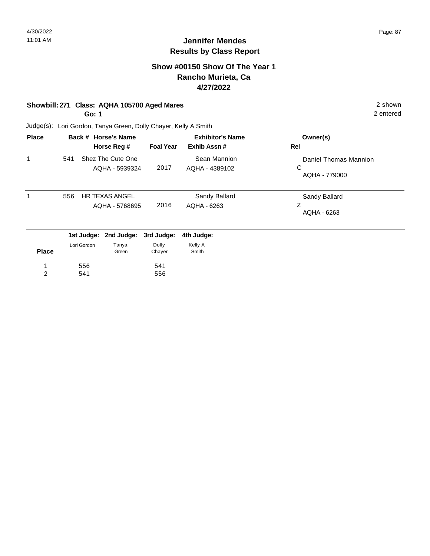2 entered

# **Jennifer Mendes Results by Class Report**

#### **Show #00150 Show Of The Year 1 Rancho Murieta, Ca 4/27/2022**

# **Showbill: 271 Class: AQHA 105700 Aged Mares** 2 shown

**Go: 1**

556 541

1 2

Judge(s): Lori Gordon, Tanya Green, Dolly Chayer, Kelly A Smith

| <b>Place</b> |     |                           | Back # Horse's Name<br>Horse Reg #      | <b>Foal Year</b>    | <b>Exhibitor's Name</b><br>Exhib Assn# | Owner(s)<br>Rel                             |
|--------------|-----|---------------------------|-----------------------------------------|---------------------|----------------------------------------|---------------------------------------------|
| 1            | 541 |                           | Shez The Cute One<br>AQHA - 5939324     | 2017                | Sean Mannion<br>AQHA - 4389102         | Daniel Thomas Mannion<br>C<br>AQHA - 779000 |
| 1            | 556 |                           | <b>HR TEXAS ANGEL</b><br>AQHA - 5768695 | 2016                | Sandy Ballard<br>AQHA - 6263           | Sandy Ballard<br>Ζ<br>AQHA - 6263           |
|              |     | 1st Judge:<br>Lori Gordon | 2nd Judge:<br>Tanya                     | 3rd Judge:<br>Dolly | 4th Judge:<br>Kelly A                  |                                             |
| <b>Place</b> |     |                           | Green                                   | Chayer              | Smith                                  |                                             |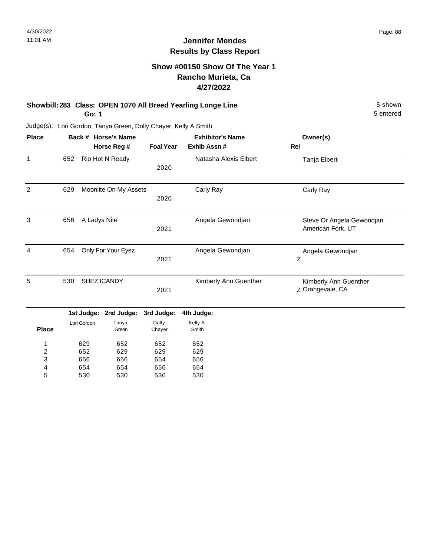# **Show #00150 Show Of The Year 1 Rancho Murieta, Ca 4/27/2022**

#### **Showbill: 283 Class: OPEN 1070 All Breed Yearling Longe Line** 5 shown **Go: 1**

5 entered

| <b>Place</b>   |     |              | Back # Horse's Name   |                  | <b>Exhibitor's Name</b> | Owner(s)                  |
|----------------|-----|--------------|-----------------------|------------------|-------------------------|---------------------------|
|                |     |              | Horse Reg #           | <b>Foal Year</b> | Exhib Assn #            | <b>Rel</b>                |
| $\mathbf{1}$   | 652 |              | Rio Hot N Ready       |                  | Natasha Alexis Elbert   | Tanja Elbert              |
|                |     |              |                       | 2020             |                         |                           |
| 2              | 629 |              | Moonlite On My Assets |                  | Carly Ray               | Carly Ray                 |
|                |     |              |                       | 2020             |                         |                           |
| 3              | 656 | A Ladys Nite |                       |                  | Angela Gewondjan        | Steve Or Angela Gewondjan |
|                |     |              |                       | 2021             |                         | American Fork, UT         |
| $\overline{4}$ | 654 |              | Only For Your Eyez    |                  | Angela Gewondjan        | Angela Gewondjan          |
|                |     |              |                       | 2021             |                         | Z                         |
| 5              | 530 |              | SHEZ ICANDY           |                  | Kimberly Ann Guenther   | Kimberly Ann Guenther     |
|                |     |              |                       | 2021             |                         | Z Orangevale, CA          |
|                |     | 1st Judge:   | 2nd Judge:            | 3rd Judge:       | 4th Judge:              |                           |
|                |     | Lori Gordon  | Tanya                 | Dolly            | Kelly A                 |                           |
| <b>Place</b>   |     |              | Green                 | Chayer           | Smith                   |                           |
| 1              |     | 629          | 652                   | 652              | 652                     |                           |
| 2              |     | 652          | 629                   | 629              | 629                     |                           |
| 3              |     | 656          | 656                   | 654              | 656                     |                           |
| 4              |     | 654          | 654                   | 656              | 654                     |                           |
| 5              |     | 530          | 530                   | 530              | 530                     |                           |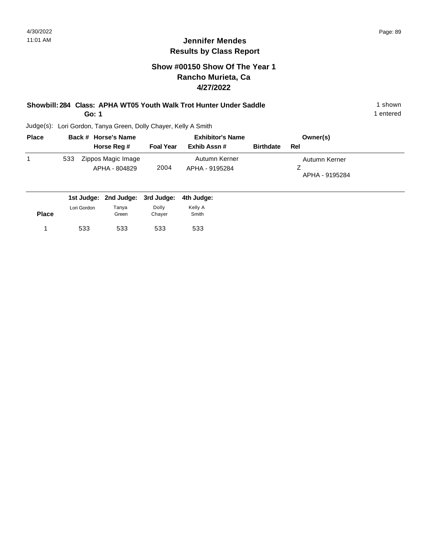# **Show #00150 Show Of The Year 1 Rancho Murieta, Ca 4/27/2022**

#### **Showbill: 284 Class: APHA WT05 Youth Walk Trot Hunter Under Saddle** 1 shown 1 shown **Go: 1**

1 entered

| <b>Place</b> | Back # Horse's Name                        |                  | <b>Exhibitor's Name</b>         |                  | Owner(s)                        |  |
|--------------|--------------------------------------------|------------------|---------------------------------|------------------|---------------------------------|--|
|              | Horse Reg #                                | <b>Foal Year</b> | Exhib Assn #                    | <b>Birthdate</b> | Rel                             |  |
|              | Zippos Magic Image<br>533<br>APHA - 804829 | 2004             | Autumn Kerner<br>APHA - 9195284 |                  | Autumn Kerner<br>APHA - 9195284 |  |
|              | 1st Judge: 2nd Judge: 3rd Judge:           |                  | 4th Judge:                      |                  |                                 |  |

| <b>Place</b> | Lori Gordon | Tanya<br>Green | Dolly<br>Chaver | Kelly A<br>Smith |
|--------------|-------------|----------------|-----------------|------------------|
|              | 533         | 533            | 533             | 533              |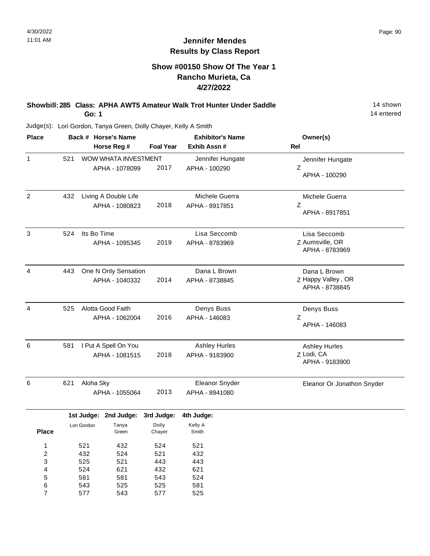14 entered

# **Jennifer Mendes Results by Class Report**

# **Show #00150 Show Of The Year 1 Rancho Murieta, Ca 4/27/2022**

**Showbill: 285 Class: APHA AWT5 Amateur Walk Trot Hunter Under Saddle** 14 Shown **Go: 1**

| <b>Place</b>   |     |                                        | Back # Horse's Name<br>Horse Reg #     | <b>Foal Year</b>              | <b>Exhibitor's Name</b><br>Exhib Assn #        | Owner(s)<br>Rel                                      |
|----------------|-----|----------------------------------------|----------------------------------------|-------------------------------|------------------------------------------------|------------------------------------------------------|
| $\mathbf{1}$   | 521 |                                        | WOW WHATA INVESTMENT<br>APHA - 1078099 | 2017                          | Jennifer Hungate<br>APHA - 100290              | Jennifer Hungate<br>Ζ<br>APHA - 100290               |
| $\overline{2}$ | 432 |                                        | Living A Double Life<br>APHA - 1080823 | 2018                          | Michele Guerra<br>APHA - 8917851               | Michele Guerra<br>Z<br>APHA - 8917851                |
| 3              | 524 | Its Bo Time                            | APHA - 1095345                         | 2019                          | Lisa Seccomb<br>APHA - 8783969                 | Lisa Seccomb<br>Z Aumsville, OR<br>APHA - 8783969    |
| $\overline{4}$ | 443 |                                        | One N Only Sensation<br>APHA - 1040332 | 2014                          | Dana L Brown<br>APHA - 8738845                 | Dana L Brown<br>Z Happy Valley, OR<br>APHA - 8738845 |
| $\overline{4}$ | 525 |                                        | Alotta Good Faith<br>APHA - 1062004    | 2016                          | Denys Buss<br>APHA - 146083                    | Denys Buss<br>Z<br>APHA - 146083                     |
| 6              | 581 | I Put A Spell On You<br>APHA - 1081515 |                                        |                               | <b>Ashley Hurles</b><br>2018<br>APHA - 9183900 | <b>Ashley Hurles</b><br>Z Lodi, CA<br>APHA - 9183900 |
| 6              | 621 | Aloha Sky                              | APHA - 1055064                         | 2013                          | Eleanor Snyder<br>APHA - 8941080               | Eleanor Or Jonathon Snyder                           |
| <b>Place</b>   |     | 1st Judge:<br>Lori Gordon              | 2nd Judge:<br>Tanya<br>Green           | 3rd Judge:<br>Dolly<br>Chaver | 4th Judge:<br>Kelly A<br>Smith                 |                                                      |

| <b>Place</b> |     | Green | Chayer | Smith |  |
|--------------|-----|-------|--------|-------|--|
| 1            | 521 | 432   | 524    | 521   |  |
| 2            | 432 | 524   | 521    | 432   |  |
| 3            | 525 | 521   | 443    | 443   |  |
| 4            | 524 | 621   | 432    | 621   |  |
| 5            | 581 | 581   | 543    | 524   |  |
| 6            | 543 | 525   | 525    | 581   |  |
| 7            | 577 | 543   | 577    | 525   |  |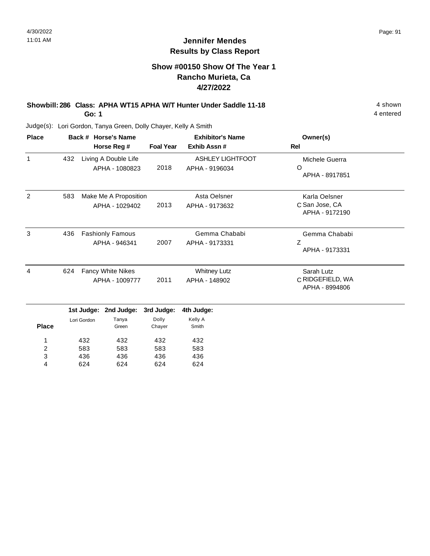#### **Show #00150 Show Of The Year 1 Rancho Murieta, Ca 4/27/2022**

#### **Showbill: 286 Class: APHA WT15 APHA W/T Hunter Under Saddle 11-18** 4 Shown **Go: 1**

436 624

3 4 436 624

436 624

436 624

Judge(s): Lori Gordon, Tanya Green, Dolly Chayer, Kelly A Smith

| <b>Place</b>   |     |               | Back # Horse's Name     |                  | <b>Exhibitor's Name</b> | Owner(s)                           |  |
|----------------|-----|---------------|-------------------------|------------------|-------------------------|------------------------------------|--|
|                |     |               | Horse Reg #             | <b>Foal Year</b> | Exhib Assn #            | <b>Rel</b>                         |  |
| $\mathbf{1}$   | 432 |               | Living A Double Life    |                  | <b>ASHLEY LIGHTFOOT</b> | Michele Guerra                     |  |
|                |     |               | APHA - 1080823          | 2018             | APHA - 9196034          | O<br>APHA - 8917851                |  |
| 2              | 583 |               | Make Me A Proposition   |                  | Asta Oelsner            | Karla Oelsner                      |  |
|                |     |               | APHA - 1029402          | 2013             | APHA - 9173632          | C San Jose, CA<br>APHA - 9172190   |  |
| 3              | 436 |               | <b>Fashionly Famous</b> |                  | Gemma Chababi           | Gemma Chababi                      |  |
|                |     | APHA - 946341 |                         | 2007             | APHA - 9173331          | Ζ<br>APHA - 9173331                |  |
| 4              | 624 |               | Fancy White Nikes       |                  | <b>Whitney Lutz</b>     | Sarah Lutz                         |  |
|                |     |               | APHA - 1009777          | 2011             | APHA - 148902           | C RIDGEFIELD, WA<br>APHA - 8994806 |  |
|                |     | 1st Judge:    | 2nd Judge:              | 3rd Judge:       | 4th Judge:              |                                    |  |
|                |     | Lori Gordon   | Tanya                   | Dolly            | Kelly A                 |                                    |  |
| <b>Place</b>   |     |               | Green                   | Chayer           | Smith                   |                                    |  |
| 1              |     | 432           | 432                     | 432              | 432                     |                                    |  |
| $\overline{2}$ |     | 583           | 583                     | 583              | 583                     |                                    |  |

4 entered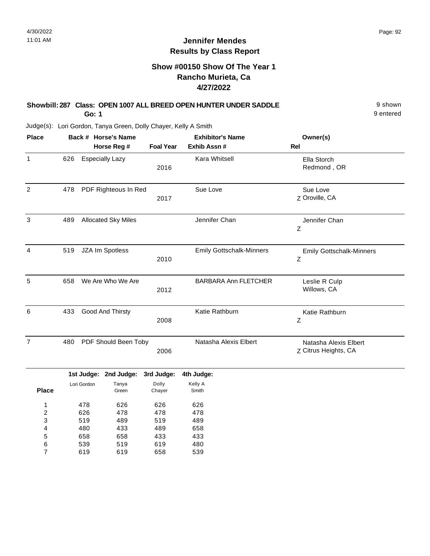# **Show #00150 Show Of The Year 1 Rancho Murieta, Ca 4/27/2022**

#### **Showbill: 287 Class: OPEN 1007 ALL BREED OPEN HUNTER UNDER SADDLE** 9 shown **Go: 1**

9 entered

| <b>Place</b>   |     |             | Back # Horse's Name        |                  | <b>Exhibitor's Name</b>         | Owner(s)                                      |
|----------------|-----|-------------|----------------------------|------------------|---------------------------------|-----------------------------------------------|
|                |     |             | Horse Reg #                | <b>Foal Year</b> | Exhib Assn #                    | <b>Rel</b>                                    |
| $\mathbf{1}$   | 626 |             | <b>Especially Lazy</b>     | 2016             | Kara Whitsell                   | Ella Storch<br>Redmond, OR                    |
| $\overline{2}$ | 478 |             | PDF Righteous In Red       | 2017             | Sue Love                        | Sue Love<br>Z Oroville, CA                    |
| $\mathfrak{Z}$ | 489 |             | <b>Allocated Sky Miles</b> |                  | Jennifer Chan                   | Jennifer Chan<br>Ζ                            |
| 4              | 519 |             | JZA Im Spotless            | 2010             | <b>Emily Gottschalk-Minners</b> | <b>Emily Gottschalk-Minners</b><br>Ζ          |
| 5              | 658 |             | We Are Who We Are          | 2012             | <b>BARBARA Ann FLETCHER</b>     | Leslie R Culp<br>Willows, CA                  |
| $\,6$          | 433 |             | Good And Thirsty           | 2008             | Katie Rathburn                  | Katie Rathburn<br>Ζ                           |
| $\overline{7}$ | 480 |             | PDF Should Been Toby       | 2006             | Natasha Alexis Elbert           | Natasha Alexis Elbert<br>Z Citrus Heights, CA |
|                |     |             | 1st Judge: 2nd Judge:      | 3rd Judge:       | 4th Judge:                      |                                               |
| <b>Place</b>   |     | Lori Gordon | Tanya<br>Green             | Dolly<br>Chayer  | Kelly A<br>Smith                |                                               |
| 1              |     | 478         | 626                        | 626              | 626                             |                                               |
| 2              |     | 626         | 478                        | 478              | 478                             |                                               |
| 3              |     | 519         | 489                        | 519              | 489                             |                                               |
| 4              |     | 480         | 433                        | 489              | 658                             |                                               |
| 5              |     | 658         | 658                        | 433              | 433                             |                                               |
| 6              |     | 539         | 519                        | 619              | 480                             |                                               |
| $\overline{7}$ |     | 619         | 619                        | 658              | 539                             |                                               |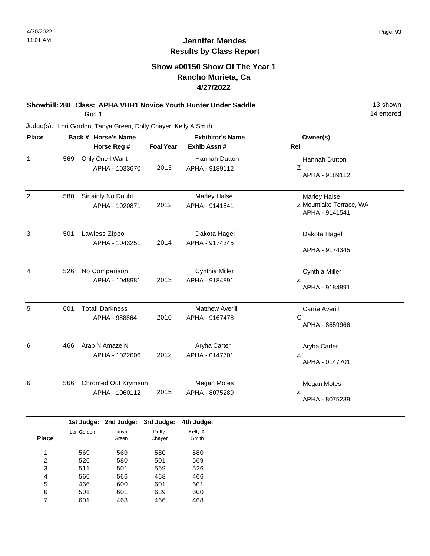#### **Show #00150 Show Of The Year 1 Rancho Murieta, Ca 4/27/2022**

**Showbill: 288 Class: APHA VBH1 Novice Youth Hunter Under Saddle** 13 Shown **Go: 1**

14 entered

Judge(s): Lori Gordon, Tanya Green, Dolly Chayer, Kelly A Smith

| <b>Place</b>   |     |             | Back # Horse's Name    |                  | <b>Exhibitor's Name</b> | Owner(s)                |
|----------------|-----|-------------|------------------------|------------------|-------------------------|-------------------------|
|                |     |             | Horse Reg #            | <b>Foal Year</b> | Exhib Assn #            | Rel                     |
| $\mathbf{1}$   | 569 |             | Only One I Want        |                  | Hannah Dutton           | Hannah Dutton           |
|                |     |             | APHA - 1033670         | 2013             | APHA - 9189112          | $\mathsf Z$             |
|                |     |             |                        |                  |                         | APHA - 9189112          |
| $\overline{2}$ | 580 |             | Sirtainly No Doubt     |                  | <b>Marley Halse</b>     | Marley Halse            |
|                |     |             | APHA - 1020871         | 2012             | APHA - 9141541          | Z Mountlake Terrace, WA |
|                |     |             |                        |                  |                         | APHA - 9141541          |
| $\mathbf{3}$   | 501 |             | Lawless Zippo          |                  | Dakota Hagel            | Dakota Hagel            |
|                |     |             | APHA - 1043251         | 2014             | APHA - 9174345          |                         |
|                |     |             |                        |                  |                         | APHA - 9174345          |
| 4              | 526 |             | No Comparison          |                  | Cynthia Miller          | Cynthia Miller          |
|                |     |             | APHA - 1048981         | 2013             | APHA - 9184891          | Z                       |
|                |     |             |                        |                  |                         | APHA - 9184891          |
| 5              | 601 |             | <b>Totall Darkness</b> |                  | <b>Matthew Averill</b>  | Carrie Averill          |
|                |     |             | APHA - 988864          | 2010             | APHA - 9167478          | $\mathsf{C}$            |
|                |     |             |                        |                  |                         | APHA - 8659966          |
| 6              | 466 |             | Arap N Amaze N         |                  | Aryha Carter            | Aryha Carter            |
|                |     |             | APHA - 1022006         | 2012             | APHA - 0147701          | Z                       |
|                |     |             |                        |                  |                         | APHA - 0147701          |
| 6              | 566 |             | Chromed Out Krymsun    |                  | <b>Megan Motes</b>      | Megan Motes             |
|                |     |             | APHA - 1060112         | 2015             | APHA - 8075289          | Z                       |
|                |     |             |                        |                  |                         | APHA - 8075289          |
|                |     |             | 1st Judge: 2nd Judge:  | 3rd Judge:       | 4th Judge:              |                         |
|                |     | Lori Gordon | Tanya                  | Dolly            | Kelly A                 |                         |
| <b>Place</b>   |     |             | Green                  | Chayer           | Smith                   |                         |
| 1              |     | 569         | 569                    | 580              | 580                     |                         |
| $\overline{c}$ |     | 526         | 580                    | 501              | 569                     |                         |
| 3              |     | 511         | 501                    | 569              | 526                     |                         |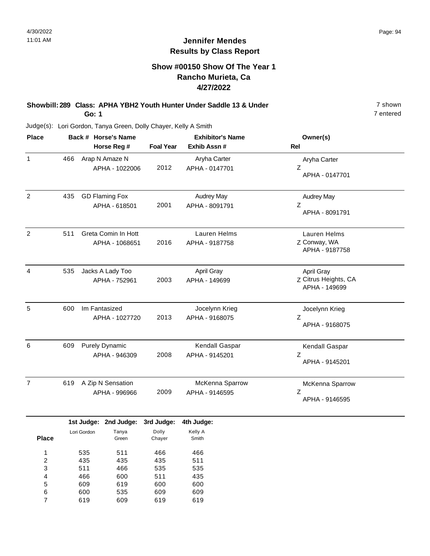# **Show #00150 Show Of The Year 1 Rancho Murieta, Ca 4/27/2022**

**Showbill: 289 Class: APHA YBH2 Youth Hunter Under Saddle 13 & Under** 7 shown **Go: 1**

7 entered

| <b>Place</b>   | Back # Horse's Name<br>Horse Reg # |             | <b>Foal Year</b>                        | <b>Exhibitor's Name</b><br>Exhib Assn # | Owner(s)<br>Rel                     |                                                     |
|----------------|------------------------------------|-------------|-----------------------------------------|-----------------------------------------|-------------------------------------|-----------------------------------------------------|
| $\mathbf{1}$   | 466                                |             | Arap N Amaze N<br>APHA - 1022006        | 2012                                    | Aryha Carter<br>APHA - 0147701      | Aryha Carter<br>Ζ<br>APHA - 0147701                 |
| $\overline{2}$ | 435                                |             | <b>GD Flaming Fox</b><br>APHA - 618501  | 2001                                    | <b>Audrey May</b><br>APHA - 8091791 | <b>Audrey May</b><br>Z<br>APHA - 8091791            |
| $\overline{2}$ | 511                                |             | Greta Comin In Hott<br>APHA - 1068651   | 2016                                    | Lauren Helms<br>APHA - 9187758      | Lauren Helms<br>Z Conway, WA<br>APHA - 9187758      |
| 4              | 535                                |             | Jacks A Lady Too<br>APHA - 752961       | 2003                                    | April Gray<br>APHA - 149699         | April Gray<br>Z Citrus Heights, CA<br>APHA - 149699 |
| 5              | 600                                |             | Im Fantasized<br>APHA - 1027720         | 2013                                    | Jocelynn Krieg<br>APHA - 9168075    | Jocelynn Krieg<br>Ζ<br>APHA - 9168075               |
| 6              | 609                                |             | <b>Purely Dynamic</b><br>APHA - 946309  | 2008                                    | Kendall Gaspar<br>APHA - 9145201    | Kendall Gaspar<br>Ζ<br>APHA - 9145201               |
| $\overline{7}$ | 619                                |             | A Zip N Sensation<br>APHA - 996966      | 2009                                    | McKenna Sparrow<br>APHA - 9146595   | McKenna Sparrow<br>Z<br>APHA - 9146595              |
| <b>Place</b>   |                                    | Lori Gordon | 1st Judge: 2nd Judge:<br>Tanya<br>Green | 3rd Judge:<br>Dolly<br>Chayer           | 4th Judge:<br>Kelly A<br>Smith      |                                                     |
|                |                                    |             | $-11$                                   | $\sim$                                  | $\sim$                              |                                                     |

| 1 | 535 | 511 | 466 | 466 |
|---|-----|-----|-----|-----|
| 2 | 435 | 435 | 435 | 511 |
| 3 | 511 | 466 | 535 | 535 |
| 4 | 466 | 600 | 511 | 435 |
| 5 | 609 | 619 | 600 | 600 |
| 6 | 600 | 535 | 609 | 609 |
|   | 619 | 609 | 619 | 619 |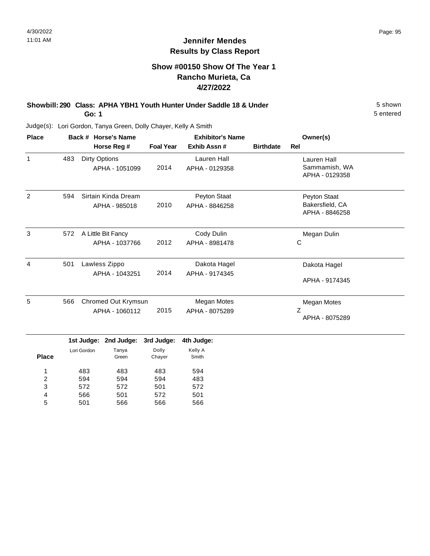# **Show #00150 Show Of The Year 1 Rancho Murieta, Ca 4/27/2022**

**Showbill: 290 Class: APHA YBH1 Youth Hunter Under Saddle 18 & Under** 5 Shown 5 shown **Go: 1**

5 entered

| <b>Place</b> |     | Back # Horse's Name<br>Horse Reg #    | <b>Foal Year</b> | <b>Exhibitor's Name</b><br>Exhib Assn# | <b>Birthdate</b> | Owner(s)<br>Rel                                   |
|--------------|-----|---------------------------------------|------------------|----------------------------------------|------------------|---------------------------------------------------|
| $\mathbf{1}$ | 483 | Dirty Options<br>APHA - 1051099       | 2014             | Lauren Hall<br>APHA - 0129358          |                  | Lauren Hall<br>Sammamish, WA<br>APHA - 0129358    |
| 2            | 594 | Sirtain Kinda Dream<br>APHA - 985018  | 2010             | Peyton Staat<br>APHA - 8846258         |                  | Peyton Staat<br>Bakersfield, CA<br>APHA - 8846258 |
| 3            | 572 | A Little Bit Fancy<br>APHA - 1037766  | 2012             | Cody Dulin<br>APHA - 8981478           |                  | Megan Dulin<br>С                                  |
| 4            | 501 | Lawless Zippo<br>APHA - 1043251       | 2014             | Dakota Hagel<br>APHA - 9174345         |                  | Dakota Hagel<br>APHA - 9174345                    |
| 5            | 566 | Chromed Out Krymsun<br>APHA - 1060112 | 2015             | Megan Motes<br>APHA - 8075289          |                  | Megan Motes<br>Z<br>APHA - 8075289                |

|              |             | 1st Judge: 2nd Judge: | 3rd Judge: | 4th Judge: |
|--------------|-------------|-----------------------|------------|------------|
|              | Lori Gordon | Tanya                 | Dolly      | Kelly A    |
| <b>Place</b> |             | Green                 | Chayer     | Smith      |
|              |             |                       |            |            |
| 1            | 483         | 483                   | 483        | 594        |
| 2            | 594         | 594                   | 594        | 483        |
| 3            | 572         | 572                   | 501        | 572        |
| 4            | 566         | 501                   | 572        | 501        |
| 5            | 501         | 566                   | 566        | 566        |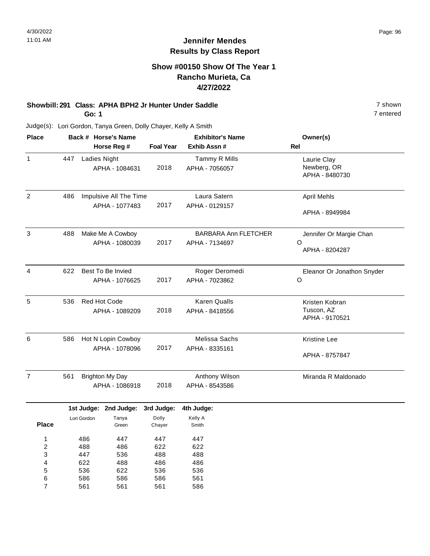#### **Show #00150 Show Of The Year 1 Rancho Murieta, Ca 4/27/2022**

# **Showbill: 291 Class: APHA BPH2 Jr Hunter Under Saddle** 7 shown

**Go: 1**

Judge(s): Lori Gordon, Tanya Green, Dolly Chayer, Kelly A Smith

| <b>Place</b>             |                                        | Back # Horse's Name       |                                          |                               | <b>Exhibitor's Name</b>                       | Owner(s)                                       |  |
|--------------------------|----------------------------------------|---------------------------|------------------------------------------|-------------------------------|-----------------------------------------------|------------------------------------------------|--|
|                          | Horse Reg #                            |                           |                                          | <b>Foal Year</b>              | Exhib Assn #                                  | Rel                                            |  |
| 1                        | 447                                    | Ladies Night              | APHA - 1084631                           | 2018                          | Tammy R Mills<br>APHA - 7056057               | Laurie Clay<br>Newberg, OR<br>APHA - 8480730   |  |
| $\overline{2}$           | 486                                    |                           | Impulsive All The Time<br>APHA - 1077483 | 2017                          | Laura Satern<br>APHA - 0129157                | <b>April Mehls</b><br>APHA - 8949984           |  |
| $\mathbf{3}$             | 488                                    |                           | Make Me A Cowboy<br>APHA - 1080039       | 2017                          | <b>BARBARA Ann FLETCHER</b><br>APHA - 7134697 | Jennifer Or Margie Chan<br>O<br>APHA - 8204287 |  |
| $\overline{4}$           | 622                                    |                           | Best To Be Invied<br>APHA - 1076625      | 2017                          | Roger Deromedi<br>APHA - 7023862              | Eleanor Or Jonathon Snyder<br>$\circ$          |  |
| 5                        | 536                                    |                           | Red Hot Code<br>APHA - 1089209           | 2018                          | <b>Karen Qualls</b><br>APHA - 8418556         | Kristen Kobran<br>Tuscon, AZ<br>APHA - 9170521 |  |
| 6                        | 586                                    |                           | Hot N Lopin Cowboy<br>APHA - 1078096     | 2017                          | Melissa Sachs<br>APHA - 8335161               | <b>Kristine Lee</b><br>APHA - 8757847          |  |
| $\overline{7}$           | 561                                    |                           | <b>Brighton My Day</b><br>APHA - 1086918 | 2018                          | Anthony Wilson<br>APHA - 8543586              | Miranda R Maldonado                            |  |
| <b>Place</b>             |                                        | 1st Judge:<br>Lori Gordon | 2nd Judge:<br>Tanya<br>Green             | 3rd Judge:<br>Dolly<br>Chayer | 4th Judge:<br>Kelly A<br>Smith                |                                                |  |
| 1<br>$\overline{c}$<br>3 | 486<br>447<br>488<br>486<br>536<br>447 |                           | 447<br>622<br>488                        | 447<br>622<br>488             |                                               |                                                |  |

7 entered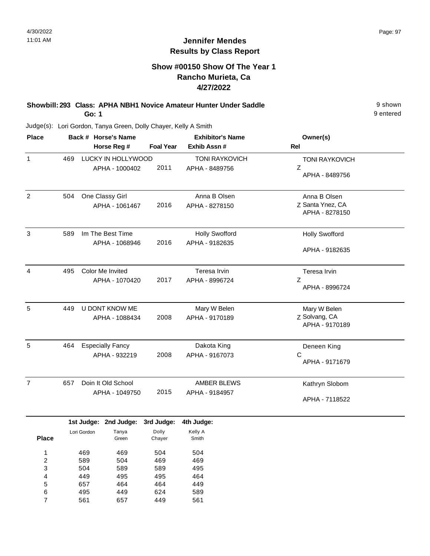# **Show #00150 Show Of The Year 1 Rancho Murieta, Ca 4/27/2022**

**Showbill: 293 Class: APHA NBH1 Novice Amateur Hunter Under Saddle** 9 shown **Go: 1**

9 entered

| <b>Place</b>   |     | Back # Horse's Name     |                  | <b>Exhibitor's Name</b> | Owner(s)              |
|----------------|-----|-------------------------|------------------|-------------------------|-----------------------|
|                |     | Horse Reg #             | <b>Foal Year</b> | Exhib Assn #            | <b>Rel</b>            |
| $\mathbf{1}$   | 469 | LUCKY IN HOLLYWOOD      |                  | <b>TONI RAYKOVICH</b>   | <b>TONI RAYKOVICH</b> |
|                |     | APHA - 1000402          | 2011             | APHA - 8489756          | Z                     |
|                |     |                         |                  |                         | APHA - 8489756        |
| $\overline{c}$ | 504 | One Classy Girl         |                  | Anna B Olsen            | Anna B Olsen          |
|                |     | APHA - 1061467          | 2016             | APHA - 8278150          | Z Santa Ynez, CA      |
|                |     |                         |                  |                         | APHA - 8278150        |
| 3              | 589 | Im The Best Time        |                  | <b>Holly Swofford</b>   | <b>Holly Swofford</b> |
|                |     | APHA - 1068946          | 2016             | APHA - 9182635          |                       |
|                |     |                         |                  |                         | APHA - 9182635        |
| 4              | 495 | Color Me Invited        |                  | Teresa Irvin            | Teresa Irvin          |
|                |     | APHA - 1070420          | 2017             | APHA - 8996724          | Z                     |
|                |     |                         |                  |                         | APHA - 8996724        |
| 5              | 449 | U DONT KNOW ME          |                  | Mary W Belen            | Mary W Belen          |
|                |     | APHA - 1088434          | 2008             | APHA - 9170189          | Z Solvang, CA         |
|                |     |                         |                  |                         | APHA - 9170189        |
| 5              | 464 | <b>Especially Fancy</b> |                  | Dakota King             | Deneen King           |
|                |     | APHA - 932219           | 2008             | APHA - 9167073          | C                     |
|                |     |                         |                  |                         | APHA - 9171679        |
| $\overline{7}$ | 657 | Doin It Old School      |                  | <b>AMBER BLEWS</b>      | Kathryn Slobom        |
|                |     | APHA - 1049750          | 2015             | APHA - 9184957          |                       |
|                |     |                         |                  |                         | APHA - 7118522        |
|                |     |                         |                  |                         |                       |

|              |             | 1st Judge: 2nd Judge: | 3rd Judge: | 4th Judge: |
|--------------|-------------|-----------------------|------------|------------|
|              | Lori Gordon | Tanya                 | Dolly      | Kelly A    |
| <b>Place</b> |             | Green                 | Chayer     | Smith      |
| 1            | 469         | 469                   | 504        | 504        |
| 2            | 589         | 504                   | 469        | 469        |
| 3            | 504         | 589                   | 589        | 495        |
| 4            | 449         | 495                   | 495        | 464        |
| 5            | 657         | 464                   | 464        | 449        |
| 6            | 495         | 449                   | 624        | 589        |
| 7            | 561         | 657                   | 449        | 561        |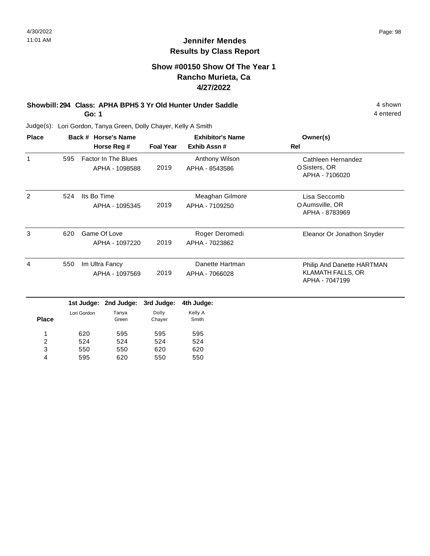4 entered

# **Jennifer Mendes Results by Class Report**

# **Show #00150 Show Of The Year 1 Rancho Murieta, Ca 4/27/2022**

#### **Showbill: 294 Class: APHA BPH5 3 Yr Old Hunter Under Saddle** 4 shown **Go: 1**

Judge(s): Lori Gordon, Tanya Green, Dolly Chayer, Kelly A Smith

524 550 595

2 3 4 524 550 620 524 620 550

| <b>Place</b> |     |             | Back # Horse's Name<br>Horse Reg #           | <b>Foal Year</b> | <b>Exhibitor's Name</b><br>Exhib Assn# | Owner(s)<br><b>Rel</b>                                                   |
|--------------|-----|-------------|----------------------------------------------|------------------|----------------------------------------|--------------------------------------------------------------------------|
| 1            | 595 |             | <b>Factor In The Blues</b><br>APHA - 1098588 | 2019             | Anthony Wilson<br>APHA - 8543586       | Cathleen Hernandez<br>OSisters, OR<br>APHA - 7106020                     |
| 2            | 524 | Its Bo Time | APHA - 1095345                               | 2019             | Meaghan Gilmore<br>APHA - 7109250      | Lisa Seccomb<br>O Aumsville, OR<br>APHA - 8783969                        |
| 3            | 620 |             | Game Of Love<br>APHA - 1097220               | 2019             | Roger Deromedi<br>APHA - 7023862       | Eleanor Or Jonathon Snyder                                               |
| 4            | 550 |             | Im Ultra Fancy<br>APHA - 1097569             | 2019             | Danette Hartman<br>APHA - 7066028      | Philip And Danette HARTMAN<br><b>KLAMATH FALLS, OR</b><br>APHA - 7047199 |
|              |     | 1st Judge:  | 2nd Judge:                                   | 3rd Judge:       | 4th Judge:                             |                                                                          |
| <b>Place</b> |     | Lori Gordon | Tanya<br>Green                               | Dolly<br>Chayer  | Kelly A<br>Smith                       |                                                                          |
|              |     | 620         | 595                                          | 595              | 595                                    |                                                                          |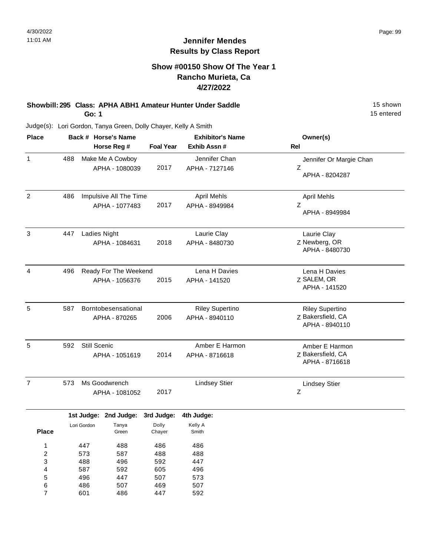# **Show #00150 Show Of The Year 1 Rancho Murieta, Ca 4/27/2022**

#### **Showbill: 295 Class: APHA ABH1 Amateur Hunter Under Saddle** 15 Shown **Go: 1**

15 entered

| <b>Place</b>   |     |              | Back # Horse's Name    |                  | <b>Exhibitor's Name</b> | Owner(s)                |
|----------------|-----|--------------|------------------------|------------------|-------------------------|-------------------------|
|                |     |              | Horse Reg #            | <b>Foal Year</b> | Exhib Assn #            | Rel                     |
| $\mathbf{1}$   | 488 |              | Make Me A Cowboy       |                  | Jennifer Chan           | Jennifer Or Margie Chan |
|                |     |              | APHA - 1080039         | 2017             | APHA - 7127146          | Ζ                       |
|                |     |              |                        |                  |                         | APHA - 8204287          |
| $\overline{2}$ | 486 |              | Impulsive All The Time |                  | <b>April Mehls</b>      | <b>April Mehls</b>      |
|                |     |              | APHA - 1077483         | 2017             | APHA - 8949984          | Ζ                       |
|                |     |              |                        |                  |                         | APHA - 8949984          |
| 3              | 447 | Ladies Night |                        |                  | Laurie Clay             | Laurie Clay             |
|                |     |              | APHA - 1084631         | 2018             | APHA - 8480730          | Z Newberg, OR           |
|                |     |              |                        |                  |                         | APHA - 8480730          |
| 4              | 496 |              | Ready For The Weekend  |                  | Lena H Davies           | Lena H Davies           |
|                |     |              | APHA - 1056376         | 2015             | APHA - 141520           | Z SALEM, OR             |
|                |     |              |                        |                  |                         | APHA - 141520           |
| 5              | 587 |              | Borntobesensational    |                  | <b>Riley Supertino</b>  | <b>Riley Supertino</b>  |
|                |     |              | APHA - 870265          | 2006             | APHA - 8940110          | Z Bakersfield, CA       |
|                |     |              |                        |                  |                         | APHA - 8940110          |
| 5              | 592 | Still Scenic |                        |                  | Amber E Harmon          | Amber E Harmon          |
|                |     |              | APHA - 1051619         | 2014             | APHA - 8716618          | Z Bakersfield, CA       |
|                |     |              |                        |                  |                         | APHA - 8716618          |
| $\overline{7}$ | 573 |              | Ms Goodwrench          |                  | <b>Lindsey Stier</b>    | <b>Lindsey Stier</b>    |
|                |     |              | APHA - 1081052         | 2017             |                         | Ζ                       |
|                |     | 1st Judge:   | 2nd Judge:             | 3rd Judge:       | 4th Judge:              |                         |
|                |     | Lori Gordon  | Tanya                  | Dolly            | Kelly A                 |                         |
| <b>Place</b>   |     |              | Green                  | Chayer           | Smith                   |                         |
| 1              |     | 447          | 488                    | 486              | 486                     |                         |
| 2              |     | 573          | 587                    | 488              | 488                     |                         |
| 3              |     | 488          | 496                    | 592              | 447                     |                         |
| 4              |     | 587          | 592                    | 605              | 496                     |                         |
| 5              |     | 496          | 447                    | 507              | 573                     |                         |
| 6              |     | 486          | 507                    | 469              | 507                     |                         |
| $\overline{7}$ |     | 601          | 486                    | 447              | 592                     |                         |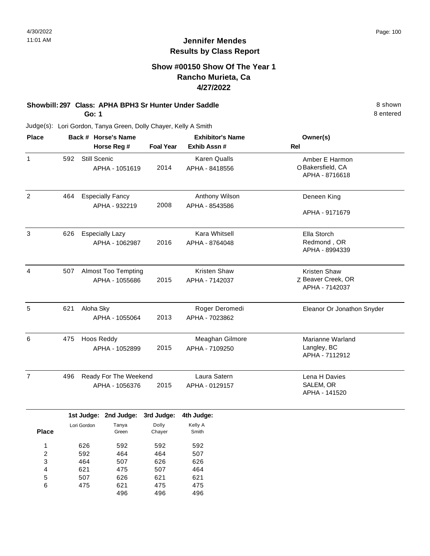# **Show #00150 Show Of The Year 1 Rancho Murieta, Ca 4/27/2022**

#### **Showbill: 297 Class: APHA BPH3 Sr Hunter Under Saddle** 8 shown **Go: 1**

8 entered

| <b>Place</b>   |     |                        | Back # Horse's Name        |                  | <b>Exhibitor's Name</b> | Owner(s)                   |
|----------------|-----|------------------------|----------------------------|------------------|-------------------------|----------------------------|
|                |     |                        | Horse Reg #                | <b>Foal Year</b> | Exhib Assn #            | <b>Rel</b>                 |
| $\mathbf{1}$   | 592 | <b>Still Scenic</b>    |                            |                  | <b>Karen Qualls</b>     | Amber E Harmon             |
|                |     |                        | APHA - 1051619             | 2014             | APHA - 8418556          | O Bakersfield, CA          |
|                |     |                        |                            |                  |                         | APHA - 8716618             |
| $\overline{2}$ | 464 |                        | <b>Especially Fancy</b>    |                  | Anthony Wilson          | Deneen King                |
|                |     |                        | APHA - 932219              | 2008             | APHA - 8543586          |                            |
|                |     |                        |                            |                  |                         | APHA - 9171679             |
| 3              | 626 | <b>Especially Lazy</b> |                            |                  | Kara Whitsell           | Ella Storch                |
|                |     |                        | APHA - 1062987             | 2016             | APHA - 8764048          | Redmond, OR                |
|                |     |                        |                            |                  |                         | APHA - 8994339             |
| 4              | 507 |                        | <b>Almost Too Tempting</b> |                  | Kristen Shaw            | Kristen Shaw               |
|                |     |                        | APHA - 1055686             | 2015             | APHA - 7142037          | Z Beaver Creek, OR         |
|                |     |                        |                            |                  |                         | APHA - 7142037             |
| 5              | 621 | Aloha Sky              |                            |                  | Roger Deromedi          | Eleanor Or Jonathon Snyder |
|                |     |                        | APHA - 1055064             | 2013             | APHA - 7023862          |                            |
| 6              | 475 | Hoos Reddy             |                            |                  | Meaghan Gilmore         | Marianne Warland           |
|                |     |                        | APHA - 1052899             | 2015             | APHA - 7109250          | Langley, BC                |
|                |     |                        |                            |                  |                         | APHA - 7112912             |
| $\overline{7}$ | 496 |                        | Ready For The Weekend      |                  | Laura Satern            | Lena H Davies              |
|                |     | APHA - 1056376         |                            |                  | APHA - 0129157          | SALEM, OR                  |
|                |     |                        |                            |                  |                         | APHA - 141520              |
|                |     | 1st Judge:             | 2nd Judge:                 | 3rd Judge:       | 4th Judge:              |                            |
|                |     | Lori Gordon            | Tanya                      | Dolly            | Kelly A                 |                            |
| <b>Place</b>   |     |                        | Green                      | Chayer           | Smith                   |                            |

| . |     | ---- | <u>Jinay Ji</u> | ------ |  |
|---|-----|------|-----------------|--------|--|
| 1 | 626 | 592  | 592             | 592    |  |
| 2 | 592 | 464  | 464             | 507    |  |
| 3 | 464 | 507  | 626             | 626    |  |
| 4 | 621 | 475  | 507             | 464    |  |
| 5 | 507 | 626  | 621             | 621    |  |
| 6 | 475 | 621  | 475             | 475    |  |
|   |     | 496  | 496             | 496    |  |
|   |     |      |                 |        |  |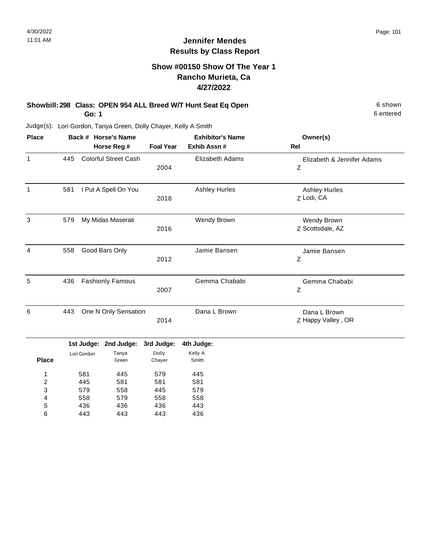#### **Show #00150 Show Of The Year 1 Rancho Murieta, Ca 4/27/2022**

#### **Showbill: 298 Class: OPEN 954 ALL Breed W/T Hunt Seat Eq Open** 6 Shown 6 shown **Go: 1**

6 entered

Judge(s): Lori Gordon, Tanya Green, Dolly Chayer, Kelly A Smith

| <b>Place</b>   |     |                           | Back # Horse's Name          |                               | <b>Exhibitor's Name</b>        | Owner(s)                           |
|----------------|-----|---------------------------|------------------------------|-------------------------------|--------------------------------|------------------------------------|
|                |     |                           | Horse Reg #                  | <b>Foal Year</b>              | Exhib Assn#                    | <b>Rel</b>                         |
| $\mathbf{1}$   | 445 |                           | <b>Colorful Street Cash</b>  | 2004                          | <b>Elizabeth Adams</b>         | Elizabeth & Jennifer Adams<br>Z    |
| $\mathbf{1}$   | 581 |                           | I Put A Spell On You         | 2018                          | <b>Ashley Hurles</b>           | <b>Ashley Hurles</b><br>Z Lodi, CA |
| 3              | 579 |                           | My Midas Maserati            | 2016                          | Wendy Brown                    | Wendy Brown<br>Z Scottsdale, AZ    |
| $\overline{4}$ | 558 |                           | Good Bars Only               | 2012                          | Jamie Bansen                   | Jamie Bansen<br>Z                  |
| 5              | 436 |                           | <b>Fashionly Famous</b>      | 2007                          | Gemma Chababi                  | Gemma Chababi<br>Z                 |
| 6              | 443 |                           | One N Only Sensation         | 2014                          | Dana L Brown                   | Dana L Brown<br>Z Happy Valley, OR |
| <b>Place</b>   |     | 1st Judge:<br>Lori Gordon | 2nd Judge:<br>Tanya<br>Green | 3rd Judge:<br>Dolly<br>Chayer | 4th Judge:<br>Kelly A<br>Smith |                                    |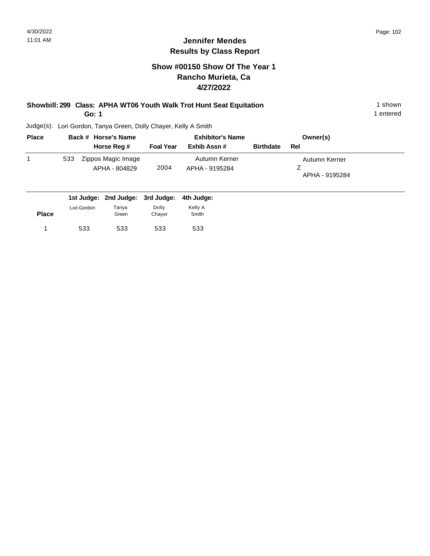# **Show #00150 Show Of The Year 1 Rancho Murieta, Ca 4/27/2022**

#### **Showbill: 299 Class: APHA WT06 Youth Walk Trot Hunt Seat Equitation** 1 Shown 1 shown **Go: 1**

1 entered

| <b>Place</b> | Back # Horse's Name                        |                  | <b>Exhibitor's Name</b>         | Owner(s)         |                                 |
|--------------|--------------------------------------------|------------------|---------------------------------|------------------|---------------------------------|
|              | Horse Reg #                                | <b>Foal Year</b> | Exhib Assn #                    | <b>Birthdate</b> | Rel                             |
|              | Zippos Magic Image<br>533<br>APHA - 804829 | 2004             | Autumn Kerner<br>APHA - 9195284 |                  | Autumn Kerner<br>APHA - 9195284 |
|              | 1st Judge: 2nd Judge: 3rd Judge:           |                  | 4th Judge:                      |                  |                                 |

| <b>Place</b> | Lori Gordon | Tanya<br>Green | Dolly<br>Chayer | Kelly A<br>Smith |
|--------------|-------------|----------------|-----------------|------------------|
|              | 533         | 533            | 533             | 533              |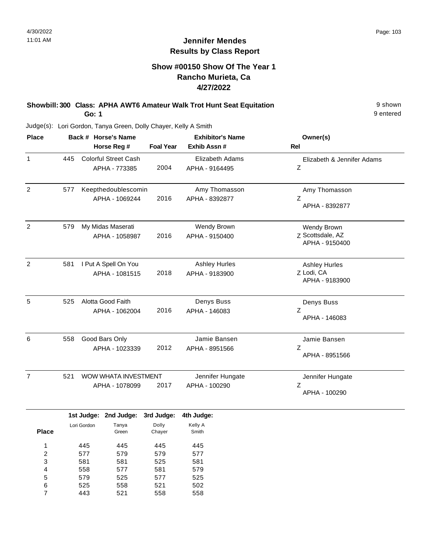9 entered

# **Jennifer Mendes Results by Class Report**

# **Show #00150 Show Of The Year 1 Rancho Murieta, Ca 4/27/2022**

**Showbill: 300 Class: APHA AWT6 Amateur Walk Trot Hunt Seat Equitation** 9 shown **Go: 1**

| <b>Place</b>   |     | Back # Horse's Name<br>Horse Reg #            | <b>Foal Year</b> | <b>Exhibitor's Name</b><br>Exhib Assn #  | Owner(s)<br><b>Rel</b>                               |
|----------------|-----|-----------------------------------------------|------------------|------------------------------------------|------------------------------------------------------|
| $\mathbf{1}$   | 445 | <b>Colorful Street Cash</b><br>APHA - 773385  | 2004             | <b>Elizabeth Adams</b><br>APHA - 9164495 | Elizabeth & Jennifer Adams<br>Z                      |
| $\overline{2}$ | 577 | Keepthedoublescomin<br>APHA - 1069244         | 2016             | Amy Thomasson<br>APHA - 8392877          | Amy Thomasson<br>Z<br>APHA - 8392877                 |
| $\overline{2}$ | 579 | My Midas Maserati<br>APHA - 1058987           | 2016             | Wendy Brown<br>APHA - 9150400            | Wendy Brown<br>Z Scottsdale, AZ<br>APHA - 9150400    |
| $\overline{2}$ | 581 | I Put A Spell On You<br>APHA - 1081515        | 2018             | <b>Ashley Hurles</b><br>APHA - 9183900   | <b>Ashley Hurles</b><br>Z Lodi, CA<br>APHA - 9183900 |
| 5              | 525 | Alotta Good Faith<br>APHA - 1062004           | 2016             | Denys Buss<br>APHA - 146083              | Denys Buss<br>Z<br>APHA - 146083                     |
| 6              | 558 | Good Bars Only<br>APHA - 1023339              | 2012             | Jamie Bansen<br>APHA - 8951566           | Jamie Bansen<br>Z<br>APHA - 8951566                  |
| $\overline{7}$ | 521 | <b>WOW WHATA INVESTMENT</b><br>APHA - 1078099 | 2017             | Jennifer Hungate<br>APHA - 100290        | Jennifer Hungate<br>Z<br>APHA - 100290               |

|       |             | 1st Judge: 2nd Judge: | 3rd Judge: | 4th Judge: |
|-------|-------------|-----------------------|------------|------------|
|       | Lori Gordon | Tanya                 | Dolly      | Kelly A    |
| Place |             | Green                 | Chayer     | Smith      |
|       |             |                       |            |            |
| 1     | 445         | 445                   | 445        | 445        |
| 2     | 577         | 579                   | 579        | 577        |
| 3     | 581         | 581                   | 525        | 581        |
| 4     | 558         | 577                   | 581        | 579        |
| 5     | 579         | 525                   | 577        | 525        |
| 6     | 525         | 558                   | 521        | 502        |
| 7     | 443         | 521                   | 558        | 558        |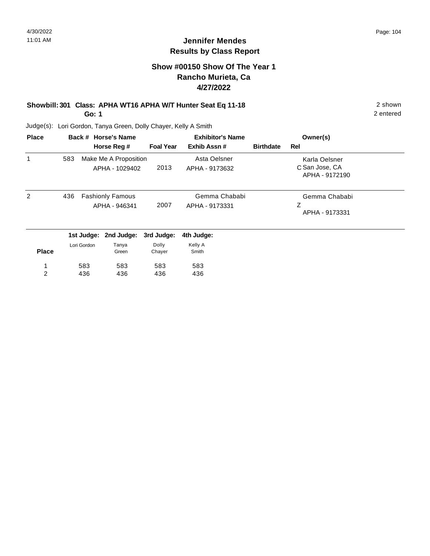# **Show #00150 Show Of The Year 1 Rancho Murieta, Ca 4/27/2022**

#### **Showbill: 301 Class: APHA WT16 APHA W/T Hunter Seat Eq 11-18** 2 shown **Go: 1**

2 entered

| <b>Place</b> |     |             | Back # Horse's Name                      | <b>Exhibitor's Name</b> |                                 |                  | Owner(s)                                          |  |
|--------------|-----|-------------|------------------------------------------|-------------------------|---------------------------------|------------------|---------------------------------------------------|--|
|              |     |             | Horse Reg #                              | <b>Foal Year</b>        | Exhib Assn#                     | <b>Birthdate</b> | Rel                                               |  |
| 1            | 583 |             | Make Me A Proposition<br>APHA - 1029402  | 2013                    | Asta Oelsner<br>APHA - 9173632  |                  | Karla Oelsner<br>C San Jose, CA<br>APHA - 9172190 |  |
| 2            | 436 |             | <b>Fashionly Famous</b><br>APHA - 946341 | 2007                    | Gemma Chababi<br>APHA - 9173331 |                  | Gemma Chababi<br>Ζ<br>APHA - 9173331              |  |
|              |     | 1st Judge:  | 2nd Judge:                               | 3rd Judge:              | 4th Judge:                      |                  |                                                   |  |
| <b>Place</b> |     | Lori Gordon | Tanya<br>Green                           | Dolly<br>Chayer         | Kelly A<br>Smith                |                  |                                                   |  |
|              |     | 583         | 583                                      | 583                     | 583                             |                  |                                                   |  |
| 2            |     | 436         | 436                                      | 436                     | 436                             |                  |                                                   |  |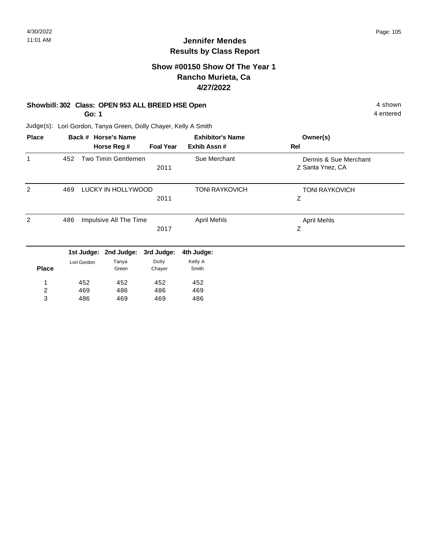# **Show #00150 Show Of The Year 1 Rancho Murieta, Ca 4/27/2022**

#### **Showbill: 302 Class: OPEN 953 ALL BREED HSE Open** 4 shown

**Go: 1**

486

3

469

469

4 entered

Judge(s): Lori Gordon, Tanya Green, Dolly Chayer, Kelly A Smith

| <b>Place</b>   |     |             | Back # Horse's Name    |                  | <b>Exhibitor's Name</b> | Owner(s)                                  |
|----------------|-----|-------------|------------------------|------------------|-------------------------|-------------------------------------------|
|                |     |             | Horse Reg #            | <b>Foal Year</b> | Exhib Assn#             | Rel                                       |
| 1              | 452 |             | Two Timin Gentlemen    | 2011             | Sue Merchant            | Dennis & Sue Merchant<br>Z Santa Ynez, CA |
| 2              | 469 |             | LUCKY IN HOLLYWOOD     | 2011             | <b>TONI RAYKOVICH</b>   | <b>TONI RAYKOVICH</b><br>Ζ                |
| 2              | 486 |             | Impulsive All The Time | 2017             | <b>April Mehls</b>      | <b>April Mehls</b><br>Z                   |
|                |     | 1st Judge:  | 2nd Judge:             | 3rd Judge:       | 4th Judge:              |                                           |
| <b>Place</b>   |     | Lori Gordon | Tanya<br>Green         | Dolly<br>Chayer  | Kelly A<br>Smith        |                                           |
| 1              |     | 452         | 452                    | 452              | 452                     |                                           |
| $\overline{2}$ |     | 469         | 486                    | 486              | 469                     |                                           |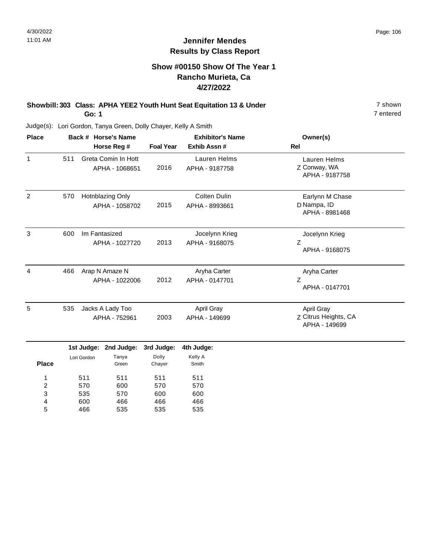#### **Show #00150 Show Of The Year 1 Rancho Murieta, Ca 4/27/2022**

#### **Showbill: 303 Class: APHA YEE2 Youth Hunt Seat Equitation 13 & Under** 7 shown **Go: 1**

7 entered

Judge(s): Lori Gordon, Tanya Green, Dolly Chayer, Kelly A Smith

| <b>Place</b>   |     |                           | Back # Horse's Name                   | <b>Exhibitor's Name</b>       |                                  | Owner(s)                                            |  |
|----------------|-----|---------------------------|---------------------------------------|-------------------------------|----------------------------------|-----------------------------------------------------|--|
|                |     |                           | Horse Reg #                           | <b>Foal Year</b>              | Exhib Assn#                      | <b>Rel</b>                                          |  |
| $\mathbf{1}$   | 511 |                           | Greta Comin In Hott<br>APHA - 1068651 | 2016                          | Lauren Helms<br>APHA - 9187758   | Lauren Helms<br>Z Conway, WA<br>APHA - 9187758      |  |
| 2              | 570 |                           | Hotnblazing Only<br>APHA - 1058702    | 2015                          | Colten Dulin<br>APHA - 8993661   | Earlynn M Chase<br>D Nampa, ID<br>APHA - 8981468    |  |
| 3              | 600 |                           | Im Fantasized<br>APHA - 1027720       | 2013                          | Jocelynn Krieg<br>APHA - 9168075 | Jocelynn Krieg<br>Z<br>APHA - 9168075               |  |
| $\overline{4}$ | 466 |                           | Arap N Amaze N<br>APHA - 1022006      | 2012                          | Aryha Carter<br>APHA - 0147701   | Aryha Carter<br>Z<br>APHA - 0147701                 |  |
| 5              | 535 |                           | Jacks A Lady Too<br>APHA - 752961     | 2003                          | April Gray<br>APHA - 149699      | April Gray<br>Z Citrus Heights, CA<br>APHA - 149699 |  |
| <b>Place</b>   |     | 1st Judge:<br>Lori Gordon | 2nd Judge:<br>Tanya<br>Green          | 3rd Judge:<br>Dolly<br>Chayer | 4th Judge:<br>Kelly A<br>Smith   |                                                     |  |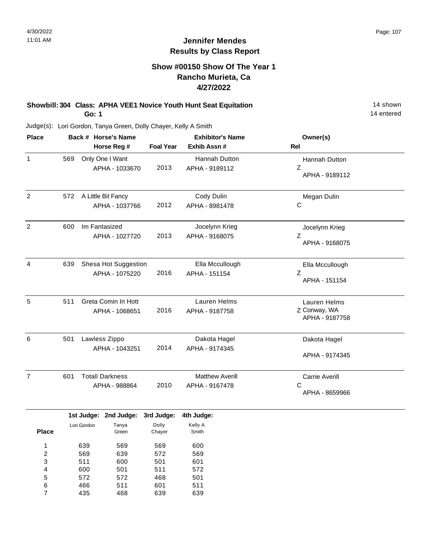#### **Show #00150 Show Of The Year 1 Rancho Murieta, Ca 4/27/2022**

#### **Showbill: 304 Class: APHA VEE1 Novice Youth Hunt Seat Equitation** 14 Shown 14 shown **Go: 1**

14 entered

Judge(s): Lori Gordon, Tanya Green, Dolly Chayer, Kelly A Smith

| <b>Place</b>   | Back # Horse's Name |                   |                                         |                   | <b>Exhibitor's Name</b>                  | Owner(s)                                        |
|----------------|---------------------|-------------------|-----------------------------------------|-------------------|------------------------------------------|-------------------------------------------------|
|                |                     |                   | Horse Reg #                             | <b>Foal Year</b>  | Exhib Assn #                             | Rel                                             |
| $\mathbf{1}$   | 569                 |                   | Only One I Want<br>APHA - 1033670       | 2013              | Hannah Dutton<br>APHA - 9189112          | Hannah Dutton<br>Z<br>APHA - 9189112            |
| $\overline{c}$ | 572                 |                   | A Little Bit Fancy<br>APHA - 1037766    | 2012              | Cody Dulin<br>APHA - 8981478             | Megan Dulin<br>С                                |
| $\overline{2}$ | 600                 |                   | Im Fantasized<br>APHA - 1027720         | 2013              | Jocelynn Krieg<br>APHA - 9168075         | Jocelynn Krieg<br>Z<br>APHA - 9168075           |
| 4              | 639                 |                   | Shesa Hot Suggestion<br>APHA - 1075220  | 2016              | Ella Mccullough<br>APHA - 151154         | Ella Mccullough<br>$\mathsf Z$<br>APHA - 151154 |
| 5              | 511                 |                   | Greta Comin In Hott<br>APHA - 1068651   | 2016              | Lauren Helms<br>APHA - 9187758           | Lauren Helms<br>Z Conway, WA<br>APHA - 9187758  |
| 6              | 501                 |                   | Lawless Zippo<br>APHA - 1043251         | 2014              | Dakota Hagel<br>APHA - 9174345           | Dakota Hagel<br>APHA - 9174345                  |
| $\overline{7}$ | 601                 |                   | <b>Totall Darkness</b><br>APHA - 988864 | 2010              | <b>Matthew Averill</b><br>APHA - 9167478 | <b>Carrie Averill</b><br>C<br>APHA - 8659966    |
|                |                     |                   | 1st Judge: 2nd Judge:                   | 3rd Judge:        | 4th Judge:                               |                                                 |
| <b>Place</b>   |                     | Lori Gordon       | Tanya<br>Green                          | Dolly<br>Chayer   | Kelly A<br>Smith                         |                                                 |
| 1<br>2<br>3    |                     | 639<br>569<br>511 | 569<br>639<br>600                       | 569<br>572<br>501 | 600<br>569<br>601                        |                                                 |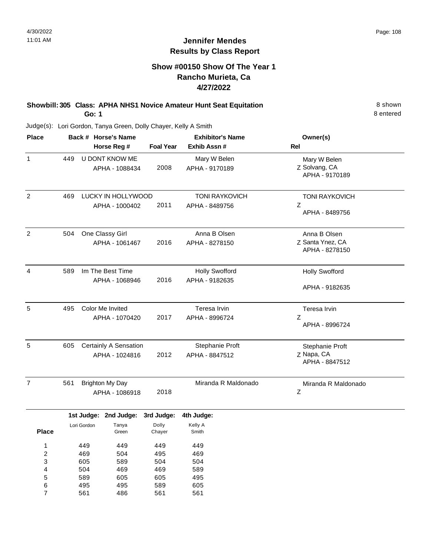8 entered

# **Jennifer Mendes Results by Class Report**

# **Show #00150 Show Of The Year 1 Rancho Murieta, Ca 4/27/2022**

**Showbill: 305 Class: APHA NHS1 Novice Amateur Hunt Seat Equitation** 8 shown **Go: 1**

| <b>Place</b>   |     | Back # Horse's Name     |                  | <b>Exhibitor's Name</b> | Owner(s)                           |  |
|----------------|-----|-------------------------|------------------|-------------------------|------------------------------------|--|
|                |     | Horse Reg #             | <b>Foal Year</b> | Exhib Assn #            | Rel                                |  |
| 1              | 449 | U DONT KNOW ME          |                  | Mary W Belen            | Mary W Belen                       |  |
|                |     | APHA - 1088434          | 2008             | APHA - 9170189          | Z Solvang, CA<br>APHA - 9170189    |  |
| $\overline{c}$ | 469 | LUCKY IN HOLLYWOOD      |                  | <b>TONI RAYKOVICH</b>   | <b>TONI RAYKOVICH</b>              |  |
|                |     | APHA - 1000402          | 2011             | APHA - 8489756          | Z<br>APHA - 8489756                |  |
| 2              | 504 | One Classy Girl         |                  | Anna B Olsen            | Anna B Olsen                       |  |
|                |     | APHA - 1061467          | 2016             | APHA - 8278150          | Z Santa Ynez, CA<br>APHA - 8278150 |  |
| $\overline{4}$ | 589 | Im The Best Time        |                  | <b>Holly Swofford</b>   | <b>Holly Swofford</b>              |  |
|                |     | APHA - 1068946          | 2016             | APHA - 9182635          | APHA - 9182635                     |  |
| 5              | 495 | <b>Color Me Invited</b> |                  | Teresa Irvin            | Teresa Irvin                       |  |
|                |     | APHA - 1070420          | 2017             | APHA - 8996724          | Z<br>APHA - 8996724                |  |
| 5              | 605 | Certainly A Sensation   |                  | Stephanie Proft         | Stephanie Proft                    |  |
|                |     | APHA - 1024816          | 2012             | APHA - 8847512          | Z Napa, CA<br>APHA - 8847512       |  |
| $\overline{7}$ | 561 | <b>Brighton My Day</b>  |                  | Miranda R Maldonado     | Miranda R Maldonado                |  |
|                |     | APHA - 1086918          | 2018             |                         | $\mathsf Z$                        |  |

| Dolly<br>Tanya<br>Lori Gordon<br><b>Place</b><br>Green<br>Chayer | Kelly A<br>Smith |
|------------------------------------------------------------------|------------------|
|                                                                  |                  |
| 1<br>449<br>449<br>449                                           | 449              |
| 469<br>495<br>2<br>504                                           | 469              |
| 3<br>589<br>504<br>605                                           | 504              |
| 469<br>4<br>504<br>469                                           | 589              |
| 5<br>589<br>605<br>605                                           | 495              |
| 6<br>589<br>495<br>495                                           | 605              |
| 7<br>561<br>561<br>486                                           | 561              |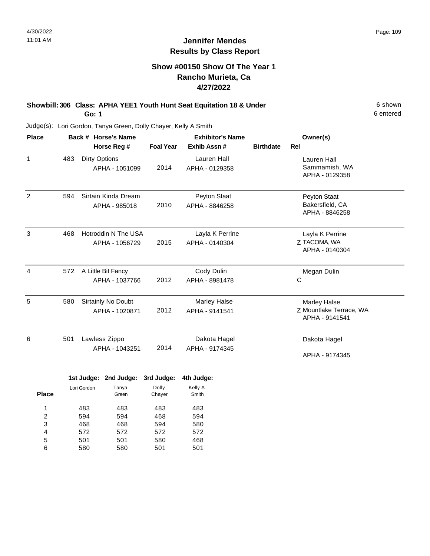# **Show #00150 Show Of The Year 1 Rancho Murieta, Ca 4/27/2022**

#### **Showbill: 306 Class: APHA YEE1 Youth Hunt Seat Equitation 18 & Under** 6 Shown 6 shown **Go: 1**

6 entered

| <b>Place</b>   |     | Back # Horse's Name                    | <b>Exhibitor's Name</b> |                                   |                  | Owner(s)                                                  |
|----------------|-----|----------------------------------------|-------------------------|-----------------------------------|------------------|-----------------------------------------------------------|
|                |     | Horse Reg #                            | <b>Foal Year</b>        | Exhib Assn#                       | <b>Birthdate</b> | Rel                                                       |
| $\mathbf{1}$   | 483 | <b>Dirty Options</b><br>APHA - 1051099 | 2014                    | Lauren Hall<br>APHA - 0129358     |                  | Lauren Hall<br>Sammamish, WA<br>APHA - 0129358            |
| $\overline{2}$ | 594 | Sirtain Kinda Dream<br>APHA - 985018   | 2010                    | Peyton Staat<br>APHA - 8846258    |                  | Peyton Staat<br>Bakersfield, CA<br>APHA - 8846258         |
| 3              | 468 | Hotroddin N The USA<br>APHA - 1056729  | 2015                    | Layla K Perrine<br>APHA - 0140304 |                  | Layla K Perrine<br>Z TACOMA, WA<br>APHA - 0140304         |
| $\overline{4}$ | 572 | A Little Bit Fancy<br>APHA - 1037766   | 2012                    | Cody Dulin<br>APHA - 8981478      |                  | Megan Dulin<br>C                                          |
| 5              | 580 | Sirtainly No Doubt<br>APHA - 1020871   | 2012                    | Marley Halse<br>APHA - 9141541    |                  | Marley Halse<br>Z Mountlake Terrace, WA<br>APHA - 9141541 |
| 6              | 501 | Lawless Zippo<br>APHA - 1043251        | 2014                    | Dakota Hagel<br>APHA - 9174345    |                  | Dakota Hagel<br>APHA - 9174345                            |

|              |             | 1st Judge: 2nd Judge: 3rd Judge: |        | 4th Judge: |
|--------------|-------------|----------------------------------|--------|------------|
|              | Lori Gordon | Tanya                            | Dolly  | Kelly A    |
| <b>Place</b> |             | Green                            | Chayer | Smith      |
| ◢            | 483         | 483                              | 483    | 483        |
| 2            | 594         | 594                              | 468    | 594        |
| 3            | 468         | 468                              | 594    | 580        |
| 4            | 572         | 572                              | 572    | 572        |
| 5            | 501         | 501                              | 580    | 468        |
| 6            | 580         | 580                              | 501    | 501        |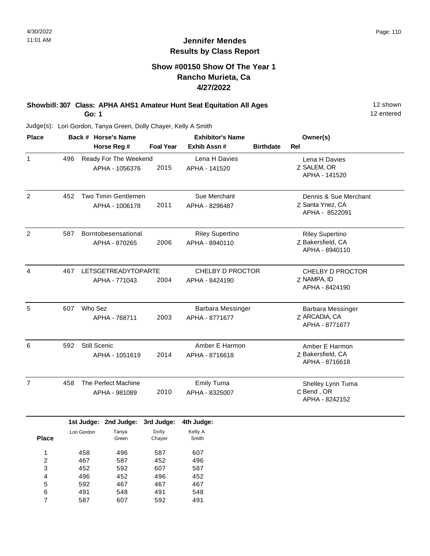# **Show #00150 Show Of The Year 1 Rancho Murieta, Ca 4/27/2022**

#### **Showbill: 307 Class: APHA AHS1 Amateur Hunt Seat Equitation All Ages** 12 Shown **Go: 1**

12 entered

| <b>Place</b>            |     |              | Back # Horse's Name        |                  | <b>Exhibitor's Name</b>  |                  | Owner(s)                |
|-------------------------|-----|--------------|----------------------------|------------------|--------------------------|------------------|-------------------------|
|                         |     |              | Horse Reg #                | <b>Foal Year</b> | Exhib Assn #             | <b>Birthdate</b> | Rel                     |
| $\mathbf{1}$            | 496 |              | Ready For The Weekend      |                  | Lena H Davies            |                  | Lena H Davies           |
|                         |     |              | APHA - 1056376             | 2015             | APHA - 141520            |                  | Z SALEM, OR             |
|                         |     |              |                            |                  |                          |                  | APHA - 141520           |
|                         |     |              |                            |                  |                          |                  |                         |
| $\overline{2}$          | 452 |              | Two Timin Gentlemen        |                  | Sue Merchant             |                  | Dennis & Sue Merchant   |
|                         |     |              | APHA - 1006178             | 2011             | APHA - 8296487           |                  | Z Santa Ynez, CA        |
|                         |     |              |                            |                  |                          |                  | APHA - 8522091          |
| $\overline{2}$          | 587 |              | Borntobesensational        |                  | <b>Riley Supertino</b>   |                  | <b>Riley Supertino</b>  |
|                         |     |              | APHA - 870265              | 2006             | APHA - 8940110           |                  | Z Bakersfield, CA       |
|                         |     |              |                            |                  |                          |                  | APHA - 8940110          |
|                         |     |              |                            |                  |                          |                  |                         |
| $\overline{4}$          | 467 |              | <b>LETSGETREADYTOPARTE</b> |                  | CHELBY D PROCTOR         |                  | <b>CHELBY D PROCTOR</b> |
|                         |     |              | APHA - 771043              | 2004             | APHA - 8424190           |                  | Z NAMPA, ID             |
|                         |     |              |                            |                  |                          |                  | APHA - 8424190          |
| 5                       | 607 | Who Sez      |                            |                  | <b>Barbara Messinger</b> |                  | Barbara Messinger       |
|                         |     |              | APHA - 768711              | 2003             | APHA - 8771677           |                  | Z ARCADIA, CA           |
|                         |     |              |                            |                  |                          |                  | APHA - 8771677          |
|                         |     |              |                            |                  |                          |                  |                         |
| 6                       | 592 | Still Scenic |                            |                  | Amber E Harmon           |                  | Amber E Harmon          |
|                         |     |              | APHA - 1051619             | 2014             | APHA - 8716618           |                  | Z Bakersfield, CA       |
|                         |     |              |                            |                  |                          |                  | APHA - 8716618          |
| $\overline{7}$          | 458 |              | The Perfect Machine        |                  | <b>Emily Tuma</b>        |                  | Shelley Lynn Tuma       |
|                         |     |              | APHA - 981089              | 2010             | APHA - 8325007           |                  | C Bend, OR              |
|                         |     |              |                            |                  |                          |                  | APHA - 8242152          |
|                         |     |              | 1st Judge: 2nd Judge:      | 3rd Judge:       | 4th Judge:               |                  |                         |
|                         |     | Lori Gordon  | Tanya                      | Dolly            | Kelly A                  |                  |                         |
| <b>Place</b>            |     |              | Green                      | Chayer           | Smith                    |                  |                         |
| $\mathbf{1}$            |     | 458          | 496                        | 587              | 607                      |                  |                         |
| $\overline{\mathbf{c}}$ |     | 467          | 587                        | 452              | 496                      |                  |                         |
| 3                       |     | 452          | 592                        | 607              | 587                      |                  |                         |
| 4                       |     | 496          | 452                        | 496              | 452                      |                  |                         |
| 5                       |     | 592          | 467                        | 467              | 467                      |                  |                         |
| 6                       |     | 491          | 548                        | 491              | 548                      |                  |                         |
| $\overline{7}$          |     | 587          | 607                        | 592              | 491                      |                  |                         |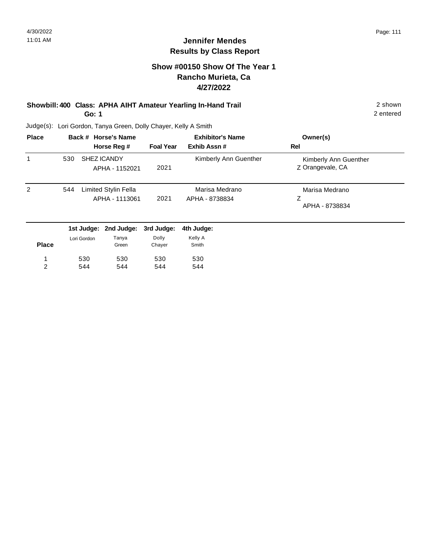# **Show #00150 Show Of The Year 1 Rancho Murieta, Ca 4/27/2022**

#### **Showbill: 400 Class: APHA AIHT Amateur Yearling In-Hand Trail** 2 shown **Go: 1**

2 entered

| <b>Place</b> |     | Back # Horse's Name                    |                  | <b>Exhibitor's Name</b>          | Owner(s)                                  |
|--------------|-----|----------------------------------------|------------------|----------------------------------|-------------------------------------------|
|              |     | Horse Reg #                            | <b>Foal Year</b> | Exhib Assn#                      | Rel                                       |
| 1            | 530 | <b>SHEZ ICANDY</b><br>APHA - 1152021   | 2021             | Kimberly Ann Guenther            | Kimberly Ann Guenther<br>Z Orangevale, CA |
| 2            | 544 | Limited Stylin Fella<br>APHA - 1113061 | 2021             | Marisa Medrano<br>APHA - 8738834 | Marisa Medrano<br>Ζ<br>APHA - 8738834     |
|              |     | 1st Judge: 2nd Judge: 3rd Judge:       |                  | 4th Judge:                       |                                           |

| <b>Place</b> | Lori Gordon | Tanya<br>Green | Dolly<br>Chayer | Kelly A<br>Smith |
|--------------|-------------|----------------|-----------------|------------------|
| 1            | 530         | 530            | 530             | 530              |
| っ            | 544         | 544            | 544             | 544              |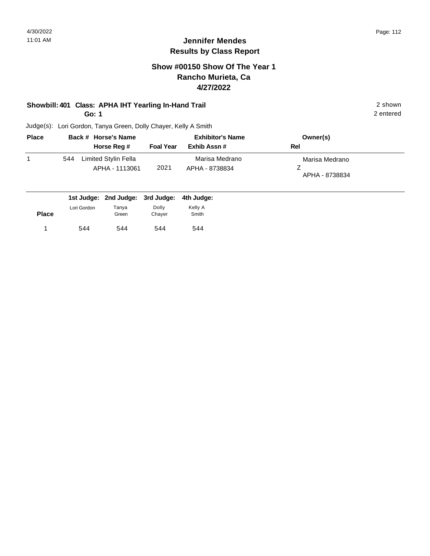# **Show #00150 Show Of The Year 1 Rancho Murieta, Ca 4/27/2022**

# **Showbill: 401 Class: APHA IHT Yearling In-Hand Trail** 2 shown

**Go: 1**

2 entered

| <b>Place</b> |     | Back # Horse's Name                    | <b>Exhibitor's Name</b> |                                  | Owner(s)                         |
|--------------|-----|----------------------------------------|-------------------------|----------------------------------|----------------------------------|
|              |     | Horse Reg #                            | <b>Foal Year</b>        | Exhib Assn #                     | Rel                              |
|              | 544 | Limited Stylin Fella<br>APHA - 1113061 | 2021                    | Marisa Medrano<br>APHA - 8738834 | Marisa Medrano<br>APHA - 8738834 |

|              |             | 1st Judge: 2nd Judge: 3rd Judge: 4th Judge: |                 |                  |
|--------------|-------------|---------------------------------------------|-----------------|------------------|
| <b>Place</b> | Lori Gordon | Tanya<br>Green                              | Dolly<br>Chaver | Kelly A<br>Smith |
|              | 544         | 544                                         | 544             | 544              |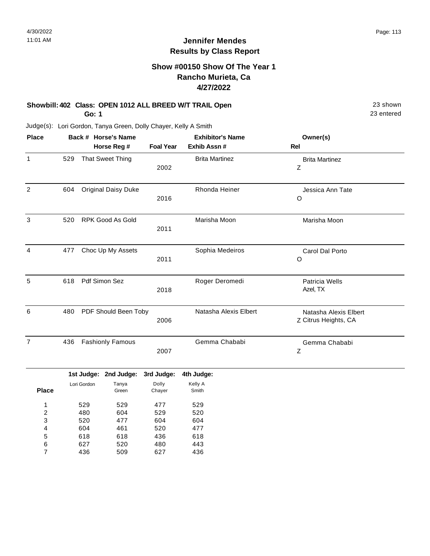# **Show #00150 Show Of The Year 1 Rancho Murieta, Ca 4/27/2022**

# **Showbill: 402 Class: OPEN 1012 ALL BREED W/T TRAIL Open** 23 shown 23 shown

**Go: 1**

627 436

6 7 520 509 480 627 443 436

Judge(s): Lori Gordon, Tanya Green, Dolly Chayer, Kelly A Smith

| <b>Place</b>            |     |             | Back # Horse's Name        |                  | <b>Exhibitor's Name</b><br>Exhib Assn # | Owner(s)                                      |
|-------------------------|-----|-------------|----------------------------|------------------|-----------------------------------------|-----------------------------------------------|
|                         |     |             | Horse Reg #                | <b>Foal Year</b> |                                         | Rel                                           |
| $\mathbf{1}$            | 529 |             | <b>That Sweet Thing</b>    | 2002             | <b>Brita Martinez</b>                   | <b>Brita Martinez</b><br>$\mathsf Z$          |
| $\overline{c}$          | 604 |             | <b>Original Daisy Duke</b> | 2016             | Rhonda Heiner                           | Jessica Ann Tate<br>O                         |
| 3                       | 520 |             | <b>RPK Good As Gold</b>    | 2011             | Marisha Moon                            | Marisha Moon                                  |
| $\overline{4}$          | 477 |             | Choc Up My Assets          | 2011             | Sophia Medeiros                         | Carol Dal Porto<br>O                          |
| 5                       | 618 |             | Pdf Simon Sez              | 2018             | Roger Deromedi                          | Patricia Wells<br>Azel, TX                    |
| 6                       | 480 |             | PDF Should Been Toby       | 2006             | Natasha Alexis Elbert                   | Natasha Alexis Elbert<br>Z Citrus Heights, CA |
| $\overline{7}$          | 436 |             | <b>Fashionly Famous</b>    | 2007             | Gemma Chababi                           | Gemma Chababi<br>Ζ                            |
|                         |     |             | 1st Judge: 2nd Judge:      | 3rd Judge:       | 4th Judge:                              |                                               |
| <b>Place</b>            |     | Lori Gordon | Tanya<br>Green             | Dolly<br>Chayer  | Kelly A<br>Smith                        |                                               |
| 1                       |     | 529         | 529                        | 477              | 529                                     |                                               |
| $\overline{\mathbf{c}}$ |     | 480         | 604                        | 529              | 520                                     |                                               |
| 3                       |     | 520         | 477                        | 604              | 604                                     |                                               |
| 4                       |     | 604         | 461                        | 520              | 477                                     |                                               |
| 5                       |     | 618         | 618                        | 436              | 618                                     |                                               |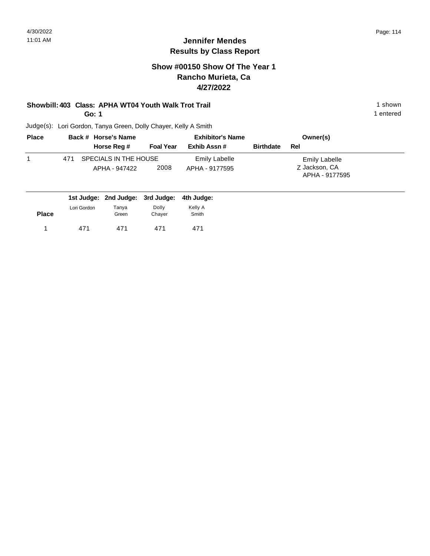# **Show #00150 Show Of The Year 1 Rancho Murieta, Ca 4/27/2022**

# **Showbill: 403 Class: APHA WT04 Youth Walk Trot Trail 1 Shown 1 shown 1 shown**

**Go: 1**

Judge(s): Lori Gordon, Tanya Green, Dolly Chayer, Kelly A Smith

| <b>Place</b> | Back # Horse's Name              | <b>Exhibitor's Name</b> |                |                  | Owner(s)                        |  |
|--------------|----------------------------------|-------------------------|----------------|------------------|---------------------------------|--|
|              | Horse Reg #                      | <b>Foal Year</b>        | Exhib Assn #   | <b>Birthdate</b> | Rel                             |  |
|              | SPECIALS IN THE HOUSE<br>471     |                         | Emily Labelle  |                  | <b>Emily Labelle</b>            |  |
|              | APHA - 947422                    | 2008                    | APHA - 9177595 |                  | Z Jackson, CA<br>APHA - 9177595 |  |
|              | 1st Judge: 2nd Judge: 3rd Judge: |                         | 4th Judge:     |                  |                                 |  |

|             |       |        | .       |
|-------------|-------|--------|---------|
| Lori Gordon | Tanya | Dolly  | Kelly A |
|             | Green | Chayer | Smith   |
| 471         | 471   | 471    | 471     |
|             |       |        |         |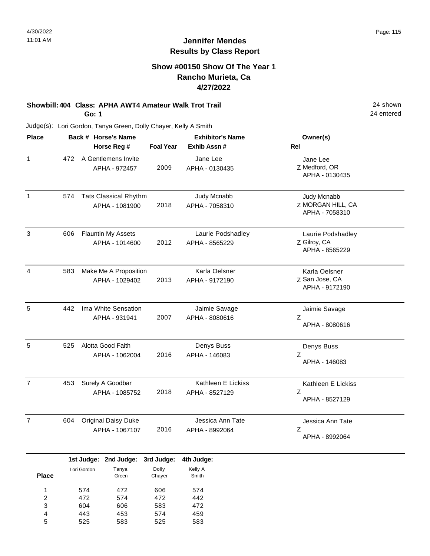# **Show #00150 Show Of The Year 1 Rancho Murieta, Ca 4/27/2022**

# **Showbill: 404 Class: APHA AWT4 Amateur Walk Trot Trail** 20 **24 shown**

**Go: 1**

Judge(s): Lori Gordon, Tanya Green, Dolly Chayer, Kelly A Smith

| <b>Place</b>   |     | Back # Horse's Name<br>Horse Reg #             | <b>Foal Year</b> | <b>Exhibitor's Name</b><br>Exhib Assn # | Owner(s)<br>Rel                                     |
|----------------|-----|------------------------------------------------|------------------|-----------------------------------------|-----------------------------------------------------|
| $\mathbf{1}$   | 472 | A Gentlemens Invite<br>APHA - 972457           | 2009             | Jane Lee<br>APHA - 0130435              | Jane Lee<br>Z Medford, OR<br>APHA - 0130435         |
| $\mathbf{1}$   | 574 | <b>Tats Classical Rhythm</b><br>APHA - 1081900 | 2018             | Judy Mcnabb<br>APHA - 7058310           | Judy Mcnabb<br>Z MORGAN HILL, CA<br>APHA - 7058310  |
| 3              | 606 | <b>Flauntin My Assets</b><br>APHA - 1014600    | 2012             | Laurie Podshadley<br>APHA - 8565229     | Laurie Podshadley<br>Z Gilroy, CA<br>APHA - 8565229 |
| 4              | 583 | Make Me A Proposition<br>APHA - 1029402        | 2013             | Karla Oelsner<br>APHA - 9172190         | Karla Oelsner<br>Z San Jose, CA<br>APHA - 9172190   |
| 5              | 442 | Ima White Sensation<br>APHA - 931941           | 2007             | Jaimie Savage<br>APHA - 8080616         | Jaimie Savage<br>Z<br>APHA - 8080616                |
| 5              | 525 | Alotta Good Faith<br>APHA - 1062004            | 2016             | Denys Buss<br>APHA - 146083             | Denys Buss<br>Z<br>APHA - 146083                    |
| $\overline{7}$ | 453 | Surely A Goodbar<br>APHA - 1085752             | 2018             | Kathleen E Lickiss<br>APHA - 8527129    | Kathleen E Lickiss<br>Z<br>APHA - 8527129           |
| $\overline{7}$ | 604 | <b>Original Daisy Duke</b><br>APHA - 1067107   | 2016             | Jessica Ann Tate<br>APHA - 8992064      | Jessica Ann Tate<br>Z<br>APHA - 8992064             |

|              |             | 1st Judge: 2nd Judge: 3rd Judge: |        | 4th Judge: |  |
|--------------|-------------|----------------------------------|--------|------------|--|
|              | Lori Gordon | Tanya                            | Dolly  | Kelly A    |  |
| <b>Place</b> |             | Green                            | Chayer | Smith      |  |
|              |             |                                  |        |            |  |
| 1            | 574         | 472                              | 606    | 574        |  |
| 2            | 472         | 574                              | 472    | 442        |  |
| 3            | 604         | 606                              | 583    | 472        |  |
| 4            | 443         | 453                              | 574    | 459        |  |
| 5            | 525         | 583                              | 525    | 583        |  |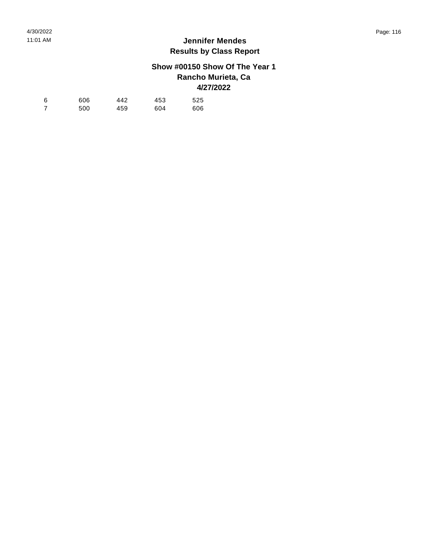# **Show #00150 Show Of The Year 1 Rancho Murieta, Ca 4/27/2022**

| -6 | 606 | 442 | 453 | 525 |
|----|-----|-----|-----|-----|
|    | 500 | 459 | 604 | 606 |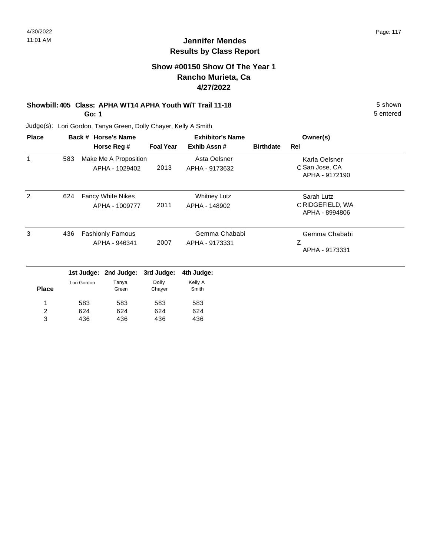5 entered

# **Jennifer Mendes Results by Class Report**

# **Show #00150 Show Of The Year 1 Rancho Murieta, Ca 4/27/2022**

# **Showbill: 405 Class: APHA WT14 APHA Youth W/T Trail 11-18** 5 Shown

**Go: 1**

| <b>Place</b> |     |             | Back # Horse's Name      |                  | <b>Exhibitor's Name</b> |                  | Owner(s)                           |  |
|--------------|-----|-------------|--------------------------|------------------|-------------------------|------------------|------------------------------------|--|
|              |     |             | Horse Reg #              | <b>Foal Year</b> | Exhib Assn#             | <b>Birthdate</b> | Rel                                |  |
| 1            | 583 |             | Make Me A Proposition    |                  | Asta Oelsner            |                  | Karla Oelsner                      |  |
|              |     |             | APHA - 1029402           | 2013             | APHA - 9173632          |                  | C San Jose, CA<br>APHA - 9172190   |  |
| 2            | 624 |             | <b>Fancy White Nikes</b> |                  | <b>Whitney Lutz</b>     |                  | Sarah Lutz                         |  |
|              |     |             | APHA - 1009777           | 2011             | APHA - 148902           |                  | C RIDGEFIELD, WA<br>APHA - 8994806 |  |
| 3            | 436 |             | <b>Fashionly Famous</b>  |                  | Gemma Chababi           |                  | Gemma Chababi                      |  |
|              |     |             | APHA - 946341            | 2007             | APHA - 9173331          |                  | Ζ<br>APHA - 9173331                |  |
|              |     | 1st Judge:  | 2nd Judge:               | 3rd Judge:       | 4th Judge:              |                  |                                    |  |
| <b>Place</b> |     | Lori Gordon | Tanya<br>Green           | Dolly<br>Chayer  | Kelly A<br>Smith        |                  |                                    |  |
| 1            |     | 583         | 583                      | 583              | 583                     |                  |                                    |  |
| 2            |     | 624         | 624                      | 624              | 624                     |                  |                                    |  |
| 3            |     | 436         | 436                      | 436              | 436                     |                  |                                    |  |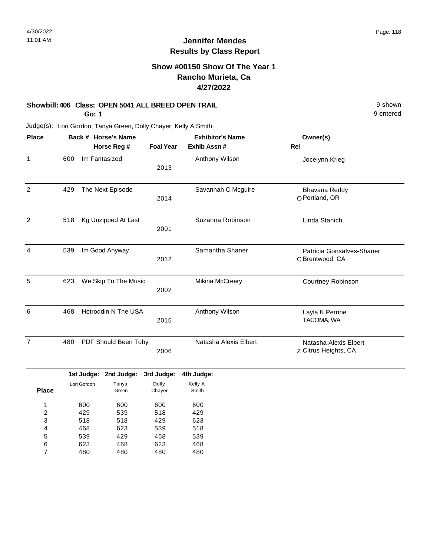# **Show #00150 Show Of The Year 1 Rancho Murieta, Ca 4/27/2022**

### **Showbill: 406 Class: OPEN 5041 ALL BREED OPEN TRAIL Shown** 9 shown

**Go: 1**

9 entered

| <b>Place</b>            |     |             | Back # Horse's Name   |                  | <b>Exhibitor's Name</b> | Owner(s)                                      |
|-------------------------|-----|-------------|-----------------------|------------------|-------------------------|-----------------------------------------------|
|                         |     |             | Horse Reg #           | <b>Foal Year</b> | Exhib Assn #            | <b>Rel</b>                                    |
| 1                       | 600 |             | Im Fantasized         | 2013             | Anthony Wilson          | Jocelynn Krieg                                |
| $\overline{2}$          | 429 |             | The Next Episode      | 2014             | Savannah C Mcguire      | Bhavana Reddy<br>O Portland, OR               |
| $\overline{2}$          | 518 |             | Kg Unzipped At Last   | 2001             | Suzanna Robinson        | Linda Stanich                                 |
| 4                       | 539 |             | Im Good Anyway        | 2012             | Samantha Shaner         | Patricia Gonsalves-Shaner<br>C Brentwood, CA  |
| 5                       | 623 |             | We Skip To The Music  | 2002             | Mikina McCreery         | Courtney Robinson                             |
| 6                       | 468 |             | Hotroddin N The USA   | 2015             | Anthony Wilson          | Layla K Perrine<br>TACOMA, WA                 |
| 7                       | 480 |             | PDF Should Been Toby  | 2006             | Natasha Alexis Elbert   | Natasha Alexis Elbert<br>Z Citrus Heights, CA |
|                         |     |             | 1st Judge: 2nd Judge: | 3rd Judge:       | 4th Judge:              |                                               |
| <b>Place</b>            |     | Lori Gordon | Tanya<br>Green        | Dolly<br>Chayer  | Kelly A<br>Smith        |                                               |
| 1                       |     | 600         | 600                   | 600              | 600                     |                                               |
| $\overline{\mathbf{c}}$ |     | 429         | 539                   | 518              | 429                     |                                               |
| 3                       |     | 518         | 518                   | 429              | 623                     |                                               |
| 4                       |     | 468         | 623                   | 539              | 518                     |                                               |
| 5                       |     | 539         | 429                   | 468              | 539                     |                                               |
| 6                       |     | 623         | 468                   | 623              | 468                     |                                               |
| $\overline{7}$          |     | 480         | 480                   | 480              | 480                     |                                               |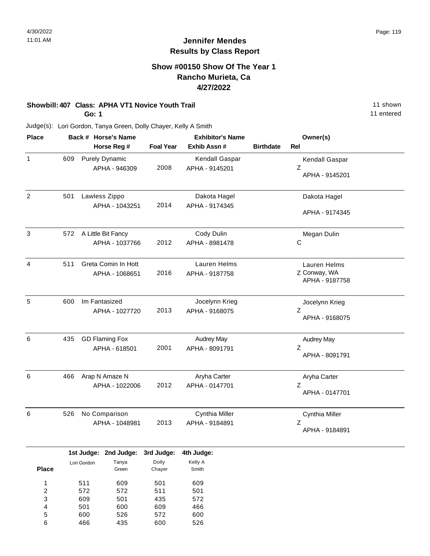## **Show #00150 Show Of The Year 1 Rancho Murieta, Ca 4/27/2022**

# **Showbill: 407 Class: APHA VT1 Novice Youth Trail 11 Shown 2008 11 shown**

**Go: 1**

Judge(s): Lori Gordon, Tanya Green, Dolly Chayer, Kelly A Smith

| <b>Place</b>   |     |             | Back # Horse's Name                    |                  | <b>Exhibitor's Name</b>             |                  | Owner(s)                                       |  |
|----------------|-----|-------------|----------------------------------------|------------------|-------------------------------------|------------------|------------------------------------------------|--|
|                |     |             | Horse Reg #                            | <b>Foal Year</b> | Exhib Assn #                        | <b>Birthdate</b> | <b>Rel</b>                                     |  |
| $\mathbf{1}$   | 609 |             | <b>Purely Dynamic</b><br>APHA - 946309 | 2008             | Kendall Gaspar<br>APHA - 9145201    |                  | Kendall Gaspar<br>Z<br>APHA - 9145201          |  |
| $\overline{2}$ | 501 |             | Lawless Zippo<br>APHA - 1043251        | 2014             | Dakota Hagel<br>APHA - 9174345      |                  | Dakota Hagel<br>APHA - 9174345                 |  |
| $\mathbf{3}$   | 572 |             | A Little Bit Fancy<br>APHA - 1037766   | 2012             | Cody Dulin<br>APHA - 8981478        |                  | Megan Dulin<br>C                               |  |
| 4              | 511 |             | Greta Comin In Hott<br>APHA - 1068651  | 2016             | Lauren Helms<br>APHA - 9187758      |                  | Lauren Helms<br>Z Conway, WA<br>APHA - 9187758 |  |
| $\sqrt{5}$     | 600 |             | Im Fantasized<br>APHA - 1027720        | 2013             | Jocelynn Krieg<br>APHA - 9168075    |                  | Jocelynn Krieg<br>Z<br>APHA - 9168075          |  |
| 6              | 435 |             | <b>GD Flaming Fox</b><br>APHA - 618501 | 2001             | <b>Audrey May</b><br>APHA - 8091791 |                  | <b>Audrey May</b><br>Z<br>APHA - 8091791       |  |
| $\,6$          | 466 |             | Arap N Amaze N<br>APHA - 1022006       | 2012             | Aryha Carter<br>APHA - 0147701      |                  | Aryha Carter<br>Z<br>APHA - 0147701            |  |
| $\,6$          | 526 |             | No Comparison<br>APHA - 1048981        | 2013             | Cynthia Miller<br>APHA - 9184891    |                  | Cynthia Miller<br>Z<br>APHA - 9184891          |  |
|                |     |             | 1st Judge: 2nd Judge:                  | 3rd Judge:       | 4th Judge:                          |                  |                                                |  |
| <b>Place</b>   |     | Lori Gordon | Tanya<br>Green                         | Dolly<br>Chayer  | Kelly A<br>Smith                    |                  |                                                |  |
| 1              |     | 511         | 609                                    | 501              | 609                                 |                  |                                                |  |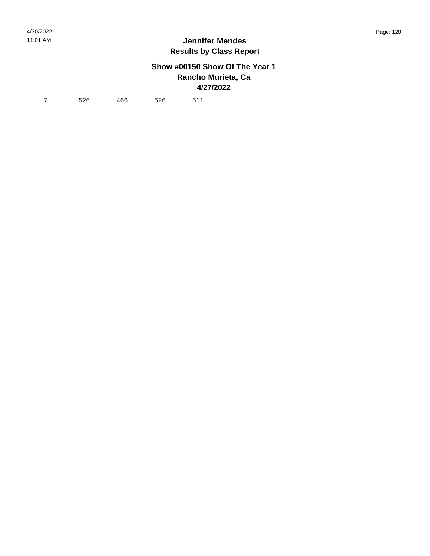# **Show #00150 Show Of The Year 1 Rancho Murieta, Ca 4/27/2022**

7 526 466 526 511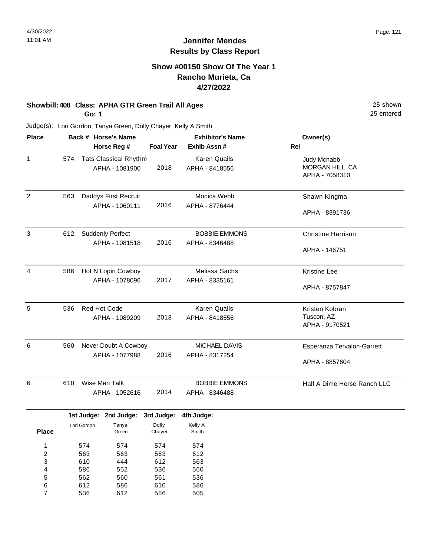# **Show #00150 Show Of The Year 1 Rancho Murieta, Ca 4/27/2022**

# **Showbill: 408 Class: APHA GTR Green Trail All Ages** 25 shown

**Go: 1**

25 entered

| <b>Place</b>            |     |              | Back # Horse's Name          |                  | <b>Exhibitor's Name</b> | Owner(s)                    |
|-------------------------|-----|--------------|------------------------------|------------------|-------------------------|-----------------------------|
|                         |     |              | Horse Reg #                  | <b>Foal Year</b> | Exhib Assn #            | Rel                         |
| $\mathbf{1}$            | 574 |              | <b>Tats Classical Rhythm</b> |                  | Karen Qualls            | Judy Mcnabb                 |
|                         |     |              | APHA - 1081900               | 2018             | APHA - 8418556          | MORGAN HILL, CA             |
|                         |     |              |                              |                  |                         | APHA - 7058310              |
| $\overline{c}$          | 563 |              | Daddys First Recruit         |                  | Monica Webb             | Shawn Kingma                |
|                         |     |              | APHA - 1060111               | 2016             | APHA - 8776444          |                             |
|                         |     |              |                              |                  |                         | APHA - 8391736              |
| 3                       | 612 |              | <b>Suddenly Perfect</b>      |                  | <b>BOBBIE EMMONS</b>    | <b>Christine Harrison</b>   |
|                         |     |              | APHA - 1081518               | 2016             | APHA - 8346488          |                             |
|                         |     |              |                              |                  |                         | APHA - 146751               |
| $\overline{4}$          | 586 |              | Hot N Lopin Cowboy           |                  | Melissa Sachs           | <b>Kristine Lee</b>         |
|                         |     |              | APHA - 1078096               | 2017             | APHA - 8335161          |                             |
|                         |     |              |                              |                  |                         | APHA - 8757847              |
| 5                       | 536 | Red Hot Code |                              |                  | <b>Karen Qualls</b>     | Kristen Kobran              |
|                         |     |              | APHA - 1089209               | 2018             | APHA - 8418556          | Tuscon, AZ                  |
|                         |     |              |                              |                  |                         | APHA - 9170521              |
| 6                       | 560 |              | Never Doubt A Cowboy         |                  | MICHAEL DAVIS           | Esperanza Tervalon-Garrett  |
|                         |     |              | APHA - 1077988               | 2016             | APHA - 8317254          |                             |
|                         |     |              |                              |                  |                         | APHA - 8857604              |
| 6                       | 610 |              | Wise Men Talk                |                  | <b>BOBBIE EMMONS</b>    | Half A Dime Horse Ranch LLC |
|                         |     |              | APHA - 1052616               | 2014             | APHA - 8346488          |                             |
|                         |     |              | 1st Judge: 2nd Judge:        | 3rd Judge:       | 4th Judge:              |                             |
|                         |     | Lori Gordon  | Tanya                        | Dolly            | Kelly A                 |                             |
| <b>Place</b>            |     |              | Green                        | Chayer           | Smith                   |                             |
| 1                       |     | 574          | 574                          | 574              | 574                     |                             |
| $\overline{\mathbf{c}}$ |     | 563          | 563                          | 563              | 612                     |                             |
| 3                       |     | 610          | 444                          | 612              | 563                     |                             |
| 4                       |     | 586          | 552                          | 536              | 560                     |                             |
| 5<br>6                  |     | 562<br>612   | 560                          | 561<br>610       | 536                     |                             |
| $\overline{7}$          |     | 536          | 586<br>612                   | 586              | 586<br>505              |                             |
|                         |     |              |                              |                  |                         |                             |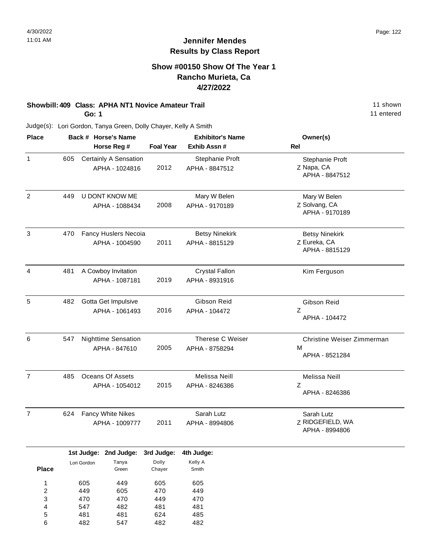# **Show #00150 Show Of The Year 1 Rancho Murieta, Ca 4/27/2022**

# **Showbill: 409 Class: APHA NT1 Novice Amateur Trail 11 Shown 11 shown**

**Go: 1**

482

6

547

482

482

11 entered

| <b>Place</b>            |     |             | Back # Horse's Name              |                  | <b>Exhibitor's Name</b> | Owner(s)                   |
|-------------------------|-----|-------------|----------------------------------|------------------|-------------------------|----------------------------|
|                         |     |             | Horse Reg #                      | <b>Foal Year</b> | Exhib Assn #            | Rel                        |
| $\mathbf{1}$            | 605 |             | Certainly A Sensation            |                  | Stephanie Proft         | Stephanie Proft            |
|                         |     |             | APHA - 1024816                   | 2012             | APHA - 8847512          | Z Napa, CA                 |
|                         |     |             |                                  |                  |                         | APHA - 8847512             |
| $\overline{c}$          | 449 |             | U DONT KNOW ME                   |                  | Mary W Belen            | Mary W Belen               |
|                         |     |             | APHA - 1088434                   | 2008             | APHA - 9170189          | Z Solvang, CA              |
|                         |     |             |                                  |                  |                         | APHA - 9170189             |
| 3                       | 470 |             | Fancy Huslers Necoia             |                  | <b>Betsy Ninekirk</b>   | <b>Betsy Ninekirk</b>      |
|                         |     |             | APHA - 1004590                   | 2011             | APHA - 8815129          | Z Eureka, CA               |
|                         |     |             |                                  |                  |                         | APHA - 8815129             |
| $\overline{a}$          | 481 |             | A Cowboy Invitation              |                  | <b>Crystal Fallon</b>   | Kim Ferguson               |
|                         |     |             | APHA - 1087181                   | 2019             | APHA - 8931916          |                            |
| 5                       | 482 |             | Gotta Get Impulsive              |                  | Gibson Reid             | Gibson Reid                |
|                         |     |             | APHA - 1061493                   | 2016             | APHA - 104472           | Ζ                          |
|                         |     |             |                                  |                  |                         | APHA - 104472              |
| 6                       | 547 |             | <b>Nighttime Sensation</b>       |                  | Therese C Weiser        | Christine Weiser Zimmerman |
|                         |     |             | APHA - 847610                    | 2005             | APHA - 8758294          | M                          |
|                         |     |             |                                  |                  |                         | APHA - 8521284             |
| $\overline{7}$          | 485 |             | Oceans Of Assets                 |                  | Melissa Neill           | Melissa Neill              |
|                         |     |             | APHA - 1054012                   | 2015             | APHA - 8246386          | Ζ                          |
|                         |     |             |                                  |                  |                         | APHA - 8246386             |
| $\overline{7}$          | 624 |             | Fancy White Nikes                |                  | Sarah Lutz              | Sarah Lutz                 |
|                         |     |             | APHA - 1009777                   | 2011             | APHA - 8994806          | Z RIDGEFIELD, WA           |
|                         |     |             |                                  |                  |                         | APHA - 8994806             |
|                         |     |             | 1st Judge: 2nd Judge: 3rd Judge: |                  | 4th Judge:              |                            |
| <b>Place</b>            |     | Lori Gordon | Tanya<br>Green                   | Dolly<br>Chayer  | Kelly A<br>Smith        |                            |
| $\mathbf{1}$            |     | 605         | 449                              | 605              | 605                     |                            |
| $\overline{\mathbf{c}}$ |     | 449         | 605                              | 470              | 449                     |                            |
| 3                       |     | 470         | 470                              | 449              | 470                     |                            |
| 4                       |     | 547         | 482                              | 481              | 481                     |                            |
| 5                       |     | 481         | 481                              | 624              | 485                     |                            |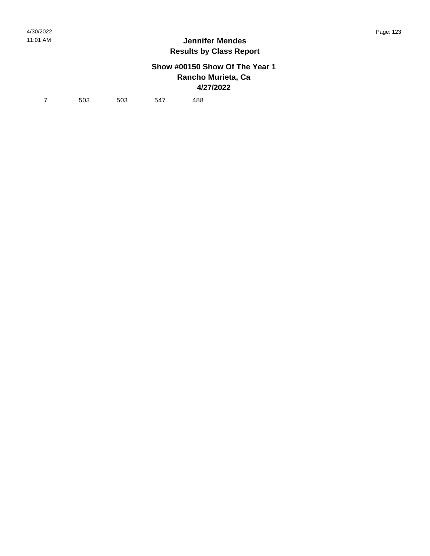# **Show #00150 Show Of The Year 1 Rancho Murieta, Ca 4/27/2022**

7 503 503 547 488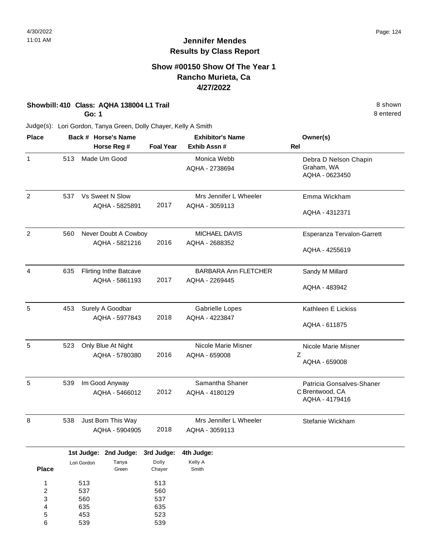# **Show #00150 Show Of The Year 1 Rancho Murieta, Ca 4/27/2022**

**Showbill: 410 Class: AQHA 138004 L1 Trail 8 shown 8 shown 8 shown 8 shown** 

**Go: 1**

Judge(s): Lori Gordon, Tanya Green, Dolly Chayer, Kelly A Smith

| <b>Place</b>   |     |             | Back # Horse's Name                    |                  | <b>Exhibitor's Name</b>                  | Owner(s)                                              |  |  |
|----------------|-----|-------------|----------------------------------------|------------------|------------------------------------------|-------------------------------------------------------|--|--|
|                |     |             | Horse Reg #                            | <b>Foal Year</b> | Exhib Assn #                             | <b>Rel</b>                                            |  |  |
| $\mathbf{1}$   | 513 |             | Made Um Good                           |                  | Monica Webb<br>AQHA - 2738694            | Debra D Nelson Chapin<br>Graham, WA<br>AQHA - 0623450 |  |  |
| $\overline{c}$ | 537 |             | Vs Sweet N Slow<br>AQHA - 5825891      | 2017             | Mrs Jennifer L Wheeler<br>AQHA - 3059113 | Emma Wickham                                          |  |  |
|                |     |             |                                        |                  |                                          | AQHA - 4312371                                        |  |  |
| $\overline{2}$ | 560 |             | Never Doubt A Cowboy<br>AQHA - 5821216 | 2016             | <b>MICHAEL DAVIS</b><br>AQHA - 2688352   | Esperanza Tervalon-Garrett                            |  |  |
|                |     |             |                                        |                  |                                          | AQHA - 4255619                                        |  |  |
| $\overline{4}$ | 635 |             | <b>Flirting Inthe Batcave</b>          |                  | <b>BARBARA Ann FLETCHER</b>              | Sandy M Millard                                       |  |  |
|                |     |             | AQHA - 5861193                         | 2017             | AQHA - 2269445                           | AQHA - 483942                                         |  |  |
| 5              | 453 |             | Surely A Goodbar                       |                  | <b>Gabrielle Lopes</b>                   | Kathleen E Lickiss                                    |  |  |
|                |     |             | AQHA - 5977843                         | 2018             | AQHA - 4223847                           | AQHA - 611875                                         |  |  |
| 5              | 523 |             | Only Blue At Night                     |                  | Nicole Marie Misner                      | Nicole Marie Misner                                   |  |  |
|                |     |             | AQHA - 5780380                         | 2016             | AQHA - 659008                            | Z<br>AQHA - 659008                                    |  |  |
| 5              | 539 |             | Im Good Anyway                         |                  | Samantha Shaner                          | Patricia Gonsalves-Shaner                             |  |  |
|                |     |             | AQHA - 5466012                         | 2012             | AQHA - 4180129                           | C Brentwood, CA<br>AQHA - 4179416                     |  |  |
| 8              | 538 |             | Just Born This Way                     |                  | Mrs Jennifer L Wheeler                   | Stefanie Wickham                                      |  |  |
|                |     |             | AQHA - 5904905                         | 2018             | AQHA - 3059113                           |                                                       |  |  |
|                |     |             | 1st Judge: 2nd Judge:                  | 3rd Judge:       | 4th Judge:                               |                                                       |  |  |
| <b>Place</b>   |     | Lori Gordon | Tanya<br>Green                         | Dolly<br>Chayer  | Kelly A<br>Smith                         |                                                       |  |  |
| 1              |     | 513         |                                        | 513              |                                          |                                                       |  |  |
| $\overline{c}$ |     | 537         |                                        | 560              |                                          |                                                       |  |  |
| 3              |     | 560         |                                        | 537              |                                          |                                                       |  |  |
| 4<br>5         |     | 635<br>453  |                                        | 635<br>523       |                                          |                                                       |  |  |
| 6              |     | 539         |                                        | 539              |                                          |                                                       |  |  |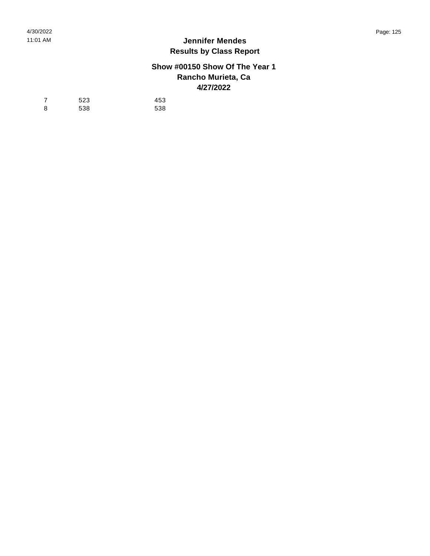## **Show #00150 Show Of The Year 1 Rancho Murieta, Ca 4/27/2022**

| $\overline{7}$ | 523 | 453 |
|----------------|-----|-----|
| - 8            | 538 | 538 |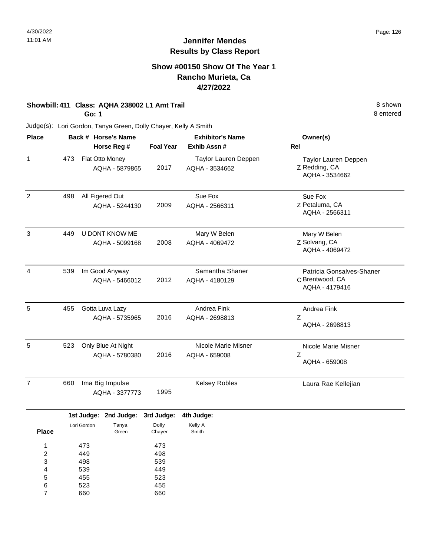# **Show #00150 Show Of The Year 1 Rancho Murieta, Ca 4/27/2022**

### **Showbill: 411 Class: AQHA 238002 L1 Amt Trail** 8 shown

**Go: 1**

Judge(s): Lori Gordon, Tanya Green, Dolly Chayer, Kelly A Smith

| <b>Place</b>   |     | Back # Horse's Name<br>Horse Reg #   |      | <b>Exhibitor's Name</b><br>Exhib Assn # | Owner(s)<br>Rel                                                |
|----------------|-----|--------------------------------------|------|-----------------------------------------|----------------------------------------------------------------|
| 1              | 473 | Flat Otto Money<br>AQHA - 5879865    | 2017 | Taylor Lauren Deppen<br>AQHA - 3534662  | Taylor Lauren Deppen<br>Z Redding, CA<br>AQHA - 3534662        |
| $\overline{2}$ | 498 | All Figered Out<br>AQHA - 5244130    | 2009 | Sue Fox<br>AQHA - 2566311               | Sue Fox<br>Z Petaluma, CA<br>AQHA - 2566311                    |
| 3              | 449 | U DONT KNOW ME<br>AQHA - 5099168     | 2008 | Mary W Belen<br>AQHA - 4069472          | Mary W Belen<br>Z Solvang, CA<br>AQHA - 4069472                |
| 4              | 539 | Im Good Anyway<br>AQHA - 5466012     | 2012 | Samantha Shaner<br>AQHA - 4180129       | Patricia Gonsalves-Shaner<br>C Brentwood, CA<br>AQHA - 4179416 |
| 5              | 455 | Gotta Luva Lazy<br>AQHA - 5735965    | 2016 | Andrea Fink<br>AQHA - 2698813           | Andrea Fink<br>Z<br>AQHA - 2698813                             |
| 5              | 523 | Only Blue At Night<br>AQHA - 5780380 | 2016 | Nicole Marie Misner<br>AQHA - 659008    | Nicole Marie Misner<br>Z<br>AQHA - 659008                      |
| $\overline{7}$ | 660 | Ima Big Impulse<br>AQHA - 3377773    | 1995 | <b>Kelsey Robles</b>                    | Laura Rae Kellejian                                            |
|                |     |                                      |      |                                         |                                                                |

|              |             | 1st Judge: 2nd Judge: 3rd Judge: |        | 4th Judge: |
|--------------|-------------|----------------------------------|--------|------------|
|              | Lori Gordon | Tanya                            | Dolly  | Kelly A    |
| <b>Place</b> |             | Green                            | Chayer | Smith      |
| 1            | 473         |                                  | 473    |            |
|              |             |                                  |        |            |
| 2            | 449         |                                  | 498    |            |
| 3            | 498         |                                  | 539    |            |
| 4            | 539         |                                  | 449    |            |
| 5            | 455         |                                  | 523    |            |
| 6            | 523         |                                  | 455    |            |
|              | 660         |                                  | 660    |            |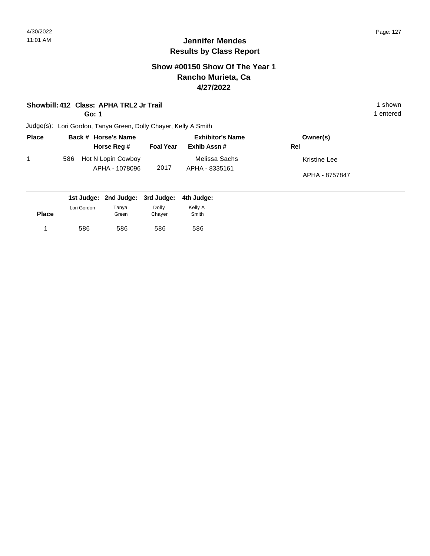# **Show #00150 Show Of The Year 1 Rancho Murieta, Ca 4/27/2022**

### **Showbill: 412 Class: APHA TRL2 Jr Trail** 1 shown

**Go: 1**

1 entered

| <b>Place</b> | Back # Horse's Name                         | <b>Exhibitor's Name</b> |                                 | Owner(s)                       |
|--------------|---------------------------------------------|-------------------------|---------------------------------|--------------------------------|
|              | Horse Reg #                                 | <b>Foal Year</b>        | Exhib Assn #                    | Rel                            |
|              | Hot N Lopin Cowboy<br>586<br>APHA - 1078096 | 2017                    | Melissa Sachs<br>APHA - 8335161 | Kristine Lee<br>APHA - 8757847 |
|              | 1st Judge: 2nd Judge: 3rd Judge: 4th Judge: |                         |                                 |                                |

| <b>Place</b> | Lori Gordon | Tanya<br>Green | Dolly<br>Chayer | Kelly A<br>Smith |
|--------------|-------------|----------------|-----------------|------------------|
|              | 586         | 586            | 586             | 586              |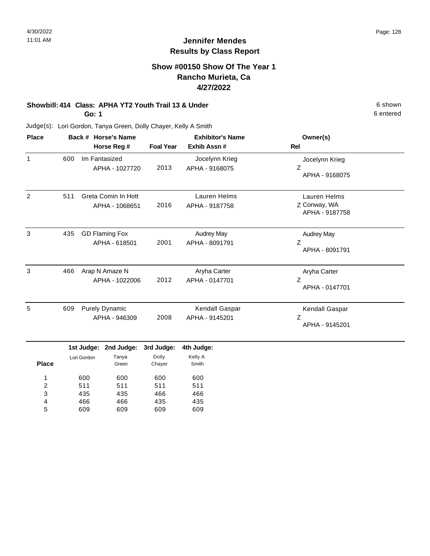# **Show #00150 Show Of The Year 1 Rancho Murieta, Ca 4/27/2022**

# **Showbill: 414 Class: APHA YT2 Youth Trail 13 & Under** 6 Shown 6 shown

**Go: 1**

Judge(s): Lori Gordon, Tanya Green, Dolly Chayer, Kelly A Smith

| <b>Place</b> |     | Back # Horse's Name<br>Horse Reg #     | <b>Foal Year</b> | <b>Exhibitor's Name</b><br>Exhib Assn# | Owner(s)<br>Rel                                |
|--------------|-----|----------------------------------------|------------------|----------------------------------------|------------------------------------------------|
| 1            | 600 | Im Fantasized<br>APHA - 1027720        | 2013             | Jocelynn Krieg<br>APHA - 9168075       | Jocelynn Krieg<br>Z<br>APHA - 9168075          |
| 2            | 511 | Greta Comin In Hott<br>APHA - 1068651  | 2016             | Lauren Helms<br>APHA - 9187758         | Lauren Helms<br>Z Conway, WA<br>APHA - 9187758 |
| 3            | 435 | <b>GD Flaming Fox</b><br>APHA - 618501 | 2001             | <b>Audrey May</b><br>APHA - 8091791    | <b>Audrey May</b><br>Ζ<br>APHA - 8091791       |
| 3            | 466 | Arap N Amaze N<br>APHA - 1022006       | 2012             | Aryha Carter<br>APHA - 0147701         | Aryha Carter<br>Ζ<br>APHA - 0147701            |
| 5            | 609 | <b>Purely Dynamic</b><br>APHA - 946309 | 2008             | Kendall Gaspar<br>APHA - 9145201       | Kendall Gaspar<br>Ζ<br>APHA - 9145201          |

|              |             | 1st Judge: 2nd Judge: 3rd Judge: |        | 4th Judge: |
|--------------|-------------|----------------------------------|--------|------------|
|              | Lori Gordon | Tanya                            | Dolly  | Kelly A    |
| <b>Place</b> |             | Green                            | Chayer | Smith      |
| 1            | 600         | 600                              | 600    | 600        |
| 2            | 511         | 511                              | 511    | 511        |
| 3            | 435         | 435                              | 466    | 466        |
| 4            | 466         | 466                              | 435    | 435        |
| 5            | 609         | 609                              | 609    | 609        |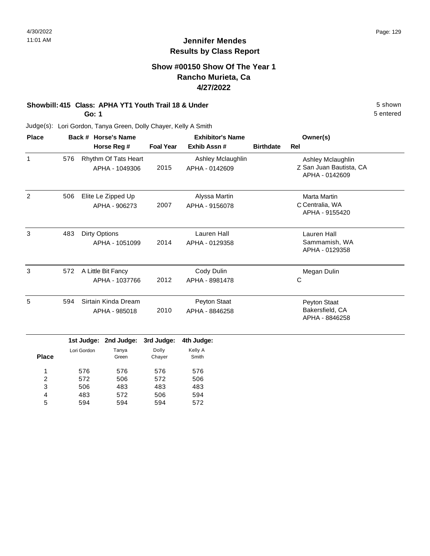# **Show #00150 Show Of The Year 1 Rancho Murieta, Ca 4/27/2022**

# **Showbill: 415 Class: APHA YT1 Youth Trail 18 & Under** 5 Shown 5 shown

**Go: 1**

Judge(s): Lori Gordon, Tanya Green, Dolly Chayer, Kelly A Smith

| <b>Place</b> |     | Back # Horse's Name                    | <b>Exhibitor's Name</b> |                                     |                  | Owner(s)                                                       |
|--------------|-----|----------------------------------------|-------------------------|-------------------------------------|------------------|----------------------------------------------------------------|
|              |     | Horse Reg #                            | <b>Foal Year</b>        | Exhib Assn#                         | <b>Birthdate</b> | <b>Rel</b>                                                     |
| 1            | 576 | Rhythm Of Tats Heart<br>APHA - 1049306 | 2015                    | Ashley Mclaughlin<br>APHA - 0142609 |                  | Ashley Mclaughlin<br>Z San Juan Bautista, CA<br>APHA - 0142609 |
| 2            | 506 | Elite Le Zipped Up<br>APHA - 906273    | 2007                    | Alyssa Martin<br>APHA - 9156078     |                  | Marta Martin<br>C Centralia, WA<br>APHA - 9155420              |
| 3            | 483 | <b>Dirty Options</b><br>APHA - 1051099 | 2014                    | Lauren Hall<br>APHA - 0129358       |                  | Lauren Hall<br>Sammamish, WA<br>APHA - 0129358                 |
| 3            | 572 | A Little Bit Fancy<br>APHA - 1037766   | 2012                    | Cody Dulin<br>APHA - 8981478        |                  | Megan Dulin<br>C                                               |
| 5            | 594 | Sirtain Kinda Dream<br>APHA - 985018   | 2010                    | Peyton Staat<br>APHA - 8846258      |                  | Peyton Staat<br>Bakersfield, CA<br>APHA - 8846258              |

|              |             | 1st Judge: 2nd Judge: 3rd Judge: |        | 4th Judge: |
|--------------|-------------|----------------------------------|--------|------------|
|              | Lori Gordon | Tanya                            | Dolly  | Kelly A    |
| <b>Place</b> |             | Green                            | Chayer | Smith      |
| 1            | 576         | 576                              | 576    | 576        |
| 2            | 572         | 506                              | 572    | 506        |
| 3            | 506         | 483                              | 483    | 483        |
| 4            | 483         | 572                              | 506    | 594        |
| 5            | 594         | 594                              | 594    | 572        |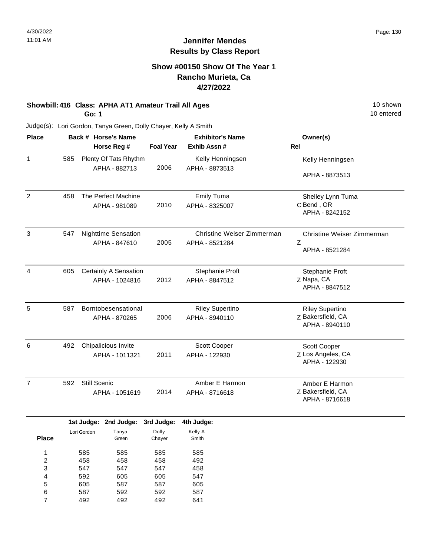## **Show #00150 Show Of The Year 1 Rancho Murieta, Ca 4/27/2022**

# **Showbill: 416 Class: APHA AT1 Amateur Trail All Ages** 10 shown

**Go: 1**

10 entered

| <b>Place</b>   |     |              | Back # Horse's Name        |                  | <b>Exhibitor's Name</b>    | Owner(s)                   |
|----------------|-----|--------------|----------------------------|------------------|----------------------------|----------------------------|
|                |     |              | Horse Reg #                | <b>Foal Year</b> | Exhib Assn#                | <b>Rel</b>                 |
| 1              | 585 |              | Plenty Of Tats Rhythm      |                  | Kelly Henningsen           | Kelly Henningsen           |
|                |     |              | APHA - 882713              | 2006             | APHA - 8873513             |                            |
|                |     |              |                            |                  |                            | APHA - 8873513             |
| $\overline{2}$ | 458 |              | The Perfect Machine        |                  | <b>Emily Tuma</b>          | Shelley Lynn Tuma          |
|                |     |              | APHA - 981089              | 2010             | APHA - 8325007             | C Bend, OR                 |
|                |     |              |                            |                  |                            | APHA - 8242152             |
| 3              | 547 |              | <b>Nighttime Sensation</b> |                  | Christine Weiser Zimmerman | Christine Weiser Zimmerman |
|                |     |              | APHA - 847610              | 2005             | APHA - 8521284             | Z                          |
|                |     |              |                            |                  |                            | APHA - 8521284             |
| $\overline{4}$ | 605 |              | Certainly A Sensation      |                  | Stephanie Proft            | Stephanie Proft            |
|                |     |              | APHA - 1024816             | 2012             | APHA - 8847512             | Z Napa, CA                 |
|                |     |              |                            |                  |                            | APHA - 8847512             |
| 5              | 587 |              | Borntobesensational        |                  | <b>Riley Supertino</b>     | <b>Riley Supertino</b>     |
|                |     |              | APHA - 870265              | 2006             | APHA - 8940110             | Z Bakersfield, CA          |
|                |     |              |                            |                  |                            | APHA - 8940110             |
| 6              | 492 |              | Chipalicious Invite        |                  | Scott Cooper               | Scott Cooper               |
|                |     |              | APHA - 1011321             | 2011             | APHA - 122930              | Z Los Angeles, CA          |
|                |     |              |                            |                  |                            | APHA - 122930              |
| $\overline{7}$ | 592 | Still Scenic |                            |                  | Amber E Harmon             | Amber E Harmon             |
|                |     |              | APHA - 1051619             | 2014             | APHA - 8716618             | Z Bakersfield, CA          |
|                |     |              |                            |                  |                            | APHA - 8716618             |
|                |     |              | 1st Judge: 2nd Judge:      | 3rd Judge:       | 4th Judge:                 |                            |
|                |     | Lori Gordon  | Tanya                      | Dolly            | Kelly A                    |                            |
| <b>Place</b>   |     |              | Green                      | Chayer           | Smith                      |                            |
| 1              |     | 585          | 585                        | 585              | 585                        |                            |
| 2              |     | 458          | 458                        | 458              | 492                        |                            |
| 3              |     | 547          | 547                        | 547              | 458                        |                            |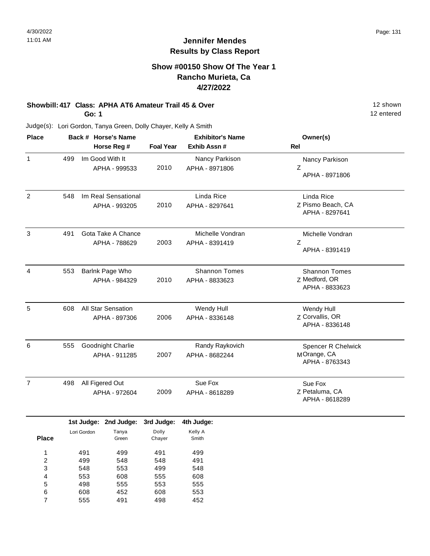# **Show #00150 Show Of The Year 1 Rancho Murieta, Ca 4/27/2022**

#### **Showbill: 417 Class: APHA AT6 Amateur Trail 45 & Over** 12 Shown 12 shown **Go: 1**

12 entered

| <b>Place</b>            |     |             | Back # Horse's Name |                  | <b>Exhibitor's Name</b> | Owner(s)                         |  |  |
|-------------------------|-----|-------------|---------------------|------------------|-------------------------|----------------------------------|--|--|
|                         |     |             | Horse Reg #         | <b>Foal Year</b> | Exhib Assn #            | Rel                              |  |  |
| $\mathbf{1}$            | 499 |             | Im Good With It     |                  | Nancy Parkison          | Nancy Parkison                   |  |  |
|                         |     |             | APHA - 999533       | 2010             | APHA - 8971806          | Z                                |  |  |
|                         |     |             |                     |                  |                         | APHA - 8971806                   |  |  |
| $\overline{2}$          | 548 |             | Im Real Sensational |                  | Linda Rice              | Linda Rice                       |  |  |
|                         |     |             | APHA - 993205       | 2010             | APHA - 8297641          | Z Pismo Beach, CA                |  |  |
|                         |     |             |                     |                  |                         | APHA - 8297641                   |  |  |
| $\sqrt{3}$              | 491 |             | Gota Take A Chance  |                  | Michelle Vondran        | Michelle Vondran                 |  |  |
|                         |     |             | APHA - 788629       | 2003             | APHA - 8391419          | $\boldsymbol{Z}$                 |  |  |
|                         |     |             |                     |                  |                         | APHA - 8391419                   |  |  |
| 4                       | 553 |             | Barlnk Page Who     |                  | <b>Shannon Tomes</b>    | <b>Shannon Tomes</b>             |  |  |
|                         |     |             | APHA - 984329       | 2010             | APHA - 8833623          | Z Medford, OR                    |  |  |
|                         |     |             |                     |                  |                         | APHA - 8833623                   |  |  |
| 5                       | 608 |             | All Star Sensation  |                  | Wendy Hull              | Wendy Hull                       |  |  |
|                         |     |             | APHA - 897306       | 2006             | APHA - 8336148          | Z Corvallis, OR                  |  |  |
|                         |     |             |                     |                  |                         | APHA - 8336148                   |  |  |
| 6                       | 555 |             | Goodnight Charlie   |                  | Randy Raykovich         | <b>Spencer R Chelwick</b>        |  |  |
|                         |     |             | APHA - 911285       | 2007             | APHA - 8682244          | MOrange, CA                      |  |  |
|                         |     |             |                     |                  |                         | APHA - 8763343                   |  |  |
| $\overline{7}$          | 498 |             | All Figered Out     |                  | Sue Fox                 | Sue Fox                          |  |  |
|                         |     |             | APHA - 972604       | 2009             | APHA - 8618289          | Z Petaluma, CA<br>APHA - 8618289 |  |  |
|                         |     |             |                     |                  |                         |                                  |  |  |
|                         |     | 1st Judge:  | 2nd Judge:          | 3rd Judge:       | 4th Judge:              |                                  |  |  |
| <b>Place</b>            |     | Lori Gordon | Tanya               | Dolly            | Kelly A                 |                                  |  |  |
|                         |     |             | Green               | Chayer           | Smith                   |                                  |  |  |
| $\mathbf{1}$            |     | 491         | 499                 | 491              | 499                     |                                  |  |  |
| $\overline{\mathbf{c}}$ |     | 499         | 548                 | 548              | 491                     |                                  |  |  |
| 3                       |     | 548         | 553                 | 499              | 548                     |                                  |  |  |
| 4                       |     | 553         | 608                 | 555              | 608                     |                                  |  |  |
| 5                       |     | 498         | 555                 | 553              | 555                     |                                  |  |  |
| 6<br>$\overline{7}$     |     | 608<br>555  | 452<br>491          | 608<br>498       | 553<br>452              |                                  |  |  |
|                         |     |             |                     |                  |                         |                                  |  |  |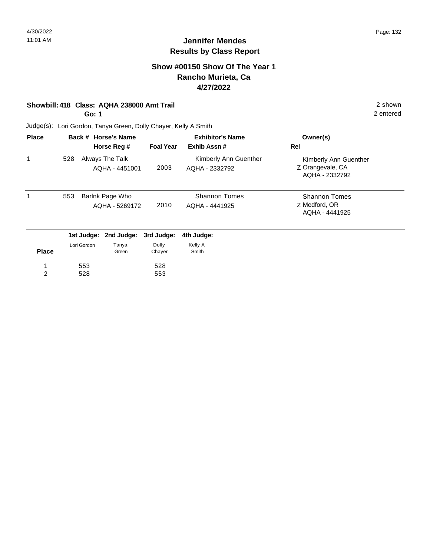# **Show #00150 Show Of The Year 1 Rancho Murieta, Ca 4/27/2022**

### **Showbill: 418 Class: AQHA 238000 Amt Trail** 2 shown

**Go: 1**

2 entered

| <b>Place</b>        |     |             | Back # Horse's Name               | <b>Exhibitor's Name</b> |                                         | Owner(s)                                                    |
|---------------------|-----|-------------|-----------------------------------|-------------------------|-----------------------------------------|-------------------------------------------------------------|
|                     |     |             | Horse Reg #                       | <b>Foal Year</b>        | Exhib Assn#                             | <b>Rel</b>                                                  |
| 1                   | 528 |             | Always The Talk<br>AQHA - 4451001 | 2003                    | Kimberly Ann Guenther<br>AQHA - 2332792 | Kimberly Ann Guenther<br>Z Orangevale, CA<br>AQHA - 2332792 |
| 1                   | 553 |             | Barlnk Page Who<br>AQHA - 5269172 | 2010                    | <b>Shannon Tomes</b><br>AQHA - 4441925  | <b>Shannon Tomes</b><br>Z Medford, OR<br>AQHA - 4441925     |
|                     |     |             | 1st Judge: 2nd Judge:             | 3rd Judge:              | 4th Judge:                              |                                                             |
| <b>Place</b>        |     | Lori Gordon | Tanya<br>Green                    | Dolly<br>Chayer         | Kelly A<br>Smith                        |                                                             |
| 1<br>$\overline{2}$ |     | 553<br>528  |                                   | 528<br>553              |                                         |                                                             |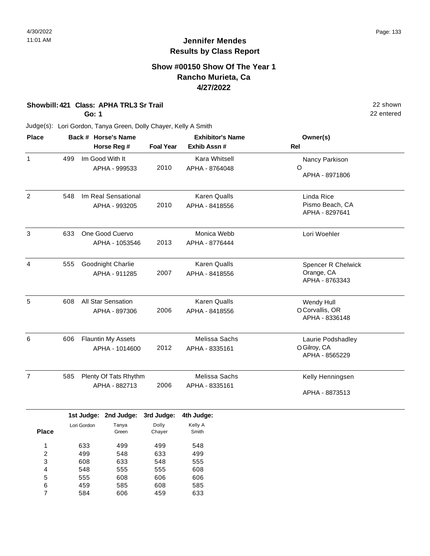# **Show #00150 Show Of The Year 1 Rancho Murieta, Ca 4/27/2022**

### **Showbill: 421 Class: APHA TRL3 Sr Trail** 22 shown

**Go: 1**

Judge(s): Lori Gordon, Tanya Green, Dolly Chayer, Kelly A Smith

| <b>Place</b>   |     | Back # Horse's Name<br>Horse Reg #          |                          | <b>Exhibitor's Name</b><br>Exhib Assn# | Owner(s)<br>Rel                                           |
|----------------|-----|---------------------------------------------|--------------------------|----------------------------------------|-----------------------------------------------------------|
| $\mathbf{1}$   | 499 | Im Good With It<br>APHA - 999533            | <b>Foal Year</b><br>2010 | <b>Kara Whitsell</b><br>APHA - 8764048 | Nancy Parkison<br>O<br>APHA - 8971806                     |
| 2              | 548 | Im Real Sensational<br>APHA - 993205        | 2010                     | <b>Karen Qualls</b><br>APHA - 8418556  | Linda Rice<br>Pismo Beach, CA<br>APHA - 8297641           |
| 3              | 633 | One Good Cuervo<br>APHA - 1053546           | 2013                     | Monica Webb<br>APHA - 8776444          | Lori Woehler                                              |
| $\overline{4}$ | 555 | Goodnight Charlie<br>APHA - 911285          | 2007                     | <b>Karen Qualls</b><br>APHA - 8418556  | <b>Spencer R Chelwick</b><br>Orange, CA<br>APHA - 8763343 |
| 5              | 608 | <b>All Star Sensation</b><br>APHA - 897306  | 2006                     | <b>Karen Qualls</b><br>APHA - 8418556  | Wendy Hull<br>O Corvallis, OR<br>APHA - 8336148           |
| 6              | 606 | <b>Flauntin My Assets</b><br>APHA - 1014600 | 2012                     | Melissa Sachs<br>APHA - 8335161        | Laurie Podshadley<br>O Gilroy, CA<br>APHA - 8565229       |
| $\overline{7}$ | 585 | Plenty Of Tats Rhythm<br>APHA - 882713      | 2006                     | Melissa Sachs<br>APHA - 8335161        | Kelly Henningsen<br>APHA - 8873513                        |

|              |             | 1st Judge: 2nd Judge: | 3rd Judge: | 4th Judge: |
|--------------|-------------|-----------------------|------------|------------|
|              | Lori Gordon | Tanya                 | Dolly      | Kelly A    |
| <b>Place</b> |             | Green                 | Chayer     | Smith      |
| 1            | 633         | 499                   | 499        | 548        |
| 2            | 499         | 548                   | 633        | 499        |
| 3            | 608         | 633                   | 548        | 555        |
| 4            | 548         | 555                   | 555        | 608        |
| 5            | 555         | 608                   | 606        | 606        |
| 6            | 459         | 585                   | 608        | 585        |
|              | 584         | 606                   | 459        | 633        |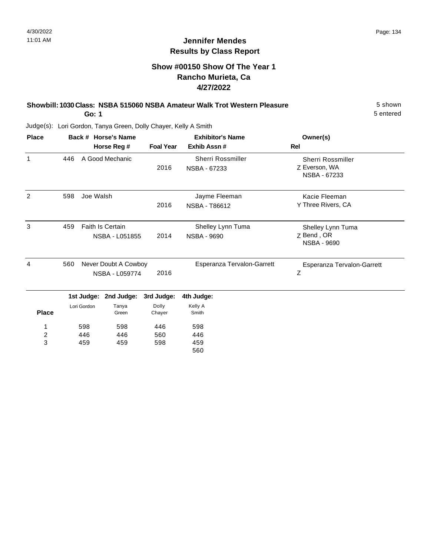**Place**

1 2 3 598 446 459

598 446 459

Green

446 560 598

Chayer

Smith

5 entered

## **Jennifer Mendes Results by Class Report**

## **Show #00150 Show Of The Year 1 Rancho Murieta, Ca 4/27/2022**

### **Showbill: 1030 Class: NSBA 515060 NSBA Amateur Walk Trot Western Pleasure** 5 shown

**Go: 1**

| <b>Place</b>  |     | Back # Horse's Name      |                  | <b>Exhibitor's Name</b>           | Owner(s)                                  |
|---------------|-----|--------------------------|------------------|-----------------------------------|-------------------------------------------|
|               |     | Horse Reg #              | <b>Foal Year</b> | Exhib Assn#                       | Rel                                       |
| 1             | 446 | A Good Mechanic          | 2016             | Sherri Rossmiller<br>NSBA - 67233 | <b>Sherri Rossmiller</b><br>Z Everson, WA |
|               |     |                          |                  |                                   | NSBA - 67233                              |
| $\mathcal{P}$ | 598 | Joe Walsh                |                  | Jayme Fleeman                     | Kacie Fleeman                             |
|               |     |                          | 2016             | NSBA - T86612                     | Y Three Rivers, CA                        |
| 3             | 459 | <b>Faith Is Certain</b>  |                  | Shelley Lynn Tuma                 | Shelley Lynn Tuma                         |
|               |     | NSBA - L051855           | 2014             | NSBA - 9690                       | Z Bend, OR<br><b>NSBA - 9690</b>          |
| 4             | 560 | Never Doubt A Cowboy     |                  | Esperanza Tervalon-Garrett        | Esperanza Tervalon-Garrett                |
|               |     | NSBA - L059774           | 2016             |                                   | Ζ                                         |
|               |     | 2nd Judge:<br>1st Judge: | 3rd Judge:       | 4th Judge:                        |                                           |
|               |     | Tanya<br>Lori Gordon     | Dolly            | Kelly A                           |                                           |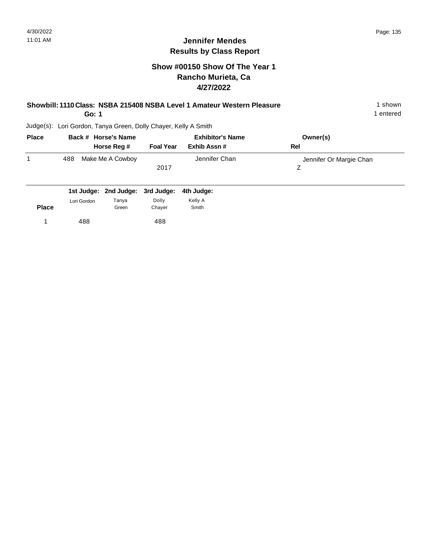# **Show #00150 Show Of The Year 1 Rancho Murieta, Ca 4/27/2022**

| Showbill: 1110 Class: NSBA 215408 NSBA Level 1 Amateur Western Pleasure | 1 shown |
|-------------------------------------------------------------------------|---------|
|-------------------------------------------------------------------------|---------|

**Go: 1**

1 entered

| <b>Place</b> | Back # Horse's Name |                  | <b>Exhibitor's Name</b> |               | Owner(s)                |
|--------------|---------------------|------------------|-------------------------|---------------|-------------------------|
|              |                     | Horse Reg #      | <b>Foal Year</b>        | Exhib Assn #  | Rel                     |
|              | 488                 | Make Me A Cowboy |                         | Jennifer Chan | Jennifer Or Margie Chan |
|              |                     |                  | 2017                    |               |                         |
|              |                     |                  |                         |               |                         |

|              |             | 1st Judge: 2nd Judge: 3rd Judge: 4th Judge: |        |         |
|--------------|-------------|---------------------------------------------|--------|---------|
|              | Lori Gordon | Tanya                                       | Dolly  | Kelly A |
| <b>Place</b> |             | Green                                       | Chaver | Smith   |
|              | 488         |                                             | 488    |         |
|              |             |                                             |        |         |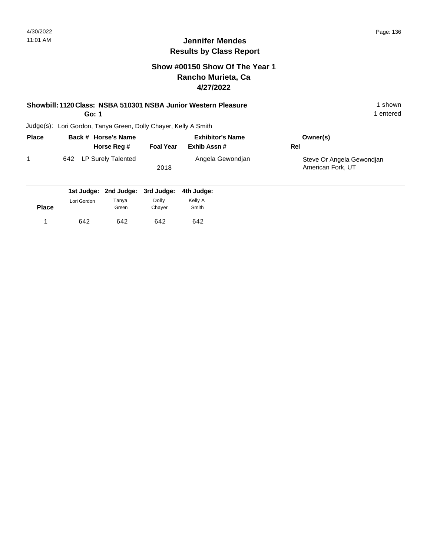# **Show #00150 Show Of The Year 1 Rancho Murieta, Ca 4/27/2022**

### **Showbill: 1120 Class: NSBA 510301 NSBA Junior Western Pleasure** 1 shown

**Go: 1**

1 entered

| <b>Place</b> | Back # Horse's Name                         |                  | <b>Exhibitor's Name</b> | Owner(s)                                       |  |
|--------------|---------------------------------------------|------------------|-------------------------|------------------------------------------------|--|
|              | Horse Reg #                                 | <b>Foal Year</b> | Exhib Assn #            | Rel                                            |  |
|              | LP Surely Talented<br>642                   | 2018             | Angela Gewondjan        | Steve Or Angela Gewondjan<br>American Fork, UT |  |
|              | 104 Judget 2nd Judget 2nd Judget 4th Judget |                  |                         |                                                |  |

|              |             | 1st Judge: 2nd Judge: 3rd Judge: 4th Judge: |        |         |
|--------------|-------------|---------------------------------------------|--------|---------|
|              | Lori Gordon | Tanya                                       | Dolly  | Kelly A |
| <b>Place</b> |             | Green                                       | Chaver | Smith   |
|              | 642         | 642                                         | 642    | 642     |
|              |             |                                             |        |         |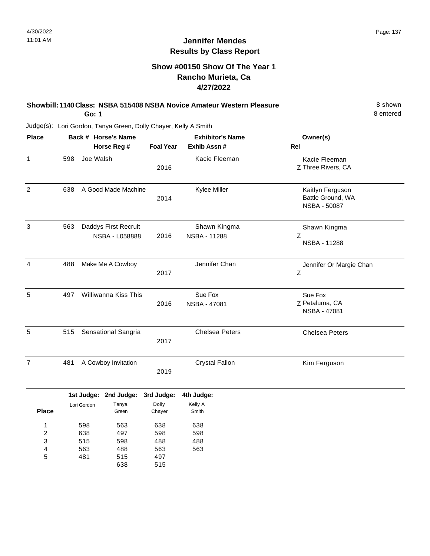# **Show #00150 Show Of The Year 1 Rancho Murieta, Ca 4/27/2022**

| Showbill: 1140 Class: NSBA 515408 NSBA Novice Amateur Western Pleasure | 8 shown   |
|------------------------------------------------------------------------|-----------|
| Go: 1                                                                  | 8 entered |

| <b>Place</b>                                |     |                                 | Back # Horse's Name                    |                                        | <b>Exhibitor's Name</b>      | Owner(s)                                              |
|---------------------------------------------|-----|---------------------------------|----------------------------------------|----------------------------------------|------------------------------|-------------------------------------------------------|
|                                             |     |                                 | Horse Reg #                            | <b>Foal Year</b>                       | Exhib Assn #                 | <b>Rel</b>                                            |
| 1                                           | 598 | Joe Walsh                       |                                        | 2016                                   | Kacie Fleeman                | Kacie Fleeman<br>Z Three Rivers, CA                   |
| $\overline{2}$                              | 638 |                                 | A Good Made Machine                    | 2014                                   | Kylee Miller                 | Kaitlyn Ferguson<br>Battle Ground, WA<br>NSBA - 50087 |
| $\mathbf{3}$                                | 563 |                                 | Daddys First Recruit<br>NSBA - L058888 | 2016                                   | Shawn Kingma<br>NSBA - 11288 | Shawn Kingma<br>Ζ<br>NSBA - 11288                     |
| 4                                           | 488 | Make Me A Cowboy                |                                        | 2017                                   | Jennifer Chan                | Jennifer Or Margie Chan<br>Ζ                          |
| 5                                           | 497 | Williwanna Kiss This            |                                        | 2016                                   | Sue Fox<br>NSBA - 47081      | Sue Fox<br>Z Petaluma, CA<br>NSBA - 47081             |
| 5                                           | 515 | Sensational Sangria             |                                        | 2017                                   | <b>Chelsea Peters</b>        | <b>Chelsea Peters</b>                                 |
| $\overline{7}$                              | 481 |                                 | A Cowboy Invitation                    |                                        | <b>Crystal Fallon</b>        | Kim Ferguson                                          |
|                                             |     |                                 | 1st Judge: 2nd Judge:                  | 3rd Judge:                             | 4th Judge:                   |                                                       |
| <b>Place</b>                                |     | Lori Gordon                     | Tanya<br>Green                         | Dolly<br>Chayer                        | Kelly A<br>Smith             |                                                       |
| 1<br>$\overline{\mathbf{c}}$<br>3<br>4<br>5 |     | 598<br>638<br>515<br>563<br>481 | 563<br>497<br>598<br>488<br>515<br>638 | 638<br>598<br>488<br>563<br>497<br>515 | 638<br>598<br>488<br>563     |                                                       |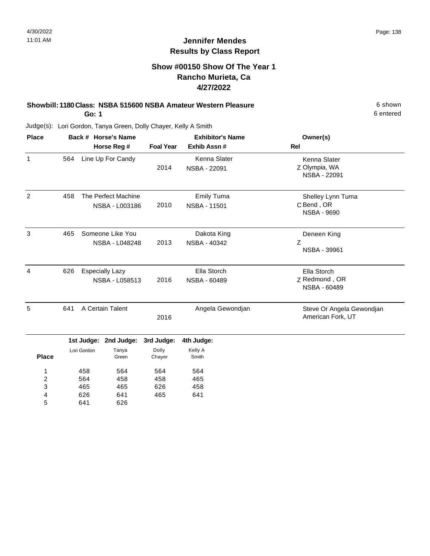# **Show #00150 Show Of The Year 1 Rancho Murieta, Ca 4/27/2022**

#### **Showbill: 1180 Class: NSBA 515600 NSBA Amateur Western Pleasure** 6 Shown 6 shown **Go: 1**

6 entered

Judge(s): Lori Gordon, Tanya Green, Dolly Chayer, Kelly A Smith

641

5

626

| <b>Place</b>                      |     |                                          | Back # Horse's Name                   |                   | <b>Exhibitor's Name</b>                  | Owner(s)                                              |
|-----------------------------------|-----|------------------------------------------|---------------------------------------|-------------------|------------------------------------------|-------------------------------------------------------|
|                                   |     |                                          | Horse Reg #                           | <b>Foal Year</b>  | Exhib Assn#                              | Rel                                                   |
| 1                                 | 564 |                                          | Line Up For Candy                     | 2014              | Kenna Slater<br>NSBA - 22091             | Kenna Slater<br>Z Olympia, WA<br>NSBA - 22091         |
| 2                                 | 458 |                                          | The Perfect Machine<br>NSBA - L003186 | 2010              | <b>Emily Tuma</b><br><b>NSBA - 11501</b> | Shelley Lynn Tuma<br>C Bend, OR<br><b>NSBA - 9690</b> |
| 3                                 | 465 | Someone Like You<br>NSBA - L048248       |                                       | 2013              | Dakota King<br>NSBA - 40342              | Deneen King<br>Z<br>NSBA - 39961                      |
| 4                                 | 626 | <b>Especially Lazy</b><br>NSBA - L058513 |                                       | 2016              | Ella Storch<br>NSBA - 60489              | Ella Storch<br>Z Redmond, OR<br>NSBA - 60489          |
| 5                                 | 641 |                                          | A Certain Talent                      | 2016              | Angela Gewondjan                         | Steve Or Angela Gewondjan<br>American Fork, UT        |
|                                   |     | 1st Judge:                               | 2nd Judge:                            | 3rd Judge:        | 4th Judge:                               |                                                       |
| <b>Place</b>                      |     | Lori Gordon                              | Tanya<br>Green                        | Dolly<br>Chayer   | Kelly A<br>Smith                         |                                                       |
| 1<br>$\overline{\mathbf{c}}$<br>3 |     | 458<br>564<br>465                        | 564<br>458<br>465                     | 564<br>458<br>626 | 564<br>465<br>458                        |                                                       |
| 4                                 |     | 626                                      | 641                                   | 465               | 641                                      |                                                       |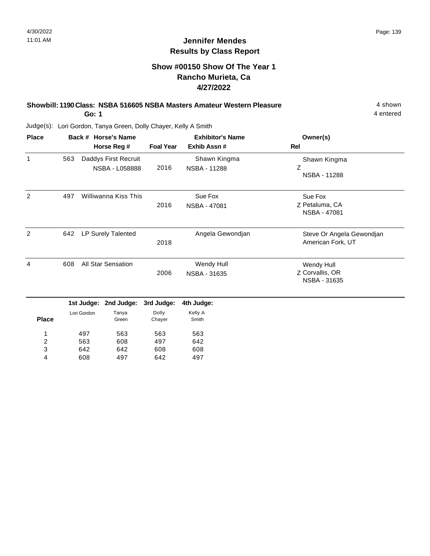4 entered

# **Jennifer Mendes Results by Class Report**

# **Show #00150 Show Of The Year 1 Rancho Murieta, Ca 4/27/2022**

# **Showbill: 1190 Class: NSBA 516605 NSBA Masters Amateur Western Pleasure** 4 shown

**Go: 1**

642 608

3 4

642 497

608 642

608 497

| <b>Place</b>   |     |                    | Back # Horse's Name  |                  | <b>Exhibitor's Name</b> | Owner(s)                                       |
|----------------|-----|--------------------|----------------------|------------------|-------------------------|------------------------------------------------|
|                |     |                    | Horse Reg #          | <b>Foal Year</b> | Exhib Assn#             | Rel                                            |
| $\mathbf 1$    | 563 |                    | Daddys First Recruit |                  | Shawn Kingma            | Shawn Kingma                                   |
|                |     |                    | NSBA - L058888       | 2016             | <b>NSBA - 11288</b>     | Z<br>NSBA - 11288                              |
| 2              | 497 |                    | Williwanna Kiss This |                  | Sue Fox                 | Sue Fox                                        |
|                |     |                    |                      | 2016             | NSBA - 47081            | Z Petaluma, CA<br>NSBA - 47081                 |
| 2              | 642 | LP Surely Talented |                      | 2018             | Angela Gewondjan        | Steve Or Angela Gewondjan<br>American Fork, UT |
| 4              | 608 |                    | All Star Sensation   |                  | Wendy Hull              | Wendy Hull                                     |
|                |     |                    |                      | 2006             | NSBA - 31635            | Z Corvallis, OR<br>NSBA - 31635                |
|                |     | 1st Judge:         | 2nd Judge:           | 3rd Judge:       | 4th Judge:              |                                                |
|                |     | Lori Gordon        | Tanya                | Dolly            | Kelly A                 |                                                |
| <b>Place</b>   |     |                    | Green                | Chayer           | Smith                   |                                                |
| 1              |     | 497                | 563                  | 563              | 563                     |                                                |
| $\overline{2}$ |     | 563                | 608                  | 497              | 642                     |                                                |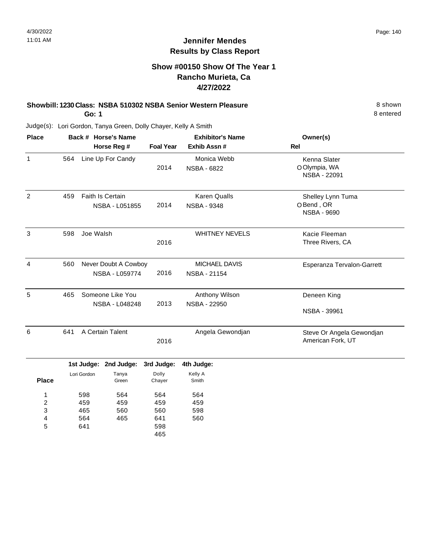# **Show #00150 Show Of The Year 1 Rancho Murieta, Ca 4/27/2022**

#### **Showbill: 1230 Class: NSBA 510302 NSBA Senior Western Pleasure** 8 shown **Go: 1**

8 entered

| <b>Place</b>                                |                                 |                                        | Back # Horse's Name                                         |                  | <b>Exhibitor's Name</b>                        | Owner(s)                                             |
|---------------------------------------------|---------------------------------|----------------------------------------|-------------------------------------------------------------|------------------|------------------------------------------------|------------------------------------------------------|
|                                             |                                 |                                        | Horse Reg #                                                 | <b>Foal Year</b> | Exhib Assn #                                   | <b>Rel</b>                                           |
| 1                                           | 564                             |                                        | Line Up For Candy                                           | 2014             | Monica Webb<br><b>NSBA - 6822</b>              | Kenna Slater<br>O Olympia, WA<br>NSBA - 22091        |
| $\overline{c}$                              | 459                             | Faith Is Certain<br>NSBA - L051855     |                                                             | 2014             | <b>Karen Qualls</b><br><b>NSBA - 9348</b>      | Shelley Lynn Tuma<br>OBend, OR<br><b>NSBA - 9690</b> |
| 3                                           | 598                             | Joe Walsh                              |                                                             | 2016             | <b>WHITNEY NEVELS</b>                          | Kacie Fleeman<br>Three Rivers, CA                    |
| $\overline{\mathbf{4}}$                     | 560                             | Never Doubt A Cowboy<br>NSBA - L059774 |                                                             | 2016             | MICHAEL DAVIS<br>NSBA - 21154                  | Esperanza Tervalon-Garrett                           |
| 5                                           | 465                             | Someone Like You<br>NSBA - L048248     |                                                             | 2013             | Anthony Wilson<br>NSBA - 22950                 | Deneen King<br>NSBA - 39961                          |
| $6\phantom{1}6$                             | 641<br>A Certain Talent         |                                        | 2016                                                        | Angela Gewondjan | Steve Or Angela Gewondjan<br>American Fork, UT |                                                      |
|                                             |                                 |                                        | 1st Judge: 2nd Judge:                                       | 3rd Judge:       | 4th Judge:                                     |                                                      |
| <b>Place</b>                                |                                 | Lori Gordon                            | Tanya<br>Green                                              | Dolly<br>Chayer  | Kelly A<br>Smith                               |                                                      |
| 1<br>2<br>3<br>$\overline{\mathbf{4}}$<br>5 | 598<br>459<br>465<br>564<br>641 |                                        | 564<br>564<br>459<br>459<br>560<br>560<br>465<br>641<br>598 |                  | 564<br>459<br>598<br>560                       |                                                      |
|                                             |                                 |                                        |                                                             | 465              |                                                |                                                      |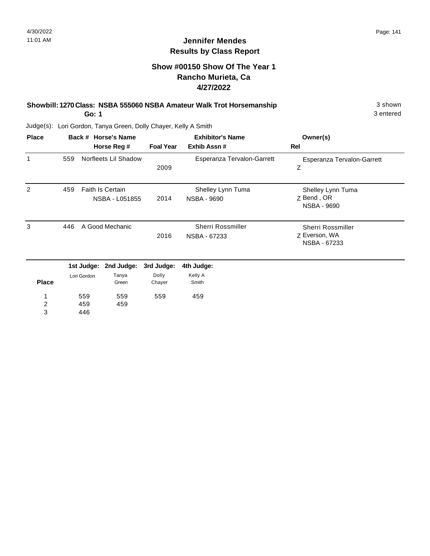3 entered

# **Jennifer Mendes Results by Class Report**

# **Show #00150 Show Of The Year 1 Rancho Murieta, Ca 4/27/2022**

# **Showbill: 1270 Class: NSBA 555060 NSBA Amateur Walk Trot Horsemanship** 3 shown 3 shown

**Go: 1**

| <b>Place</b> |     |                   | Back # Horse's Name                       |                  | <b>Exhibitor's Name</b>                 | Owner(s)                                              |
|--------------|-----|-------------------|-------------------------------------------|------------------|-----------------------------------------|-------------------------------------------------------|
|              |     |                   | Horse Reg #                               | <b>Foal Year</b> | Exhib Assn#                             | Rel                                                   |
| 1            | 559 |                   | Norfleets Lil Shadow                      | 2009             | Esperanza Tervalon-Garrett              | Esperanza Tervalon-Garrett<br>Z                       |
| 2            | 459 |                   | <b>Faith Is Certain</b><br>NSBA - L051855 | 2014             | Shelley Lynn Tuma<br><b>NSBA - 9690</b> | Shelley Lynn Tuma<br>Z Bend, OR<br><b>NSBA - 9690</b> |
| 3            | 446 |                   | A Good Mechanic                           | 2016             | Sherri Rossmiller<br>NSBA - 67233       | Sherri Rossmiller<br>Z Everson, WA<br>NSBA - 67233    |
|              |     | 1st Judge:        | 2nd Judge:                                | 3rd Judge:       | 4th Judge:                              |                                                       |
| <b>Place</b> |     | Lori Gordon       | Tanya<br>Green                            | Dolly<br>Chayer  | Kelly A<br>Smith                        |                                                       |
| 2<br>3       |     | 559<br>459<br>446 | 559<br>459                                | 559              | 459                                     |                                                       |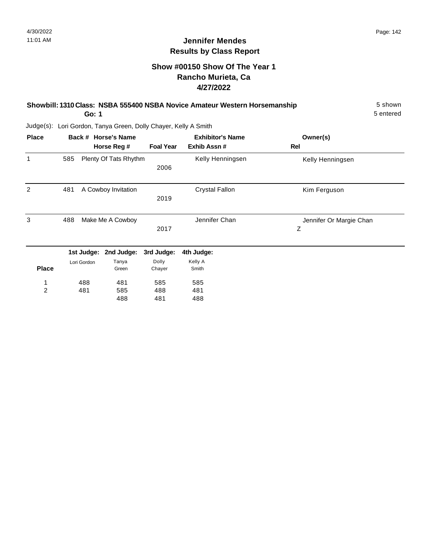# **Show #00150 Show Of The Year 1 Rancho Murieta, Ca 4/27/2022**

| Showbill: 1310 Class: NSBA 555400 NSBA Novice Amateur Western Horsemanship | 5 shown   |
|----------------------------------------------------------------------------|-----------|
| Go: 1                                                                      | 5 entered |

| <b>Place</b>   |     |             | Back # Horse's Name   |                  | <b>Exhibitor's Name</b> | Owner(s)                |
|----------------|-----|-------------|-----------------------|------------------|-------------------------|-------------------------|
|                |     |             | Horse Reg #           | <b>Foal Year</b> | Exhib Assn#             | Rel                     |
| 1              | 585 |             | Plenty Of Tats Rhythm | 2006             | Kelly Henningsen        | Kelly Henningsen        |
|                |     |             |                       |                  |                         |                         |
| 2              | 481 |             | A Cowboy Invitation   |                  | <b>Crystal Fallon</b>   | Kim Ferguson            |
|                |     |             |                       | 2019             |                         |                         |
| 3              | 488 |             | Make Me A Cowboy      |                  | Jennifer Chan           | Jennifer Or Margie Chan |
|                |     |             |                       | 2017             |                         | Z                       |
|                |     | 1st Judge:  | 2nd Judge:            | 3rd Judge:       | 4th Judge:              |                         |
|                |     | Lori Gordon | Tanya                 | Dolly            | Kelly A                 |                         |
| <b>Place</b>   |     |             | Green                 | Chayer           | Smith                   |                         |
| 1              |     | 488         | 481                   | 585              | 585                     |                         |
| $\overline{2}$ |     | 481         | 585                   | 488              | 481                     |                         |
|                |     |             | 488                   | 481              | 488                     |                         |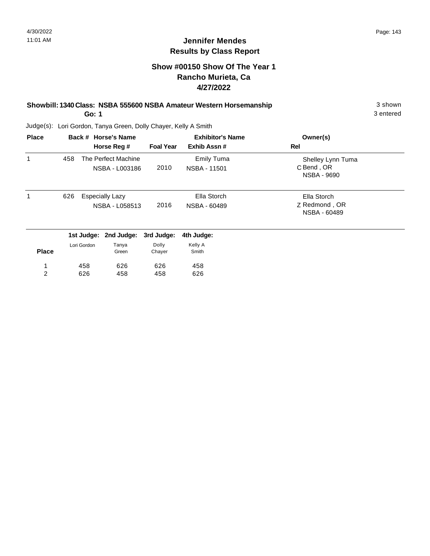# **Show #00150 Show Of The Year 1 Rancho Murieta, Ca 4/27/2022**

#### **Showbill: 1340 Class: NSBA 555600 NSBA Amateur Western Horsemanship** 3 shown 3 shown **Go: 1**

3 entered

| <b>Place</b>   |     |             | Back # Horse's Name                      |                  | <b>Exhibitor's Name</b>           | Owner(s)                                       |  |
|----------------|-----|-------------|------------------------------------------|------------------|-----------------------------------|------------------------------------------------|--|
|                |     |             | Horse Reg #                              | <b>Foal Year</b> | Exhib Assn#                       | Rel                                            |  |
| 1              | 458 |             | The Perfect Machine<br>NSBA - L003186    | 2010             | <b>Emily Tuma</b><br>NSBA - 11501 | Shelley Lynn Tuma<br>C Bend, OR<br>NSBA - 9690 |  |
|                | 626 |             | <b>Especially Lazy</b><br>NSBA - L058513 | 2016             | Ella Storch<br>NSBA - 60489       | Ella Storch<br>Z Redmond, OR<br>NSBA - 60489   |  |
|                |     |             | 1st Judge: 2nd Judge:                    | 3rd Judge:       | 4th Judge:                        |                                                |  |
| <b>Place</b>   |     | Lori Gordon | Tanya<br>Green                           | Dolly<br>Chayer  | Kelly A<br>Smith                  |                                                |  |
| 1              |     | 458         | 626                                      | 626              | 458                               |                                                |  |
| $\overline{2}$ |     | 626         | 458                                      | 458              | 626                               |                                                |  |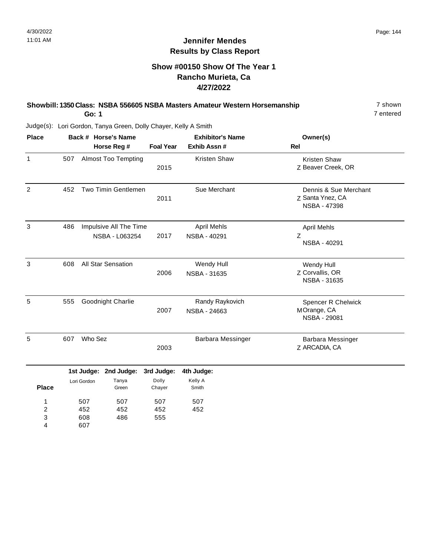# **Show #00150 Show Of The Year 1 Rancho Murieta, Ca 4/27/2022**

#### **Showbill: 1350 Class: NSBA 556605 NSBA Masters Amateur Western Horsemanship** 7 shown **Go: 1**

7 entered

| <b>Place</b>                  |     |                          | Back # Horse's Name                      |                   | <b>Exhibitor's Name</b>            | Owner(s)                                                  |
|-------------------------------|-----|--------------------------|------------------------------------------|-------------------|------------------------------------|-----------------------------------------------------------|
|                               |     | Horse Reg #              |                                          |                   | Exhib Assn #                       | <b>Rel</b>                                                |
| $\mathbf{1}$                  | 507 |                          | <b>Almost Too Tempting</b>               | 2015              | Kristen Shaw                       | <b>Kristen Shaw</b><br>Z Beaver Creek, OR                 |
| $\overline{c}$                | 452 |                          | Two Timin Gentlemen                      | 2011              | Sue Merchant                       | Dennis & Sue Merchant<br>Z Santa Ynez, CA<br>NSBA - 47398 |
| 3                             | 486 |                          | Impulsive All The Time<br>NSBA - L063254 | 2017              | <b>April Mehls</b><br>NSBA - 40291 | <b>April Mehls</b><br>Z<br>NSBA - 40291                   |
| $\mathsf 3$                   | 608 |                          | All Star Sensation                       | 2006              | Wendy Hull<br>NSBA - 31635         | Wendy Hull<br>Z Corvallis, OR<br>NSBA - 31635             |
| 5                             | 555 |                          | Goodnight Charlie                        | 2007              | Randy Raykovich<br>NSBA - 24663    | <b>Spencer R Chelwick</b><br>MOrange, CA<br>NSBA - 29081  |
| 5                             | 607 | Who Sez                  |                                          | 2003              | Barbara Messinger                  | <b>Barbara Messinger</b><br>Z ARCADIA, CA                 |
|                               |     | 1st Judge:               | 2nd Judge:                               | 3rd Judge:        | 4th Judge:                         |                                                           |
| <b>Place</b>                  |     | Lori Gordon              | Tanya<br>Green                           | Dolly<br>Chayer   | Kelly A<br>Smith                   |                                                           |
| 1<br>$\overline{c}$<br>3<br>4 |     | 507<br>452<br>608<br>607 | 507<br>452<br>486                        | 507<br>452<br>555 | 507<br>452                         |                                                           |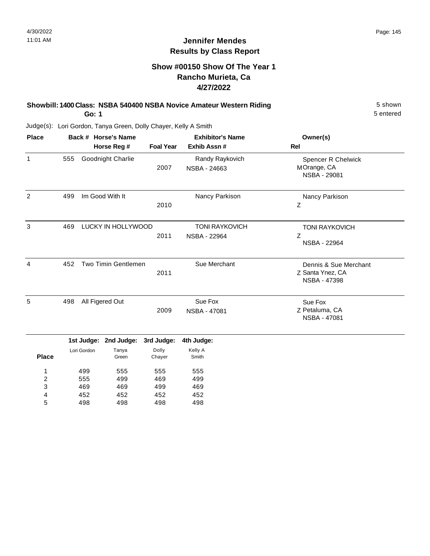5 entered

#### **Jennifer Mendes Results by Class Report**

### **Show #00150 Show Of The Year 1 Rancho Murieta, Ca 4/27/2022**

# **Showbill: 1400 Class: NSBA 540400 NSBA Novice Amateur Western Riding 5 Shown 5 shown**

**Go: 1**

| <b>Place</b> |     | Back # Horse's Name<br>Horse Reg # | <b>Foal Year</b> | <b>Exhibitor's Name</b><br>Exhib Assn # | Owner(s)<br>Rel                                           |
|--------------|-----|------------------------------------|------------------|-----------------------------------------|-----------------------------------------------------------|
| 1            | 555 | Goodnight Charlie                  | 2007             | Randy Raykovich<br>NSBA - 24663         | <b>Spencer R Chelwick</b><br>MOrange, CA<br>NSBA - 29081  |
| 2            | 499 | Im Good With It                    | 2010             | Nancy Parkison                          | Nancy Parkison<br>Z                                       |
| 3            | 469 | LUCKY IN HOLLYWOOD                 | 2011             | <b>TONI RAYKOVICH</b><br>NSBA - 22964   | <b>TONI RAYKOVICH</b><br>Z<br>NSBA - 22964                |
| 4            | 452 | <b>Two Timin Gentlemen</b>         | 2011             | Sue Merchant                            | Dennis & Sue Merchant<br>Z Santa Ynez, CA<br>NSBA - 47398 |
| 5            | 498 | All Figered Out                    | 2009             | Sue Fox<br>NSBA - 47081                 | Sue Fox<br>Z Petaluma, CA<br><b>NSBA - 47081</b>          |

|              |             | 1st Judge: 2nd Judge: 3rd Judge: |        | 4th Judge: |
|--------------|-------------|----------------------------------|--------|------------|
|              | Lori Gordon | Tanya                            | Dolly  | Kelly A    |
| <b>Place</b> |             | Green                            | Chayer | Smith      |
|              | 499         | 555                              | 555    | 555        |
| 2            | 555         | 499                              | 469    | 499        |
| 3            | 469         | 469                              | 499    | 469        |
| 4            | 452         | 452                              | 452    | 452        |
| 5            | 498         | 498                              | 498    | 498        |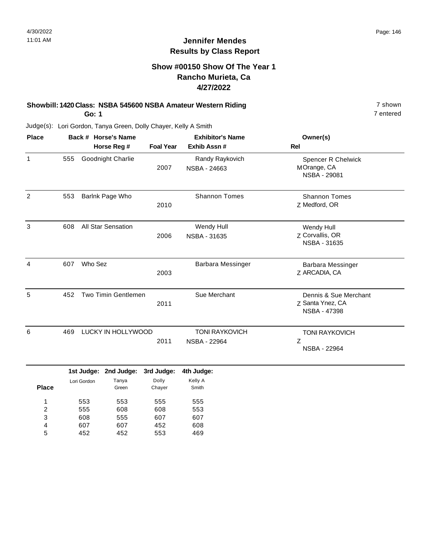### **Show #00150 Show Of The Year 1 Rancho Murieta, Ca 4/27/2022**

#### **Showbill: 1420 Class: NSBA 545600 NSBA Amateur Western Riding 7 Shown 7 shown Go: 1**

452

4 5

452

553

469

Judge(s): Lori Gordon, Tanya Green, Dolly Chayer, Kelly A Smith

| <b>Place</b>                           |     |                          | Back # Horse's Name      |                          | <b>Exhibitor's Name</b>                      | Owner(s)                                                         |
|----------------------------------------|-----|--------------------------|--------------------------|--------------------------|----------------------------------------------|------------------------------------------------------------------|
|                                        |     |                          | Horse Reg #              | <b>Foal Year</b>         | Exhib Assn#                                  | <b>Rel</b>                                                       |
| $\mathbf{1}$                           | 555 |                          | Goodnight Charlie        | 2007                     | Randy Raykovich<br>NSBA - 24663              | Spencer R Chelwick<br>MOrange, CA<br><b>NSBA - 29081</b>         |
| $\overline{c}$                         | 553 |                          | Barlnk Page Who          | 2010                     | <b>Shannon Tomes</b>                         | <b>Shannon Tomes</b><br>Z Medford, OR                            |
| 3                                      | 608 |                          | All Star Sensation       | 2006                     | Wendy Hull<br>NSBA - 31635                   | Wendy Hull<br>Z Corvallis, OR<br>NSBA - 31635                    |
| 4                                      | 607 | Who Sez                  |                          | 2003                     | Barbara Messinger                            | Barbara Messinger<br>Z ARCADIA, CA                               |
| 5                                      | 452 |                          | Two Timin Gentlemen      | 2011                     | Sue Merchant                                 | Dennis & Sue Merchant<br>Z Santa Ynez, CA<br><b>NSBA - 47398</b> |
| 6                                      | 469 |                          | LUCKY IN HOLLYWOOD       | 2011                     | <b>TONI RAYKOVICH</b><br><b>NSBA - 22964</b> | <b>TONI RAYKOVICH</b><br>Z<br>NSBA - 22964                       |
|                                        |     | 1st Judge:               | 2nd Judge:               | 3rd Judge:               | 4th Judge:                                   |                                                                  |
| <b>Place</b>                           |     | Lori Gordon              | Tanya<br>Green           | Dolly<br>Chayer          | Kelly A<br>Smith                             |                                                                  |
| 1<br>$\overline{\mathbf{c}}$<br>3<br>4 |     | 553<br>555<br>608<br>607 | 553<br>608<br>555<br>607 | 555<br>608<br>607<br>452 | 555<br>553<br>607<br>608                     |                                                                  |

7 entered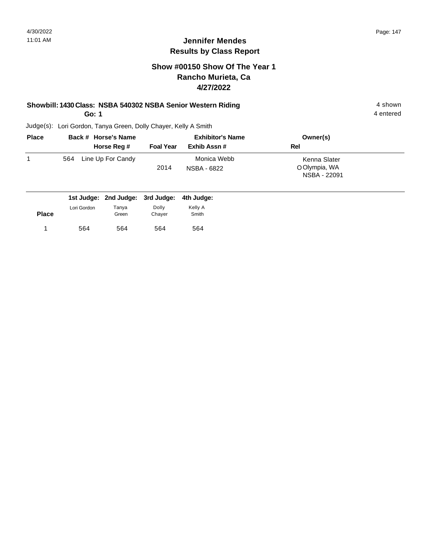### **Show #00150 Show Of The Year 1 Rancho Murieta, Ca 4/27/2022**

#### **Showbill: 1430 Class: NSBA 540302 NSBA Senior Western Riding 4 shown 4 shown**

**Go: 1**

Judge(s): Lori Gordon, Tanya Green, Dolly Chayer, Kelly A Smith

| <b>Place</b> | Back # Horse's Name              |                  | <b>Exhibitor's Name</b>    | Owner(s)                                      |  |
|--------------|----------------------------------|------------------|----------------------------|-----------------------------------------------|--|
|              | Horse Reg #                      | <b>Foal Year</b> | Exhib Assn#                | Rel                                           |  |
| 1            | Line Up For Candy<br>564         | 2014             | Monica Webb<br>NSBA - 6822 | Kenna Slater<br>O Olympia, WA<br>NSBA - 22091 |  |
|              | 1st Judge: 2nd Judge: 3rd Judge: |                  | 4th Judge:                 |                                               |  |

| <b>Place</b> | Lori Gordon | Tanya<br>Green | Dolly<br>Chayer | Kelly A<br>Smith |
|--------------|-------------|----------------|-----------------|------------------|
| 4            | 564         | 564            | 564             | 564              |

4 entered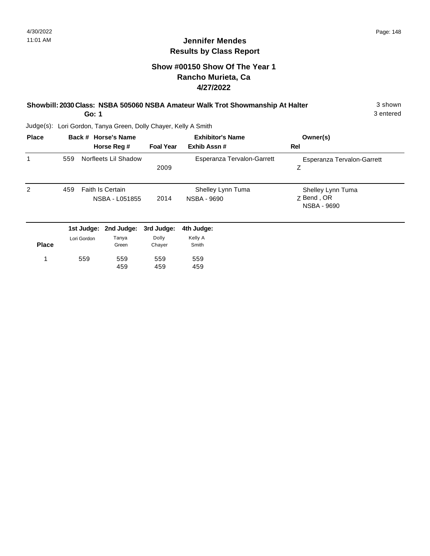3 entered

## **Jennifer Mendes Results by Class Report**

### **Show #00150 Show Of The Year 1 Rancho Murieta, Ca 4/27/2022**

#### **Showbill: 2030 Class: NSBA 505060 NSBA Amateur Walk Trot Showmanship At Halter** 3 shown

**Go: 1**

| <b>Place</b> |     | Back # Horse's Name<br>Horse Reg #                                                                                                                                                                                                                                                                                                   | <b>Foal Year</b>                           | <b>Exhibitor's Name</b><br>Exhib Assn# | Owner(s)<br>Rel                                |
|--------------|-----|--------------------------------------------------------------------------------------------------------------------------------------------------------------------------------------------------------------------------------------------------------------------------------------------------------------------------------------|--------------------------------------------|----------------------------------------|------------------------------------------------|
| 1            | 559 | Norfleets Lil Shadow                                                                                                                                                                                                                                                                                                                 | 2009                                       | Esperanza Tervalon-Garrett             | Esperanza Tervalon-Garrett<br>Ζ                |
| 2            | 459 | <b>Faith Is Certain</b><br>NSBA - L051855                                                                                                                                                                                                                                                                                            | 2014                                       | Shelley Lynn Tuma<br>NSBA - 9690       | Shelley Lynn Tuma<br>Z Bend, OR<br>NSBA - 9690 |
|              |     | 1st Judge: 2nd Judge: 3rd Judge:<br>$\mathbf{r}$ and $\mathbf{r}$ and $\mathbf{r}$ and $\mathbf{r}$ and $\mathbf{r}$ and $\mathbf{r}$ and $\mathbf{r}$ and $\mathbf{r}$ and $\mathbf{r}$ and $\mathbf{r}$ and $\mathbf{r}$ and $\mathbf{r}$ and $\mathbf{r}$ and $\mathbf{r}$ and $\mathbf{r}$ and $\mathbf{r}$ and $\mathbf{r}$ and | $\mathbf{D} = \mathbf{H} \cdot \mathbf{A}$ | 4th Judge:<br>$1/2$ $-11$ . $\Lambda$  |                                                |

| <b>Place</b> | Lori Gordon | Tanya<br>Green | Dolly<br>Chayer | Kelly A<br>Smith |
|--------------|-------------|----------------|-----------------|------------------|
| -1           | 559         | 559<br>459     | 559<br>459      | 559<br>459       |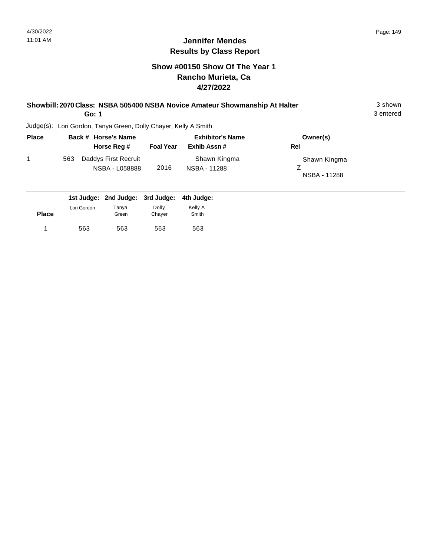#### **Show #00150 Show Of The Year 1 Rancho Murieta, Ca 4/27/2022**

| Showbill: 2070 Class: NSBA 505400 NSBA Novice Amateur Showmanship At Halter | 3 shown   |
|-----------------------------------------------------------------------------|-----------|
| Go: 1                                                                       | 3 entered |

3 entered

| <b>Place</b> |     | Back # Horse's Name                    |                  | <b>Exhibitor's Name</b>      | Owner(s)                     |
|--------------|-----|----------------------------------------|------------------|------------------------------|------------------------------|
|              |     | Horse Reg #                            | <b>Foal Year</b> | Exhib Assn#                  | Rel                          |
|              | 563 | Daddys First Recruit<br>NSBA - L058888 | 2016             | Shawn Kingma<br>NSBA - 11288 | Shawn Kingma<br>NSBA - 11288 |

|              |             |                | 1st Judge: 2nd Judge: 3rd Judge: 4th Judge: |                  |
|--------------|-------------|----------------|---------------------------------------------|------------------|
| <b>Place</b> | Lori Gordon | Tanya<br>Green | Dolly<br>Chaver                             | Kelly A<br>Smith |
|              | 563         | 563            | 563                                         | 563              |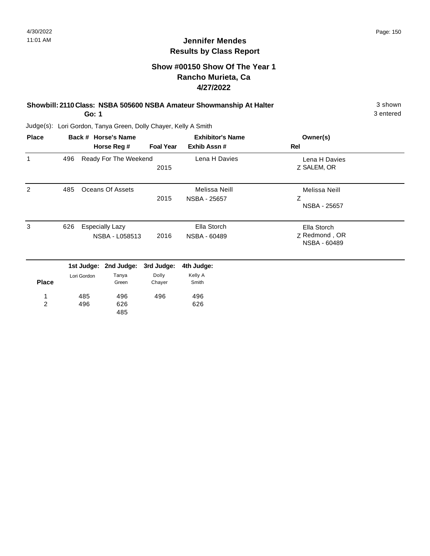### **Show #00150 Show Of The Year 1 Rancho Murieta, Ca 4/27/2022**

#### **Showbill: 2110 Class: NSBA 505600 NSBA Amateur Showmanship At Halter** 3 shown **Go: 1**

3 entered

| <b>Place</b>        |     |             | Back # Horse's Name                      |                  | <b>Exhibitor's Name</b>       | Owner(s)                                     |
|---------------------|-----|-------------|------------------------------------------|------------------|-------------------------------|----------------------------------------------|
|                     |     |             | Horse Reg #                              | <b>Foal Year</b> | Exhib Assn#                   | Rel                                          |
| $\mathbf{1}$        | 496 |             | Ready For The Weekend                    | 2015             | Lena H Davies                 | Lena H Davies<br>Z SALEM, OR                 |
| 2                   | 485 |             | Oceans Of Assets                         | 2015             | Melissa Neill<br>NSBA - 25657 | Melissa Neill<br>Z<br>NSBA - 25657           |
| 3                   | 626 |             | <b>Especially Lazy</b><br>NSBA - L058513 | 2016             | Ella Storch<br>NSBA - 60489   | Ella Storch<br>Z Redmond, OR<br>NSBA - 60489 |
|                     |     |             | 1st Judge: 2nd Judge:                    | 3rd Judge:       | 4th Judge:                    |                                              |
| <b>Place</b>        |     | Lori Gordon | Tanya<br>Green                           | Dolly<br>Chayer  | Kelly A<br>Smith              |                                              |
| 1<br>$\overline{2}$ |     | 485<br>496  | 496<br>626<br>485                        | 496              | 496<br>626                    |                                              |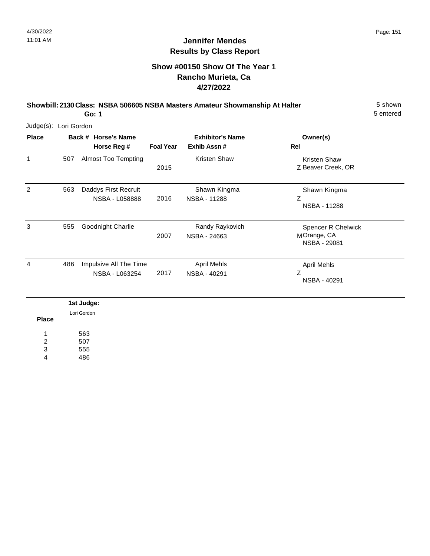### **Show #00150 Show Of The Year 1 Rancho Murieta, Ca 4/27/2022**

**Showbill: 2130 Class: NSBA 506605 NSBA Masters Amateur Showmanship At Halter** 5 shown **Go: 1**

5 entered

Judge(s): Lori Gordon

| <b>Place</b> |     | Back # Horse's Name<br>Horse Reg #       | <b>Foal Year</b> | <b>Exhibitor's Name</b><br>Exhib Assn# | Owner(s)<br>Rel                                   |
|--------------|-----|------------------------------------------|------------------|----------------------------------------|---------------------------------------------------|
| 1            | 507 | <b>Almost Too Tempting</b>               | 2015             | <b>Kristen Shaw</b>                    | Kristen Shaw<br>Z Beaver Creek, OR                |
| 2            | 563 | Daddys First Recruit<br>NSBA - L058888   | 2016             | Shawn Kingma<br>NSBA - 11288           | Shawn Kingma<br>Ζ<br>NSBA - 11288                 |
| 3            | 555 | Goodnight Charlie                        | 2007             | Randy Raykovich<br>NSBA - 24663        | Spencer R Chelwick<br>MOrange, CA<br>NSBA - 29081 |
| 4            | 486 | Impulsive All The Time<br>NSBA - L063254 | 2017             | <b>April Mehls</b><br>NSBA - 40291     | <b>April Mehls</b><br>Ζ<br>NSBA - 40291           |

**Place** 563 507 555 486 1 2 3 4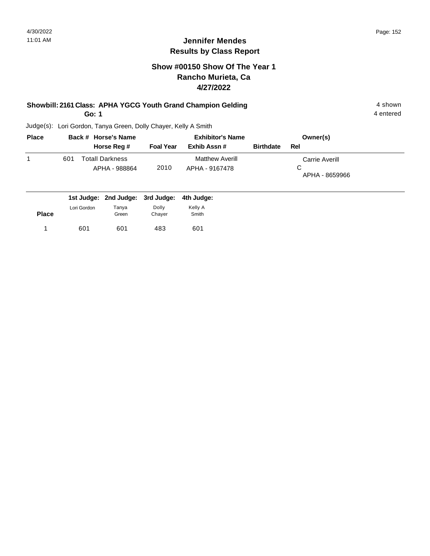### **Show #00150 Show Of The Year 1 Rancho Murieta, Ca 4/27/2022**

#### **Showbill: 2161 Class: APHA YGCG Youth Grand Champion Gelding 4 shown 4 shown**

**Go: 1**

4 entered

| <b>Place</b> |     | Back # Horse's Name                                             |                  | <b>Exhibitor's Name</b>                  | Owner(s)         |                                       |  |
|--------------|-----|-----------------------------------------------------------------|------------------|------------------------------------------|------------------|---------------------------------------|--|
|              |     | Horse Reg #                                                     | <b>Foal Year</b> | Exhib Assn #                             | <b>Birthdate</b> | Rel                                   |  |
|              | 601 | Totall Darkness<br>APHA - 988864                                | 2010             | <b>Matthew Averill</b><br>APHA - 9167478 |                  | Carrie Averill<br>С<br>APHA - 8659966 |  |
|              |     | المسلوبيا والملاز ومساوينا اوسي ومساوينا المستري ومساوينا لمسار |                  |                                          |                  |                                       |  |

|              |             | 1st Judge: 2nd Judge: 3rd Judge: |                 | 4th Judge:       |  |
|--------------|-------------|----------------------------------|-----------------|------------------|--|
| <b>Place</b> | Lori Gordon | Tanva<br>Green                   | Dolly<br>Chayer | Kelly A<br>Smith |  |
|              | 601         | 601                              | 483             | 601              |  |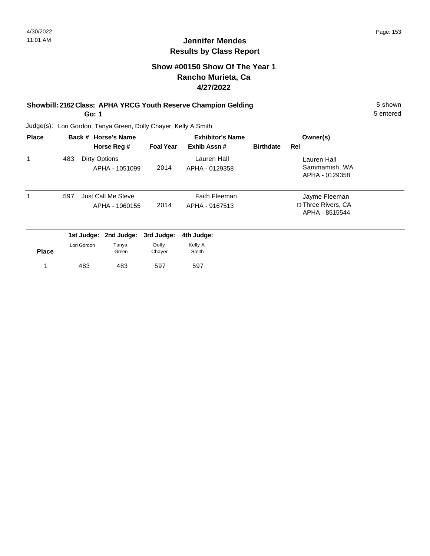### **Show #00150 Show Of The Year 1 Rancho Murieta, Ca 4/27/2022**

#### **Showbill: 2162 Class: APHA YRCG Youth Reserve Champion Gelding** 5 Shown 5 shown **Go: 1**

5 entered

| <b>Place</b> |     |             | Back # Horse's Name                  |                  | <b>Exhibitor's Name</b>                | Owner(s)         |                                                       |
|--------------|-----|-------------|--------------------------------------|------------------|----------------------------------------|------------------|-------------------------------------------------------|
|              |     |             | Horse Reg #                          | <b>Foal Year</b> | Exhib Assn#                            | <b>Birthdate</b> | Rel                                                   |
| 1            | 483 |             | Dirty Options<br>APHA - 1051099      | 2014             | Lauren Hall<br>APHA - 0129358          |                  | Lauren Hall<br>Sammamish, WA<br>APHA - 0129358        |
| 1            | 597 |             | Just Call Me Steve<br>APHA - 1060155 | 2014             | <b>Faith Fleeman</b><br>APHA - 9167513 |                  | Jayme Fleeman<br>D Three Rivers, CA<br>APHA - 8515544 |
|              |     |             | 1st Judge: 2nd Judge:                | 3rd Judge:       | 4th Judge:                             |                  |                                                       |
| <b>Place</b> |     | Lori Gordon | Tanya<br>Green                       | Dolly<br>Chayer  | Kelly A<br>Smith                       |                  |                                                       |
|              |     | 483         | 483                                  | 597              | 597                                    |                  |                                                       |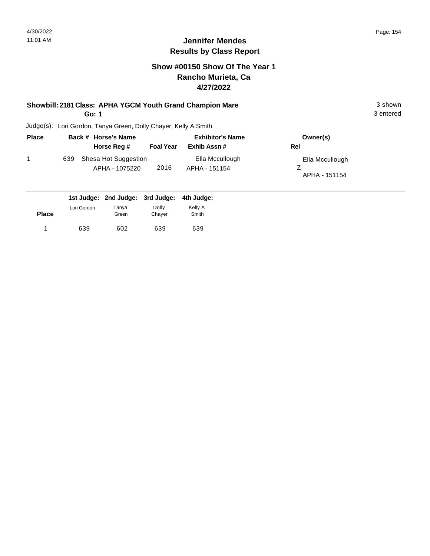#### **Show #00150 Show Of The Year 1 Rancho Murieta, Ca 4/27/2022**

#### **Showbill: 2181 Class: APHA YGCM Youth Grand Champion Mare** 3 shown

**Go: 1**

3 entered

| <b>Place</b> |     | Back # Horse's Name                    |                  | <b>Exhibitor's Name</b>          | Owner(s)                         |
|--------------|-----|----------------------------------------|------------------|----------------------------------|----------------------------------|
|              |     | Horse Reg #                            | <b>Foal Year</b> | Exhib Assn#                      | Rel                              |
|              | 639 | Shesa Hot Suggestion<br>APHA - 1075220 | 2016             | Ella Mccullough<br>APHA - 151154 | Ella Mccullough<br>APHA - 151154 |

|              |             | 1st Judge: 2nd Judge: 3rd Judge: 4th Judge: |                 |                  |
|--------------|-------------|---------------------------------------------|-----------------|------------------|
| <b>Place</b> | Lori Gordon | Tanya<br>Green                              | Dolly<br>Chaver | Kelly A<br>Smith |
|              | 639         | 602                                         | 639             | 639              |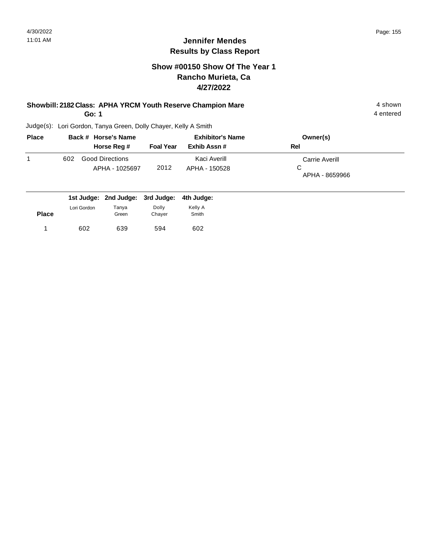#### **Show #00150 Show Of The Year 1 Rancho Murieta, Ca 4/27/2022**

#### **Showbill: 2182 Class: APHA YRCM Youth Reserve Champion Mare** 4 shown 4 shown

**Go: 1**

4 entered

| <b>Place</b> |     | Back # Horse's Name                      |                  | <b>Exhibitor's Name</b>       | Owner(s)                                     |
|--------------|-----|------------------------------------------|------------------|-------------------------------|----------------------------------------------|
|              |     | Horse Reg #                              | <b>Foal Year</b> | Exhib Assn #                  | Rel                                          |
|              | 602 | <b>Good Directions</b><br>APHA - 1025697 | 2012             | Kaci Averill<br>APHA - 150528 | <b>Carrie Averill</b><br>C<br>APHA - 8659966 |

|              |             | 1st Judge: 2nd Judge: 3rd Judge: 4th Judge: |                 |                  |
|--------------|-------------|---------------------------------------------|-----------------|------------------|
| <b>Place</b> | Lori Gordon | Tanya<br>Green                              | Dolly<br>Chayer | Kelly A<br>Smith |
|              | 602         | 639                                         | 594             | 602              |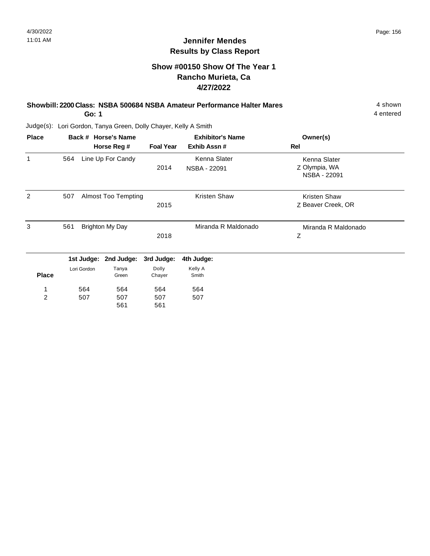### **Show #00150 Show Of The Year 1 Rancho Murieta, Ca 4/27/2022**

#### **Showbill: 2200 Class: NSBA 500684 NSBA Amateur Performance Halter Mares** 4 Shown **Go: 1**

4 entered

| <b>Place</b>   |     |             | Back # Horse's Name        | <b>Exhibitor's Name</b> |                     | Owner(s)                      |
|----------------|-----|-------------|----------------------------|-------------------------|---------------------|-------------------------------|
|                |     |             | Horse Reg #                | <b>Foal Year</b>        | Exhib Assn#         | Rel                           |
| 1              | 564 |             | Line Up For Candy          |                         | Kenna Slater        | Kenna Slater                  |
|                |     |             |                            | 2014                    | NSBA - 22091        | Z Olympia, WA<br>NSBA - 22091 |
| $\overline{2}$ | 507 |             | <b>Almost Too Tempting</b> |                         | Kristen Shaw        | <b>Kristen Shaw</b>           |
|                |     |             |                            | 2015                    |                     | Z Beaver Creek, OR            |
| 3              | 561 |             | <b>Brighton My Day</b>     |                         | Miranda R Maldonado | Miranda R Maldonado           |
|                |     |             |                            | 2018                    |                     | Z                             |
|                |     |             | 1st Judge: 2nd Judge:      | 3rd Judge:              | 4th Judge:          |                               |
|                |     | Lori Gordon | Tanya                      | Dolly                   | Kelly A             |                               |
| <b>Place</b>   |     |             | Green                      | Chayer                  | Smith               |                               |
| 1              |     | 564         | 564                        | 564                     | 564                 |                               |
| $\overline{2}$ |     | 507         | 507                        | 507                     | 507                 |                               |
|                |     |             | 561                        | 561                     |                     |                               |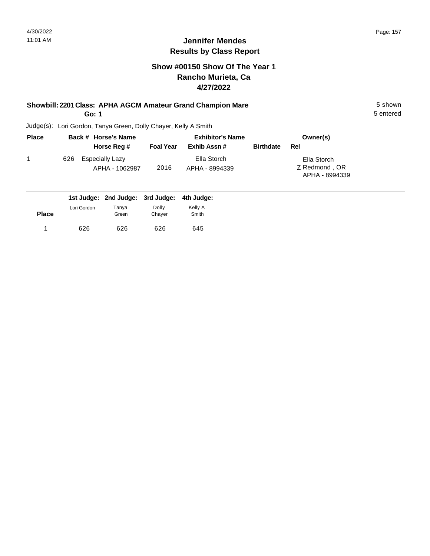### **Show #00150 Show Of The Year 1 Rancho Murieta, Ca 4/27/2022**

#### **Showbill: 2201 Class: APHA AGCM Amateur Grand Champion Mare** 5 shown

**Go: 1**

5 entered

| <b>Place</b> |     | Back # Horse's Name                      | <b>Exhibitor's Name</b> |                               |                  | Owner(s)                                       |  |
|--------------|-----|------------------------------------------|-------------------------|-------------------------------|------------------|------------------------------------------------|--|
|              |     | Horse Reg #                              | <b>Foal Year</b>        | Exhib Assn#                   | <b>Birthdate</b> | Rel                                            |  |
|              | 626 | <b>Especially Lazy</b><br>APHA - 1062987 | 2016                    | Ella Storch<br>APHA - 8994339 |                  | Ella Storch<br>Z Redmond, OR<br>APHA - 8994339 |  |

|              |             | 1st Judge: 2nd Judge: 3rd Judge: 4th Judge: |                 |                  |
|--------------|-------------|---------------------------------------------|-----------------|------------------|
| <b>Place</b> | Lori Gordon | Tanya<br>Green                              | Dolly<br>Chaver | Kelly A<br>Smith |
|              |             |                                             |                 |                  |
|              | 626         | 626                                         | 626             | 645              |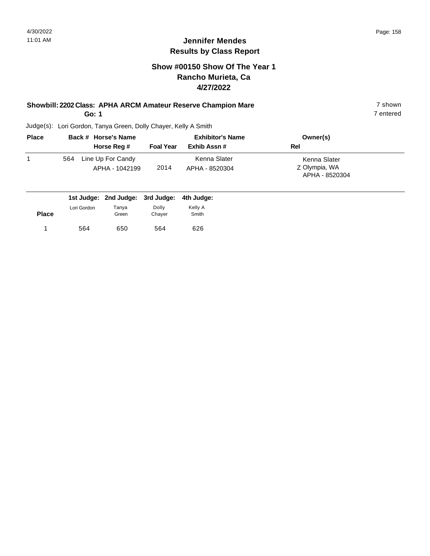#### **Show #00150 Show Of The Year 1 Rancho Murieta, Ca 4/27/2022**

#### **Showbill: 2202 Class: APHA ARCM Amateur Reserve Champion Mare** 7 shown

**Go: 1**

7 entered

| <b>Place</b> |     | Back # Horse's Name                 | <b>Exhibitor's Name</b> |                                | Owner(s)                                        |
|--------------|-----|-------------------------------------|-------------------------|--------------------------------|-------------------------------------------------|
|              |     | Horse Reg #                         | <b>Foal Year</b>        | Exhib Assn#                    | Rel                                             |
|              | 564 | Line Up For Candy<br>APHA - 1042199 | 2014                    | Kenna Slater<br>APHA - 8520304 | Kenna Slater<br>Z Olympia, WA<br>APHA - 8520304 |

|              |             | 1st Judge: 2nd Judge: 3rd Judge: 4th Judge: |                 |                  |  |
|--------------|-------------|---------------------------------------------|-----------------|------------------|--|
| <b>Place</b> | Lori Gordon | Tanya<br>Green                              | Dolly<br>Chayer | Kelly A<br>Smith |  |
|              | 564         | 650                                         | 564             | 626              |  |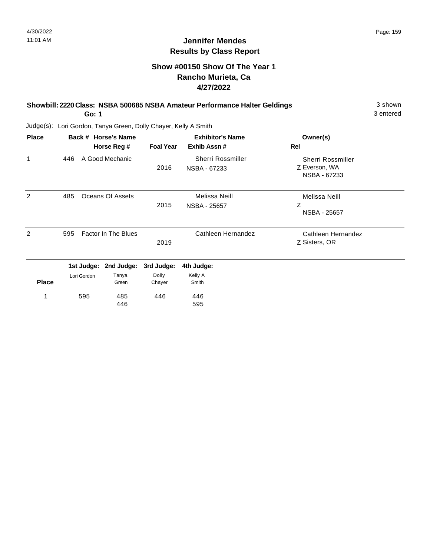3 entered

### **Jennifer Mendes Results by Class Report**

### **Show #00150 Show Of The Year 1 Rancho Murieta, Ca 4/27/2022**

### **Showbill: 2220 Class: NSBA 500685 NSBA Amateur Performance Halter Geldings** 3 shown

**Go: 1**

| <b>Place</b> |     | Back # Horse's Name        |                       |                  | <b>Exhibitor's Name</b>           | Owner(s)                                           |
|--------------|-----|----------------------------|-----------------------|------------------|-----------------------------------|----------------------------------------------------|
|              |     |                            | Horse Reg #           | <b>Foal Year</b> | Exhib Assn#                       | Rel                                                |
| 1            | 446 |                            | A Good Mechanic       | 2016             | Sherri Rossmiller<br>NSBA - 67233 | Sherri Rossmiller<br>Z Everson, WA<br>NSBA - 67233 |
| 2            | 485 |                            | Oceans Of Assets      | 2015             | Melissa Neill<br>NSBA - 25657     | Melissa Neill<br>Z<br>NSBA - 25657                 |
| 2            | 595 | <b>Factor In The Blues</b> |                       | 2019             | Cathleen Hernandez                | Cathleen Hernandez<br>Z Sisters, OR                |
|              |     |                            | 1st Judge: 2nd Judge: | 3rd Judge:       | 4th Judge:                        |                                                    |
| <b>Place</b> |     | Lori Gordon                | Tanya<br>Green        | Dolly<br>Chayer  | Kelly A<br>Smith                  |                                                    |
| 1            |     | 595                        | 485<br>446            | 446              | 446<br>595                        |                                                    |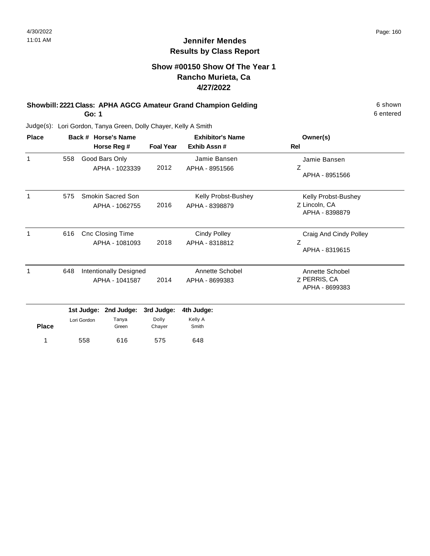### **Show #00150 Show Of The Year 1 Rancho Murieta, Ca 4/27/2022**

#### **Showbill: 2221 Class: APHA AGCG Amateur Grand Champion Gelding** 6 Shown 6 shown **Go: 1**

6 entered

| <b>Place</b> |                          |             | Back # Horse's Name                             |                  | <b>Exhibitor's Name</b>               | Owner(s)                                               |
|--------------|--------------------------|-------------|-------------------------------------------------|------------------|---------------------------------------|--------------------------------------------------------|
|              |                          |             | Horse Reg #                                     | <b>Foal Year</b> | Exhib Assn#                           | Rel                                                    |
| 1            | 558                      |             | Good Bars Only<br>APHA - 1023339                | 2012             | Jamie Bansen<br>APHA - 8951566        | Jamie Bansen<br>Ζ<br>APHA - 8951566                    |
| 1            | 575                      |             | Smokin Sacred Son<br>APHA - 1062755             | 2016             | Kelly Probst-Bushey<br>APHA - 8398879 | Kelly Probst-Bushey<br>Z Lincoln, CA<br>APHA - 8398879 |
| $\mathbf 1$  | 616                      |             | <b>Cnc Closing Time</b><br>APHA - 1081093       | 2018             | <b>Cindy Polley</b><br>APHA - 8318812 | Craig And Cindy Polley<br>Ζ<br>APHA - 8319615          |
| 1            | 648                      |             | <b>Intentionally Designed</b><br>APHA - 1041587 | 2014             | Annette Schobel<br>APHA - 8699383     | Annette Schobel<br>Z PERRIS, CA<br>APHA - 8699383      |
|              | 1st Judge:<br>2nd Judge: |             | 3rd Judge:                                      | 4th Judge:       |                                       |                                                        |
| <b>Place</b> |                          | Lori Gordon | Tanya<br>Green                                  | Dolly<br>Chayer  | Kelly A<br>Smith                      |                                                        |
| 1            |                          | 558         | 616                                             | 575              | 648                                   |                                                        |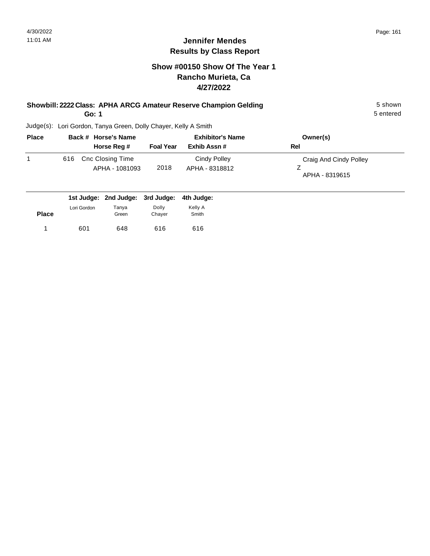#### **Show #00150 Show Of The Year 1 Rancho Murieta, Ca 4/27/2022**

## **Showbill: 2222 Class: APHA ARCG Amateur Reserve Champion Gelding** 5 shown

**Go: 1**

5 entered

| <b>Place</b> |     | Back # Horse's Name                |                  | <b>Exhibitor's Name</b>        | Owner(s)                                 |
|--------------|-----|------------------------------------|------------------|--------------------------------|------------------------------------------|
|              |     | Horse Reg #                        | <b>Foal Year</b> | Exhib Assn#                    | Rel                                      |
|              | 616 | Cnc Closing Time<br>APHA - 1081093 | 2018             | Cindy Polley<br>APHA - 8318812 | Craig And Cindy Polley<br>APHA - 8319615 |

|              |             | 1st Judge: 2nd Judge: 3rd Judge: 4th Judge: |                 |                  |
|--------------|-------------|---------------------------------------------|-----------------|------------------|
| <b>Place</b> | Lori Gordon | Tanva<br>Green                              | Dolly<br>Chaver | Kelly A<br>Smith |
|              | 601         | 648                                         | 616             | 616              |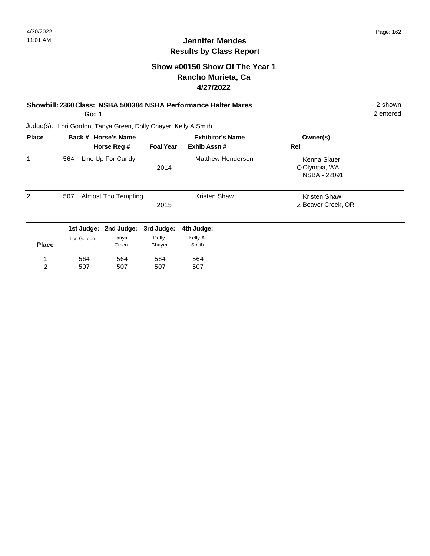### **Show #00150 Show Of The Year 1 Rancho Murieta, Ca 4/27/2022**

#### **Showbill: 2360 Class: NSBA 500384 NSBA Performance Halter Mares** 2 shown

**Go: 1**

2 entered

| <b>Place</b> |                                           | Back # Horse's Name |                  | <b>Exhibitor's Name</b> | Owner(s)                                      |  |
|--------------|-------------------------------------------|---------------------|------------------|-------------------------|-----------------------------------------------|--|
|              |                                           | Horse Reg #         | <b>Foal Year</b> | Exhib Assn#             | Rel                                           |  |
| 1            | 564                                       | Line Up For Candy   | 2014             | Matthew Henderson       | Kenna Slater<br>O Olympia, WA<br>NSBA - 22091 |  |
| 2            | 507<br><b>Almost Too Tempting</b><br>2015 |                     |                  | <b>Kristen Shaw</b>     | <b>Kristen Shaw</b><br>Z Beaver Creek, OR     |  |
|              | 1st Judge:                                | 2nd Judge:          | 3rd Judge:       | 4th Judge:              |                                               |  |
| <b>Place</b> | Lori Gordon                               | Tanya<br>Green      | Dolly<br>Chayer  | Kelly A<br>Smith        |                                               |  |
| 1            | 564                                       | 564                 | 564              | 564                     |                                               |  |
| 2            | 507                                       | 507                 | 507              | 507                     |                                               |  |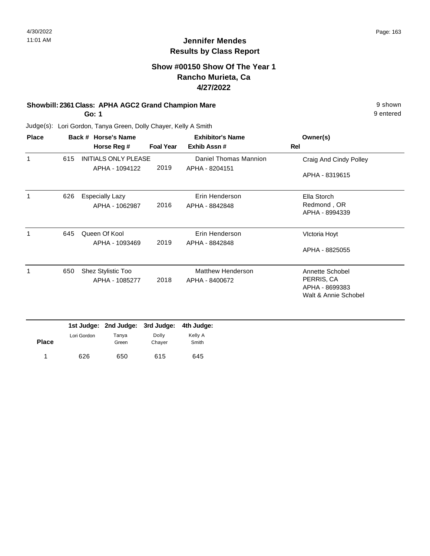#### **Show #00150 Show Of The Year 1 Rancho Murieta, Ca 4/27/2022**

#### **Showbill: 2361 Class: APHA AGC2 Grand Champion Mare 19 Shown 9 shown** 9 shown

**Go: 1**

Judge(s): Lori Gordon, Tanya Green, Dolly Chayer, Kelly A Smith

| <b>Place</b> |     | Back # Horse's Name         |                  | <b>Exhibitor's Name</b>  | Owner(s)               |
|--------------|-----|-----------------------------|------------------|--------------------------|------------------------|
|              |     | Horse Reg #                 | <b>Foal Year</b> | Exhib Assn#              | Rel                    |
| 1            | 615 | <b>INITIALS ONLY PLEASE</b> |                  | Daniel Thomas Mannion    | Craig And Cindy Polley |
|              |     | APHA - 1094122              | 2019             | APHA - 8204151           | APHA - 8319615         |
| 1            | 626 | <b>Especially Lazy</b>      |                  | Erin Henderson           | Ella Storch            |
|              |     | APHA - 1062987              | 2016             | APHA - 8842848           | Redmond, OR            |
|              |     |                             |                  |                          | APHA - 8994339         |
| 1            | 645 | Queen Of Kool               |                  | Erin Henderson           | Victoria Hoyt          |
|              |     | APHA - 1093469              | 2019             | APHA - 8842848           |                        |
|              |     |                             |                  |                          | APHA - 8825055         |
| 1            | 650 | Shez Stylistic Too          |                  | <b>Matthew Henderson</b> | Annette Schobel        |
|              |     | APHA - 1085277              | 2018             | APHA - 8400672           | PERRIS, CA             |
|              |     |                             |                  |                          | APHA - 8699383         |
|              |     |                             |                  |                          | Walt & Annie Schobel   |
|              |     |                             |                  |                          |                        |

|              |             | 1st Judge: 2nd Judge: 3rd Judge: 4th Judge: |                 |                  |
|--------------|-------------|---------------------------------------------|-----------------|------------------|
| <b>Place</b> | Lori Gordon | Tanya<br>Green                              | Dolly<br>Chaver | Kelly A<br>Smith |
|              | 626         | 650                                         | 615             | 645              |

9 entered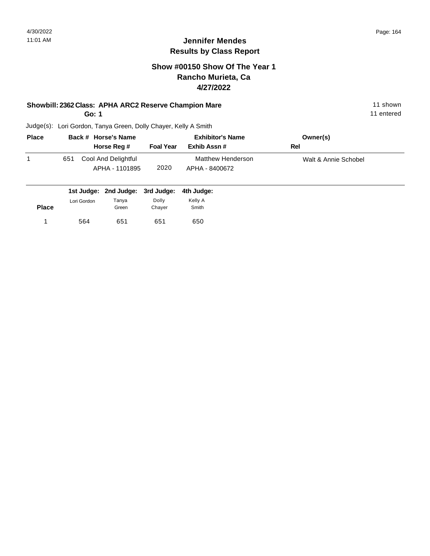#### **Show #00150 Show Of The Year 1 Rancho Murieta, Ca 4/27/2022**

#### **Showbill: 2362 Class: APHA ARC2 Reserve Champion Mare** 11 Shown 11 shown

**Go: 1**

11 entered

| <b>Place</b> |     | Back # Horse's Name                   |                  | <b>Exhibitor's Name</b>             | Owner(s)             |  |
|--------------|-----|---------------------------------------|------------------|-------------------------------------|----------------------|--|
|              |     | Horse Reg #                           | <b>Foal Year</b> | Exhib Assn #                        | Rel                  |  |
|              | 651 | Cool And Delightful<br>APHA - 1101895 | 2020             | Matthew Henderson<br>APHA - 8400672 | Walt & Annie Schobel |  |

| Lori Gordon | Tanya | Dolly | Kelly A                                               |
|-------------|-------|-------|-------------------------------------------------------|
|             |       |       | Smith                                                 |
| 564         | 651   | 651   | 650                                                   |
|             |       | Green | 1st Judge: 2nd Judge: 3rd Judge: 4th Judge:<br>Chayer |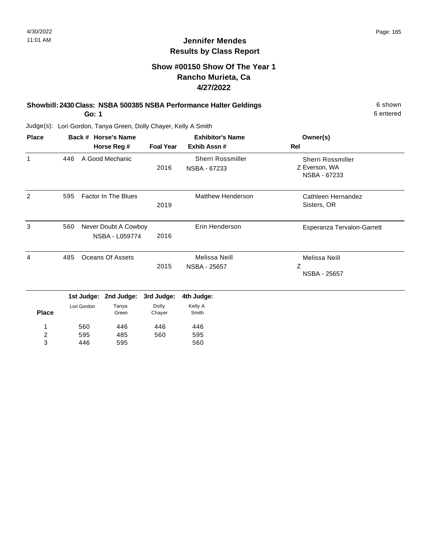#### **Show #00150 Show Of The Year 1 Rancho Murieta, Ca 4/27/2022**

## **Showbill: 2430 Class: NSBA 500385 NSBA Performance Halter Geldings** 6 Shown

**Go: 1**

560 595 446

1 2 3

446 485 595

446 560

Judge(s): Lori Gordon, Tanya Green, Dolly Chayer, Kelly A Smith

| <b>Place</b> | Back # Horse's Name |                           |                                        |                     | <b>Exhibitor's Name</b>              | Owner(s)                                                  |
|--------------|---------------------|---------------------------|----------------------------------------|---------------------|--------------------------------------|-----------------------------------------------------------|
|              |                     |                           | Horse Reg #                            | <b>Foal Year</b>    | Exhib Assn#                          | Rel                                                       |
| 1            | 446                 |                           | A Good Mechanic                        | 2016                | Sherri Rossmiller<br>NSBA - 67233    | <b>Sherri Rossmiller</b><br>Z Everson, WA<br>NSBA - 67233 |
| 2            | 595                 |                           | <b>Factor In The Blues</b>             | 2019                | <b>Matthew Henderson</b>             | Cathleen Hernandez<br>Sisters, OR                         |
| 3            | 560                 |                           | Never Doubt A Cowboy<br>NSBA - L059774 | 2016                | Erin Henderson                       | Esperanza Tervalon-Garrett                                |
| 4            | 485                 |                           | Oceans Of Assets                       | 2015                | Melissa Neill<br><b>NSBA - 25657</b> | Melissa Neill<br>Ζ<br><b>NSBA - 25657</b>                 |
|              |                     | 1st Judge:<br>Lori Gordon | 2nd Judge:<br>Tanya                    | 3rd Judge:<br>Dolly | 4th Judge:<br>Kelly A                |                                                           |
| <b>Place</b> |                     |                           | Green                                  | Chayer              | Smith                                |                                                           |

446 595 560 6 entered